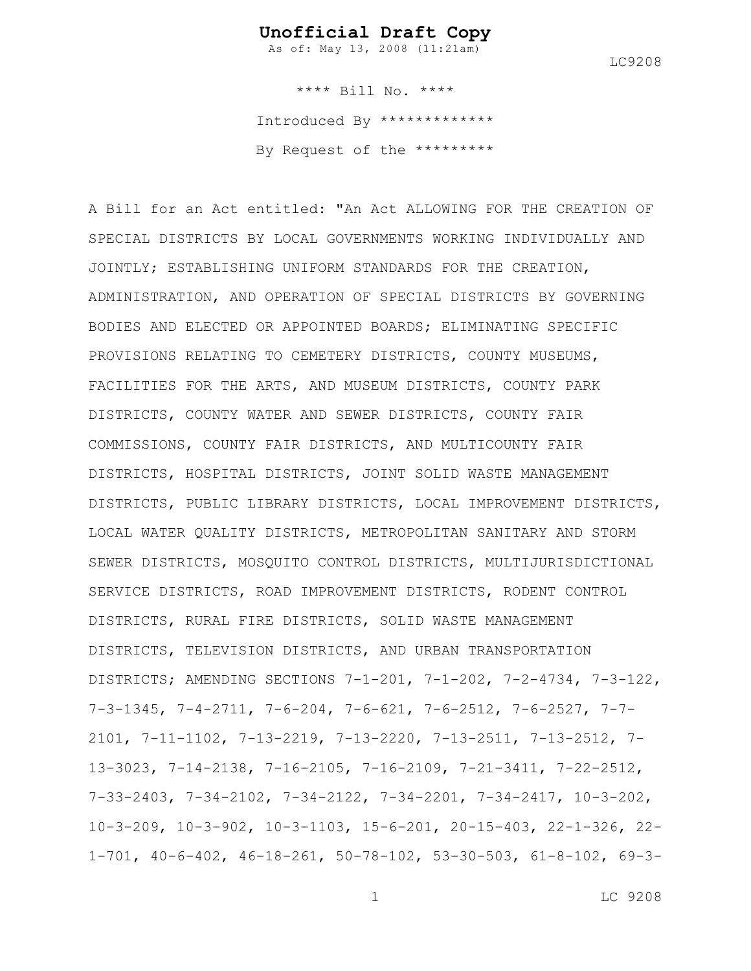As of: May 13, 2008 (11:21am)

LC9208

\*\*\*\* Bill No. \*\*\*\* Introduced By \*\*\*\*\*\*\*\*\*\*\*\*\* By Request of the \*\*\*\*\*\*\*\*\*

A Bill for an Act entitled: "An Act ALLOWING FOR THE CREATION OF SPECIAL DISTRICTS BY LOCAL GOVERNMENTS WORKING INDIVIDUALLY AND JOINTLY; ESTABLISHING UNIFORM STANDARDS FOR THE CREATION, ADMINISTRATION, AND OPERATION OF SPECIAL DISTRICTS BY GOVERNING BODIES AND ELECTED OR APPOINTED BOARDS; ELIMINATING SPECIFIC PROVISIONS RELATING TO CEMETERY DISTRICTS, COUNTY MUSEUMS, FACILITIES FOR THE ARTS, AND MUSEUM DISTRICTS, COUNTY PARK DISTRICTS, COUNTY WATER AND SEWER DISTRICTS, COUNTY FAIR COMMISSIONS, COUNTY FAIR DISTRICTS, AND MULTICOUNTY FAIR DISTRICTS, HOSPITAL DISTRICTS, JOINT SOLID WASTE MANAGEMENT DISTRICTS, PUBLIC LIBRARY DISTRICTS, LOCAL IMPROVEMENT DISTRICTS, LOCAL WATER QUALITY DISTRICTS, METROPOLITAN SANITARY AND STORM SEWER DISTRICTS, MOSQUITO CONTROL DISTRICTS, MULTIJURISDICTIONAL SERVICE DISTRICTS, ROAD IMPROVEMENT DISTRICTS, RODENT CONTROL DISTRICTS, RURAL FIRE DISTRICTS, SOLID WASTE MANAGEMENT DISTRICTS, TELEVISION DISTRICTS, AND URBAN TRANSPORTATION DISTRICTS; AMENDING SECTIONS 7-1-201, 7-1-202, 7-2-4734, 7-3-122, 7-3-1345, 7-4-2711, 7-6-204, 7-6-621, 7-6-2512, 7-6-2527, 7-7- 2101, 7-11-1102, 7-13-2219, 7-13-2220, 7-13-2511, 7-13-2512, 7- 13-3023, 7-14-2138, 7-16-2105, 7-16-2109, 7-21-3411, 7-22-2512, 7-33-2403, 7-34-2102, 7-34-2122, 7-34-2201, 7-34-2417, 10-3-202, 10-3-209, 10-3-902, 10-3-1103, 15-6-201, 20-15-403, 22-1-326, 22- 1-701, 40-6-402, 46-18-261, 50-78-102, 53-30-503, 61-8-102, 69-3-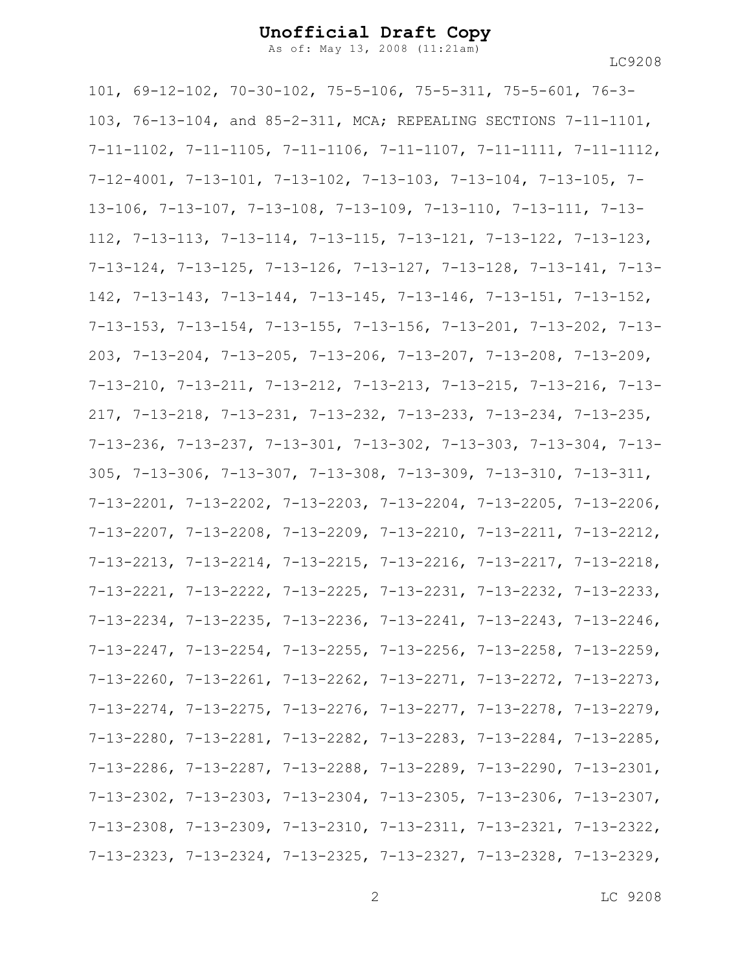As of: May 13, 2008 (11:21am)

LC9208

101, 69-12-102, 70-30-102, 75-5-106, 75-5-311, 75-5-601, 76-3- 103, 76-13-104, and 85-2-311, MCA; REPEALING SECTIONS 7-11-1101, 7-11-1102, 7-11-1105, 7-11-1106, 7-11-1107, 7-11-1111, 7-11-1112, 7-12-4001, 7-13-101, 7-13-102, 7-13-103, 7-13-104, 7-13-105, 7- 13-106, 7-13-107, 7-13-108, 7-13-109, 7-13-110, 7-13-111, 7-13- 112, 7-13-113, 7-13-114, 7-13-115, 7-13-121, 7-13-122, 7-13-123, 7-13-124, 7-13-125, 7-13-126, 7-13-127, 7-13-128, 7-13-141, 7-13- 142, 7-13-143, 7-13-144, 7-13-145, 7-13-146, 7-13-151, 7-13-152, 7-13-153, 7-13-154, 7-13-155, 7-13-156, 7-13-201, 7-13-202, 7-13- 203, 7-13-204, 7-13-205, 7-13-206, 7-13-207, 7-13-208, 7-13-209, 7-13-210, 7-13-211, 7-13-212, 7-13-213, 7-13-215, 7-13-216, 7-13- 217, 7-13-218, 7-13-231, 7-13-232, 7-13-233, 7-13-234, 7-13-235, 7-13-236, 7-13-237, 7-13-301, 7-13-302, 7-13-303, 7-13-304, 7-13- 305, 7-13-306, 7-13-307, 7-13-308, 7-13-309, 7-13-310, 7-13-311, 7-13-2201, 7-13-2202, 7-13-2203, 7-13-2204, 7-13-2205, 7-13-2206, 7-13-2207, 7-13-2208, 7-13-2209, 7-13-2210, 7-13-2211, 7-13-2212, 7-13-2213, 7-13-2214, 7-13-2215, 7-13-2216, 7-13-2217, 7-13-2218, 7-13-2221, 7-13-2222, 7-13-2225, 7-13-2231, 7-13-2232, 7-13-2233, 7-13-2234, 7-13-2235, 7-13-2236, 7-13-2241, 7-13-2243, 7-13-2246, 7-13-2247, 7-13-2254, 7-13-2255, 7-13-2256, 7-13-2258, 7-13-2259, 7-13-2260, 7-13-2261, 7-13-2262, 7-13-2271, 7-13-2272, 7-13-2273, 7-13-2274, 7-13-2275, 7-13-2276, 7-13-2277, 7-13-2278, 7-13-2279, 7-13-2280, 7-13-2281, 7-13-2282, 7-13-2283, 7-13-2284, 7-13-2285, 7-13-2286, 7-13-2287, 7-13-2288, 7-13-2289, 7-13-2290, 7-13-2301, 7-13-2302, 7-13-2303, 7-13-2304, 7-13-2305, 7-13-2306, 7-13-2307, 7-13-2308, 7-13-2309, 7-13-2310, 7-13-2311, 7-13-2321, 7-13-2322, 7-13-2323, 7-13-2324, 7-13-2325, 7-13-2327, 7-13-2328, 7-13-2329,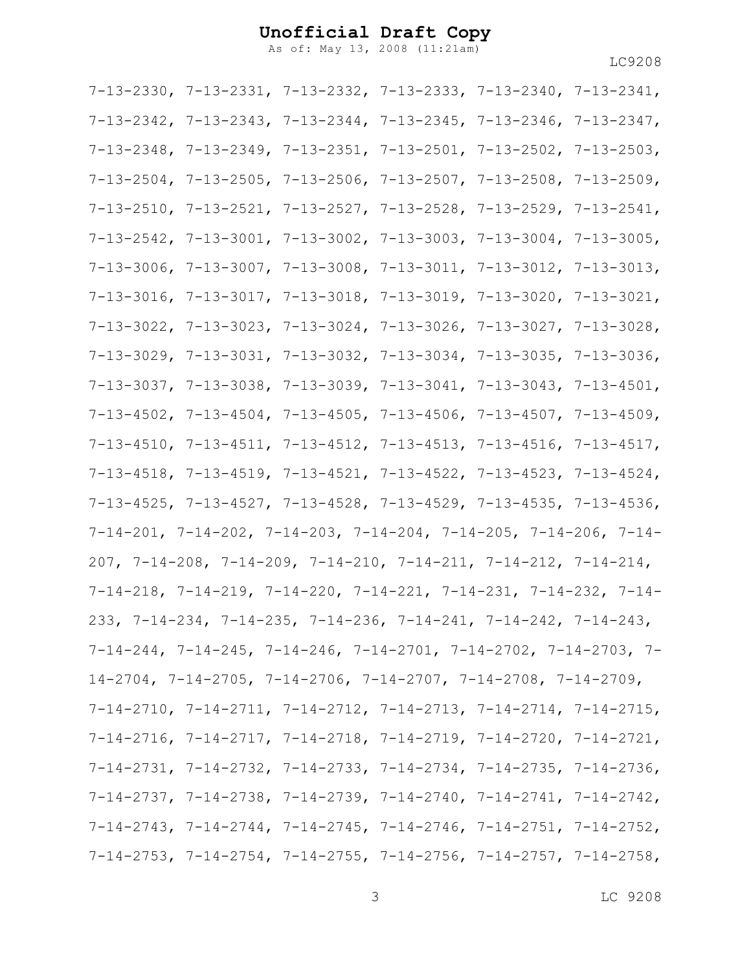As of: May 13, 2008 (11:21am)

| $7-13-2330$ , $7-13-2331$ , $7-13-2332$ , $7-13-2333$ , $7-13-2340$ , $7-13-2341$ ,   |  |  |
|---------------------------------------------------------------------------------------|--|--|
| $7-13-2342$ , $7-13-2343$ , $7-13-2344$ , $7-13-2345$ , $7-13-2346$ , $7-13-2347$ ,   |  |  |
| $7-13-2348$ , $7-13-2349$ , $7-13-2351$ , $7-13-2501$ , $7-13-2502$ , $7-13-2503$ ,   |  |  |
| $7-13-2504$ , $7-13-2505$ , $7-13-2506$ , $7-13-2507$ , $7-13-2508$ , $7-13-2509$ ,   |  |  |
| $7-13-2510$ , $7-13-2521$ , $7-13-2527$ , $7-13-2528$ , $7-13-2529$ , $7-13-2541$ ,   |  |  |
| $7-13-2542$ , $7-13-3001$ , $7-13-3002$ , $7-13-3003$ , $7-13-3004$ , $7-13-3005$ ,   |  |  |
| $7-13-3006$ , $7-13-3007$ , $7-13-3008$ , $7-13-3011$ , $7-13-3012$ , $7-13-3013$ ,   |  |  |
| $7-13-3016$ , $7-13-3017$ , $7-13-3018$ , $7-13-3019$ , $7-13-3020$ , $7-13-3021$ ,   |  |  |
| $7-13-3022$ , $7-13-3023$ , $7-13-3024$ , $7-13-3026$ , $7-13-3027$ , $7-13-3028$ ,   |  |  |
| $7-13-3029$ , $7-13-3031$ , $7-13-3032$ , $7-13-3034$ , $7-13-3035$ , $7-13-3036$ ,   |  |  |
| $7-13-3037$ , $7-13-3038$ , $7-13-3039$ , $7-13-3041$ , $7-13-3043$ , $7-13-4501$ ,   |  |  |
| $7-13-4502$ , $7-13-4504$ , $7-13-4505$ , $7-13-4506$ , $7-13-4507$ , $7-13-4509$ ,   |  |  |
| $7-13-4510$ , $7-13-4511$ , $7-13-4512$ , $7-13-4513$ , $7-13-4516$ , $7-13-4517$ ,   |  |  |
| $7-13-4518$ , $7-13-4519$ , $7-13-4521$ , $7-13-4522$ , $7-13-4523$ , $7-13-4524$ ,   |  |  |
| $7-13-4525$ , $7-13-4527$ , $7-13-4528$ , $7-13-4529$ , $7-13-4535$ , $7-13-4536$ ,   |  |  |
| $7-14-201$ , $7-14-202$ , $7-14-203$ , $7-14-204$ , $7-14-205$ , $7-14-206$ , $7-14-$ |  |  |
| $207, 7-14-208, 7-14-209, 7-14-210, 7-14-211, 7-14-212, 7-14-214,$                    |  |  |
| $7-14-218$ , $7-14-219$ , $7-14-220$ , $7-14-221$ , $7-14-231$ , $7-14-232$ , $7-14-$ |  |  |
| 233, 7-14-234, 7-14-235, 7-14-236, 7-14-241, 7-14-242, 7-14-243,                      |  |  |
| $7-14-244$ , $7-14-245$ , $7-14-246$ , $7-14-2701$ , $7-14-2702$ , $7-14-2703$ , $7-$ |  |  |
| $14-2704$ , 7-14-2705, 7-14-2706, 7-14-2707, 7-14-2708, 7-14-2709,                    |  |  |
| $7-14-2710$ , $7-14-2711$ , $7-14-2712$ , $7-14-2713$ , $7-14-2714$ , $7-14-2715$ ,   |  |  |
| $7-14-2716$ , $7-14-2717$ , $7-14-2718$ , $7-14-2719$ , $7-14-2720$ , $7-14-2721$ ,   |  |  |
| $7-14-2731$ , $7-14-2732$ , $7-14-2733$ , $7-14-2734$ , $7-14-2735$ , $7-14-2736$ ,   |  |  |
| $7-14-2737$ , $7-14-2738$ , $7-14-2739$ , $7-14-2740$ , $7-14-2741$ , $7-14-2742$ ,   |  |  |
| $7-14-2743$ , $7-14-2744$ , $7-14-2745$ , $7-14-2746$ , $7-14-2751$ , $7-14-2752$ ,   |  |  |
| $7-14-2753$ , $7-14-2754$ , $7-14-2755$ , $7-14-2756$ , $7-14-2757$ , $7-14-2758$ ,   |  |  |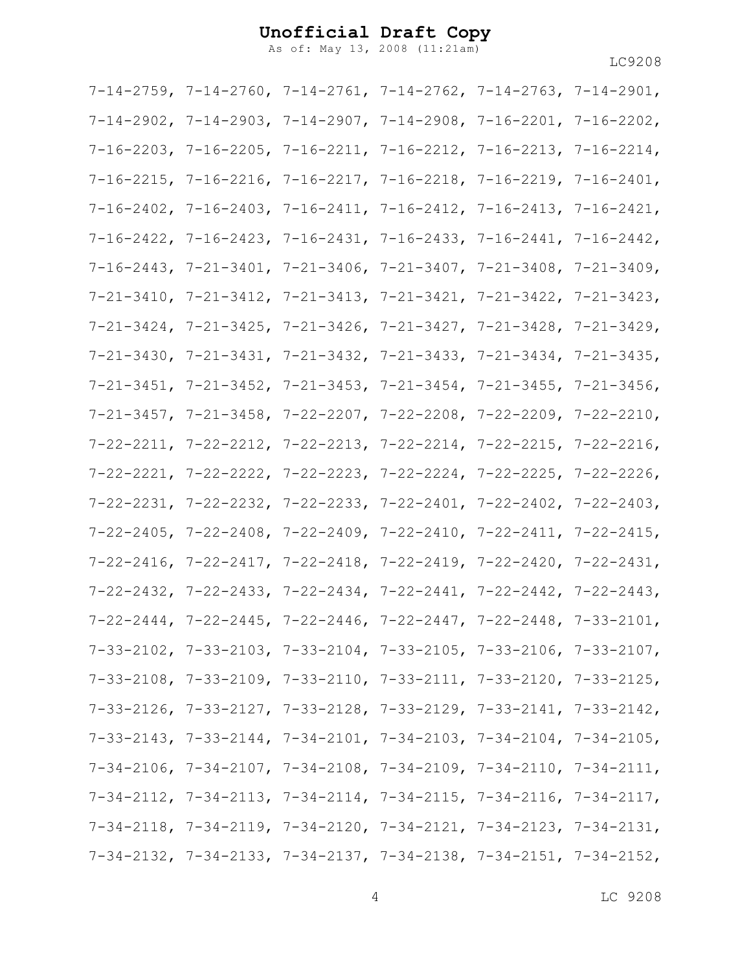As of: May 13, 2008 (11:21am)

|  | $7-14-2759$ , $7-14-2760$ , $7-14-2761$ , $7-14-2762$ , $7-14-2763$ , $7-14-2901$ , |  |
|--|-------------------------------------------------------------------------------------|--|
|  | $7-14-2902$ , $7-14-2903$ , $7-14-2907$ , $7-14-2908$ , $7-16-2201$ , $7-16-2202$ , |  |
|  | $7-16-2203$ , $7-16-2205$ , $7-16-2211$ , $7-16-2212$ , $7-16-2213$ , $7-16-2214$ , |  |
|  | $7-16-2215$ , $7-16-2216$ , $7-16-2217$ , $7-16-2218$ , $7-16-2219$ , $7-16-2401$ , |  |
|  | $7-16-2402$ , $7-16-2403$ , $7-16-2411$ , $7-16-2412$ , $7-16-2413$ , $7-16-2421$ , |  |
|  | $7-16-2422$ , $7-16-2423$ , $7-16-2431$ , $7-16-2433$ , $7-16-2441$ , $7-16-2442$ , |  |
|  | $7-16-2443$ , $7-21-3401$ , $7-21-3406$ , $7-21-3407$ , $7-21-3408$ , $7-21-3409$ , |  |
|  | $7-21-3410$ , $7-21-3412$ , $7-21-3413$ , $7-21-3421$ , $7-21-3422$ , $7-21-3423$ , |  |
|  | $7-21-3424$ , $7-21-3425$ , $7-21-3426$ , $7-21-3427$ , $7-21-3428$ , $7-21-3429$ , |  |
|  | $7-21-3430$ , $7-21-3431$ , $7-21-3432$ , $7-21-3433$ , $7-21-3434$ , $7-21-3435$ , |  |
|  | $7-21-3451$ , $7-21-3452$ , $7-21-3453$ , $7-21-3454$ , $7-21-3455$ , $7-21-3456$ , |  |
|  | $7-21-3457$ , $7-21-3458$ , $7-22-2207$ , $7-22-2208$ , $7-22-2209$ , $7-22-2210$ , |  |
|  | $7-22-2211$ , $7-22-2212$ , $7-22-2213$ , $7-22-2214$ , $7-22-2215$ , $7-22-2216$ , |  |
|  | $7-22-2221$ , $7-22-2222$ , $7-22-2223$ , $7-22-2224$ , $7-22-2225$ , $7-22-2226$ , |  |
|  | $7-22-2231$ , $7-22-2232$ , $7-22-2233$ , $7-22-2401$ , $7-22-2402$ , $7-22-2403$ , |  |
|  | $7-22-2405$ , $7-22-2408$ , $7-22-2409$ , $7-22-2410$ , $7-22-2411$ , $7-22-2415$ , |  |
|  | $7-22-2416$ , $7-22-2417$ , $7-22-2418$ , $7-22-2419$ , $7-22-2420$ , $7-22-2431$ , |  |
|  | $7-22-2432$ , $7-22-2433$ , $7-22-2434$ , $7-22-2441$ , $7-22-2442$ , $7-22-2443$ , |  |
|  | $7-22-2444$ , $7-22-2445$ , $7-22-2446$ , $7-22-2447$ , $7-22-2448$ , $7-33-2101$ , |  |
|  | $7-33-2102$ , $7-33-2103$ , $7-33-2104$ , $7-33-2105$ , $7-33-2106$ , $7-33-2107$ , |  |
|  | $7-33-2108$ , $7-33-2109$ , $7-33-2110$ , $7-33-2111$ , $7-33-2120$ , $7-33-2125$ , |  |
|  | $7-33-2126$ , $7-33-2127$ , $7-33-2128$ , $7-33-2129$ , $7-33-2141$ , $7-33-2142$ , |  |
|  | $7-33-2143$ , $7-33-2144$ , $7-34-2101$ , $7-34-2103$ , $7-34-2104$ , $7-34-2105$ , |  |
|  | $7-34-2106$ , $7-34-2107$ , $7-34-2108$ , $7-34-2109$ , $7-34-2110$ , $7-34-2111$ , |  |
|  | $7-34-2112$ , $7-34-2113$ , $7-34-2114$ , $7-34-2115$ , $7-34-2116$ , $7-34-2117$ , |  |
|  | $7-34-2118$ , $7-34-2119$ , $7-34-2120$ , $7-34-2121$ , $7-34-2123$ , $7-34-2131$ , |  |
|  | $7-34-2132$ , $7-34-2133$ , $7-34-2137$ , $7-34-2138$ , $7-34-2151$ , $7-34-2152$ , |  |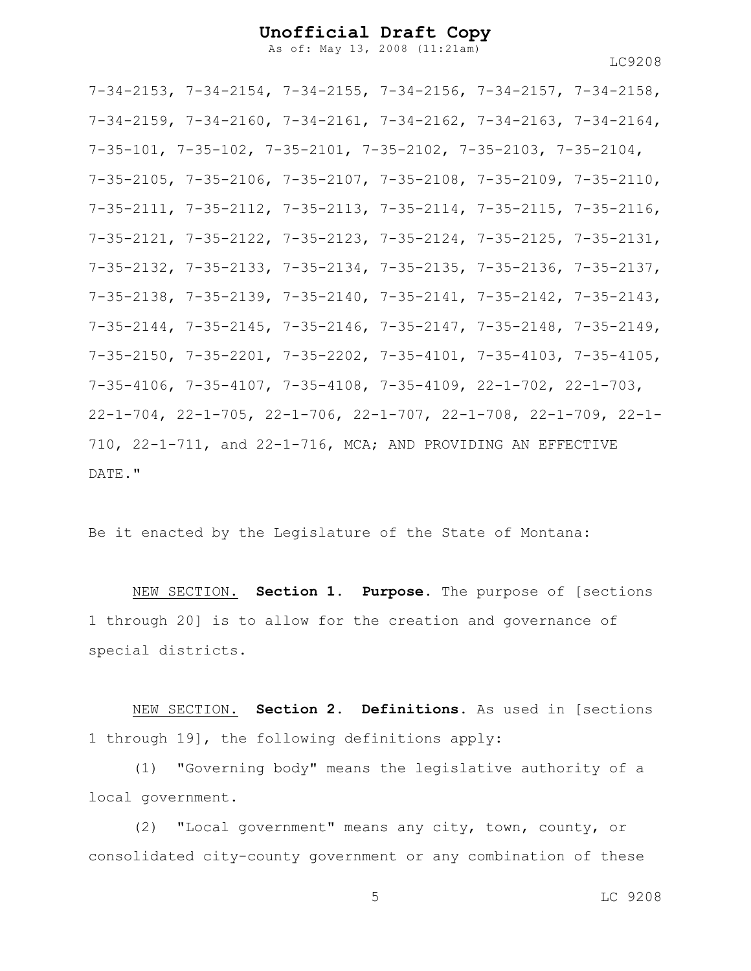As of: May 13, 2008 (11:21am)

LC9208

7-34-2153, 7-34-2154, 7-34-2155, 7-34-2156, 7-34-2157, 7-34-2158, 7-34-2159, 7-34-2160, 7-34-2161, 7-34-2162, 7-34-2163, 7-34-2164, 7-35-101, 7-35-102, 7-35-2101, 7-35-2102, 7-35-2103, 7-35-2104, 7-35-2105, 7-35-2106, 7-35-2107, 7-35-2108, 7-35-2109, 7-35-2110, 7-35-2111, 7-35-2112, 7-35-2113, 7-35-2114, 7-35-2115, 7-35-2116, 7-35-2121, 7-35-2122, 7-35-2123, 7-35-2124, 7-35-2125, 7-35-2131, 7-35-2132, 7-35-2133, 7-35-2134, 7-35-2135, 7-35-2136, 7-35-2137, 7-35-2138, 7-35-2139, 7-35-2140, 7-35-2141, 7-35-2142, 7-35-2143, 7-35-2144, 7-35-2145, 7-35-2146, 7-35-2147, 7-35-2148, 7-35-2149, 7-35-2150, 7-35-2201, 7-35-2202, 7-35-4101, 7-35-4103, 7-35-4105, 7-35-4106, 7-35-4107, 7-35-4108, 7-35-4109, 22-1-702, 22-1-703, 22-1-704, 22-1-705, 22-1-706, 22-1-707, 22-1-708, 22-1-709, 22-1- 710, 22-1-711, and 22-1-716, MCA; AND PROVIDING AN EFFECTIVE DATE."

Be it enacted by the Legislature of the State of Montana:

NEW SECTION. **Section 1. Purpose.** The purpose of [sections 1 through 20] is to allow for the creation and governance of special districts.

NEW SECTION. **Section 2. Definitions.** As used in [sections 1 through 19], the following definitions apply:

(1) "Governing body" means the legislative authority of a local government.

(2) "Local government" means any city, town, county, or consolidated city-county government or any combination of these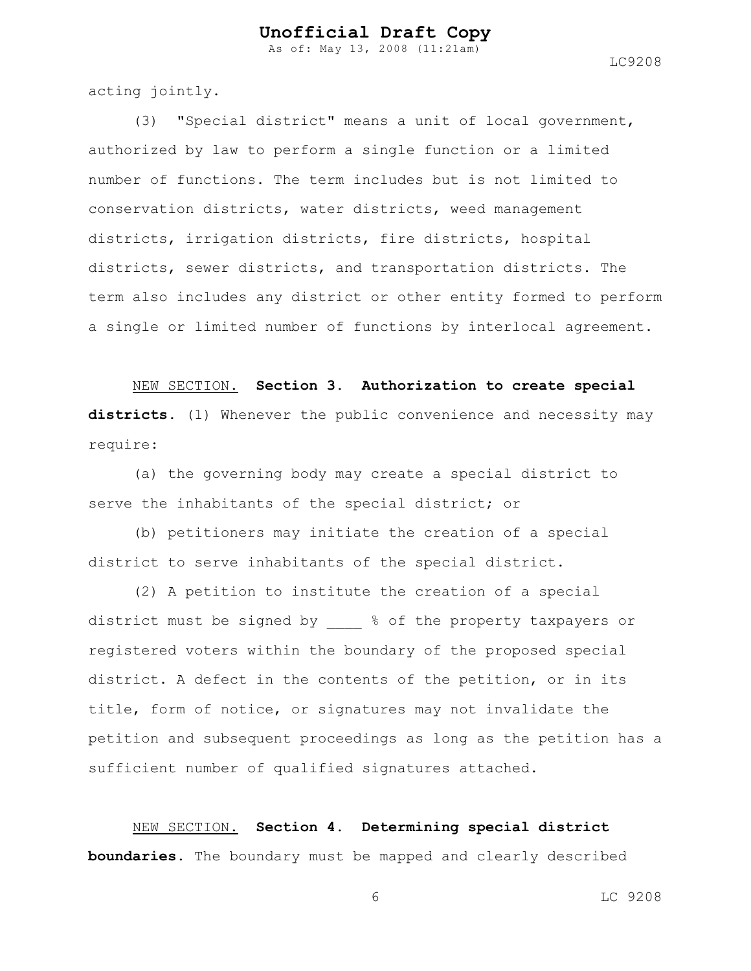As of: May 13, 2008 (11:21am)

acting jointly.

(3) "Special district" means a unit of local government, authorized by law to perform a single function or a limited number of functions. The term includes but is not limited to conservation districts, water districts, weed management districts, irrigation districts, fire districts, hospital districts, sewer districts, and transportation districts. The term also includes any district or other entity formed to perform a single or limited number of functions by interlocal agreement.

NEW SECTION. **Section 3. Authorization to create special districts.** (1) Whenever the public convenience and necessity may require:

(a) the governing body may create a special district to serve the inhabitants of the special district; or

(b) petitioners may initiate the creation of a special district to serve inhabitants of the special district.

(2) A petition to institute the creation of a special district must be signed by  $\frac{1}{6}$  of the property taxpayers or registered voters within the boundary of the proposed special district. A defect in the contents of the petition, or in its title, form of notice, or signatures may not invalidate the petition and subsequent proceedings as long as the petition has a sufficient number of qualified signatures attached.

NEW SECTION. **Section 4. Determining special district boundaries.** The boundary must be mapped and clearly described

6 LC 9208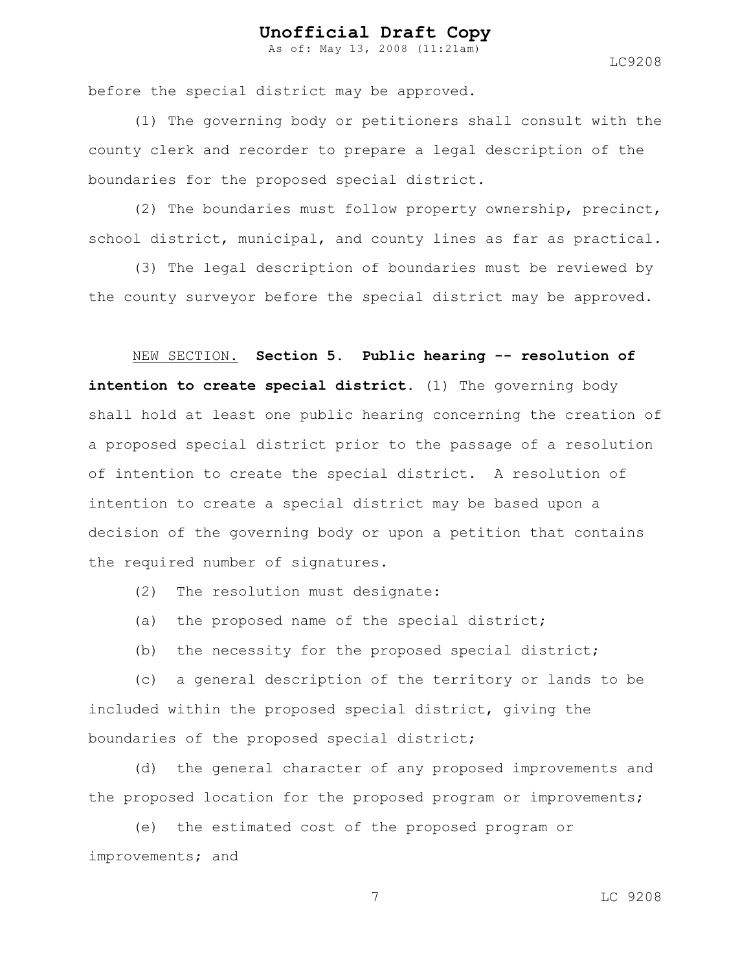As of: May 13, 2008 (11:21am)

LC9208

before the special district may be approved.

(1) The governing body or petitioners shall consult with the county clerk and recorder to prepare a legal description of the boundaries for the proposed special district.

(2) The boundaries must follow property ownership, precinct, school district, municipal, and county lines as far as practical.

(3) The legal description of boundaries must be reviewed by the county surveyor before the special district may be approved.

#### NEW SECTION. **Section 5. Public hearing -- resolution of**

**intention to create special district.** (1) The governing body shall hold at least one public hearing concerning the creation of a proposed special district prior to the passage of a resolution of intention to create the special district. A resolution of intention to create a special district may be based upon a decision of the governing body or upon a petition that contains the required number of signatures.

- (2) The resolution must designate:
- (a) the proposed name of the special district;
- (b) the necessity for the proposed special district;

(c) a general description of the territory or lands to be included within the proposed special district, giving the boundaries of the proposed special district;

(d) the general character of any proposed improvements and the proposed location for the proposed program or improvements;

(e) the estimated cost of the proposed program or improvements; and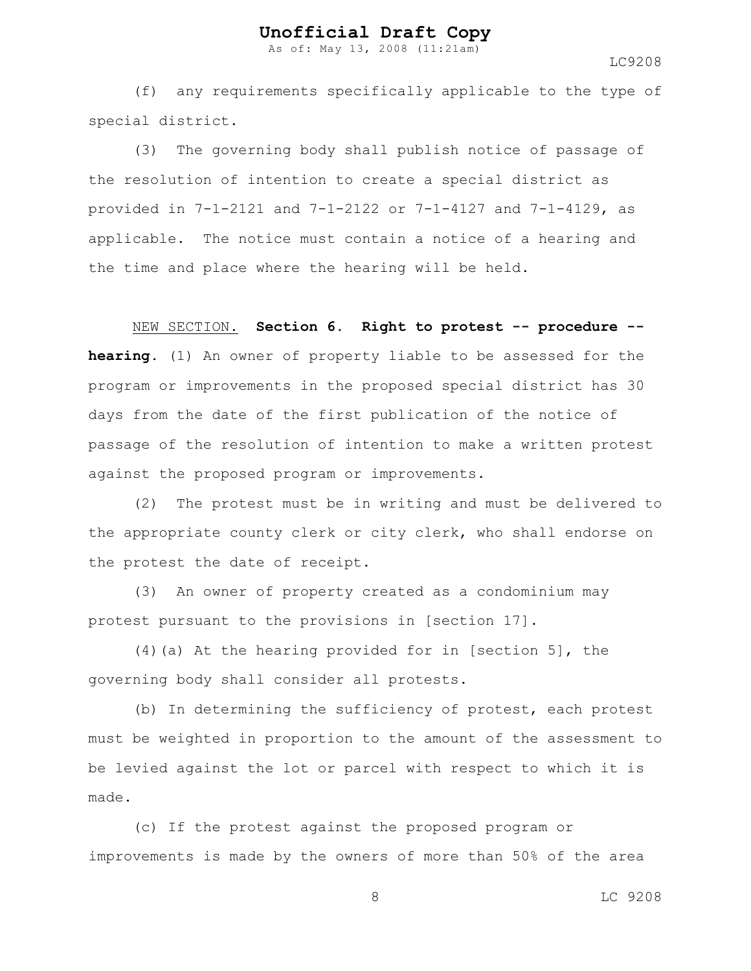As of: May 13, 2008 (11:21am)

LC9208

(f) any requirements specifically applicable to the type of special district.

(3) The governing body shall publish notice of passage of the resolution of intention to create a special district as provided in 7-1-2121 and 7-1-2122 or 7-1-4127 and 7-1-4129, as applicable. The notice must contain a notice of a hearing and the time and place where the hearing will be held.

NEW SECTION. **Section 6. Right to protest -- procedure - hearing.** (1) An owner of property liable to be assessed for the program or improvements in the proposed special district has 30 days from the date of the first publication of the notice of passage of the resolution of intention to make a written protest against the proposed program or improvements.

(2) The protest must be in writing and must be delivered to the appropriate county clerk or city clerk, who shall endorse on the protest the date of receipt.

(3) An owner of property created as a condominium may protest pursuant to the provisions in [section 17].

(4)(a) At the hearing provided for in [section 5], the governing body shall consider all protests.

(b) In determining the sufficiency of protest, each protest must be weighted in proportion to the amount of the assessment to be levied against the lot or parcel with respect to which it is made.

(c) If the protest against the proposed program or improvements is made by the owners of more than 50% of the area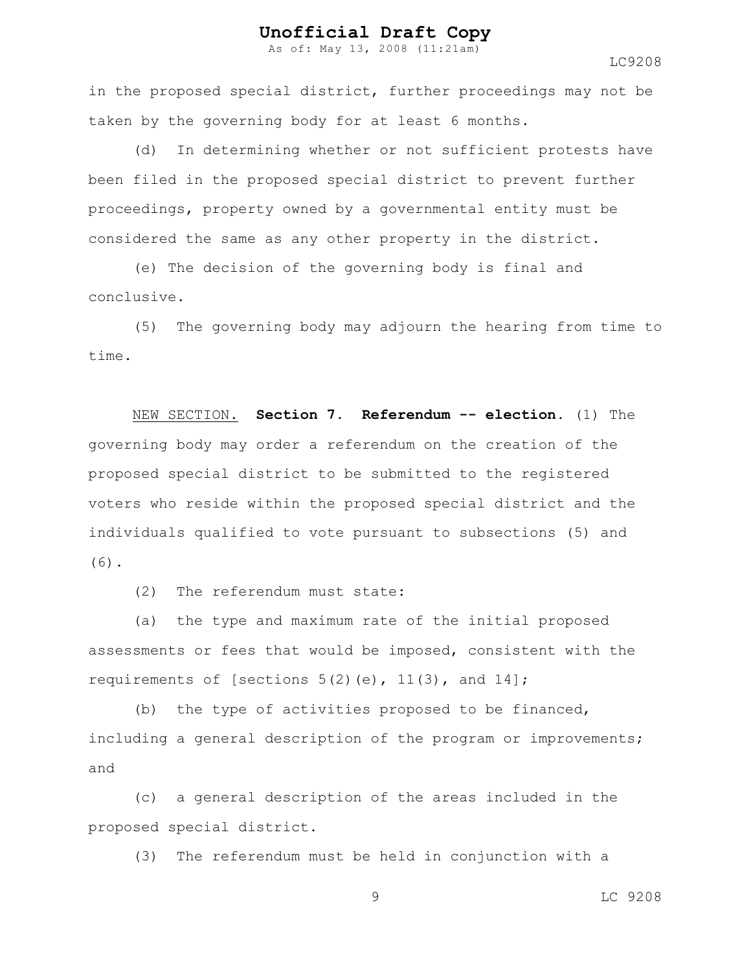As of: May 13, 2008 (11:21am)

LC9208

in the proposed special district, further proceedings may not be taken by the governing body for at least 6 months.

(d) In determining whether or not sufficient protests have been filed in the proposed special district to prevent further proceedings, property owned by a governmental entity must be considered the same as any other property in the district.

(e) The decision of the governing body is final and conclusive.

(5) The governing body may adjourn the hearing from time to time.

NEW SECTION. **Section 7. Referendum -- election.** (1) The governing body may order a referendum on the creation of the proposed special district to be submitted to the registered voters who reside within the proposed special district and the individuals qualified to vote pursuant to subsections (5) and (6).

(2) The referendum must state:

(a) the type and maximum rate of the initial proposed assessments or fees that would be imposed, consistent with the requirements of [sections  $5(2)$  (e),  $11(3)$ , and  $14$ ];

(b) the type of activities proposed to be financed, including a general description of the program or improvements; and

(c) a general description of the areas included in the proposed special district.

(3) The referendum must be held in conjunction with a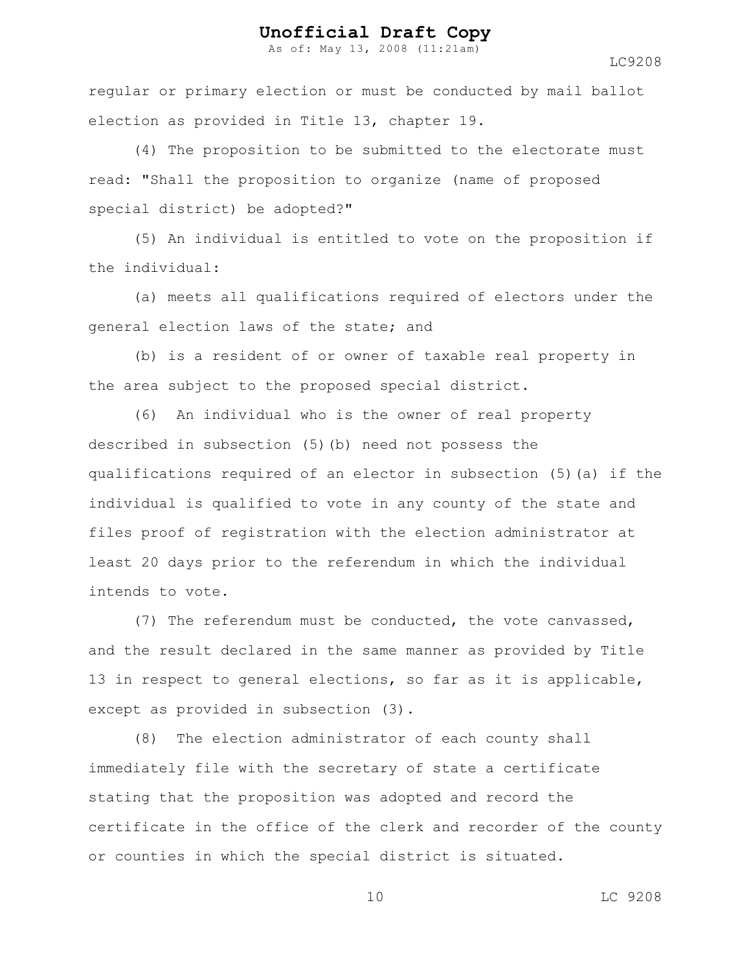As of: May 13, 2008 (11:21am)

LC9208

regular or primary election or must be conducted by mail ballot election as provided in Title 13, chapter 19.

(4) The proposition to be submitted to the electorate must read: "Shall the proposition to organize (name of proposed special district) be adopted?"

(5) An individual is entitled to vote on the proposition if the individual:

(a) meets all qualifications required of electors under the general election laws of the state; and

(b) is a resident of or owner of taxable real property in the area subject to the proposed special district.

(6) An individual who is the owner of real property described in subsection (5)(b) need not possess the qualifications required of an elector in subsection (5)(a) if the individual is qualified to vote in any county of the state and files proof of registration with the election administrator at least 20 days prior to the referendum in which the individual intends to vote.

(7) The referendum must be conducted, the vote canvassed, and the result declared in the same manner as provided by Title 13 in respect to general elections, so far as it is applicable, except as provided in subsection (3).

(8) The election administrator of each county shall immediately file with the secretary of state a certificate stating that the proposition was adopted and record the certificate in the office of the clerk and recorder of the county or counties in which the special district is situated.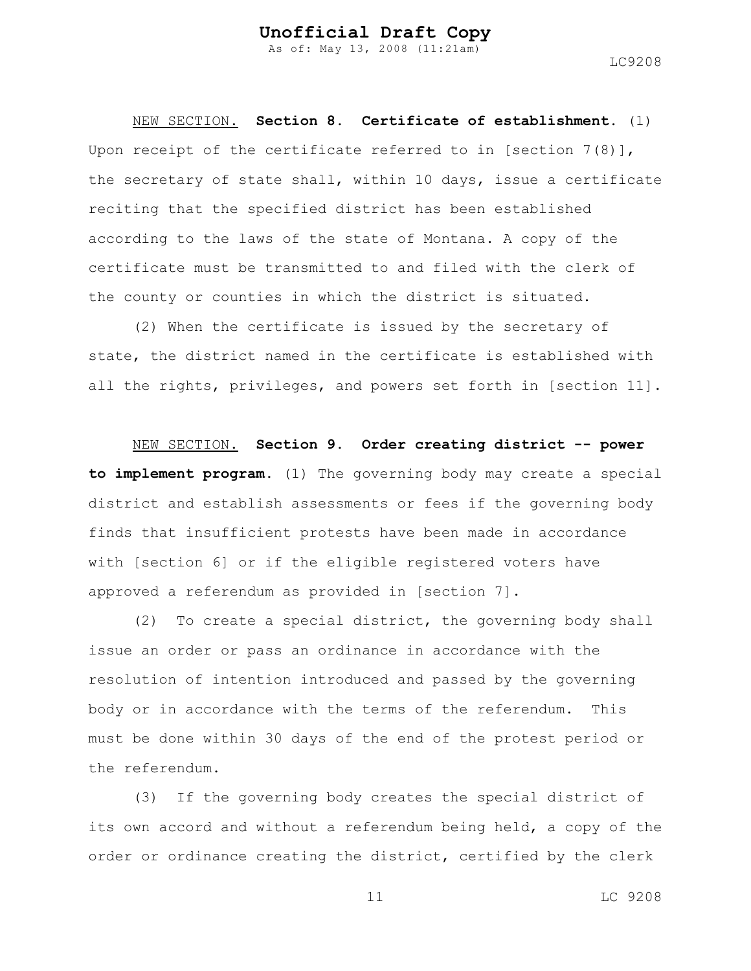NEW SECTION. **Section 8. Certificate of establishment.** (1) Upon receipt of the certificate referred to in [section  $7(8)$ ], the secretary of state shall, within 10 days, issue a certificate reciting that the specified district has been established according to the laws of the state of Montana. A copy of the certificate must be transmitted to and filed with the clerk of the county or counties in which the district is situated.

(2) When the certificate is issued by the secretary of state, the district named in the certificate is established with all the rights, privileges, and powers set forth in [section 11].

NEW SECTION. **Section 9. Order creating district -- power to implement program.** (1) The governing body may create a special district and establish assessments or fees if the governing body finds that insufficient protests have been made in accordance with [section 6] or if the eligible registered voters have approved a referendum as provided in [section 7].

(2) To create a special district, the governing body shall issue an order or pass an ordinance in accordance with the resolution of intention introduced and passed by the governing body or in accordance with the terms of the referendum. This must be done within 30 days of the end of the protest period or the referendum.

(3) If the governing body creates the special district of its own accord and without a referendum being held, a copy of the order or ordinance creating the district, certified by the clerk

LC9208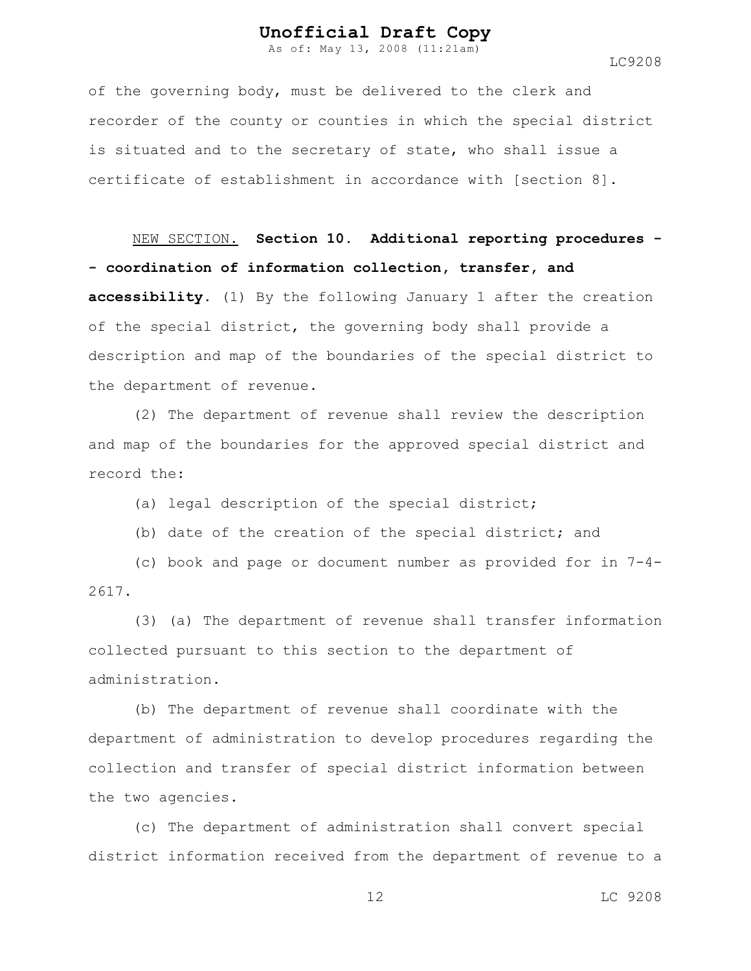As of: May 13, 2008 (11:21am)

LC9208

of the governing body, must be delivered to the clerk and recorder of the county or counties in which the special district is situated and to the secretary of state, who shall issue a certificate of establishment in accordance with [section 8].

NEW SECTION. **Section 10. Additional reporting procedures - - coordination of information collection, transfer, and accessibility.** (1) By the following January 1 after the creation of the special district, the governing body shall provide a description and map of the boundaries of the special district to the department of revenue.

(2) The department of revenue shall review the description and map of the boundaries for the approved special district and record the:

(a) legal description of the special district;

(b) date of the creation of the special district; and

(c) book and page or document number as provided for in 7-4- 2617.

(3) (a) The department of revenue shall transfer information collected pursuant to this section to the department of administration.

(b) The department of revenue shall coordinate with the department of administration to develop procedures regarding the collection and transfer of special district information between the two agencies.

(c) The department of administration shall convert special district information received from the department of revenue to a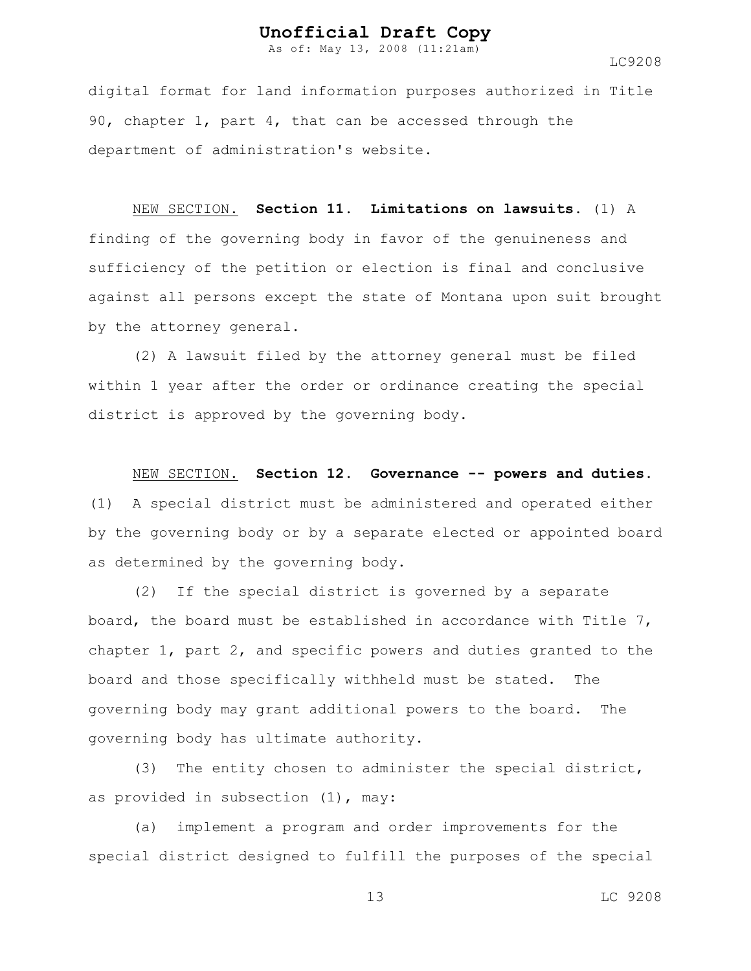As of: May 13, 2008 (11:21am)

LC9208

digital format for land information purposes authorized in Title 90, chapter 1, part 4, that can be accessed through the department of administration's website.

#### NEW SECTION. **Section 11. Limitations on lawsuits.** (1) A

finding of the governing body in favor of the genuineness and sufficiency of the petition or election is final and conclusive against all persons except the state of Montana upon suit brought by the attorney general.

(2) A lawsuit filed by the attorney general must be filed within 1 year after the order or ordinance creating the special district is approved by the governing body.

#### NEW SECTION. **Section 12. Governance -- powers and duties.**

(1) A special district must be administered and operated either by the governing body or by a separate elected or appointed board as determined by the governing body.

(2) If the special district is governed by a separate board, the board must be established in accordance with Title 7, chapter 1, part 2, and specific powers and duties granted to the board and those specifically withheld must be stated. The governing body may grant additional powers to the board. The governing body has ultimate authority.

(3) The entity chosen to administer the special district, as provided in subsection (1), may:

(a) implement a program and order improvements for the special district designed to fulfill the purposes of the special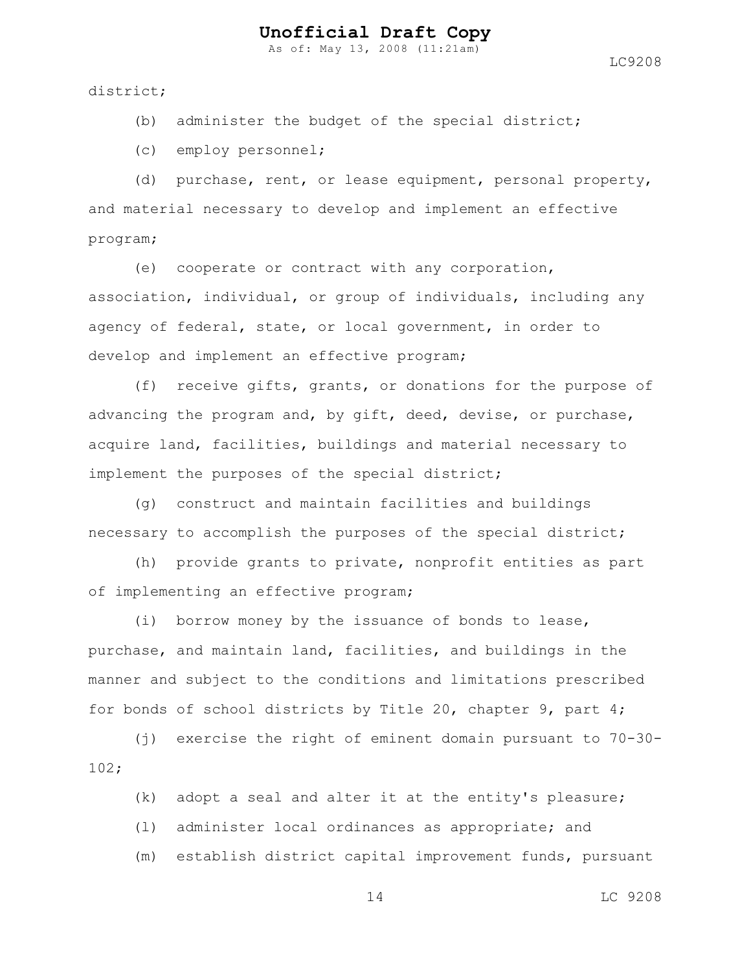As of: May 13, 2008 (11:21am)

district;

(b) administer the budget of the special district;

(c) employ personnel;

(d) purchase, rent, or lease equipment, personal property, and material necessary to develop and implement an effective program;

(e) cooperate or contract with any corporation, association, individual, or group of individuals, including any agency of federal, state, or local government, in order to develop and implement an effective program;

(f) receive gifts, grants, or donations for the purpose of advancing the program and, by gift, deed, devise, or purchase, acquire land, facilities, buildings and material necessary to implement the purposes of the special district;

(g) construct and maintain facilities and buildings necessary to accomplish the purposes of the special district;

(h) provide grants to private, nonprofit entities as part of implementing an effective program;

(i) borrow money by the issuance of bonds to lease, purchase, and maintain land, facilities, and buildings in the manner and subject to the conditions and limitations prescribed for bonds of school districts by Title 20, chapter 9, part 4;

(j) exercise the right of eminent domain pursuant to 70-30- 102;

(k) adopt a seal and alter it at the entity's pleasure;

(l) administer local ordinances as appropriate; and

(m) establish district capital improvement funds, pursuant

14 LC 9208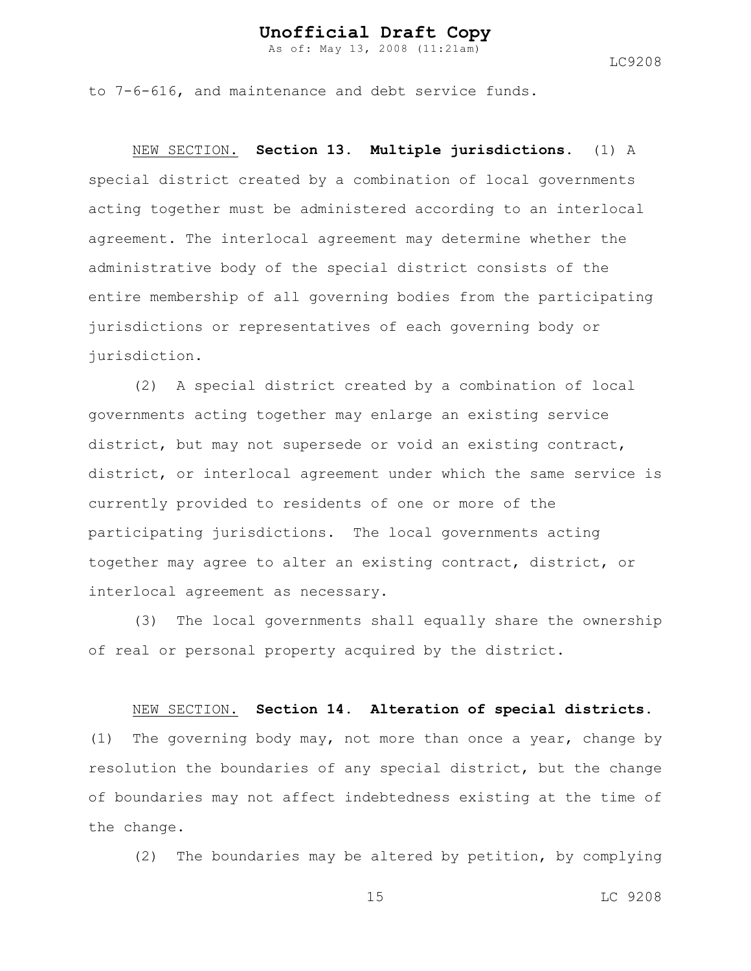As of: May 13, 2008 (11:21am)

LC9208

to 7-6-616, and maintenance and debt service funds.

NEW SECTION. **Section 13. Multiple jurisdictions.** (1) A special district created by a combination of local governments acting together must be administered according to an interlocal agreement. The interlocal agreement may determine whether the administrative body of the special district consists of the entire membership of all governing bodies from the participating jurisdictions or representatives of each governing body or jurisdiction.

(2) A special district created by a combination of local governments acting together may enlarge an existing service district, but may not supersede or void an existing contract, district, or interlocal agreement under which the same service is currently provided to residents of one or more of the participating jurisdictions. The local governments acting together may agree to alter an existing contract, district, or interlocal agreement as necessary.

(3) The local governments shall equally share the ownership of real or personal property acquired by the district.

NEW SECTION. **Section 14. Alteration of special districts.**

(1) The governing body may, not more than once a year, change by resolution the boundaries of any special district, but the change of boundaries may not affect indebtedness existing at the time of the change.

(2) The boundaries may be altered by petition, by complying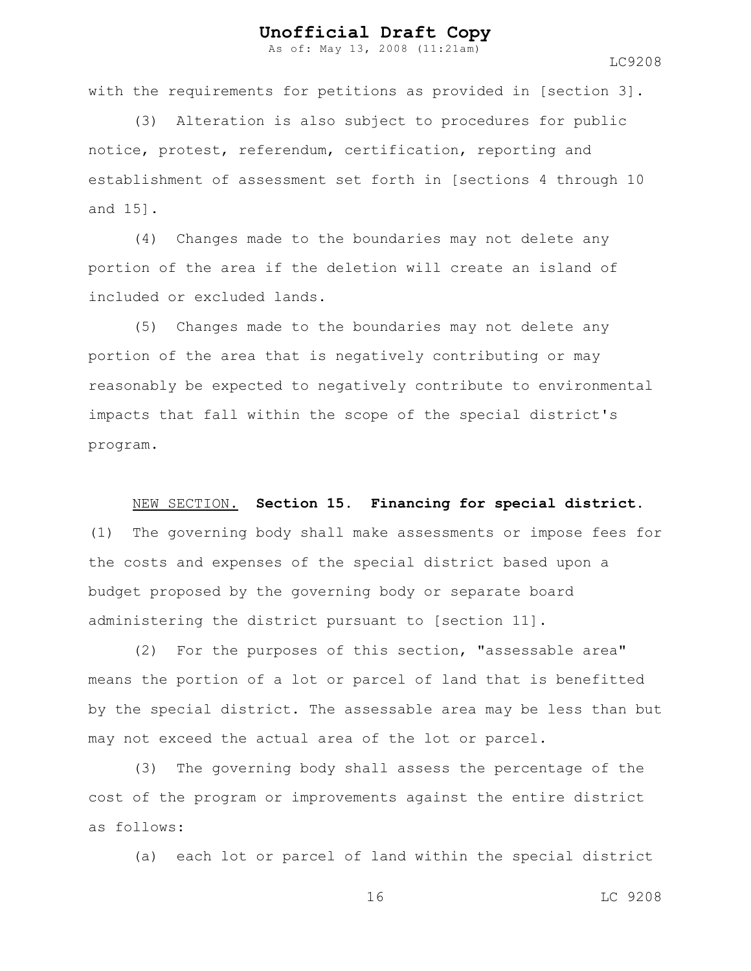As of: May 13, 2008 (11:21am)

LC9208

with the requirements for petitions as provided in [section 3].

(3) Alteration is also subject to procedures for public notice, protest, referendum, certification, reporting and establishment of assessment set forth in [sections 4 through 10 and 15].

(4) Changes made to the boundaries may not delete any portion of the area if the deletion will create an island of included or excluded lands.

(5) Changes made to the boundaries may not delete any portion of the area that is negatively contributing or may reasonably be expected to negatively contribute to environmental impacts that fall within the scope of the special district's program.

NEW SECTION. **Section 15. Financing for special district.**

(1) The governing body shall make assessments or impose fees for the costs and expenses of the special district based upon a budget proposed by the governing body or separate board administering the district pursuant to [section 11].

(2) For the purposes of this section, "assessable area" means the portion of a lot or parcel of land that is benefitted by the special district. The assessable area may be less than but may not exceed the actual area of the lot or parcel.

(3) The governing body shall assess the percentage of the cost of the program or improvements against the entire district as follows:

(a) each lot or parcel of land within the special district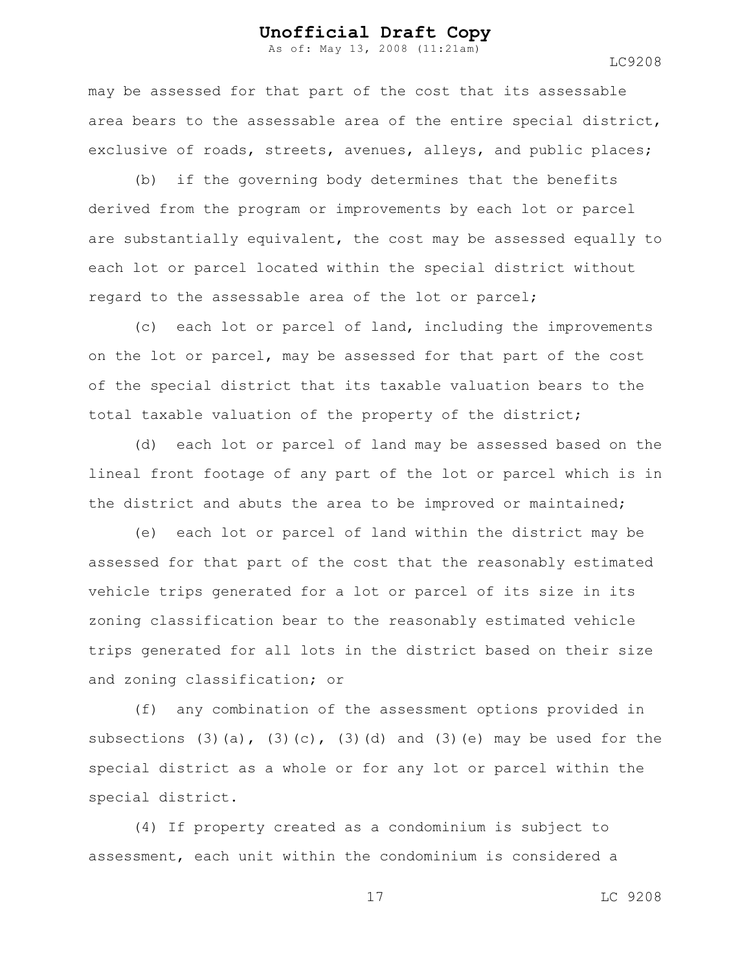As of: May 13, 2008 (11:21am)

may be assessed for that part of the cost that its assessable area bears to the assessable area of the entire special district, exclusive of roads, streets, avenues, alleys, and public places;

(b) if the governing body determines that the benefits derived from the program or improvements by each lot or parcel are substantially equivalent, the cost may be assessed equally to each lot or parcel located within the special district without regard to the assessable area of the lot or parcel;

(c) each lot or parcel of land, including the improvements on the lot or parcel, may be assessed for that part of the cost of the special district that its taxable valuation bears to the total taxable valuation of the property of the district;

(d) each lot or parcel of land may be assessed based on the lineal front footage of any part of the lot or parcel which is in the district and abuts the area to be improved or maintained;

(e) each lot or parcel of land within the district may be assessed for that part of the cost that the reasonably estimated vehicle trips generated for a lot or parcel of its size in its zoning classification bear to the reasonably estimated vehicle trips generated for all lots in the district based on their size and zoning classification; or

(f) any combination of the assessment options provided in subsections  $(3)(a)$ ,  $(3)(c)$ ,  $(3)(d)$  and  $(3)(e)$  may be used for the special district as a whole or for any lot or parcel within the special district.

(4) If property created as a condominium is subject to assessment, each unit within the condominium is considered a

17 LC 9208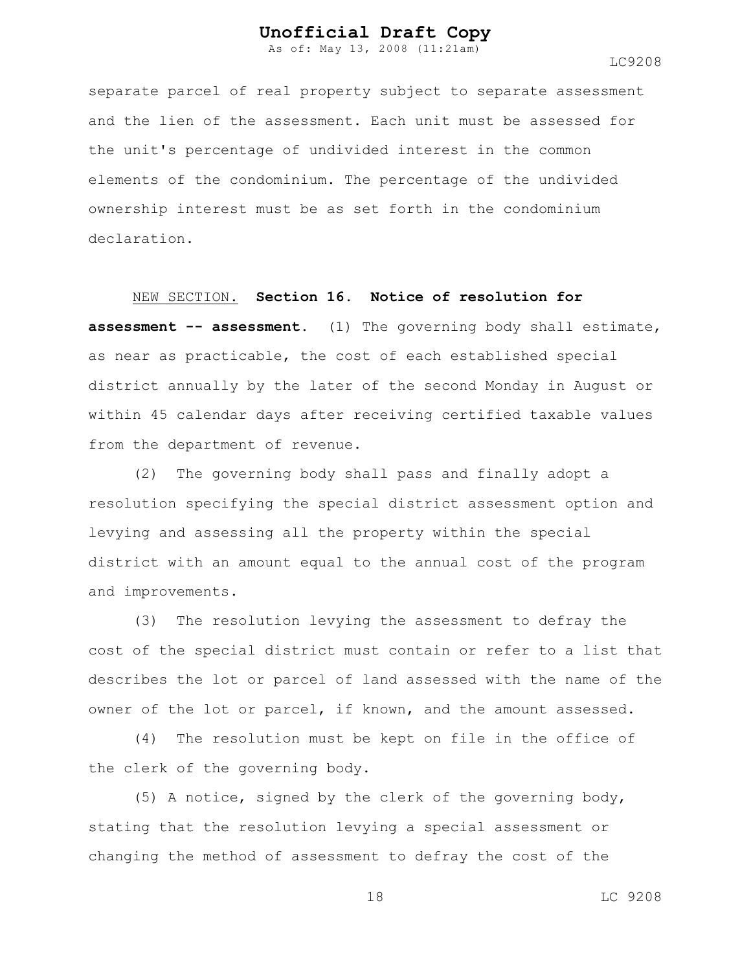As of: May 13, 2008 (11:21am)

separate parcel of real property subject to separate assessment and the lien of the assessment. Each unit must be assessed for the unit's percentage of undivided interest in the common elements of the condominium. The percentage of the undivided ownership interest must be as set forth in the condominium declaration.

NEW SECTION. **Section 16. Notice of resolution for**

**assessment -- assessment.** (1) The governing body shall estimate, as near as practicable, the cost of each established special district annually by the later of the second Monday in August or within 45 calendar days after receiving certified taxable values from the department of revenue.

(2) The governing body shall pass and finally adopt a resolution specifying the special district assessment option and levying and assessing all the property within the special district with an amount equal to the annual cost of the program and improvements.

(3) The resolution levying the assessment to defray the cost of the special district must contain or refer to a list that describes the lot or parcel of land assessed with the name of the owner of the lot or parcel, if known, and the amount assessed.

(4) The resolution must be kept on file in the office of the clerk of the governing body.

(5) A notice, signed by the clerk of the governing body, stating that the resolution levying a special assessment or changing the method of assessment to defray the cost of the

18 LC 9208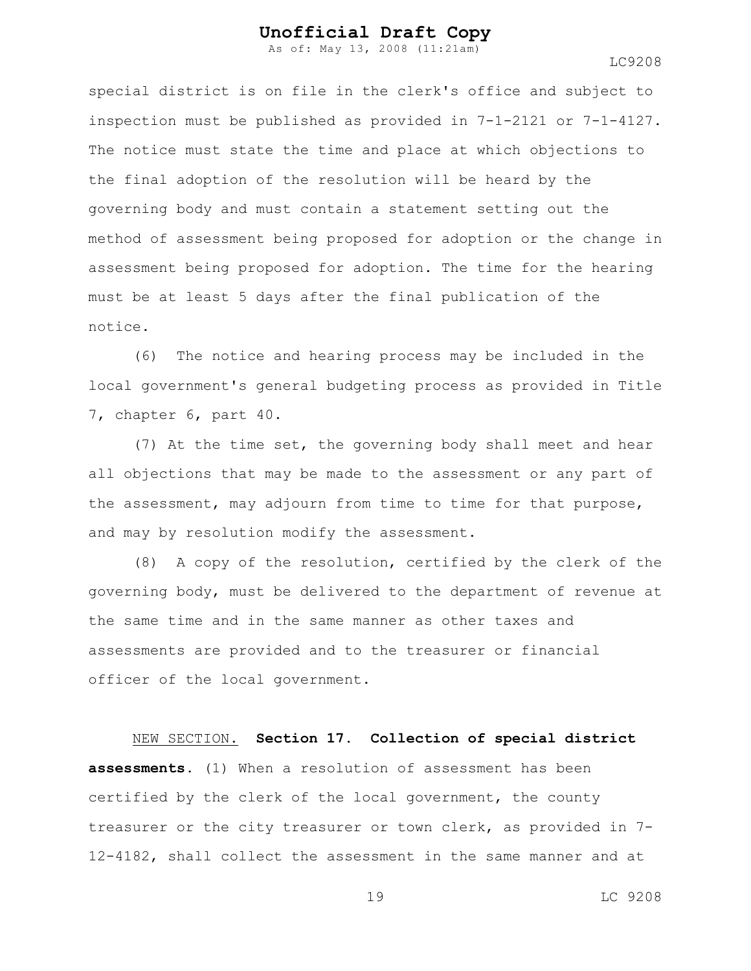As of: May 13, 2008 (11:21am)

special district is on file in the clerk's office and subject to inspection must be published as provided in 7-1-2121 or 7-1-4127. The notice must state the time and place at which objections to the final adoption of the resolution will be heard by the governing body and must contain a statement setting out the method of assessment being proposed for adoption or the change in assessment being proposed for adoption. The time for the hearing must be at least 5 days after the final publication of the notice.

(6) The notice and hearing process may be included in the local government's general budgeting process as provided in Title 7, chapter 6, part 40.

(7) At the time set, the governing body shall meet and hear all objections that may be made to the assessment or any part of the assessment, may adjourn from time to time for that purpose, and may by resolution modify the assessment.

(8) A copy of the resolution, certified by the clerk of the governing body, must be delivered to the department of revenue at the same time and in the same manner as other taxes and assessments are provided and to the treasurer or financial officer of the local government.

NEW SECTION. **Section 17. Collection of special district assessments.** (1) When a resolution of assessment has been certified by the clerk of the local government, the county treasurer or the city treasurer or town clerk, as provided in 7- 12-4182, shall collect the assessment in the same manner and at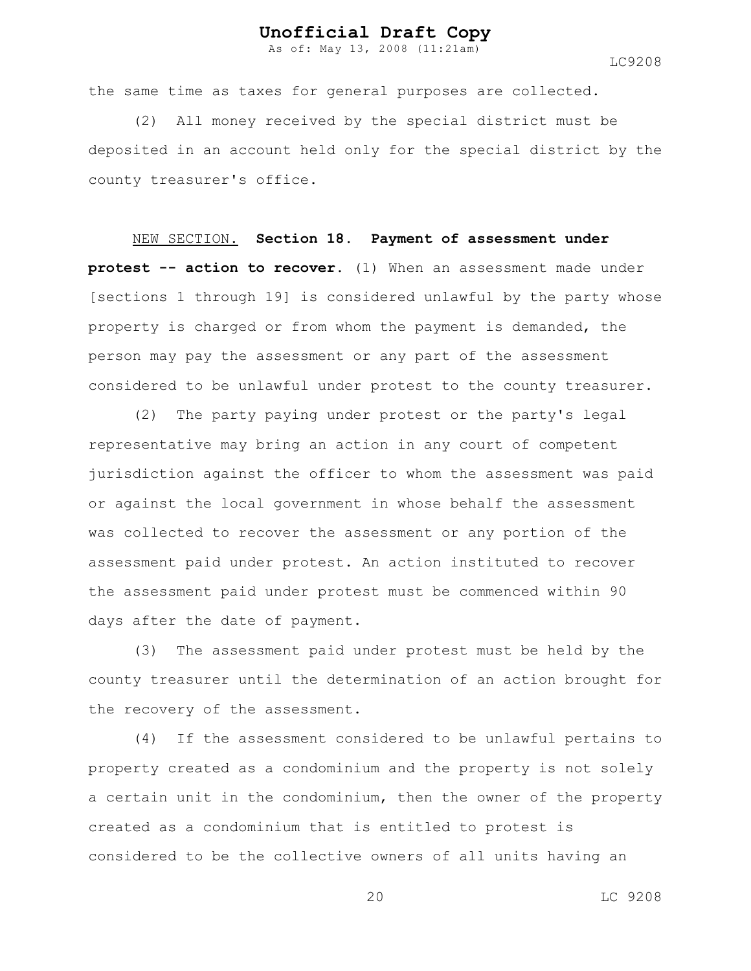As of: May 13, 2008 (11:21am)

LC9208

the same time as taxes for general purposes are collected.

(2) All money received by the special district must be deposited in an account held only for the special district by the county treasurer's office.

NEW SECTION. **Section 18. Payment of assessment under protest -- action to recover.** (1) When an assessment made under [sections 1 through 19] is considered unlawful by the party whose property is charged or from whom the payment is demanded, the person may pay the assessment or any part of the assessment considered to be unlawful under protest to the county treasurer.

(2) The party paying under protest or the party's legal representative may bring an action in any court of competent jurisdiction against the officer to whom the assessment was paid or against the local government in whose behalf the assessment was collected to recover the assessment or any portion of the assessment paid under protest. An action instituted to recover the assessment paid under protest must be commenced within 90 days after the date of payment.

(3) The assessment paid under protest must be held by the county treasurer until the determination of an action brought for the recovery of the assessment.

(4) If the assessment considered to be unlawful pertains to property created as a condominium and the property is not solely a certain unit in the condominium, then the owner of the property created as a condominium that is entitled to protest is considered to be the collective owners of all units having an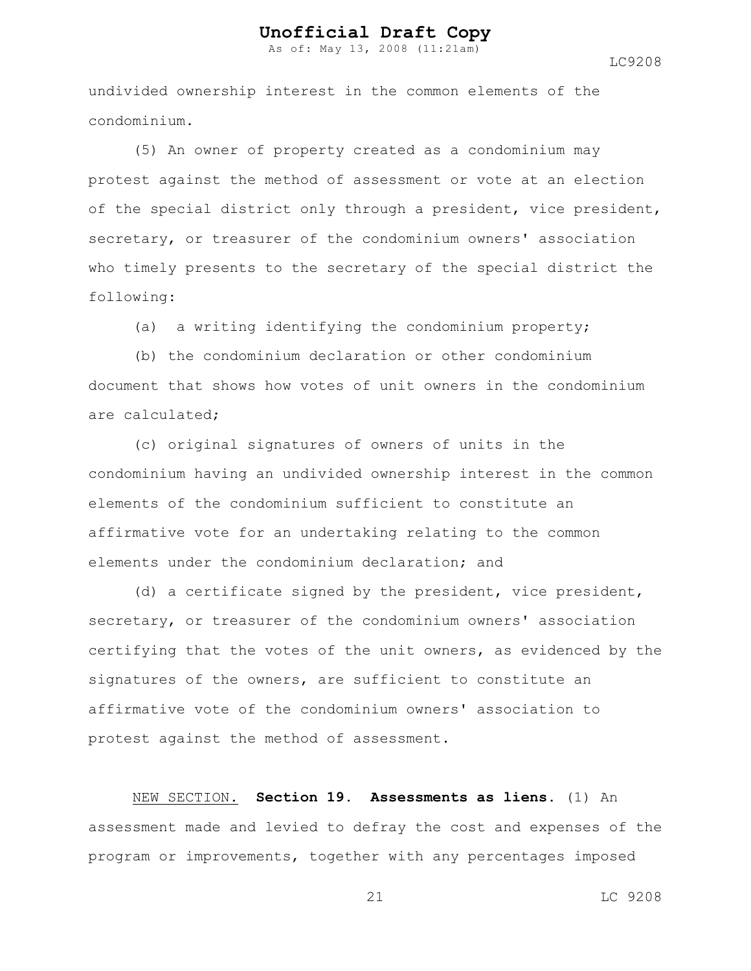As of: May 13, 2008 (11:21am)

LC9208

undivided ownership interest in the common elements of the condominium.

(5) An owner of property created as a condominium may protest against the method of assessment or vote at an election of the special district only through a president, vice president, secretary, or treasurer of the condominium owners' association who timely presents to the secretary of the special district the following:

(a) a writing identifying the condominium property;

(b) the condominium declaration or other condominium document that shows how votes of unit owners in the condominium are calculated;

(c) original signatures of owners of units in the condominium having an undivided ownership interest in the common elements of the condominium sufficient to constitute an affirmative vote for an undertaking relating to the common elements under the condominium declaration; and

(d) a certificate signed by the president, vice president, secretary, or treasurer of the condominium owners' association certifying that the votes of the unit owners, as evidenced by the signatures of the owners, are sufficient to constitute an affirmative vote of the condominium owners' association to protest against the method of assessment.

NEW SECTION. **Section 19. Assessments as liens.** (1) An assessment made and levied to defray the cost and expenses of the program or improvements, together with any percentages imposed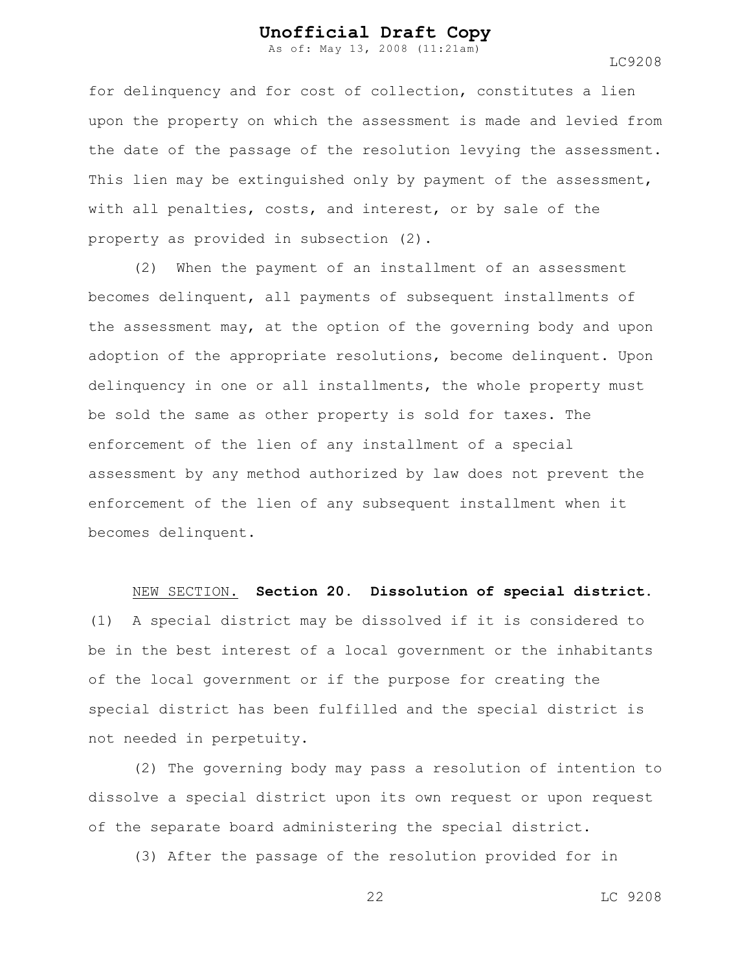As of: May 13, 2008 (11:21am)

LC9208

for delinquency and for cost of collection, constitutes a lien upon the property on which the assessment is made and levied from the date of the passage of the resolution levying the assessment. This lien may be extinguished only by payment of the assessment, with all penalties, costs, and interest, or by sale of the property as provided in subsection (2).

(2) When the payment of an installment of an assessment becomes delinquent, all payments of subsequent installments of the assessment may, at the option of the governing body and upon adoption of the appropriate resolutions, become delinquent. Upon delinquency in one or all installments, the whole property must be sold the same as other property is sold for taxes. The enforcement of the lien of any installment of a special assessment by any method authorized by law does not prevent the enforcement of the lien of any subsequent installment when it becomes delinquent.

#### NEW SECTION. **Section 20. Dissolution of special district.**

(1) A special district may be dissolved if it is considered to be in the best interest of a local government or the inhabitants of the local government or if the purpose for creating the special district has been fulfilled and the special district is not needed in perpetuity.

(2) The governing body may pass a resolution of intention to dissolve a special district upon its own request or upon request of the separate board administering the special district.

(3) After the passage of the resolution provided for in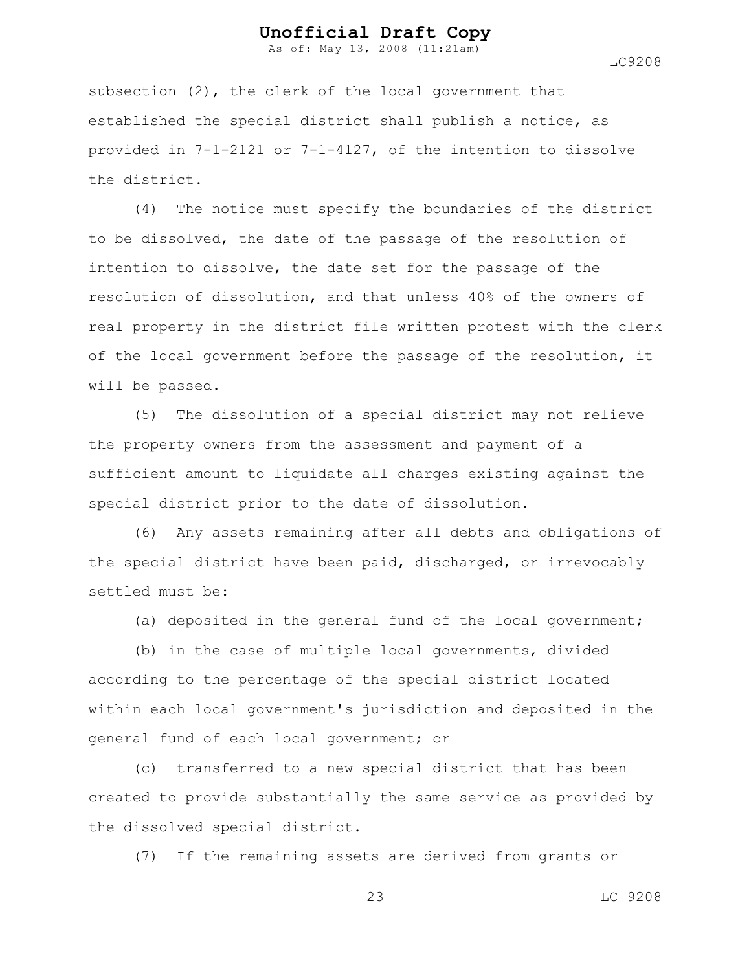As of: May 13, 2008 (11:21am)

LC9208

subsection (2), the clerk of the local government that established the special district shall publish a notice, as provided in 7-1-2121 or 7-1-4127, of the intention to dissolve the district.

(4) The notice must specify the boundaries of the district to be dissolved, the date of the passage of the resolution of intention to dissolve, the date set for the passage of the resolution of dissolution, and that unless 40% of the owners of real property in the district file written protest with the clerk of the local government before the passage of the resolution, it will be passed.

(5) The dissolution of a special district may not relieve the property owners from the assessment and payment of a sufficient amount to liquidate all charges existing against the special district prior to the date of dissolution.

(6) Any assets remaining after all debts and obligations of the special district have been paid, discharged, or irrevocably settled must be:

(a) deposited in the general fund of the local government;

(b) in the case of multiple local governments, divided according to the percentage of the special district located within each local government's jurisdiction and deposited in the general fund of each local government; or

(c) transferred to a new special district that has been created to provide substantially the same service as provided by the dissolved special district.

(7) If the remaining assets are derived from grants or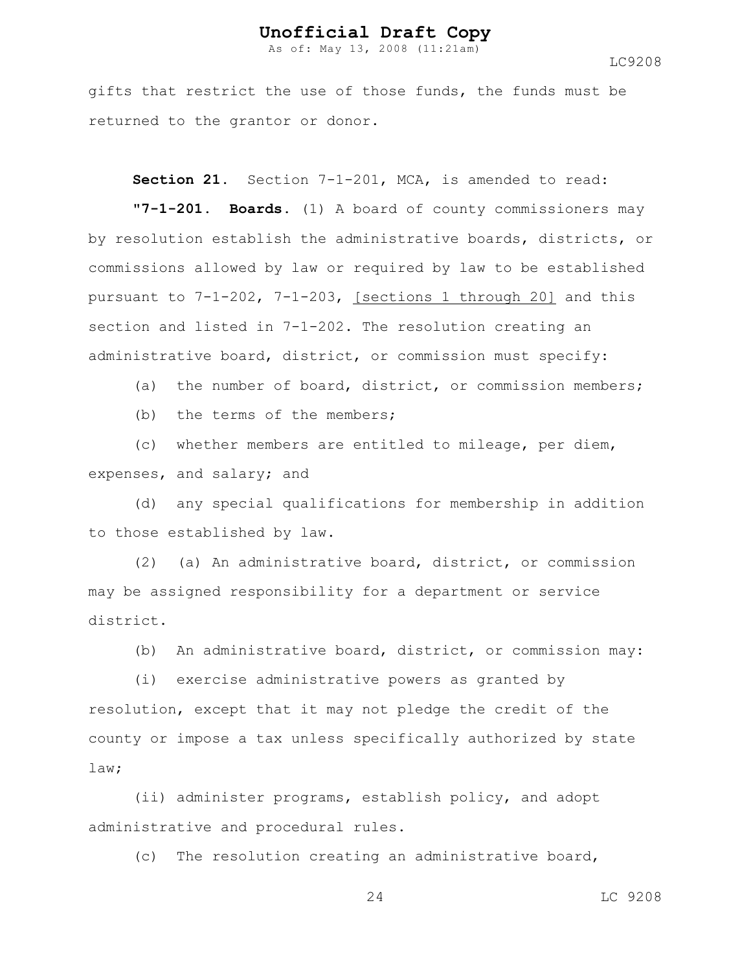As of: May 13, 2008 (11:21am)

LC9208

gifts that restrict the use of those funds, the funds must be returned to the grantor or donor.

Section 21. Section 7-1-201, MCA, is amended to read:

**"7-1-201. Boards.** (1) A board of county commissioners may by resolution establish the administrative boards, districts, or commissions allowed by law or required by law to be established pursuant to 7-1-202, 7-1-203, [sections 1 through 20] and this section and listed in 7-1-202. The resolution creating an administrative board, district, or commission must specify:

(a) the number of board, district, or commission members;

(b) the terms of the members;

(c) whether members are entitled to mileage, per diem, expenses, and salary; and

(d) any special qualifications for membership in addition to those established by law.

(2) (a) An administrative board, district, or commission may be assigned responsibility for a department or service district.

(b) An administrative board, district, or commission may:

(i) exercise administrative powers as granted by resolution, except that it may not pledge the credit of the county or impose a tax unless specifically authorized by state law;

(ii) administer programs, establish policy, and adopt administrative and procedural rules.

(c) The resolution creating an administrative board,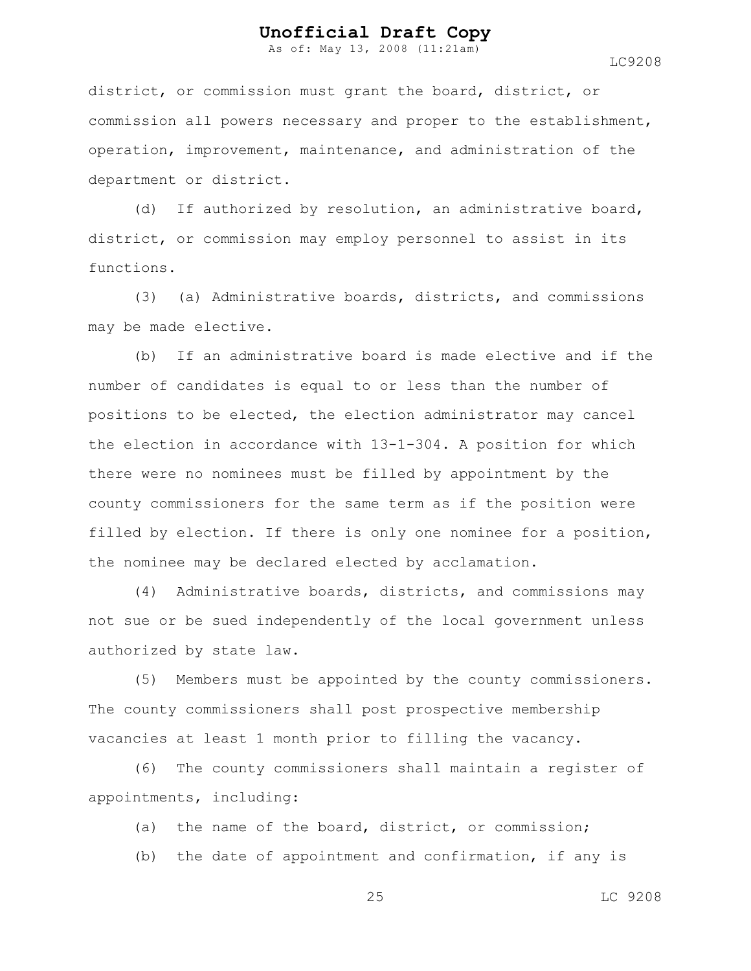As of: May 13, 2008 (11:21am)

district, or commission must grant the board, district, or commission all powers necessary and proper to the establishment, operation, improvement, maintenance, and administration of the department or district.

(d) If authorized by resolution, an administrative board, district, or commission may employ personnel to assist in its functions.

(3) (a) Administrative boards, districts, and commissions may be made elective.

(b) If an administrative board is made elective and if the number of candidates is equal to or less than the number of positions to be elected, the election administrator may cancel the election in accordance with 13-1-304. A position for which there were no nominees must be filled by appointment by the county commissioners for the same term as if the position were filled by election. If there is only one nominee for a position, the nominee may be declared elected by acclamation.

(4) Administrative boards, districts, and commissions may not sue or be sued independently of the local government unless authorized by state law.

(5) Members must be appointed by the county commissioners. The county commissioners shall post prospective membership vacancies at least 1 month prior to filling the vacancy.

(6) The county commissioners shall maintain a register of appointments, including:

(a) the name of the board, district, or commission;

(b) the date of appointment and confirmation, if any is

25 LC 9208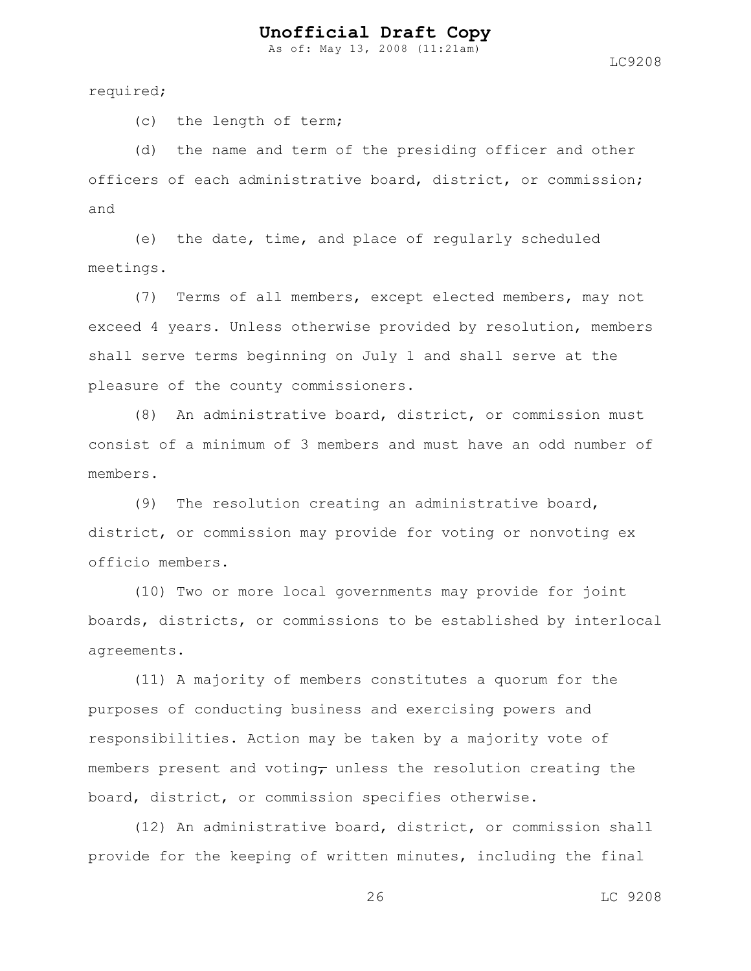As of: May 13, 2008 (11:21am)

required;

(c) the length of term;

(d) the name and term of the presiding officer and other officers of each administrative board, district, or commission; and

(e) the date, time, and place of regularly scheduled meetings.

(7) Terms of all members, except elected members, may not exceed 4 years. Unless otherwise provided by resolution, members shall serve terms beginning on July 1 and shall serve at the pleasure of the county commissioners.

(8) An administrative board, district, or commission must consist of a minimum of 3 members and must have an odd number of members.

(9) The resolution creating an administrative board, district, or commission may provide for voting or nonvoting ex officio members.

(10) Two or more local governments may provide for joint boards, districts, or commissions to be established by interlocal agreements.

(11) A majority of members constitutes a quorum for the purposes of conducting business and exercising powers and responsibilities. Action may be taken by a majority vote of members present and voting, unless the resolution creating the board, district, or commission specifies otherwise.

(12) An administrative board, district, or commission shall provide for the keeping of written minutes, including the final

26 LC 9208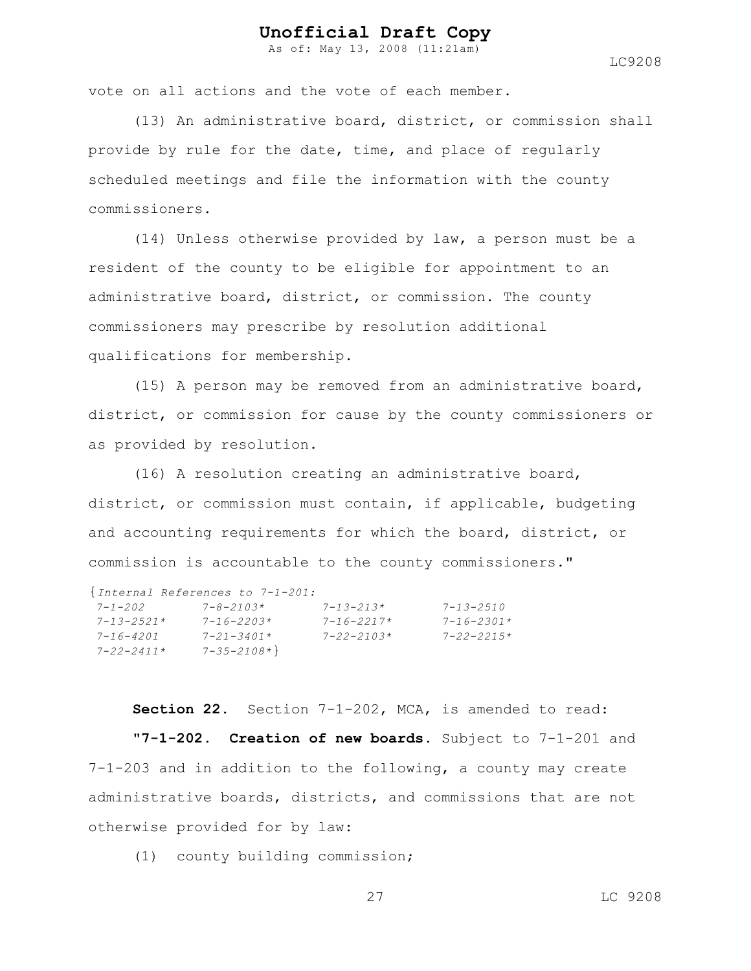As of: May 13, 2008 (11:21am)

LC9208

vote on all actions and the vote of each member.

(13) An administrative board, district, or commission shall provide by rule for the date, time, and place of regularly scheduled meetings and file the information with the county commissioners.

(14) Unless otherwise provided by law, a person must be a resident of the county to be eligible for appointment to an administrative board, district, or commission. The county commissioners may prescribe by resolution additional qualifications for membership.

(15) A person may be removed from an administrative board, district, or commission for cause by the county commissioners or as provided by resolution.

(16) A resolution creating an administrative board, district, or commission must contain, if applicable, budgeting and accounting requirements for which the board, district, or commission is accountable to the county commissioners."

|                    | {Internal References to 7-1-201: |                   |                   |
|--------------------|----------------------------------|-------------------|-------------------|
| $7 - 1 - 202$      | $7 - 8 - 2103*$                  | $7 - 1.3 - 21.3*$ | $7 - 1.3 - 2.510$ |
| $7 - 1.3 - 2.521*$ | $7 - 16 - 2203*$                 | $7 - 16 - 2217*$  | $7 - 16 - 2301*$  |
| $7 - 16 - 4201$    | $7 - 21 - 3401*$                 | $7 - 22 - 2103*$  | $7 - 22 - 2215$ * |
| 7-22-2411*         | $7 - 35 - 2108*$                 |                   |                   |

**Section 22.** Section 7-1-202, MCA, is amended to read: **"7-1-202. Creation of new boards.** Subject to 7-1-201 and 7-1-203 and in addition to the following, a county may create administrative boards, districts, and commissions that are not otherwise provided for by law:

(1) county building commission;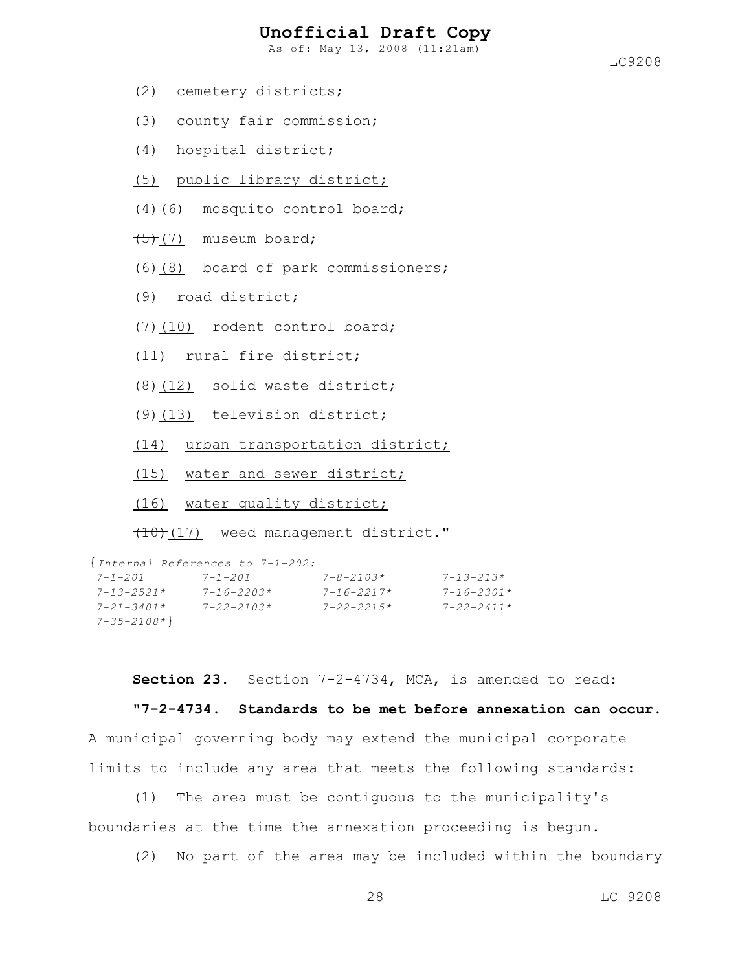As of: May 13, 2008 (11:21am)

- (2) cemetery districts;
- (3) county fair commission;
- (4) hospital district;
- (5) public library district;
- $(4)$ (6) mosquito control board;
- $(5)$  (7) museum board;
- $(6)(8)$  board of park commissioners;
- (9) road district;
- $(7)$  (10) rodent control board;
- (11) rural fire district;
- $(8)(12)$  solid waste district;
- $(9)$ (13) television district;

(14) urban transportation district;

- (15) water and sewer district;
- (16) water quality district;

 $(10)$  (17) weed management district."

```
{Internal References to 7-1-202:
7-1-201 7-1-201 7-8-2103* 7-13-213*
7-13-2521* 7-16-2203* 7-16-2217* 7-16-2301*
7-21-3401* 7-22-2103* 7-22-2215* 7-22-2411*
7-35-2108*}
```
**Section 23.** Section 7-2-4734, MCA, is amended to read:

**"7-2-4734. Standards to be met before annexation can occur.**

A municipal governing body may extend the municipal corporate limits to include any area that meets the following standards:

(1) The area must be contiguous to the municipality's boundaries at the time the annexation proceeding is begun.

(2) No part of the area may be included within the boundary

28 LC 9208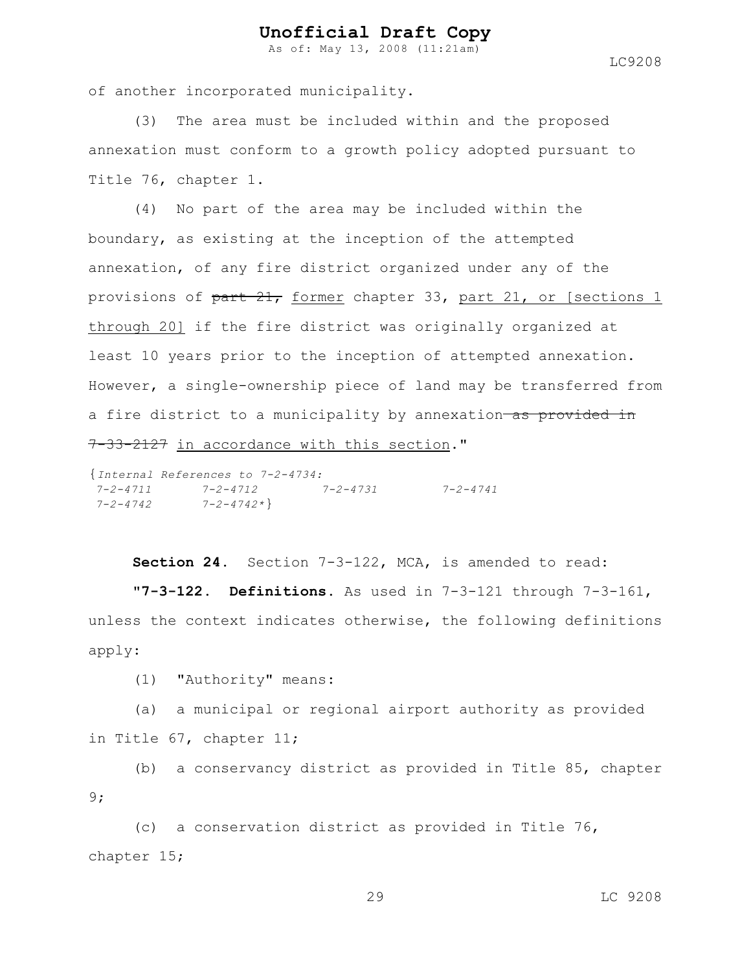As of: May 13, 2008 (11:21am)

LC9208

of another incorporated municipality.

(3) The area must be included within and the proposed annexation must conform to a growth policy adopted pursuant to Title 76, chapter 1.

(4) No part of the area may be included within the boundary, as existing at the inception of the attempted annexation, of any fire district organized under any of the provisions of part 21, former chapter 33, part 21, or [sections 1 through 20] if the fire district was originally organized at least 10 years prior to the inception of attempted annexation. However, a single-ownership piece of land may be transferred from a fire district to a municipality by annexation as provided in 7-33-2127 in accordance with this section."

{*Internal References to 7-2-4734: 7-2-4711 7-2-4712 7-2-4731 7-2-4741 7-2-4742 7-2-4742\**}

Section 24. Section 7-3-122, MCA, is amended to read:

**"7-3-122. Definitions.** As used in 7-3-121 through 7-3-161, unless the context indicates otherwise, the following definitions apply:

(1) "Authority" means:

(a) a municipal or regional airport authority as provided in Title 67, chapter 11;

(b) a conservancy district as provided in Title 85, chapter 9;

(c) a conservation district as provided in Title 76, chapter 15;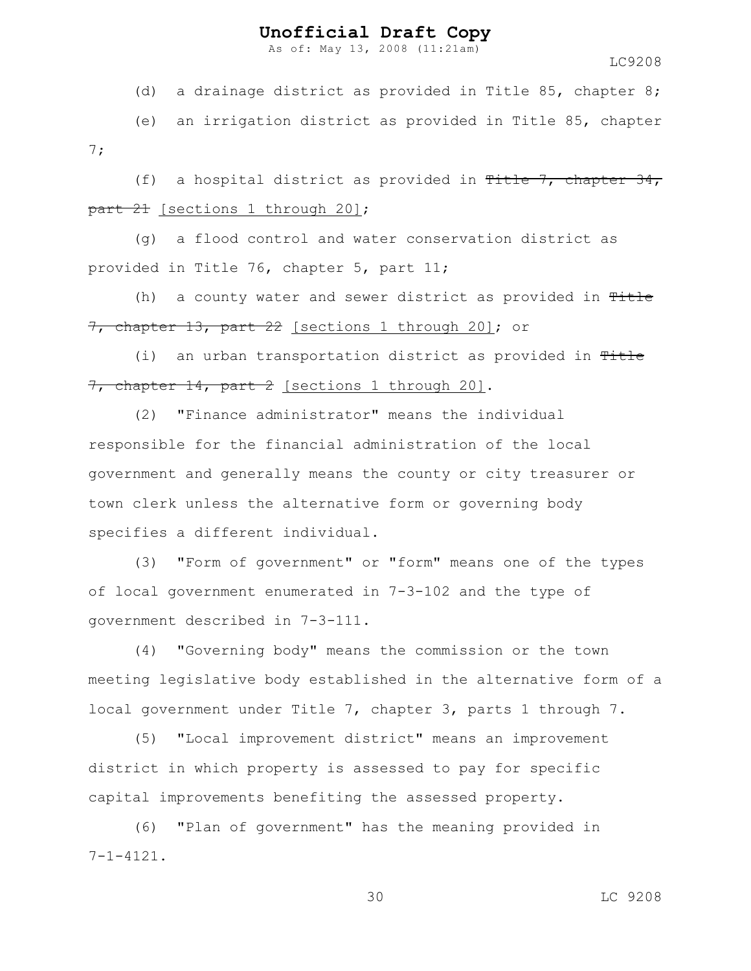As of: May 13, 2008 (11:21am)

LC9208

(d) a drainage district as provided in Title 85, chapter 8;

(e) an irrigation district as provided in Title 85, chapter 7;

(f) a hospital district as provided in Title 7, chapter  $34$ , part 21 [sections 1 through 20];

(g) a flood control and water conservation district as provided in Title 76, chapter 5, part 11;

(h) a county water and sewer district as provided in  $T$ itle 7, chapter 13, part 22 [sections 1 through 20]; or

(i) an urban transportation district as provided in Title 7, chapter 14, part 2 [sections 1 through 20].

(2) "Finance administrator" means the individual responsible for the financial administration of the local government and generally means the county or city treasurer or town clerk unless the alternative form or governing body specifies a different individual.

(3) "Form of government" or "form" means one of the types of local government enumerated in 7-3-102 and the type of government described in 7-3-111.

(4) "Governing body" means the commission or the town meeting legislative body established in the alternative form of a local government under Title 7, chapter 3, parts 1 through 7.

(5) "Local improvement district" means an improvement district in which property is assessed to pay for specific capital improvements benefiting the assessed property.

(6) "Plan of government" has the meaning provided in  $7 - 1 - 4121.$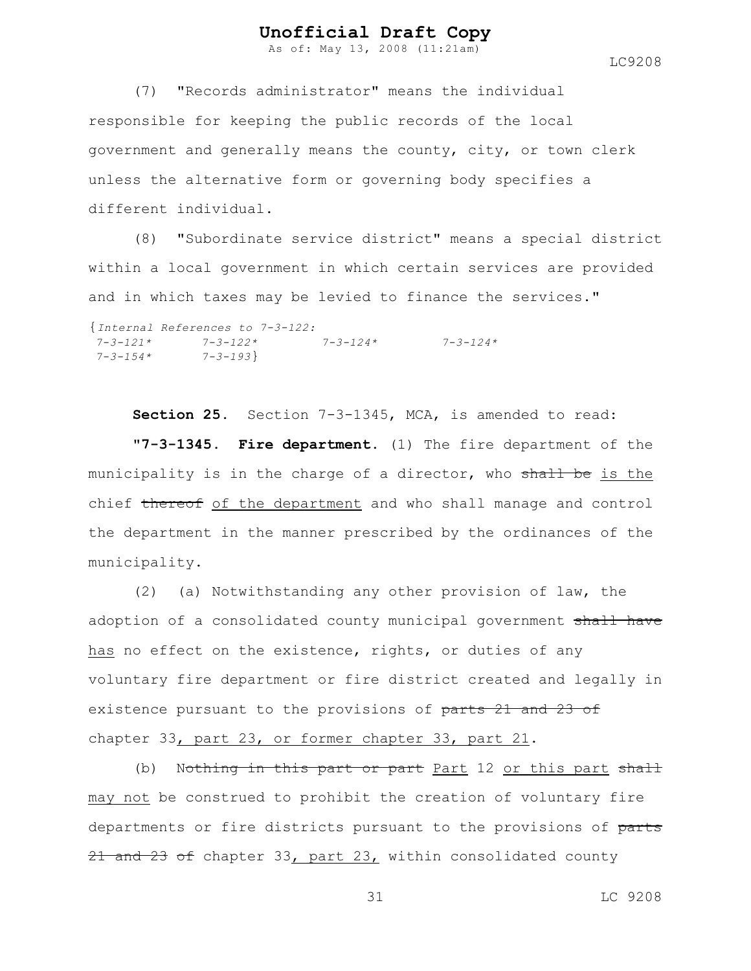As of: May 13, 2008 (11:21am)

LC9208

(7) "Records administrator" means the individual responsible for keeping the public records of the local government and generally means the county, city, or town clerk unless the alternative form or governing body specifies a different individual.

(8) "Subordinate service district" means a special district within a local government in which certain services are provided and in which taxes may be levied to finance the services."

```
{Internal References to 7-3-122:
7-3-121* 7-3-122* 7-3-124* 7-3-124*
7-3-154* 7-3-193}
```
**Section 25.** Section 7-3-1345, MCA, is amended to read: **"7-3-1345. Fire department.** (1) The fire department of the municipality is in the charge of a director, who shall be is the chief thereof of the department and who shall manage and control the department in the manner prescribed by the ordinances of the municipality.

(2) (a) Notwithstanding any other provision of law, the adoption of a consolidated county municipal government shall have has no effect on the existence, rights, or duties of any voluntary fire department or fire district created and legally in existence pursuant to the provisions of parts 21 and 23 of chapter 33, part 23, or former chapter 33, part 21.

(b) Nothing in this part or part Part 12 or this part shall may not be construed to prohibit the creation of voluntary fire departments or fire districts pursuant to the provisions of parts 21 and 23 of chapter 33, part 23, within consolidated county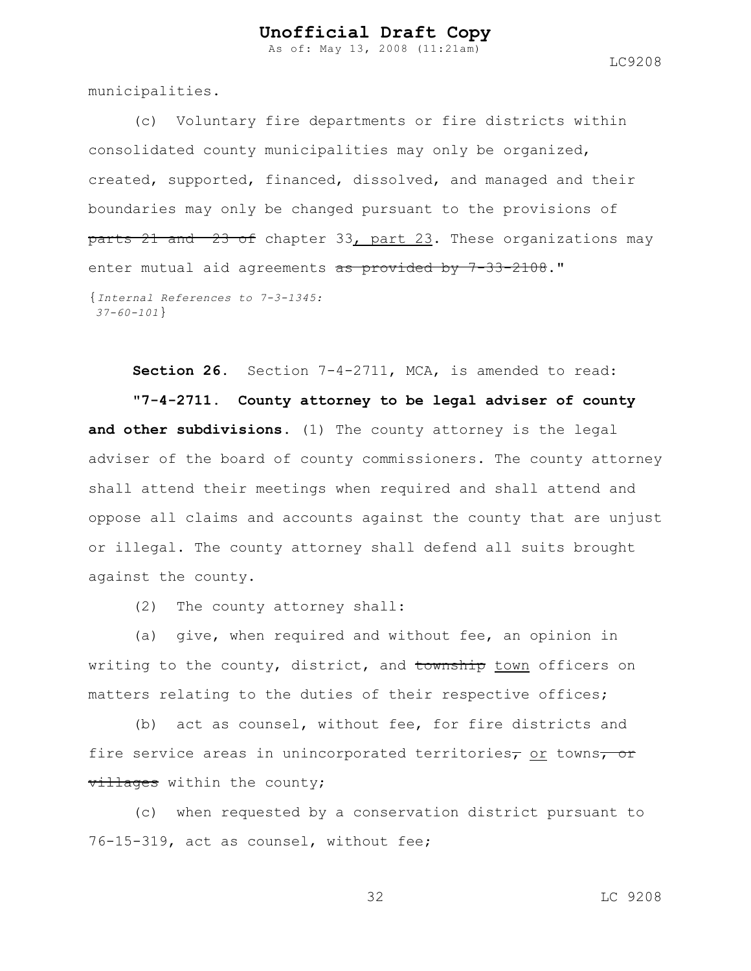As of: May 13, 2008 (11:21am)

LC9208

municipalities.

(c) Voluntary fire departments or fire districts within consolidated county municipalities may only be organized, created, supported, financed, dissolved, and managed and their boundaries may only be changed pursuant to the provisions of parts 21 and 23 of chapter 33, part 23. These organizations may enter mutual aid agreements as provided by 7-33-2108."

```
{Internal References to 7-3-1345:
37-60-101}
```
**Section 26.** Section 7-4-2711, MCA, is amended to read: **"7-4-2711. County attorney to be legal adviser of county and other subdivisions.** (1) The county attorney is the legal adviser of the board of county commissioners. The county attorney shall attend their meetings when required and shall attend and oppose all claims and accounts against the county that are unjust or illegal. The county attorney shall defend all suits brought against the county.

(2) The county attorney shall:

(a) give, when required and without fee, an opinion in writing to the county, district, and township town officers on matters relating to the duties of their respective offices;

(b) act as counsel, without fee, for fire districts and fire service areas in unincorporated territories<sub>7</sub> or towns<sub>7</sub> or villages within the county;

(c) when requested by a conservation district pursuant to 76-15-319, act as counsel, without fee;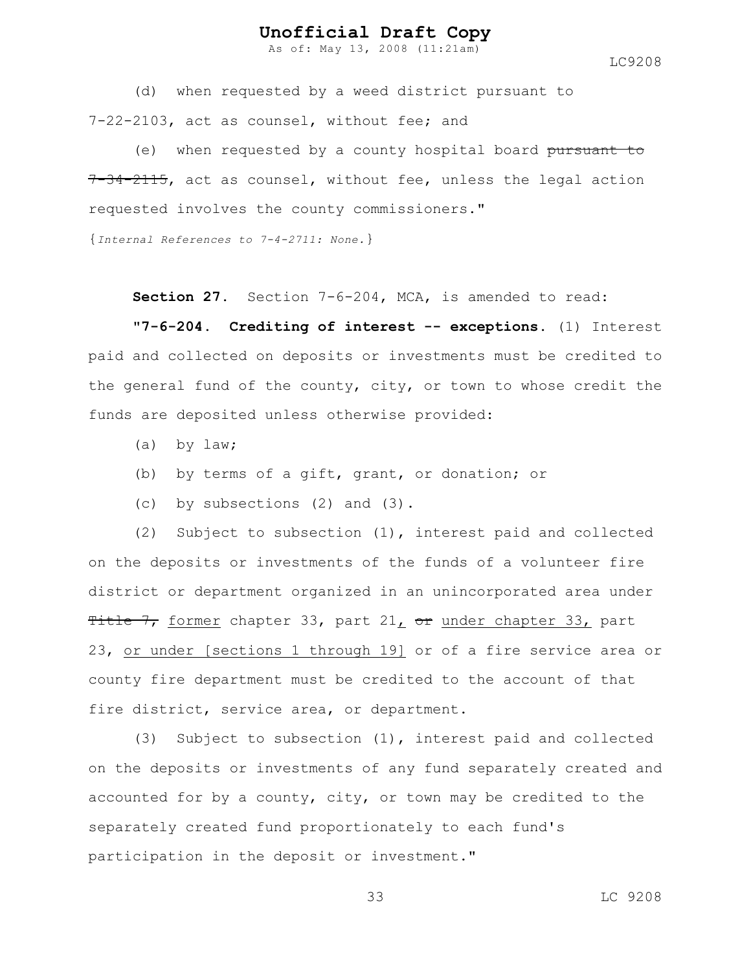As of: May 13, 2008 (11:21am)

LC9208

(d) when requested by a weed district pursuant to 7-22-2103, act as counsel, without fee; and

(e) when requested by a county hospital board pursuant to 7-34-2115, act as counsel, without fee, unless the legal action requested involves the county commissioners."

{*Internal References to 7-4-2711: None.*}

**Section 27.** Section 7-6-204, MCA, is amended to read:

**"7-6-204. Crediting of interest -- exceptions.** (1) Interest paid and collected on deposits or investments must be credited to the general fund of the county, city, or town to whose credit the funds are deposited unless otherwise provided:

- (a) by law;
- (b) by terms of a gift, grant, or donation; or
- (c) by subsections (2) and (3).

(2) Subject to subsection (1), interest paid and collected on the deposits or investments of the funds of a volunteer fire district or department organized in an unincorporated area under Title  $7<sub>r</sub>$  former chapter 33, part 21, or under chapter 33, part 23, or under [sections 1 through 19] or of a fire service area or county fire department must be credited to the account of that fire district, service area, or department.

(3) Subject to subsection (1), interest paid and collected on the deposits or investments of any fund separately created and accounted for by a county, city, or town may be credited to the separately created fund proportionately to each fund's participation in the deposit or investment."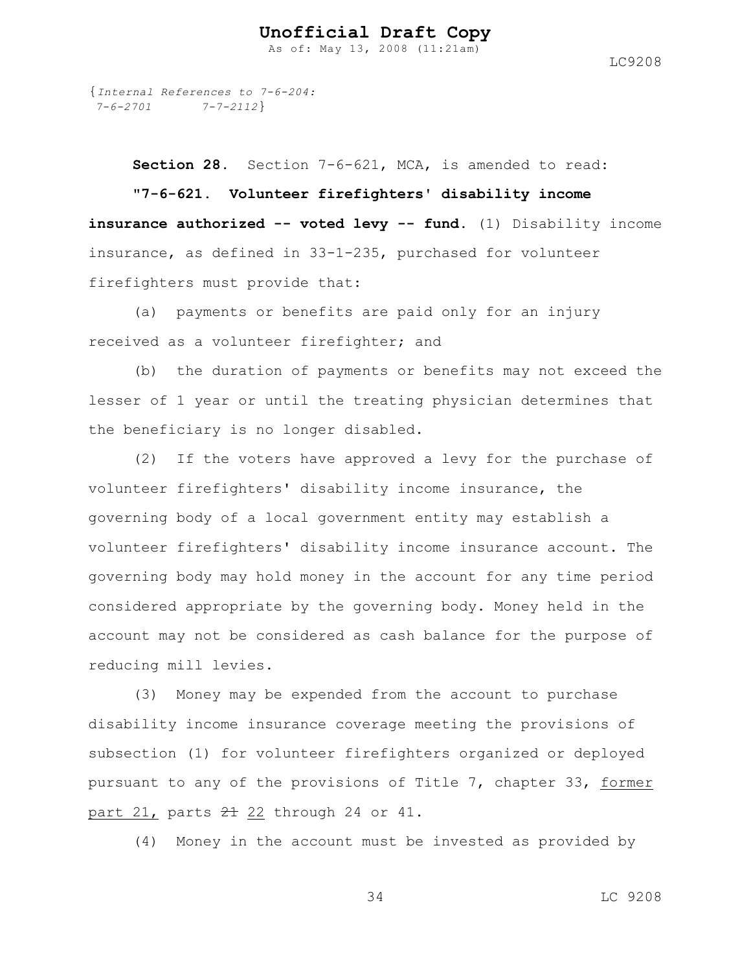As of: May 13, 2008 (11:21am)

{*Internal References to 7-6-204: 7-6-2701 7-7-2112*}

**Section 28.** Section 7-6-621, MCA, is amended to read: **"7-6-621. Volunteer firefighters' disability income insurance authorized -- voted levy -- fund.** (1) Disability income insurance, as defined in 33-1-235, purchased for volunteer firefighters must provide that:

(a) payments or benefits are paid only for an injury received as a volunteer firefighter; and

(b) the duration of payments or benefits may not exceed the lesser of 1 year or until the treating physician determines that the beneficiary is no longer disabled.

(2) If the voters have approved a levy for the purchase of volunteer firefighters' disability income insurance, the governing body of a local government entity may establish a volunteer firefighters' disability income insurance account. The governing body may hold money in the account for any time period considered appropriate by the governing body. Money held in the account may not be considered as cash balance for the purpose of reducing mill levies.

(3) Money may be expended from the account to purchase disability income insurance coverage meeting the provisions of subsection (1) for volunteer firefighters organized or deployed pursuant to any of the provisions of Title 7, chapter 33, former part 21, parts  $21$  22 through 24 or 41.

(4) Money in the account must be invested as provided by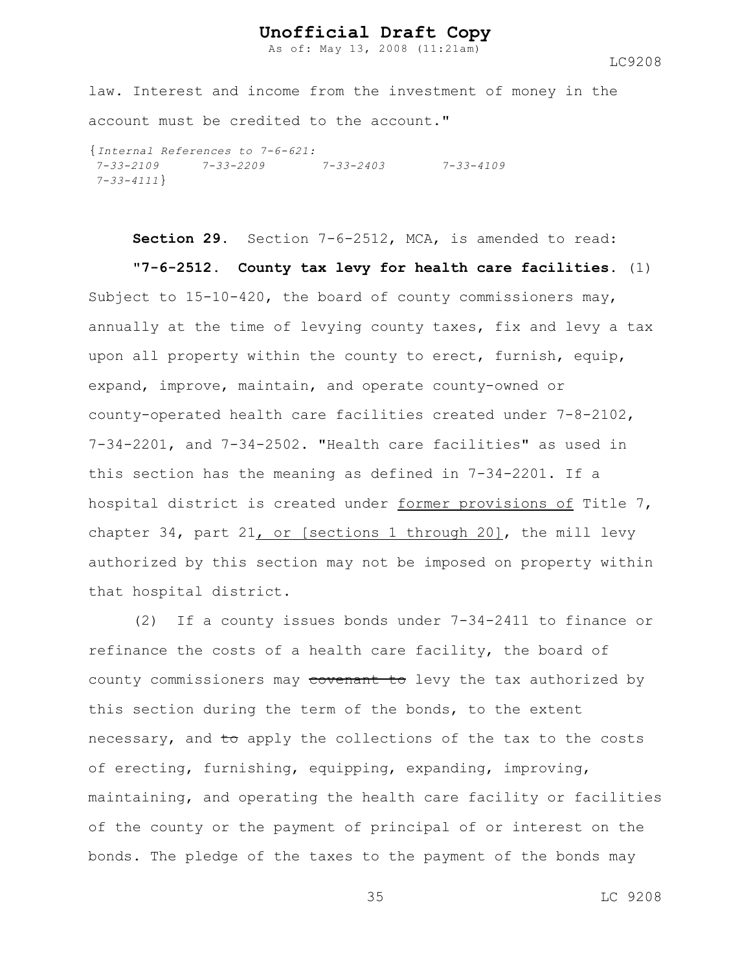As of: May 13, 2008 (11:21am)

LC9208

law. Interest and income from the investment of money in the account must be credited to the account."

{*Internal References to 7-6-621: 7-33-2109 7-33-2209 7-33-2403 7-33-4109 7-33-4111*}

**Section 29.** Section 7-6-2512, MCA, is amended to read:

**"7-6-2512. County tax levy for health care facilities.** (1) Subject to  $15-10-420$ , the board of county commissioners may, annually at the time of levying county taxes, fix and levy a tax upon all property within the county to erect, furnish, equip, expand, improve, maintain, and operate county-owned or county-operated health care facilities created under 7-8-2102, 7-34-2201, and 7-34-2502. "Health care facilities" as used in this section has the meaning as defined in 7-34-2201. If a hospital district is created under former provisions of Title 7, chapter 34, part 21, or [sections 1 through 20], the mill levy authorized by this section may not be imposed on property within that hospital district.

(2) If a county issues bonds under 7-34-2411 to finance or refinance the costs of a health care facility, the board of county commissioners may covenant to levy the tax authorized by this section during the term of the bonds, to the extent necessary, and to apply the collections of the tax to the costs of erecting, furnishing, equipping, expanding, improving, maintaining, and operating the health care facility or facilities of the county or the payment of principal of or interest on the bonds. The pledge of the taxes to the payment of the bonds may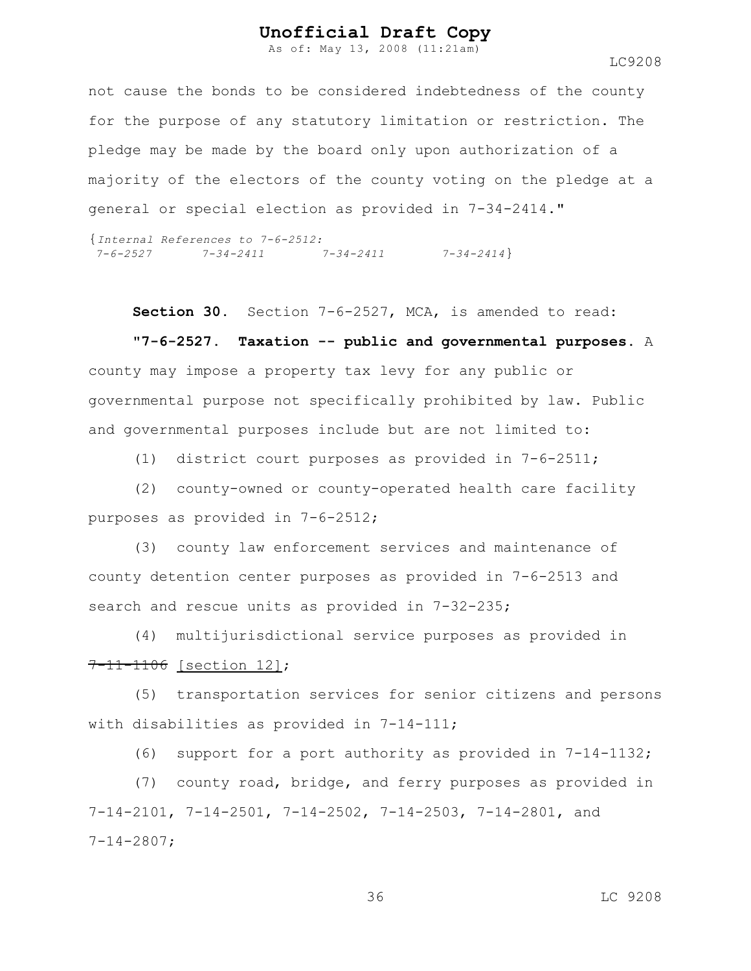As of: May 13, 2008 (11:21am)

not cause the bonds to be considered indebtedness of the county for the purpose of any statutory limitation or restriction. The pledge may be made by the board only upon authorization of a majority of the electors of the county voting on the pledge at a general or special election as provided in 7-34-2414."

{*Internal References to 7-6-2512: 7-6-2527 7-34-2411 7-34-2411 7-34-2414*}

**Section 30.** Section 7-6-2527, MCA, is amended to read:

**"7-6-2527. Taxation -- public and governmental purposes.** A county may impose a property tax levy for any public or governmental purpose not specifically prohibited by law. Public and governmental purposes include but are not limited to:

(1) district court purposes as provided in 7-6-2511;

(2) county-owned or county-operated health care facility purposes as provided in 7-6-2512;

(3) county law enforcement services and maintenance of county detention center purposes as provided in 7-6-2513 and search and rescue units as provided in 7-32-235;

(4) multijurisdictional service purposes as provided in 7-11-1106 [section 12];

(5) transportation services for senior citizens and persons with disabilities as provided in 7-14-111;

(6) support for a port authority as provided in 7-14-1132;

(7) county road, bridge, and ferry purposes as provided in 7-14-2101, 7-14-2501, 7-14-2502, 7-14-2503, 7-14-2801, and 7-14-2807;

36 LC 9208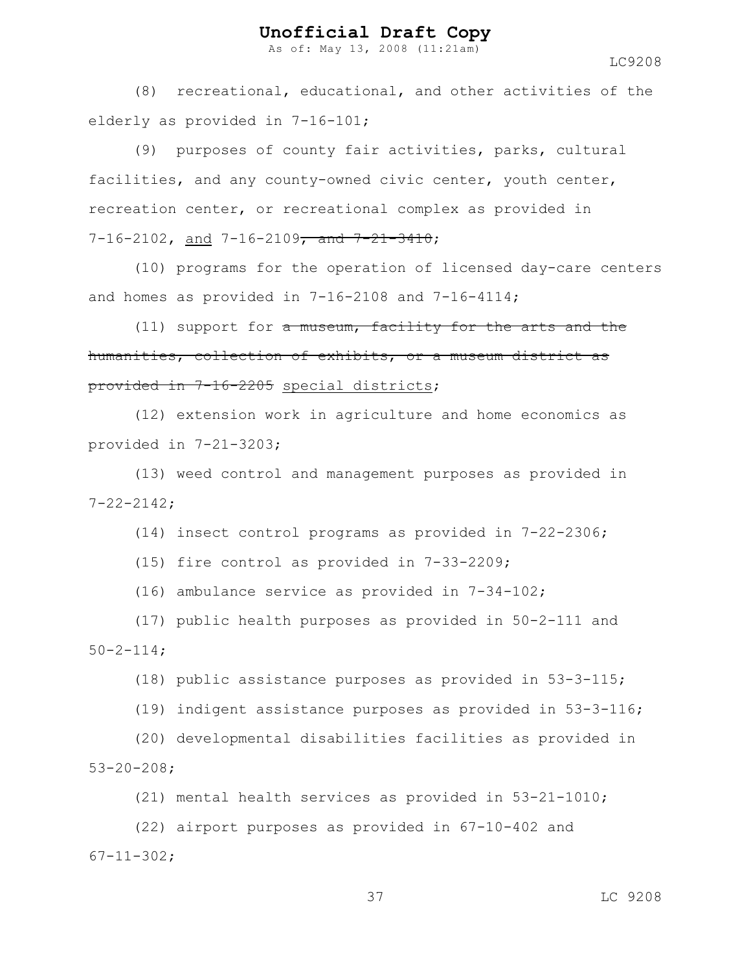As of: May 13, 2008 (11:21am)

LC9208

(8) recreational, educational, and other activities of the elderly as provided in 7-16-101;

(9) purposes of county fair activities, parks, cultural facilities, and any county-owned civic center, youth center, recreation center, or recreational complex as provided in  $7-16-2102$ , and  $7-16-2109$ , and  $7-21-3410$ ;

(10) programs for the operation of licensed day-care centers and homes as provided in 7-16-2108 and 7-16-4114;

 $(11)$  support for a museum, facility for the arts and the humanities, collection of exhibits, or a museum district as provided in 7-16-2205 special districts;

 (12) extension work in agriculture and home economics as provided in 7-21-3203;

(13) weed control and management purposes as provided in 7-22-2142;

(14) insect control programs as provided in 7-22-2306;

(15) fire control as provided in 7-33-2209;

(16) ambulance service as provided in 7-34-102;

(17) public health purposes as provided in 50-2-111 and  $50 - 2 - 114$ ;

(18) public assistance purposes as provided in 53-3-115;

(19) indigent assistance purposes as provided in 53-3-116;

(20) developmental disabilities facilities as provided in 53-20-208;

(21) mental health services as provided in 53-21-1010;

(22) airport purposes as provided in 67-10-402 and 67-11-302;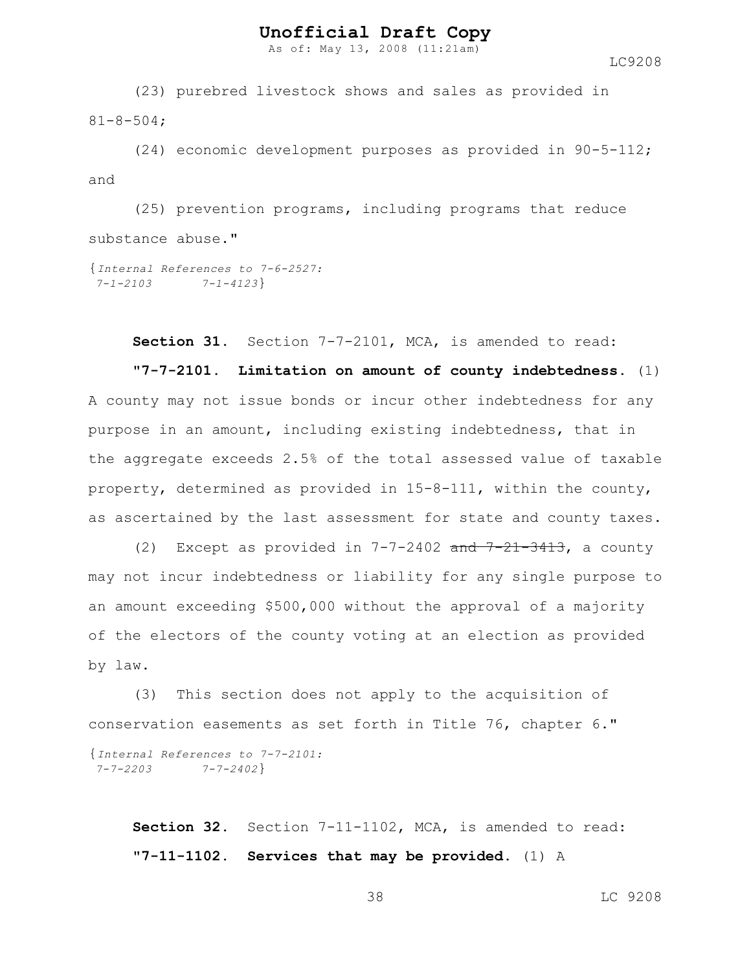As of: May 13, 2008 (11:21am)

LC9208

(23) purebred livestock shows and sales as provided in 81-8-504;

(24) economic development purposes as provided in 90-5-112; and

(25) prevention programs, including programs that reduce substance abuse."

```
{Internal References to 7-6-2527:
7-1-2103 7-1-4123}
```
**Section 31.** Section 7-7-2101, MCA, is amended to read:

**"7-7-2101. Limitation on amount of county indebtedness.** (1) A county may not issue bonds or incur other indebtedness for any purpose in an amount, including existing indebtedness, that in the aggregate exceeds 2.5% of the total assessed value of taxable property, determined as provided in 15-8-111, within the county, as ascertained by the last assessment for state and county taxes.

(2) Except as provided in  $7-7-2402$  and  $7-21-3413$ , a county may not incur indebtedness or liability for any single purpose to an amount exceeding \$500,000 without the approval of a majority of the electors of the county voting at an election as provided by law.

(3) This section does not apply to the acquisition of conservation easements as set forth in Title 76, chapter 6." {*Internal References to 7-7-2101: 7-7-2203 7-7-2402*}

**Section 32.** Section 7-11-1102, MCA, is amended to read: **"7-11-1102. Services that may be provided.** (1) A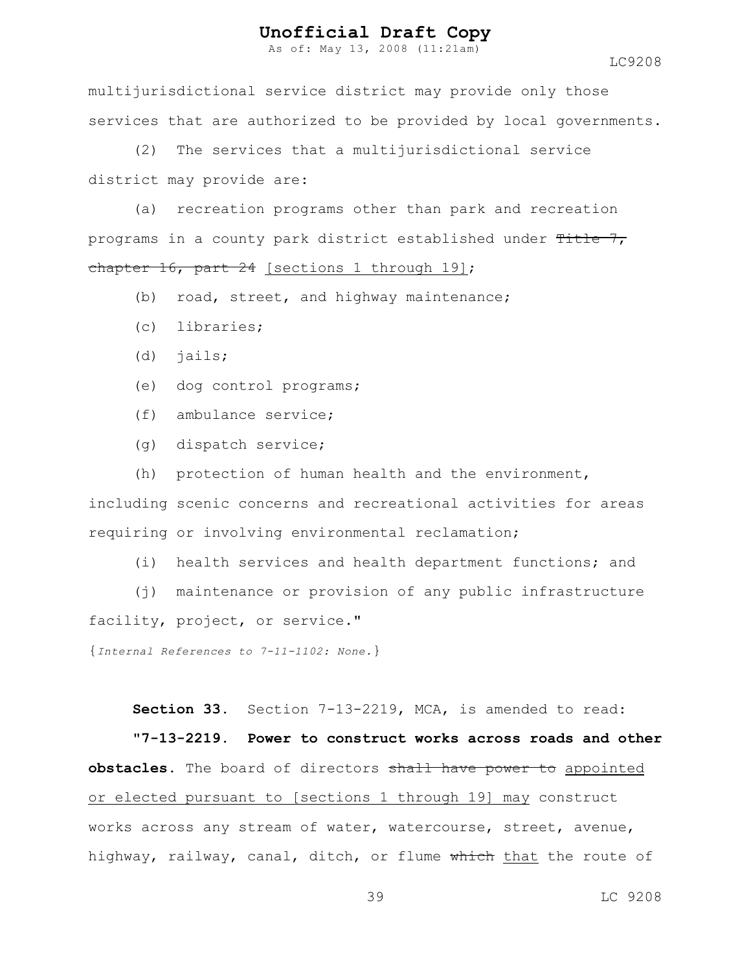As of: May 13, 2008 (11:21am)

LC9208

multijurisdictional service district may provide only those services that are authorized to be provided by local governments.

(2) The services that a multijurisdictional service district may provide are:

(a) recreation programs other than park and recreation programs in a county park district established under Title 7, chapter 16, part 24 [sections 1 through 19];

- (b) road, street, and highway maintenance;
- (c) libraries;
- (d) jails;
- (e) dog control programs;
- (f) ambulance service;
- (g) dispatch service;

(h) protection of human health and the environment, including scenic concerns and recreational activities for areas requiring or involving environmental reclamation;

(i) health services and health department functions; and

(j) maintenance or provision of any public infrastructure facility, project, or service."

{*Internal References to 7-11-1102: None.*}

**Section 33.** Section 7-13-2219, MCA, is amended to read:

**"7-13-2219. Power to construct works across roads and other obstacles.** The board of directors shall have power to appointed or elected pursuant to [sections 1 through 19] may construct works across any stream of water, watercourse, street, avenue, highway, railway, canal, ditch, or flume which that the route of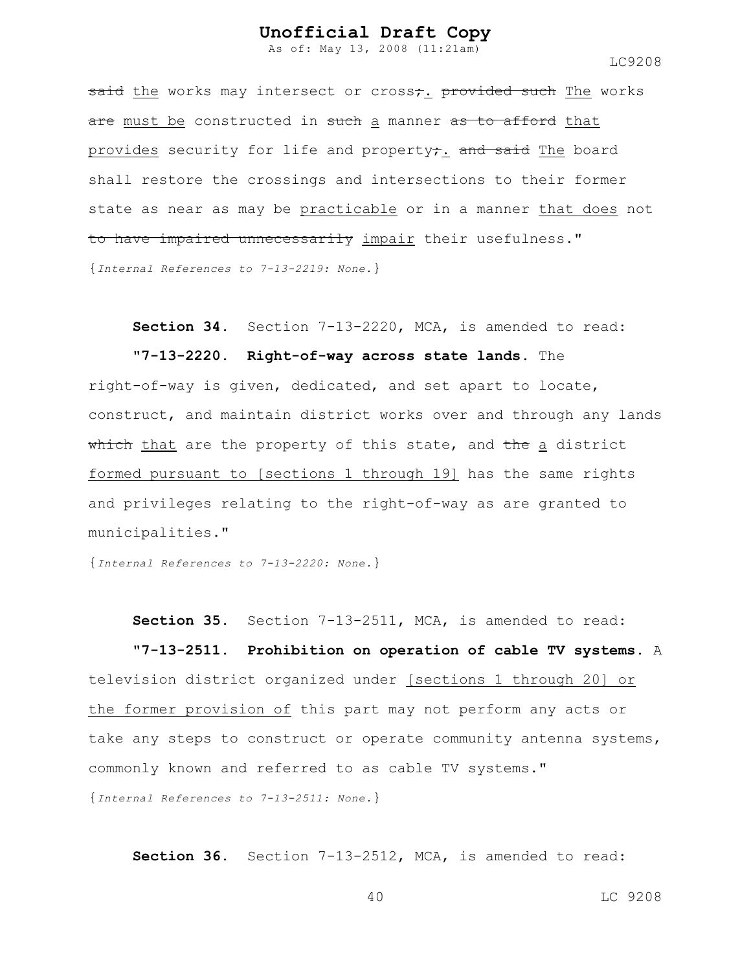As of: May 13, 2008 (11:21am)

LC9208

said the works may intersect or cross;. provided such The works are must be constructed in such a manner as to afford that provides security for life and property; and said The board shall restore the crossings and intersections to their former state as near as may be practicable or in a manner that does not to have impaired unnecessarily impair their usefulness." {*Internal References to 7-13-2219: None.*}

**Section 34.** Section 7-13-2220, MCA, is amended to read:

**"7-13-2220. Right-of-way across state lands.** The

right-of-way is given, dedicated, and set apart to locate, construct, and maintain district works over and through any lands which that are the property of this state, and the a district formed pursuant to [sections 1 through 19] has the same rights and privileges relating to the right-of-way as are granted to municipalities."

{*Internal References to 7-13-2220: None.*}

**Section 35.** Section 7-13-2511, MCA, is amended to read:

**"7-13-2511. Prohibition on operation of cable TV systems.** A television district organized under [sections 1 through 20] or the former provision of this part may not perform any acts or take any steps to construct or operate community antenna systems, commonly known and referred to as cable TV systems." {*Internal References to 7-13-2511: None.*}

**Section 36.** Section 7-13-2512, MCA, is amended to read: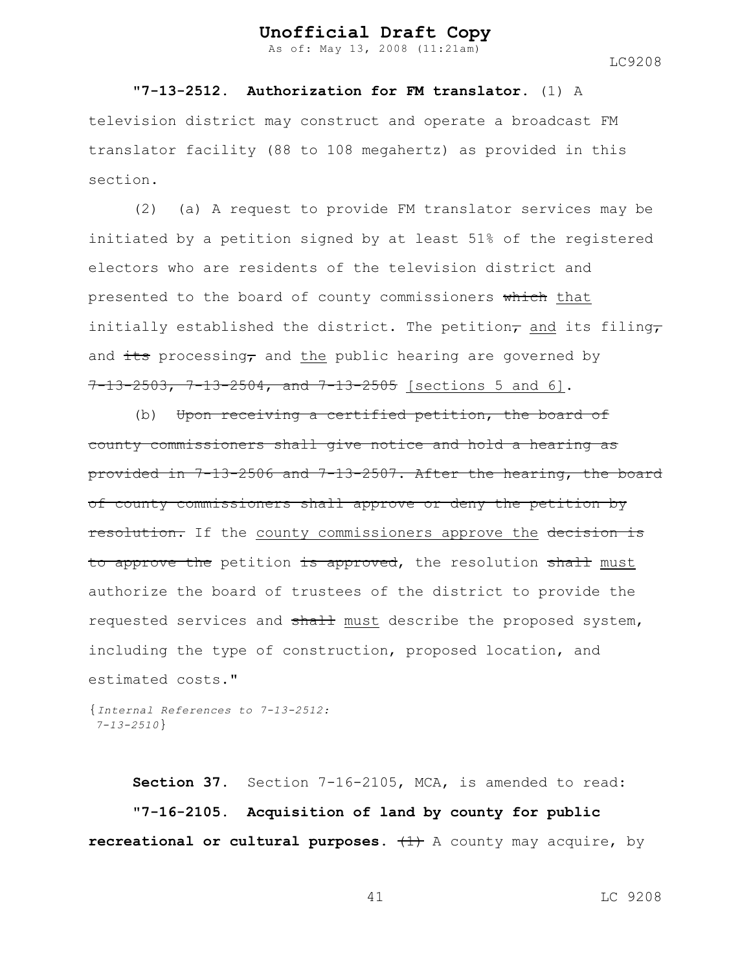As of: May 13, 2008 (11:21am)

LC9208

**"7-13-2512. Authorization for FM translator.** (1) A television district may construct and operate a broadcast FM translator facility (88 to 108 megahertz) as provided in this section.

(2) (a) A request to provide FM translator services may be initiated by a petition signed by at least 51% of the registered electors who are residents of the television district and presented to the board of county commissioners which that initially established the district. The petition, and its filing, and  $\frac{it}{t}$  processing, and the public hearing are governed by 7-13-2503, 7-13-2504, and 7-13-2505 [sections 5 and 6].

(b) Upon receiving a certified petition, the board of county commissioners shall give notice and hold a hearing as provided in 7-13-2506 and 7-13-2507. After the hearing, the board of county commissioners shall approve or deny the petition by resolution. If the county commissioners approve the decision is to approve the petition is approved, the resolution shall must authorize the board of trustees of the district to provide the requested services and shall must describe the proposed system, including the type of construction, proposed location, and estimated costs."

```
{Internal References to 7-13-2512:
7-13-2510}
```
**Section 37.** Section 7-16-2105, MCA, is amended to read: **"7-16-2105. Acquisition of land by county for public recreational or cultural purposes.**  $(1)$  A county may acquire, by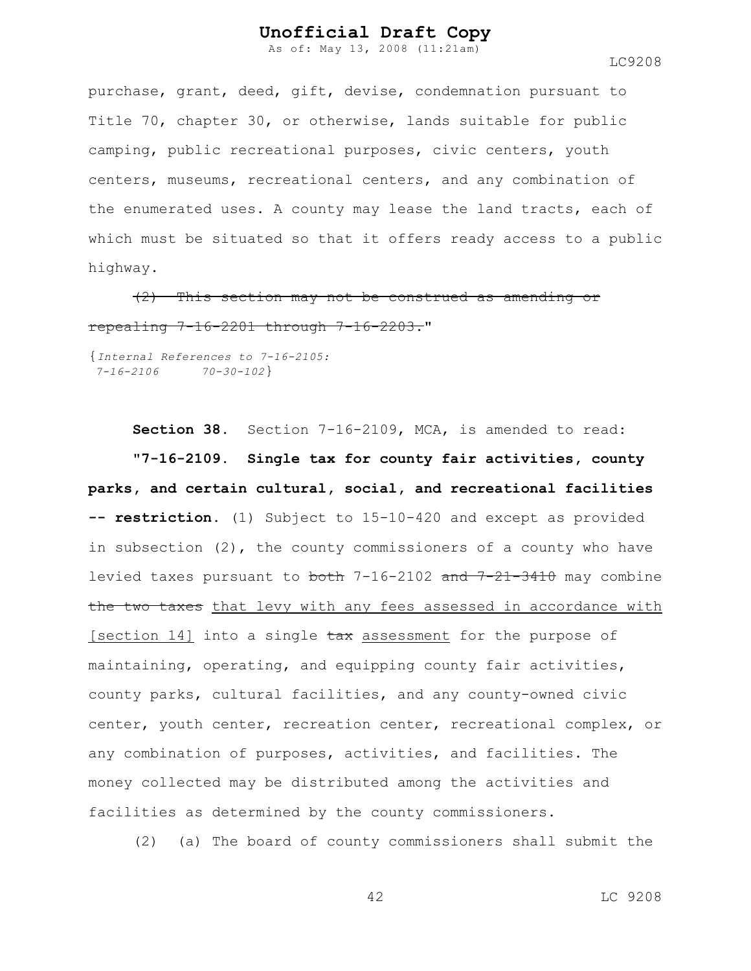As of: May 13, 2008 (11:21am)

LC9208

purchase, grant, deed, gift, devise, condemnation pursuant to Title 70, chapter 30, or otherwise, lands suitable for public camping, public recreational purposes, civic centers, youth centers, museums, recreational centers, and any combination of the enumerated uses. A county may lease the land tracts, each of which must be situated so that it offers ready access to a public highway.

(2) This section may not be construed as amending or repealing 7-16-2201 through 7-16-2203."

{*Internal References to 7-16-2105: 7-16-2106 70-30-102*}

**Section 38.** Section 7-16-2109, MCA, is amended to read: **"7-16-2109. Single tax for county fair activities, county parks, and certain cultural, social, and recreational facilities -- restriction.** (1) Subject to 15-10-420 and except as provided in subsection  $(2)$ , the county commissioners of a county who have levied taxes pursuant to both 7-16-2102 and 7-21-3410 may combine the two taxes that levy with any fees assessed in accordance with [section 14] into a single tax assessment for the purpose of maintaining, operating, and equipping county fair activities, county parks, cultural facilities, and any county-owned civic center, youth center, recreation center, recreational complex, or any combination of purposes, activities, and facilities. The money collected may be distributed among the activities and facilities as determined by the county commissioners.

(2) (a) The board of county commissioners shall submit the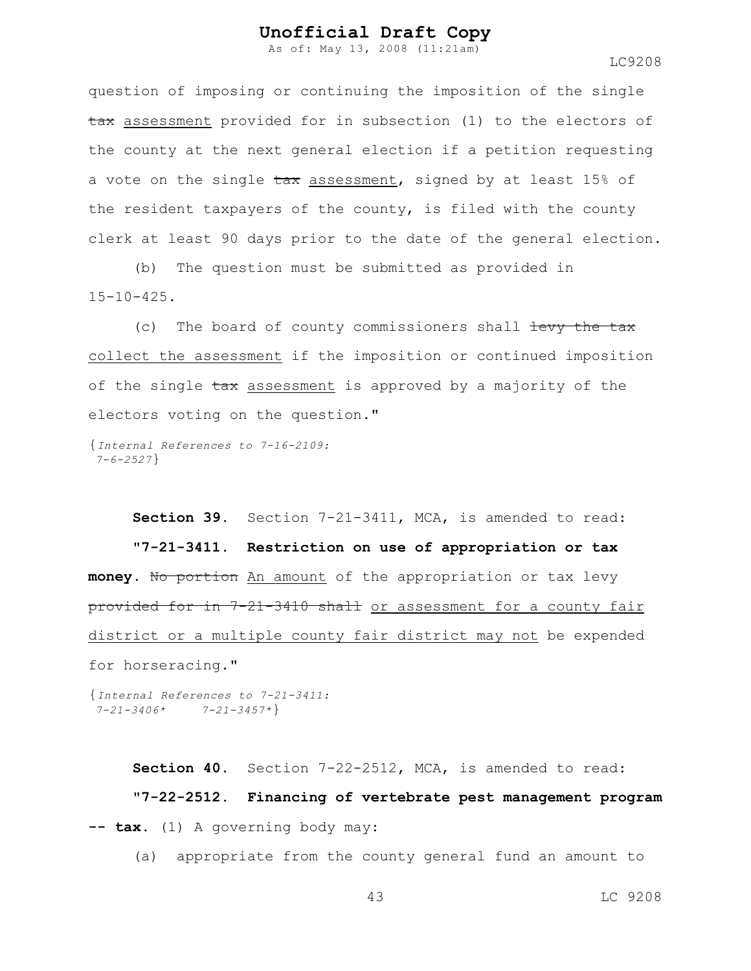As of: May 13, 2008 (11:21am)

LC9208

question of imposing or continuing the imposition of the single tax assessment provided for in subsection (1) to the electors of the county at the next general election if a petition requesting a vote on the single  $\text{tax}$  assessment, signed by at least 15% of the resident taxpayers of the county, is filed with the county clerk at least 90 days prior to the date of the general election.

(b) The question must be submitted as provided in  $15-10-425$ .

(c) The board of county commissioners shall levy the tax collect the assessment if the imposition or continued imposition of the single tax assessment is approved by a majority of the electors voting on the question."

{*Internal References to 7-16-2109: 7-6-2527*}

**Section 39.** Section 7-21-3411, MCA, is amended to read: **"7-21-3411. Restriction on use of appropriation or tax** money. No portion An amount of the appropriation or tax levy provided for in 7-21-3410 shall or assessment for a county fair district or a multiple county fair district may not be expended for horseracing."

{*Internal References to 7-21-3411: 7-21-3406\* 7-21-3457\**}

**Section 40.** Section 7-22-2512, MCA, is amended to read: **"7-22-2512. Financing of vertebrate pest management program -- tax.** (1) A governing body may:

(a) appropriate from the county general fund an amount to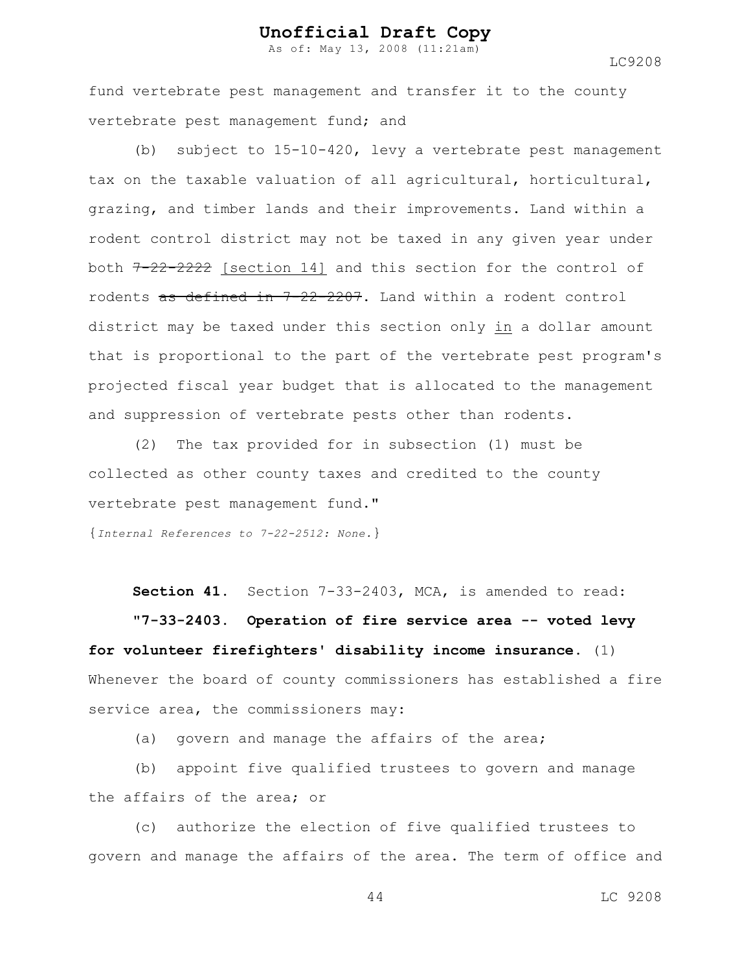As of: May 13, 2008 (11:21am)

LC9208

fund vertebrate pest management and transfer it to the county vertebrate pest management fund; and

(b) subject to 15-10-420, levy a vertebrate pest management tax on the taxable valuation of all agricultural, horticultural, grazing, and timber lands and their improvements. Land within a rodent control district may not be taxed in any given year under both  $7-22-2222$  [section 14] and this section for the control of rodents as defined in 7-22-2207. Land within a rodent control district may be taxed under this section only in a dollar amount that is proportional to the part of the vertebrate pest program's projected fiscal year budget that is allocated to the management and suppression of vertebrate pests other than rodents.

(2) The tax provided for in subsection (1) must be collected as other county taxes and credited to the county vertebrate pest management fund."

{*Internal References to 7-22-2512: None.*}

**Section 41.** Section 7-33-2403, MCA, is amended to read:

**"7-33-2403. Operation of fire service area -- voted levy for volunteer firefighters' disability income insurance.** (1) Whenever the board of county commissioners has established a fire service area, the commissioners may:

(a) govern and manage the affairs of the area;

(b) appoint five qualified trustees to govern and manage the affairs of the area; or

(c) authorize the election of five qualified trustees to govern and manage the affairs of the area. The term of office and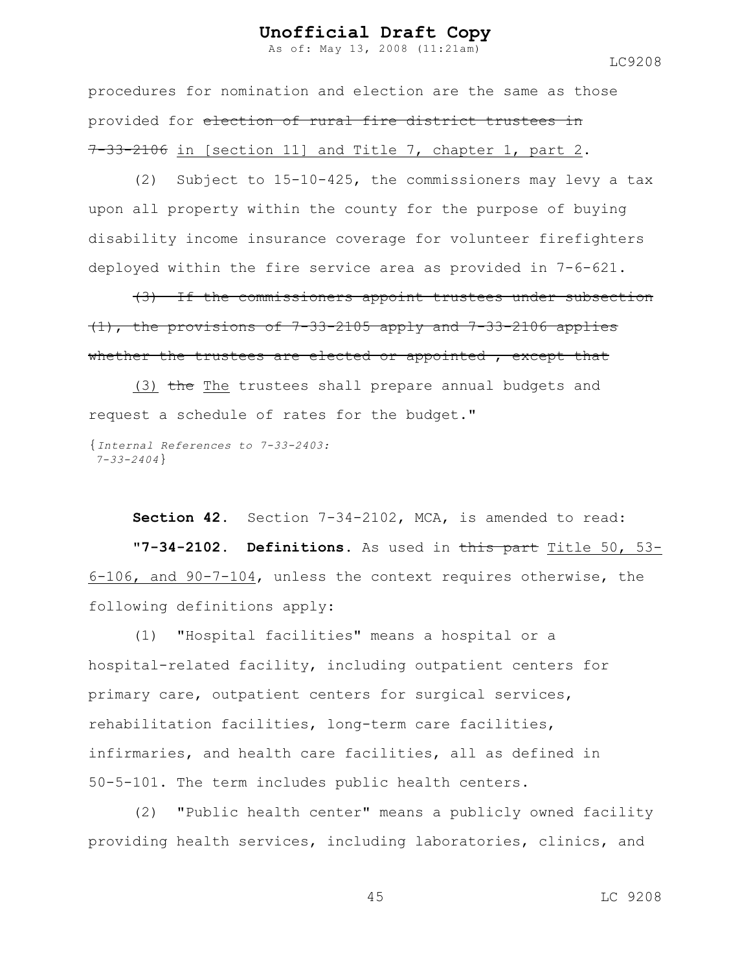As of: May 13, 2008 (11:21am)

procedures for nomination and election are the same as those provided for election of rural fire district trustees in  $7-33-2106$  in [section 11] and Title 7, chapter 1, part 2.

(2) Subject to 15-10-425, the commissioners may levy a tax upon all property within the county for the purpose of buying disability income insurance coverage for volunteer firefighters deployed within the fire service area as provided in 7-6-621.

(3) If the commissioners appoint trustees under subsection (1), the provisions of 7-33-2105 apply and 7-33-2106 applies whether the trustees are elected or appointed, except that

(3) the The trustees shall prepare annual budgets and request a schedule of rates for the budget."

{*Internal References to 7-33-2403: 7-33-2404*}

**Section 42.** Section 7-34-2102, MCA, is amended to read: **"7-34-2102. Definitions.** As used in this part Title 50, 53- 6-106, and 90-7-104, unless the context requires otherwise, the following definitions apply:

(1) "Hospital facilities" means a hospital or a hospital-related facility, including outpatient centers for primary care, outpatient centers for surgical services, rehabilitation facilities, long-term care facilities, infirmaries, and health care facilities, all as defined in 50-5-101. The term includes public health centers.

(2) "Public health center" means a publicly owned facility providing health services, including laboratories, clinics, and

45 LC 9208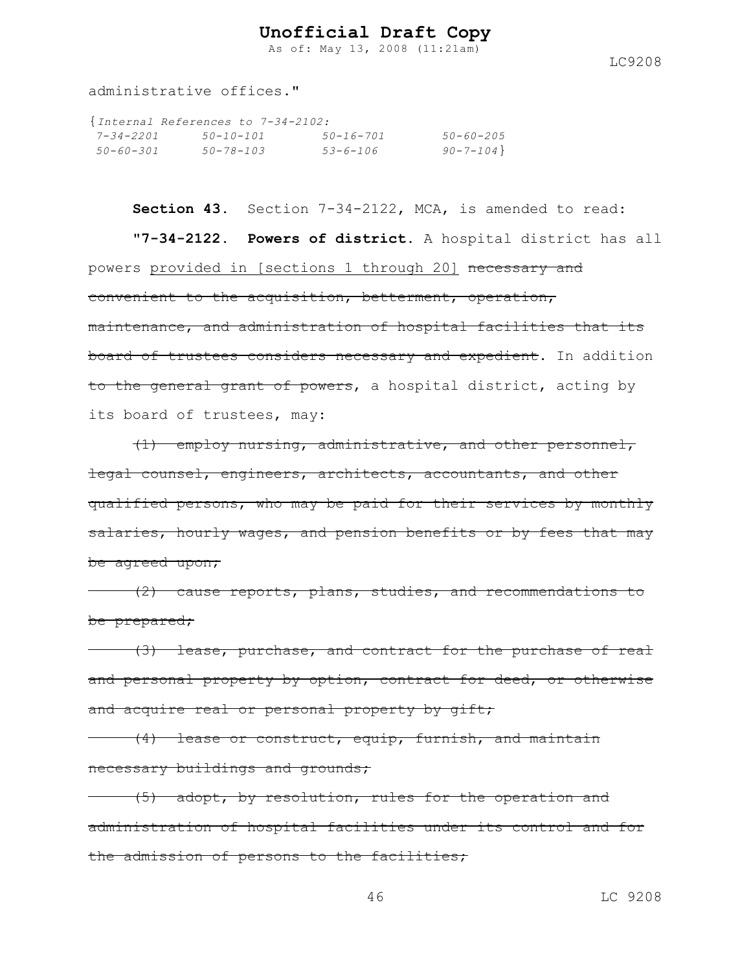As of: May 13, 2008 (11:21am)

LC9208

administrative offices."

|           | {Internal References to 7-34-2102: |                 |                 |
|-----------|------------------------------------|-----------------|-----------------|
| 7-34-2201 | 50-10-101                          | $50 - 16 - 701$ | $50 - 60 - 205$ |
| 50-60-301 | $50 - 78 - 103$                    | $53 - 6 - 106$  | $90 - 7 - 104$  |

**Section 43.** Section 7-34-2122, MCA, is amended to read: **"7-34-2122. Powers of district.** A hospital district has all powers provided in [sections 1 through 20] necessary and convenient to the acquisition, betterment, operation, maintenance, and administration of hospital facilities that its board of trustees considers necessary and expedient. In addition to the general grant of powers, a hospital district, acting by its board of trustees, may:

(1) employ nursing, administrative, and other personnel, legal counsel, engineers, architects, accountants, and other qualified persons, who may be paid for their services by monthly salaries, hourly wages, and pension benefits or by fees that may be agreed upon;

(2) cause reports, plans, studies, and recommendations to be prepared;

(3) lease, purchase, and contract for the purchase of real and personal property by option, contract for deed, or otherwise and acquire real or personal property by gift;

(4) lease or construct, equip, furnish, and maintain necessary buildings and grounds;

(5) adopt, by resolution, rules for the operation and administration of hospital facilities under its control and for the admission of persons to the facilities;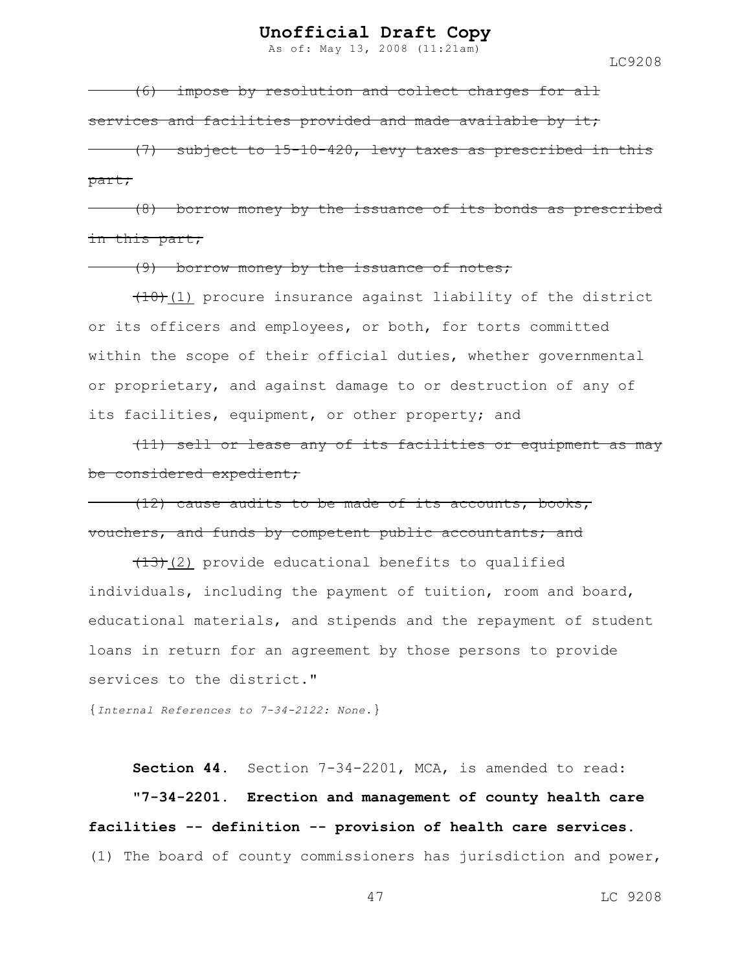As of: May 13, 2008 (11:21am)

LC9208

(6) impose by resolution and collect charges for all services and facilities provided and made available by it; (7) subject to 15-10-420, levy taxes as prescribed in this part;

(8) borrow money by the issuance of its bonds as prescribed in this part;

(9) borrow money by the issuance of notes;

 $(10)(1)$  procure insurance against liability of the district or its officers and employees, or both, for torts committed within the scope of their official duties, whether governmental or proprietary, and against damage to or destruction of any of its facilities, equipment, or other property; and

(11) sell or lease any of its facilities or equipment as may be considered expedient;

(12) cause audits to be made of its accounts, books, vouchers, and funds by competent public accountants; and

 $(13)$  (2) provide educational benefits to qualified individuals, including the payment of tuition, room and board, educational materials, and stipends and the repayment of student loans in return for an agreement by those persons to provide services to the district."

{*Internal References to 7-34-2122: None.*}

**Section 44.** Section 7-34-2201, MCA, is amended to read:

**"7-34-2201. Erection and management of county health care facilities -- definition -- provision of health care services.** (1) The board of county commissioners has jurisdiction and power,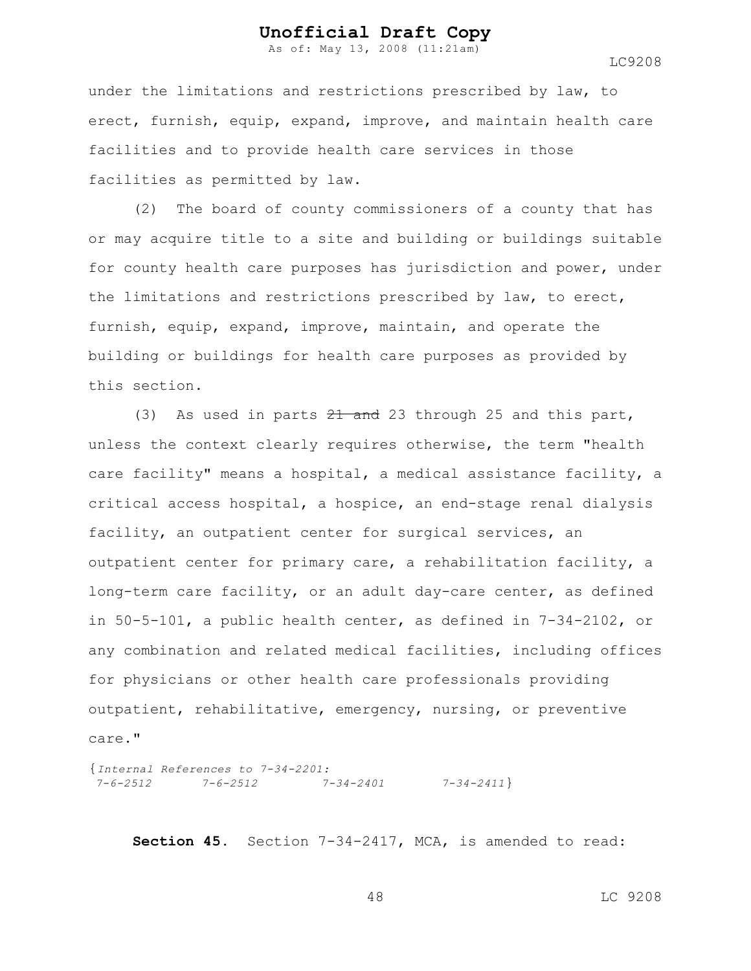As of: May 13, 2008 (11:21am)

LC9208

under the limitations and restrictions prescribed by law, to erect, furnish, equip, expand, improve, and maintain health care facilities and to provide health care services in those facilities as permitted by law.

(2) The board of county commissioners of a county that has or may acquire title to a site and building or buildings suitable for county health care purposes has jurisdiction and power, under the limitations and restrictions prescribed by law, to erect, furnish, equip, expand, improve, maintain, and operate the building or buildings for health care purposes as provided by this section.

(3) As used in parts  $21$  and 23 through 25 and this part, unless the context clearly requires otherwise, the term "health care facility" means a hospital, a medical assistance facility, a critical access hospital, a hospice, an end-stage renal dialysis facility, an outpatient center for surgical services, an outpatient center for primary care, a rehabilitation facility, a long-term care facility, or an adult day-care center, as defined in 50-5-101, a public health center, as defined in 7-34-2102, or any combination and related medical facilities, including offices for physicians or other health care professionals providing outpatient, rehabilitative, emergency, nursing, or preventive care."

{*Internal References to 7-34-2201: 7-6-2512 7-6-2512 7-34-2401 7-34-2411*}

**Section 45.** Section 7-34-2417, MCA, is amended to read: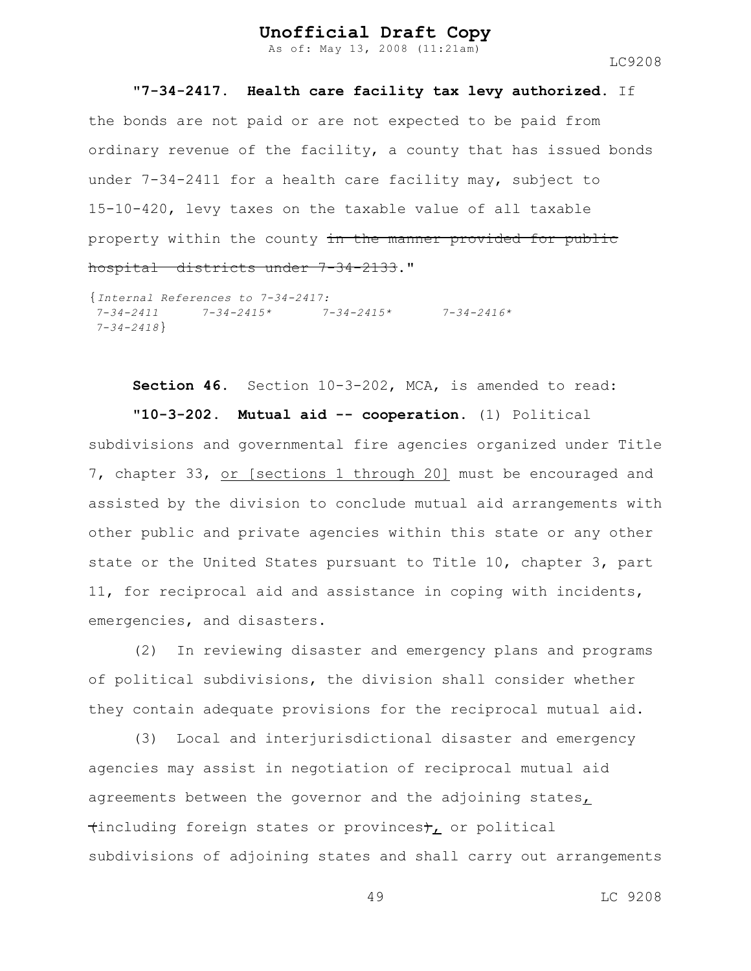As of: May 13, 2008 (11:21am)

LC9208

#### **"7-34-2417. Health care facility tax levy authorized.** If

the bonds are not paid or are not expected to be paid from ordinary revenue of the facility, a county that has issued bonds under 7-34-2411 for a health care facility may, subject to 15-10-420, levy taxes on the taxable value of all taxable property within the county in the manner provided for public hospital districts under 7-34-2133."

```
{Internal References to 7-34-2417:
7-34-2411 7-34-2415* 7-34-2415* 7-34-2416*
7-34-2418}
```
**Section 46.** Section 10-3-202, MCA, is amended to read:

**"10-3-202. Mutual aid -- cooperation.** (1) Political subdivisions and governmental fire agencies organized under Title 7, chapter 33, or [sections 1 through 20] must be encouraged and assisted by the division to conclude mutual aid arrangements with other public and private agencies within this state or any other state or the United States pursuant to Title 10, chapter 3, part 11, for reciprocal aid and assistance in coping with incidents, emergencies, and disasters.

(2) In reviewing disaster and emergency plans and programs of political subdivisions, the division shall consider whether they contain adequate provisions for the reciprocal mutual aid.

(3) Local and interjurisdictional disaster and emergency agencies may assist in negotiation of reciprocal mutual aid agreements between the governor and the adjoining states,  $\{$ including foreign states or provinces $\mathfrak{f}_L$  or political subdivisions of adjoining states and shall carry out arrangements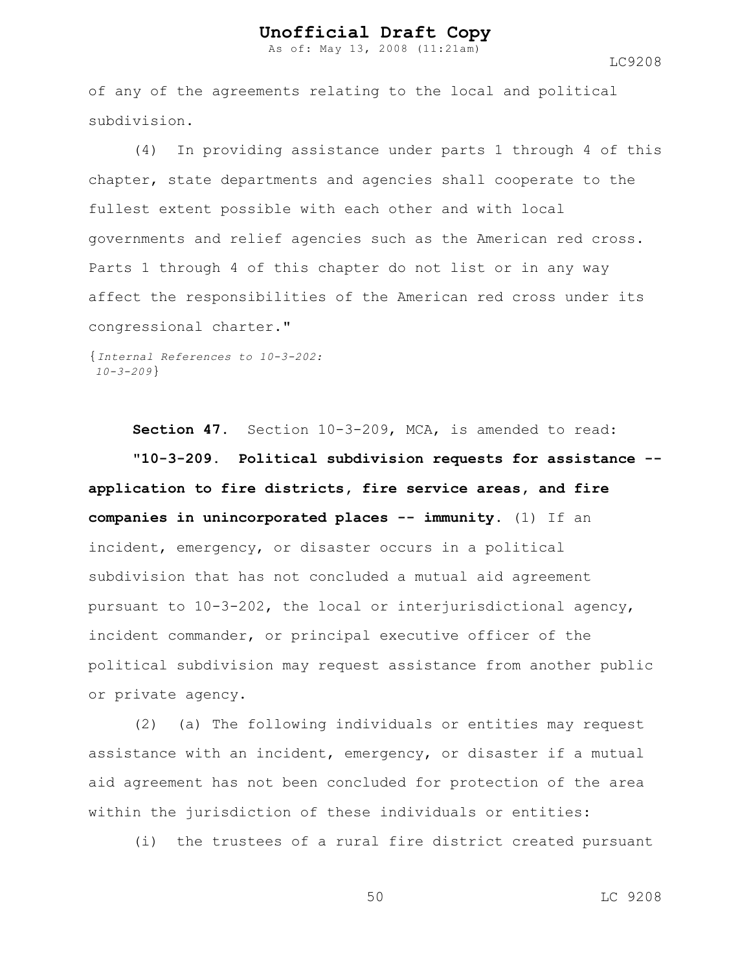As of: May 13, 2008 (11:21am)

LC9208

of any of the agreements relating to the local and political subdivision.

(4) In providing assistance under parts 1 through 4 of this chapter, state departments and agencies shall cooperate to the fullest extent possible with each other and with local governments and relief agencies such as the American red cross. Parts 1 through 4 of this chapter do not list or in any way affect the responsibilities of the American red cross under its congressional charter."

{*Internal References to 10-3-202: 10-3-209*}

**Section 47.** Section 10-3-209, MCA, is amended to read: **"10-3-209. Political subdivision requests for assistance - application to fire districts, fire service areas, and fire companies in unincorporated places -- immunity.** (1) If an incident, emergency, or disaster occurs in a political subdivision that has not concluded a mutual aid agreement pursuant to 10-3-202, the local or interjurisdictional agency, incident commander, or principal executive officer of the political subdivision may request assistance from another public or private agency.

(2) (a) The following individuals or entities may request assistance with an incident, emergency, or disaster if a mutual aid agreement has not been concluded for protection of the area within the jurisdiction of these individuals or entities:

(i) the trustees of a rural fire district created pursuant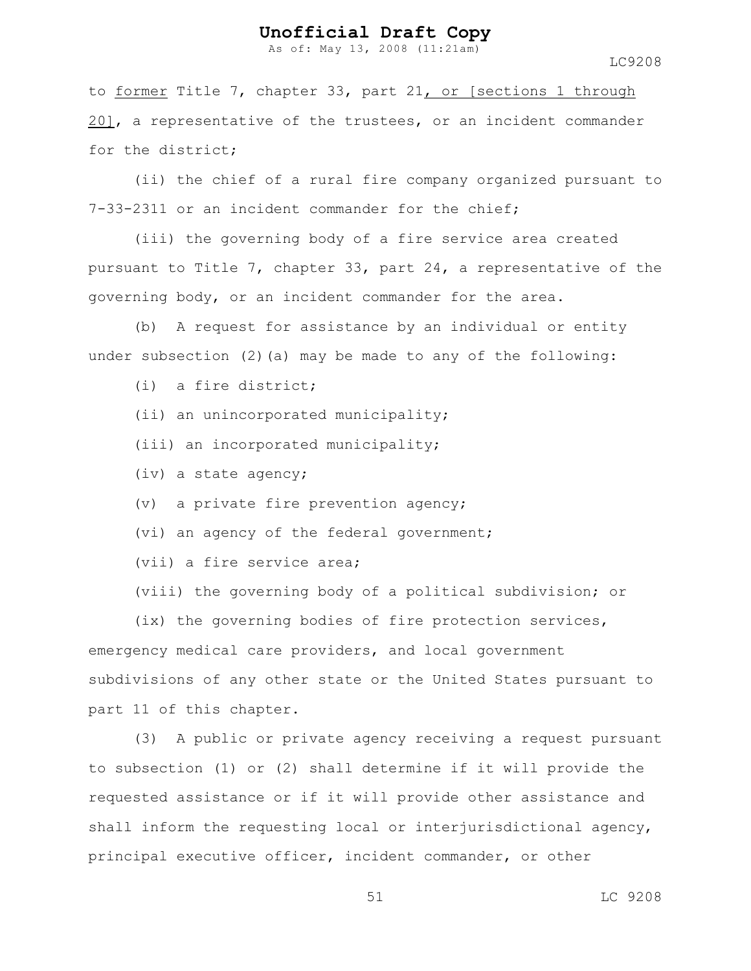As of: May 13, 2008 (11:21am)

LC9208

to former Title 7, chapter 33, part 21, or [sections 1 through 20], a representative of the trustees, or an incident commander for the district;

(ii) the chief of a rural fire company organized pursuant to 7-33-2311 or an incident commander for the chief;

(iii) the governing body of a fire service area created pursuant to Title 7, chapter 33, part 24, a representative of the governing body, or an incident commander for the area.

(b) A request for assistance by an individual or entity under subsection  $(2)$  (a) may be made to any of the following:

(i) a fire district;

- (ii) an unincorporated municipality;
- (iii) an incorporated municipality;
- (iv) a state agency;
- (v) a private fire prevention agency;
- (vi) an agency of the federal government;
- (vii) a fire service area;
- (viii) the governing body of a political subdivision; or

(ix) the governing bodies of fire protection services, emergency medical care providers, and local government subdivisions of any other state or the United States pursuant to part 11 of this chapter.

(3) A public or private agency receiving a request pursuant to subsection (1) or (2) shall determine if it will provide the requested assistance or if it will provide other assistance and shall inform the requesting local or interjurisdictional agency, principal executive officer, incident commander, or other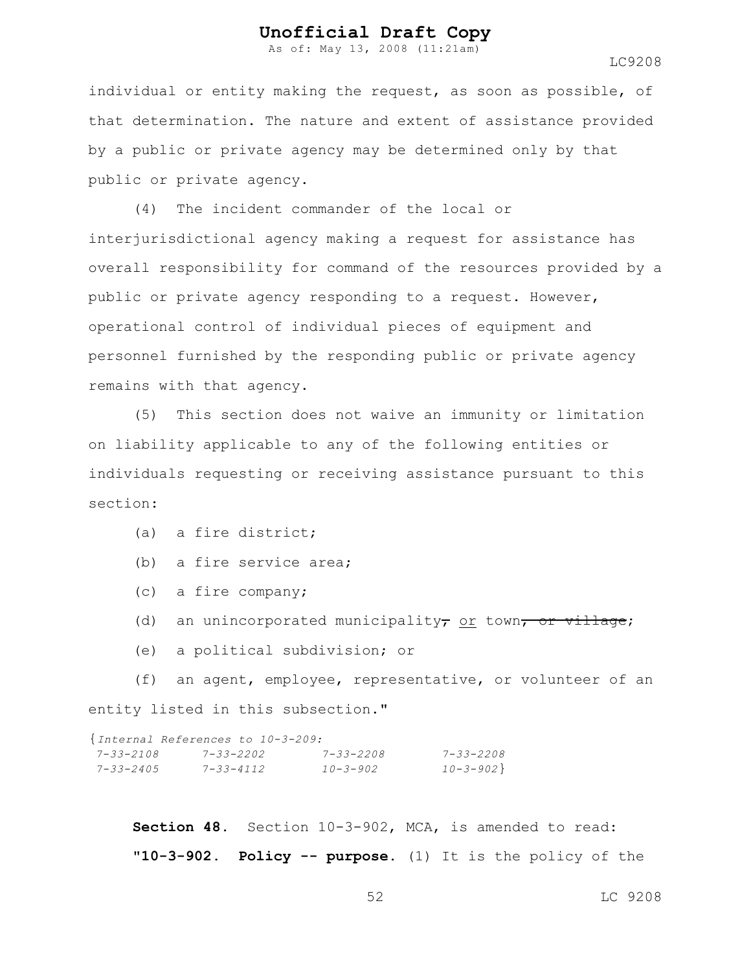As of: May 13, 2008 (11:21am)

LC9208

individual or entity making the request, as soon as possible, of that determination. The nature and extent of assistance provided by a public or private agency may be determined only by that public or private agency.

(4) The incident commander of the local or interjurisdictional agency making a request for assistance has overall responsibility for command of the resources provided by a public or private agency responding to a request. However, operational control of individual pieces of equipment and personnel furnished by the responding public or private agency remains with that agency.

(5) This section does not waive an immunity or limitation on liability applicable to any of the following entities or individuals requesting or receiving assistance pursuant to this section:

- (a) a fire district;
- (b) a fire service area;
- (c) a fire company;
- (d) an unincorporated municipality, or town, or village;
- (e) a political subdivision; or

(f) an agent, employee, representative, or volunteer of an entity listed in this subsection."

|                 | {Internal References to 10-3-209: |                 |                 |  |
|-----------------|-----------------------------------|-----------------|-----------------|--|
| 7-33-2108       | $7 - 33 - 2202$                   | $7 - 33 - 2208$ | $7 - 33 - 2208$ |  |
| $7 - 33 - 2405$ | $7 - 33 - 4112$                   | $10 - 3 - 902$  | $10 - 3 - 902$  |  |

**Section 48.** Section 10-3-902, MCA, is amended to read: **"10-3-902. Policy -- purpose.** (1) It is the policy of the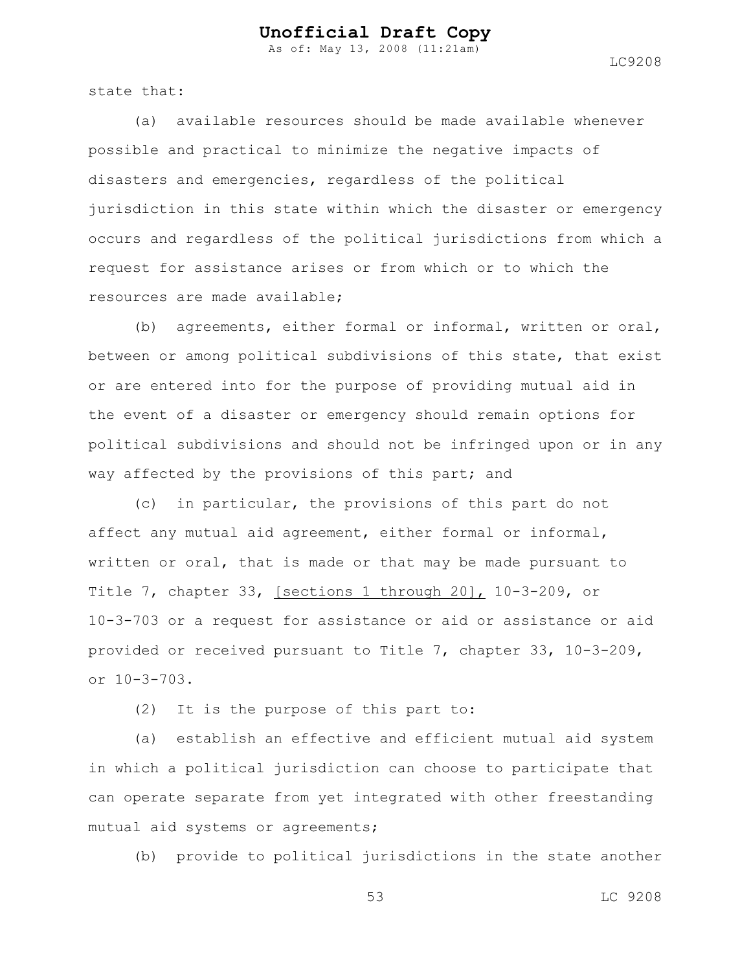As of: May 13, 2008 (11:21am)

state that:

(a) available resources should be made available whenever possible and practical to minimize the negative impacts of disasters and emergencies, regardless of the political jurisdiction in this state within which the disaster or emergency occurs and regardless of the political jurisdictions from which a request for assistance arises or from which or to which the resources are made available;

(b) agreements, either formal or informal, written or oral, between or among political subdivisions of this state, that exist or are entered into for the purpose of providing mutual aid in the event of a disaster or emergency should remain options for political subdivisions and should not be infringed upon or in any way affected by the provisions of this part; and

(c) in particular, the provisions of this part do not affect any mutual aid agreement, either formal or informal, written or oral, that is made or that may be made pursuant to Title 7, chapter 33, [sections 1 through 20], 10-3-209, or 10-3-703 or a request for assistance or aid or assistance or aid provided or received pursuant to Title 7, chapter 33, 10-3-209, or 10-3-703.

(2) It is the purpose of this part to:

(a) establish an effective and efficient mutual aid system in which a political jurisdiction can choose to participate that can operate separate from yet integrated with other freestanding mutual aid systems or agreements;

(b) provide to political jurisdictions in the state another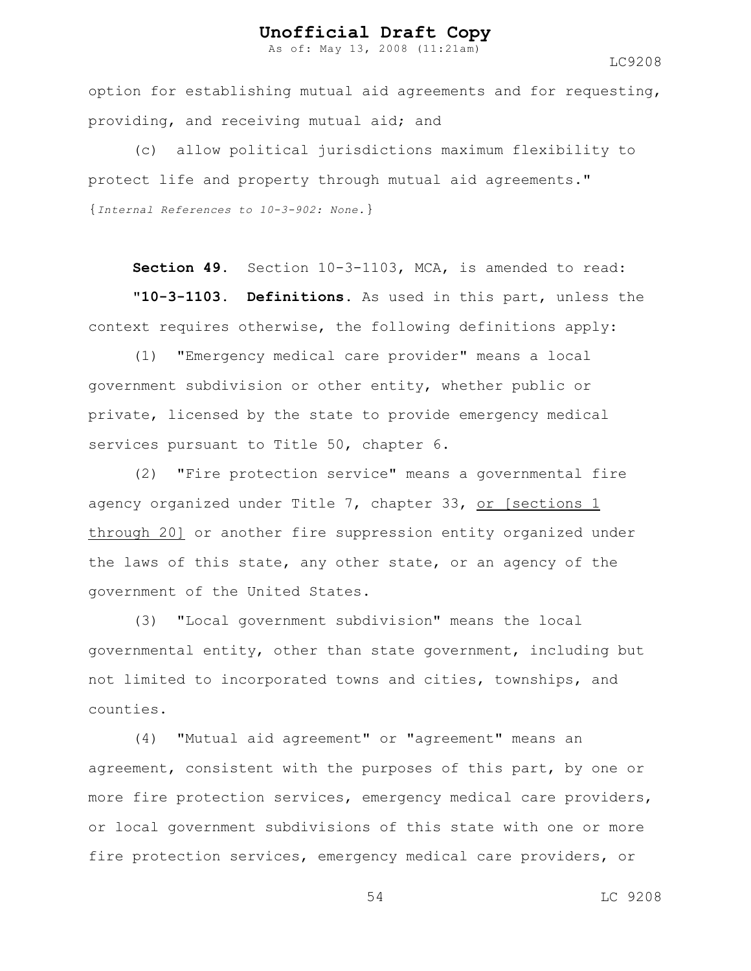As of: May 13, 2008 (11:21am)

LC9208

option for establishing mutual aid agreements and for requesting, providing, and receiving mutual aid; and

(c) allow political jurisdictions maximum flexibility to protect life and property through mutual aid agreements." {*Internal References to 10-3-902: None.*}

**Section 49.** Section 10-3-1103, MCA, is amended to read:

**"10-3-1103. Definitions.** As used in this part, unless the context requires otherwise, the following definitions apply:

(1) "Emergency medical care provider" means a local government subdivision or other entity, whether public or private, licensed by the state to provide emergency medical services pursuant to Title 50, chapter 6.

(2) "Fire protection service" means a governmental fire agency organized under Title 7, chapter 33, or [sections 1 through 20] or another fire suppression entity organized under the laws of this state, any other state, or an agency of the government of the United States.

(3) "Local government subdivision" means the local governmental entity, other than state government, including but not limited to incorporated towns and cities, townships, and counties.

(4) "Mutual aid agreement" or "agreement" means an agreement, consistent with the purposes of this part, by one or more fire protection services, emergency medical care providers, or local government subdivisions of this state with one or more fire protection services, emergency medical care providers, or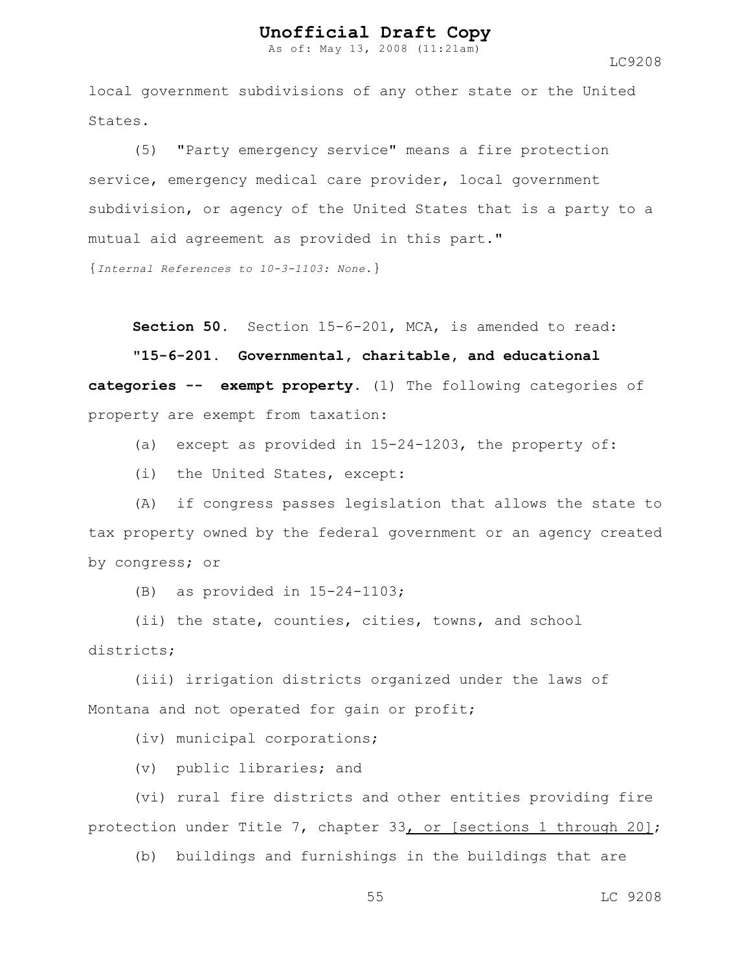As of: May 13, 2008 (11:21am)

LC9208

local government subdivisions of any other state or the United States.

(5) "Party emergency service" means a fire protection service, emergency medical care provider, local government subdivision, or agency of the United States that is a party to a mutual aid agreement as provided in this part."

{*Internal References to 10-3-1103: None.*}

**Section 50.** Section 15-6-201, MCA, is amended to read:

**"15-6-201. Governmental, charitable, and educational categories -- exempt property.** (1) The following categories of property are exempt from taxation:

(a) except as provided in 15-24-1203, the property of:

(i) the United States, except:

(A) if congress passes legislation that allows the state to tax property owned by the federal government or an agency created by congress; or

(B) as provided in 15-24-1103;

(ii) the state, counties, cities, towns, and school districts;

(iii) irrigation districts organized under the laws of Montana and not operated for gain or profit;

(iv) municipal corporations;

(v) public libraries; and

(vi) rural fire districts and other entities providing fire protection under Title 7, chapter 33, or [sections 1 through 20];

(b) buildings and furnishings in the buildings that are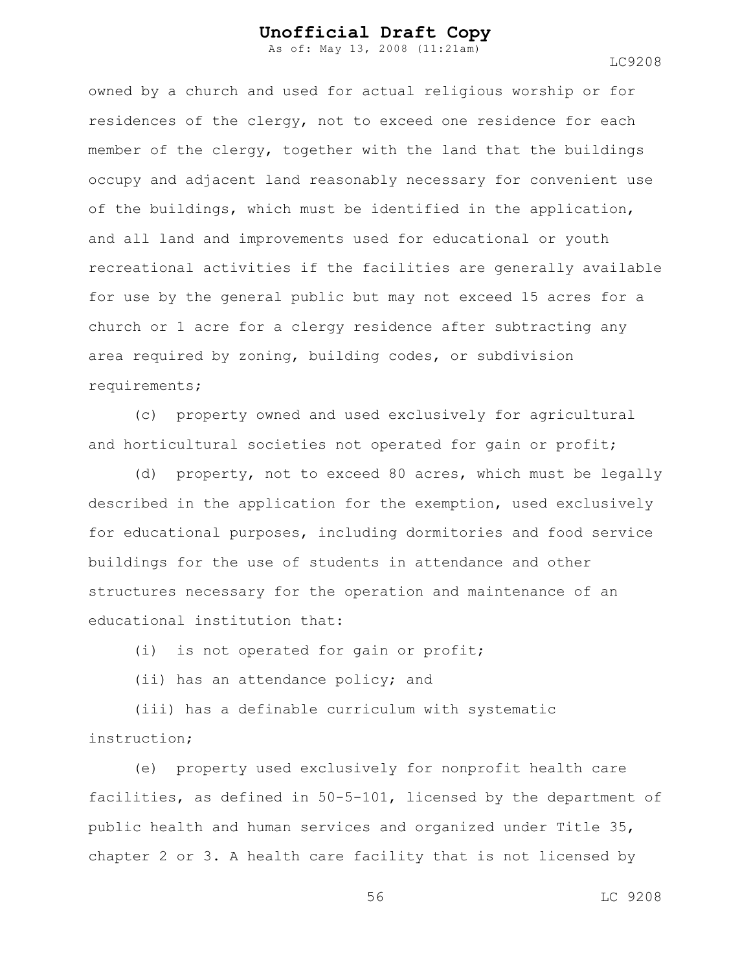As of: May 13, 2008 (11:21am)

LC9208

owned by a church and used for actual religious worship or for residences of the clergy, not to exceed one residence for each member of the clergy, together with the land that the buildings occupy and adjacent land reasonably necessary for convenient use of the buildings, which must be identified in the application, and all land and improvements used for educational or youth recreational activities if the facilities are generally available for use by the general public but may not exceed 15 acres for a church or 1 acre for a clergy residence after subtracting any area required by zoning, building codes, or subdivision requirements;

(c) property owned and used exclusively for agricultural and horticultural societies not operated for gain or profit;

(d) property, not to exceed 80 acres, which must be legally described in the application for the exemption, used exclusively for educational purposes, including dormitories and food service buildings for the use of students in attendance and other structures necessary for the operation and maintenance of an educational institution that:

(i) is not operated for gain or profit;

(ii) has an attendance policy; and

(iii) has a definable curriculum with systematic instruction;

(e) property used exclusively for nonprofit health care facilities, as defined in 50-5-101, licensed by the department of public health and human services and organized under Title 35, chapter 2 or 3. A health care facility that is not licensed by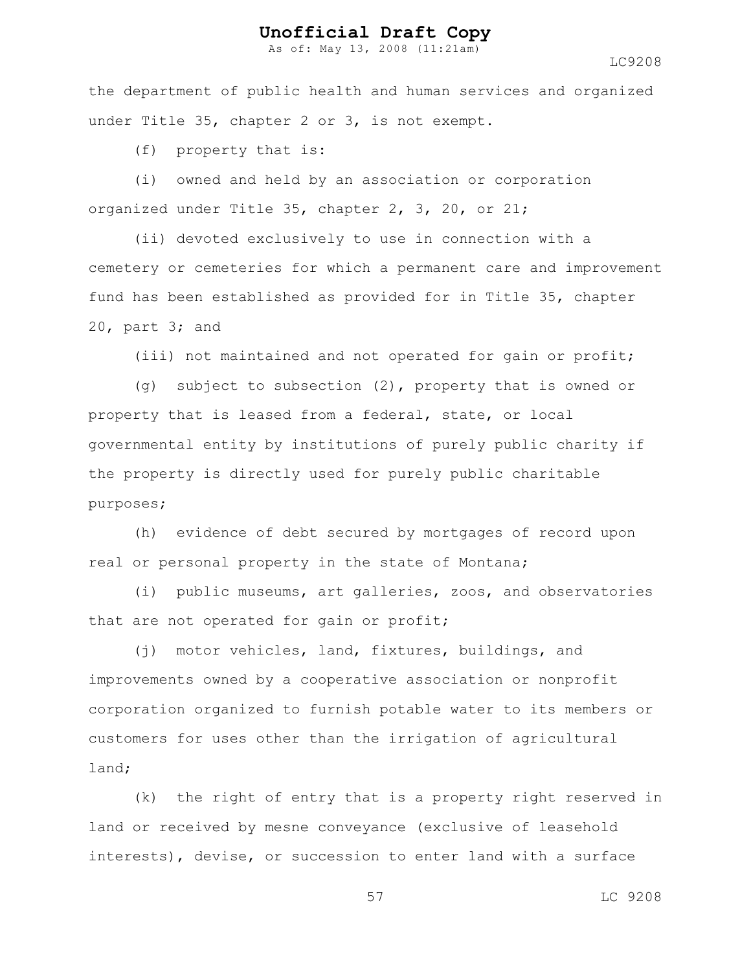As of: May 13, 2008 (11:21am)

LC9208

the department of public health and human services and organized under Title 35, chapter 2 or 3, is not exempt.

(f) property that is:

(i) owned and held by an association or corporation organized under Title 35, chapter 2, 3, 20, or 21;

(ii) devoted exclusively to use in connection with a cemetery or cemeteries for which a permanent care and improvement fund has been established as provided for in Title 35, chapter 20, part 3; and

(iii) not maintained and not operated for gain or profit;

(g) subject to subsection (2), property that is owned or property that is leased from a federal, state, or local governmental entity by institutions of purely public charity if the property is directly used for purely public charitable purposes;

(h) evidence of debt secured by mortgages of record upon real or personal property in the state of Montana;

(i) public museums, art galleries, zoos, and observatories that are not operated for gain or profit;

(j) motor vehicles, land, fixtures, buildings, and improvements owned by a cooperative association or nonprofit corporation organized to furnish potable water to its members or customers for uses other than the irrigation of agricultural land;

(k) the right of entry that is a property right reserved in land or received by mesne conveyance (exclusive of leasehold interests), devise, or succession to enter land with a surface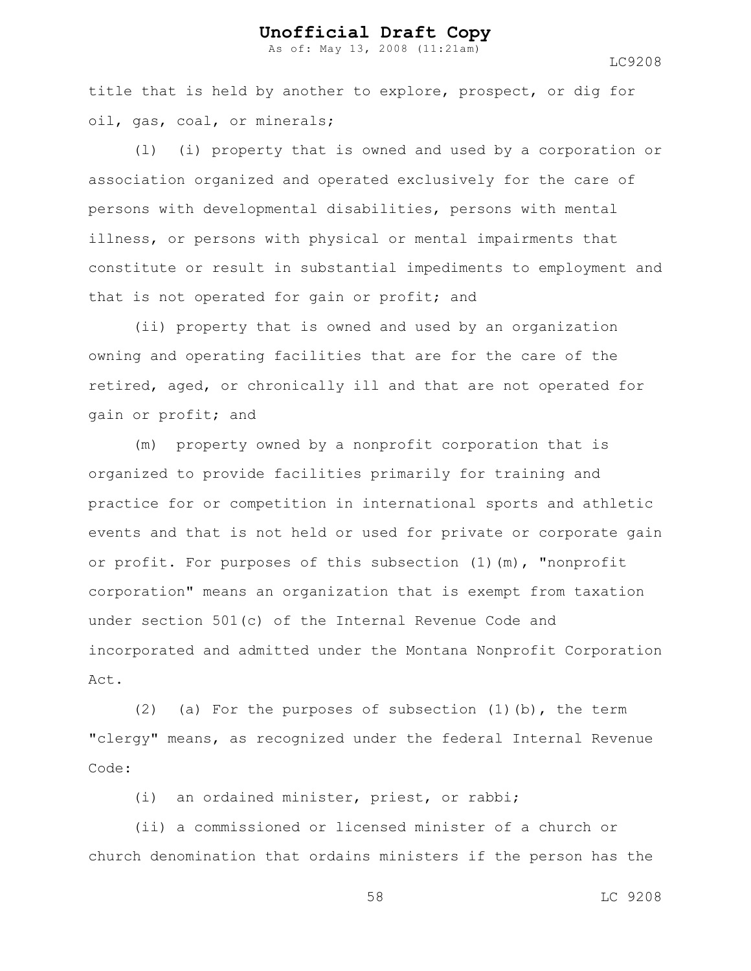As of: May 13, 2008 (11:21am)

LC9208

title that is held by another to explore, prospect, or dig for oil, gas, coal, or minerals;

(l) (i) property that is owned and used by a corporation or association organized and operated exclusively for the care of persons with developmental disabilities, persons with mental illness, or persons with physical or mental impairments that constitute or result in substantial impediments to employment and that is not operated for gain or profit; and

(ii) property that is owned and used by an organization owning and operating facilities that are for the care of the retired, aged, or chronically ill and that are not operated for gain or profit; and

(m) property owned by a nonprofit corporation that is organized to provide facilities primarily for training and practice for or competition in international sports and athletic events and that is not held or used for private or corporate gain or profit. For purposes of this subsection  $(1)(m)$ , "nonprofit corporation" means an organization that is exempt from taxation under section 501(c) of the Internal Revenue Code and incorporated and admitted under the Montana Nonprofit Corporation Act.

(2) (a) For the purposes of subsection  $(1)$  (b), the term "clergy" means, as recognized under the federal Internal Revenue Code:

(i) an ordained minister, priest, or rabbi;

(ii) a commissioned or licensed minister of a church or church denomination that ordains ministers if the person has the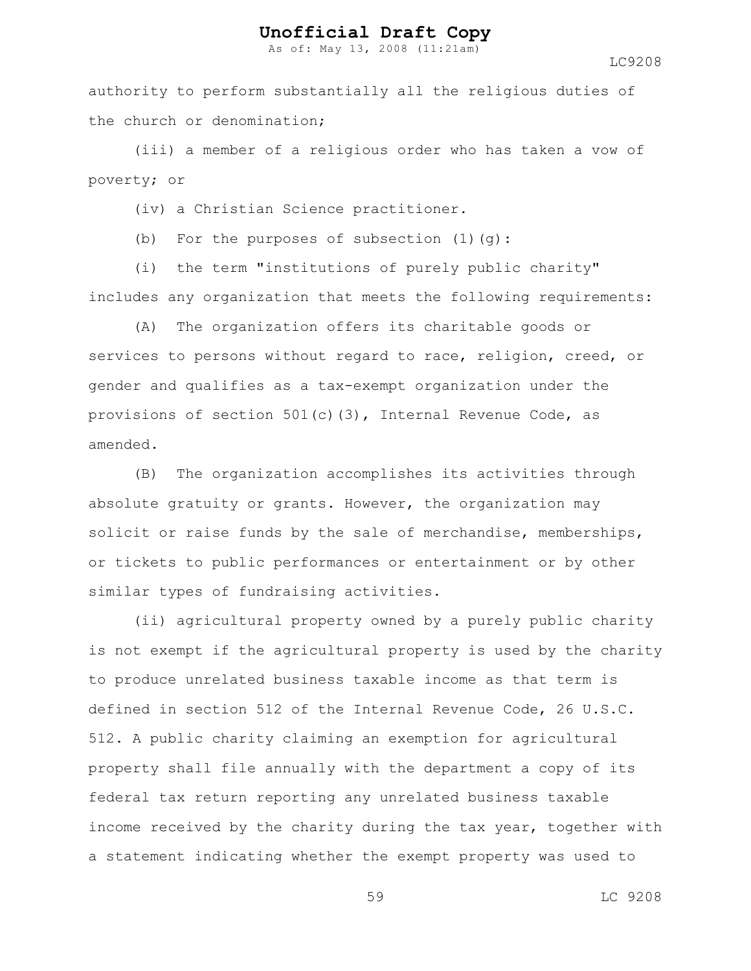As of: May 13, 2008 (11:21am)

LC9208

authority to perform substantially all the religious duties of the church or denomination;

(iii) a member of a religious order who has taken a vow of poverty; or

(iv) a Christian Science practitioner.

(b) For the purposes of subsection  $(1)(q)$ :

(i) the term "institutions of purely public charity" includes any organization that meets the following requirements:

(A) The organization offers its charitable goods or services to persons without regard to race, religion, creed, or gender and qualifies as a tax-exempt organization under the provisions of section 501(c)(3), Internal Revenue Code, as amended.

(B) The organization accomplishes its activities through absolute gratuity or grants. However, the organization may solicit or raise funds by the sale of merchandise, memberships, or tickets to public performances or entertainment or by other similar types of fundraising activities.

(ii) agricultural property owned by a purely public charity is not exempt if the agricultural property is used by the charity to produce unrelated business taxable income as that term is defined in section 512 of the Internal Revenue Code, 26 U.S.C. 512. A public charity claiming an exemption for agricultural property shall file annually with the department a copy of its federal tax return reporting any unrelated business taxable income received by the charity during the tax year, together with a statement indicating whether the exempt property was used to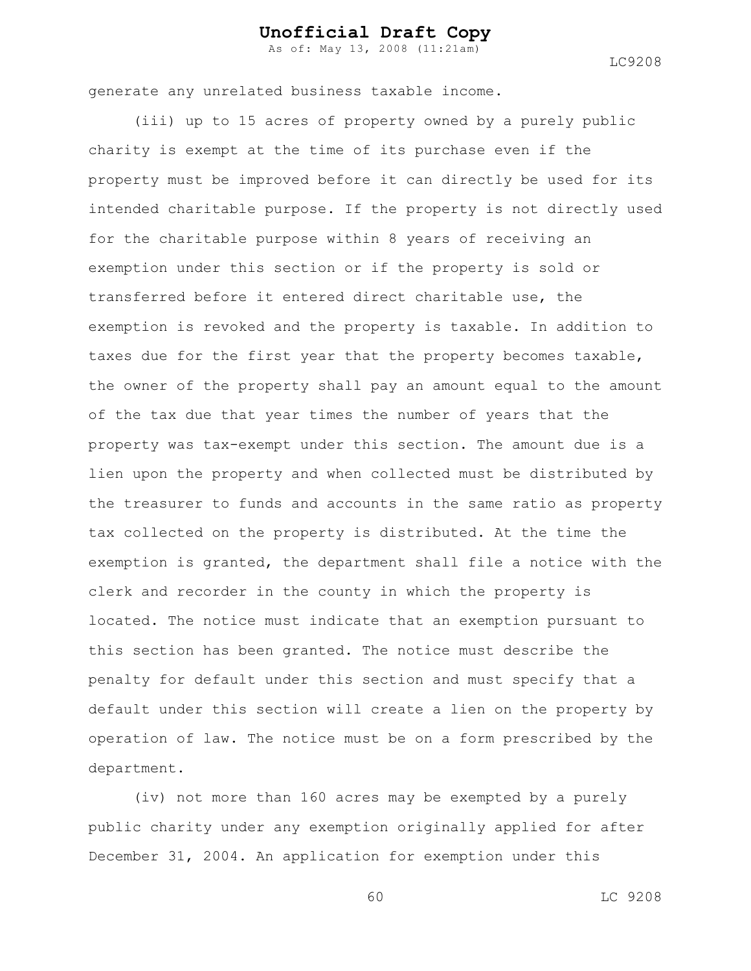As of: May 13, 2008 (11:21am)

LC9208

generate any unrelated business taxable income.

(iii) up to 15 acres of property owned by a purely public charity is exempt at the time of its purchase even if the property must be improved before it can directly be used for its intended charitable purpose. If the property is not directly used for the charitable purpose within 8 years of receiving an exemption under this section or if the property is sold or transferred before it entered direct charitable use, the exemption is revoked and the property is taxable. In addition to taxes due for the first year that the property becomes taxable, the owner of the property shall pay an amount equal to the amount of the tax due that year times the number of years that the property was tax-exempt under this section. The amount due is a lien upon the property and when collected must be distributed by the treasurer to funds and accounts in the same ratio as property tax collected on the property is distributed. At the time the exemption is granted, the department shall file a notice with the clerk and recorder in the county in which the property is located. The notice must indicate that an exemption pursuant to this section has been granted. The notice must describe the penalty for default under this section and must specify that a default under this section will create a lien on the property by operation of law. The notice must be on a form prescribed by the department.

(iv) not more than 160 acres may be exempted by a purely public charity under any exemption originally applied for after December 31, 2004. An application for exemption under this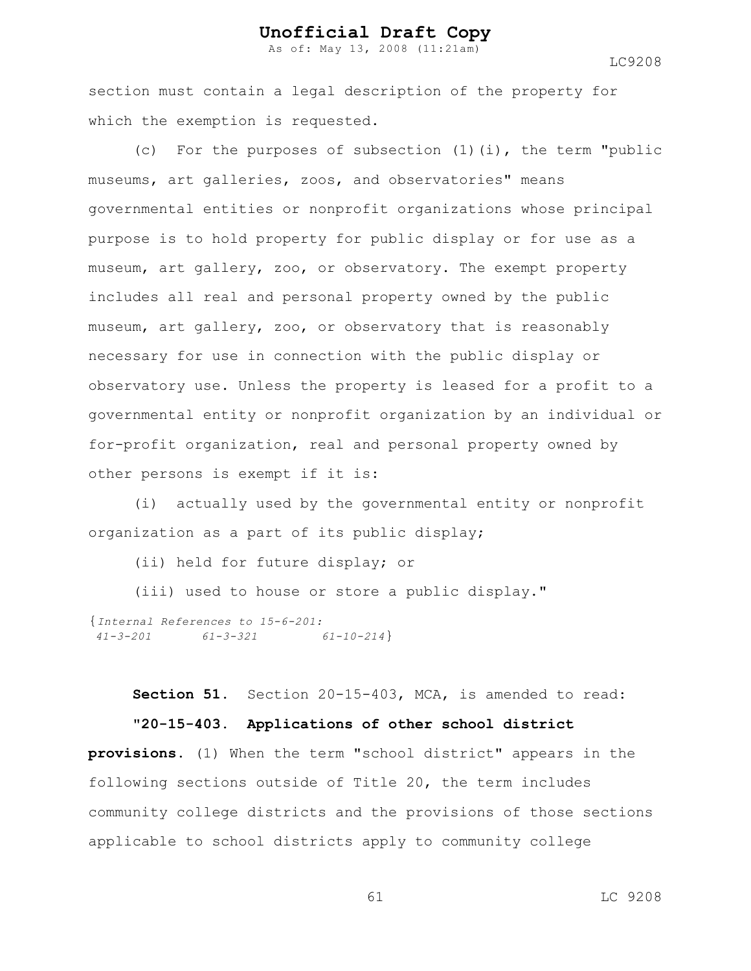As of: May 13, 2008 (11:21am)

LC9208

section must contain a legal description of the property for which the exemption is requested.

(c) For the purposes of subsection (1)(i), the term "public museums, art galleries, zoos, and observatories" means governmental entities or nonprofit organizations whose principal purpose is to hold property for public display or for use as a museum, art gallery, zoo, or observatory. The exempt property includes all real and personal property owned by the public museum, art gallery, zoo, or observatory that is reasonably necessary for use in connection with the public display or observatory use. Unless the property is leased for a profit to a governmental entity or nonprofit organization by an individual or for-profit organization, real and personal property owned by other persons is exempt if it is:

(i) actually used by the governmental entity or nonprofit organization as a part of its public display;

(ii) held for future display; or

(iii) used to house or store a public display."

```
{Internal References to 15-6-201:
41-3-201 61-3-321 61-10-214}
```
**Section 51.** Section 20-15-403, MCA, is amended to read: **"20-15-403. Applications of other school district**

**provisions.** (1) When the term "school district" appears in the following sections outside of Title 20, the term includes community college districts and the provisions of those sections applicable to school districts apply to community college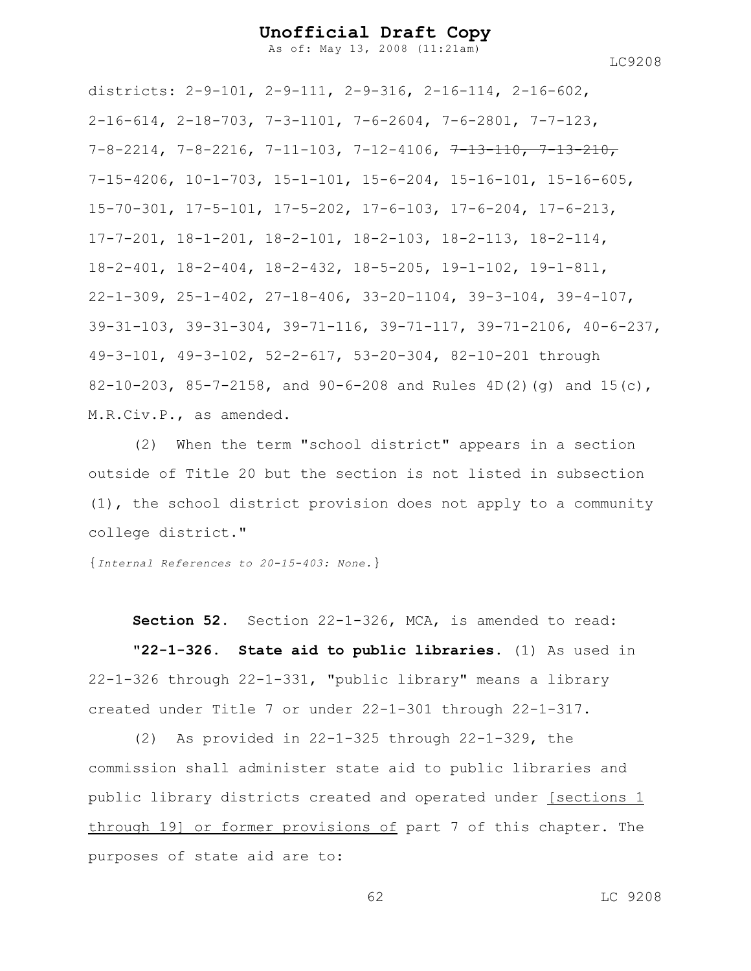As of: May 13, 2008 (11:21am)

LC9208

districts: 2-9-101, 2-9-111, 2-9-316, 2-16-114, 2-16-602, 2-16-614, 2-18-703, 7-3-1101, 7-6-2604, 7-6-2801, 7-7-123,  $7-8-2214$ ,  $7-8-2216$ ,  $7-11-103$ ,  $7-12-4106$ ,  $7-13-110$ ,  $7-13-210$ , 7-15-4206, 10-1-703, 15-1-101, 15-6-204, 15-16-101, 15-16-605, 15-70-301, 17-5-101, 17-5-202, 17-6-103, 17-6-204, 17-6-213, 17-7-201, 18-1-201, 18-2-101, 18-2-103, 18-2-113, 18-2-114, 18-2-401, 18-2-404, 18-2-432, 18-5-205, 19-1-102, 19-1-811, 22-1-309, 25-1-402, 27-18-406, 33-20-1104, 39-3-104, 39-4-107, 39-31-103, 39-31-304, 39-71-116, 39-71-117, 39-71-2106, 40-6-237, 49-3-101, 49-3-102, 52-2-617, 53-20-304, 82-10-201 through 82-10-203, 85-7-2158, and 90-6-208 and Rules  $4D(2)(q)$  and  $15(c)$ , M.R.Civ.P., as amended.

(2) When the term "school district" appears in a section outside of Title 20 but the section is not listed in subsection (1), the school district provision does not apply to a community college district."

{*Internal References to 20-15-403: None.*}

**Section 52.** Section 22-1-326, MCA, is amended to read:

**"22-1-326. State aid to public libraries.** (1) As used in 22-1-326 through 22-1-331, "public library" means a library created under Title 7 or under 22-1-301 through 22-1-317.

(2) As provided in 22-1-325 through 22-1-329, the commission shall administer state aid to public libraries and public library districts created and operated under [sections 1 through 19] or former provisions of part 7 of this chapter. The purposes of state aid are to: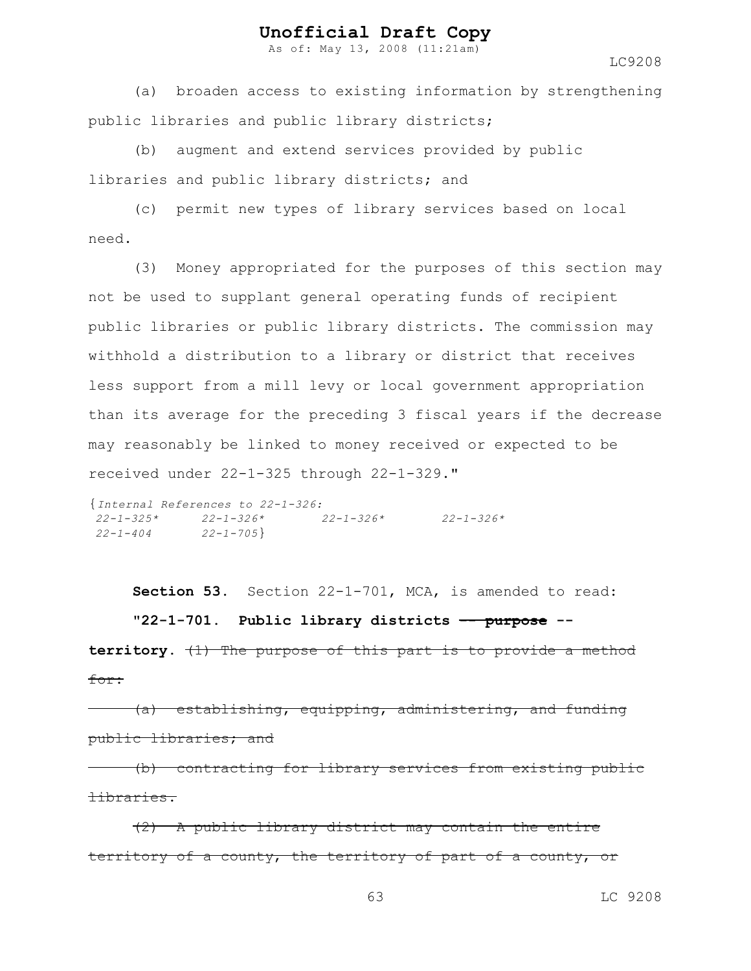As of: May 13, 2008 (11:21am)

LC9208

(a) broaden access to existing information by strengthening public libraries and public library districts;

(b) augment and extend services provided by public libraries and public library districts; and

(c) permit new types of library services based on local need.

(3) Money appropriated for the purposes of this section may not be used to supplant general operating funds of recipient public libraries or public library districts. The commission may withhold a distribution to a library or district that receives less support from a mill levy or local government appropriation than its average for the preceding 3 fiscal years if the decrease may reasonably be linked to money received or expected to be received under 22-1-325 through 22-1-329."

```
{Internal References to 22-1-326:
22-1-325* 22-1-326* 22-1-326* 22-1-326*
22-1-404 22-1-705}
```
**Section 53.** Section 22-1-701, MCA, is amended to read: **"22-1-701. Public library districts -- purpose --**

**territory.** (1) The purpose of this part is to provide a method for:

(a) establishing, equipping, administering, and funding public libraries; and

(b) contracting for library services from existing public libraries.

(2) A public library district may contain the entire territory of a county, the territory of part of a county, or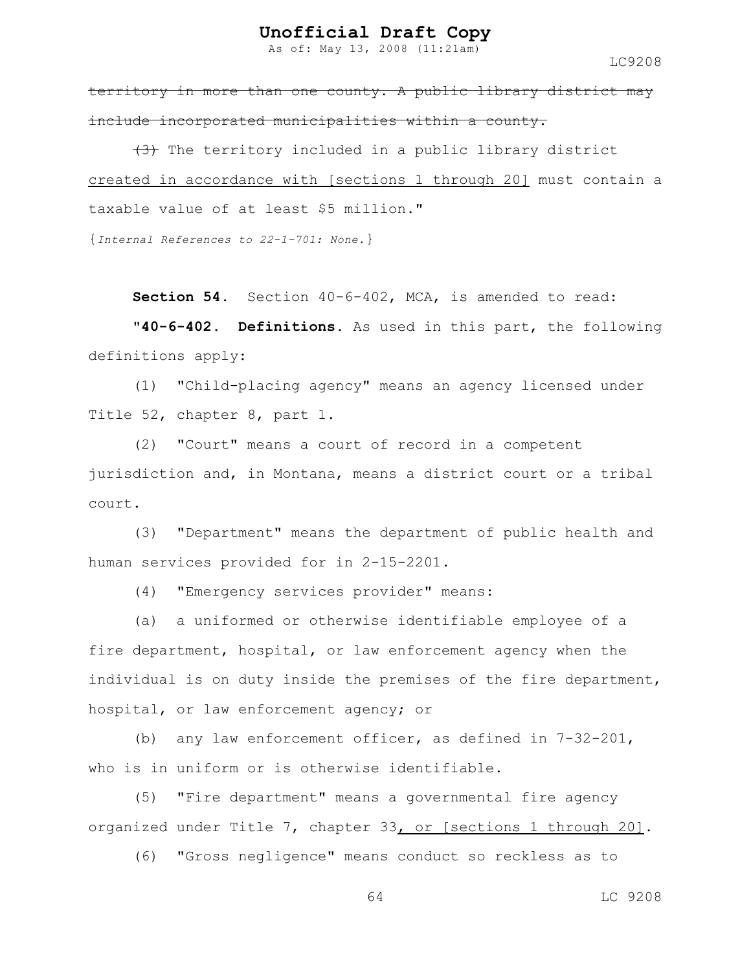As of: May 13, 2008 (11:21am)

LC9208

territory in more than one county. A public library district may include incorporated municipalities within a county.

 $(3)$  The territory included in a public library district created in accordance with [sections 1 through 20] must contain a taxable value of at least \$5 million."

{*Internal References to 22-1-701: None.*}

**Section 54.** Section 40-6-402, MCA, is amended to read:

**"40-6-402. Definitions.** As used in this part, the following definitions apply:

(1) "Child-placing agency" means an agency licensed under Title 52, chapter 8, part 1.

(2) "Court" means a court of record in a competent jurisdiction and, in Montana, means a district court or a tribal court.

(3) "Department" means the department of public health and human services provided for in 2-15-2201.

(4) "Emergency services provider" means:

(a) a uniformed or otherwise identifiable employee of a fire department, hospital, or law enforcement agency when the individual is on duty inside the premises of the fire department, hospital, or law enforcement agency; or

(b) any law enforcement officer, as defined in 7-32-201, who is in uniform or is otherwise identifiable.

(5) "Fire department" means a governmental fire agency organized under Title 7, chapter 33, or [sections 1 through 20].

(6) "Gross negligence" means conduct so reckless as to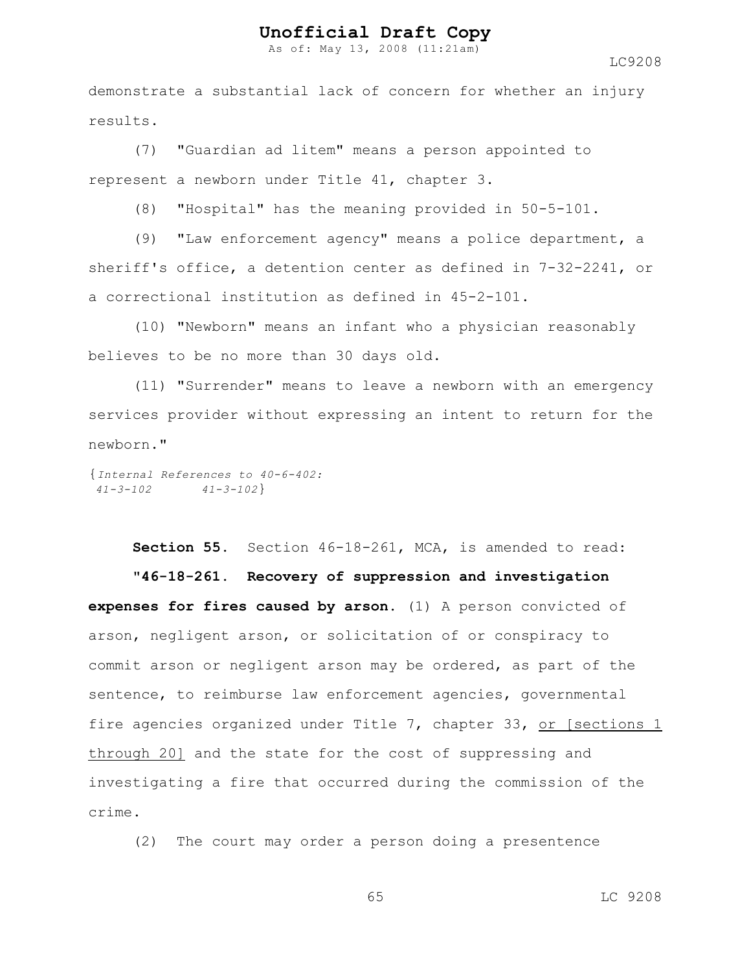As of: May 13, 2008 (11:21am)

LC9208

demonstrate a substantial lack of concern for whether an injury results.

(7) "Guardian ad litem" means a person appointed to represent a newborn under Title 41, chapter 3.

(8) "Hospital" has the meaning provided in 50-5-101.

(9) "Law enforcement agency" means a police department, a sheriff's office, a detention center as defined in 7-32-2241, or a correctional institution as defined in 45-2-101.

(10) "Newborn" means an infant who a physician reasonably believes to be no more than 30 days old.

(11) "Surrender" means to leave a newborn with an emergency services provider without expressing an intent to return for the newborn."

{*Internal References to 40-6-402: 41-3-102 41-3-102*}

**Section 55.** Section 46-18-261, MCA, is amended to read:

**"46-18-261. Recovery of suppression and investigation expenses for fires caused by arson.** (1) A person convicted of arson, negligent arson, or solicitation of or conspiracy to commit arson or negligent arson may be ordered, as part of the sentence, to reimburse law enforcement agencies, governmental fire agencies organized under Title 7, chapter 33, or [sections 1 through 20] and the state for the cost of suppressing and investigating a fire that occurred during the commission of the crime.

(2) The court may order a person doing a presentence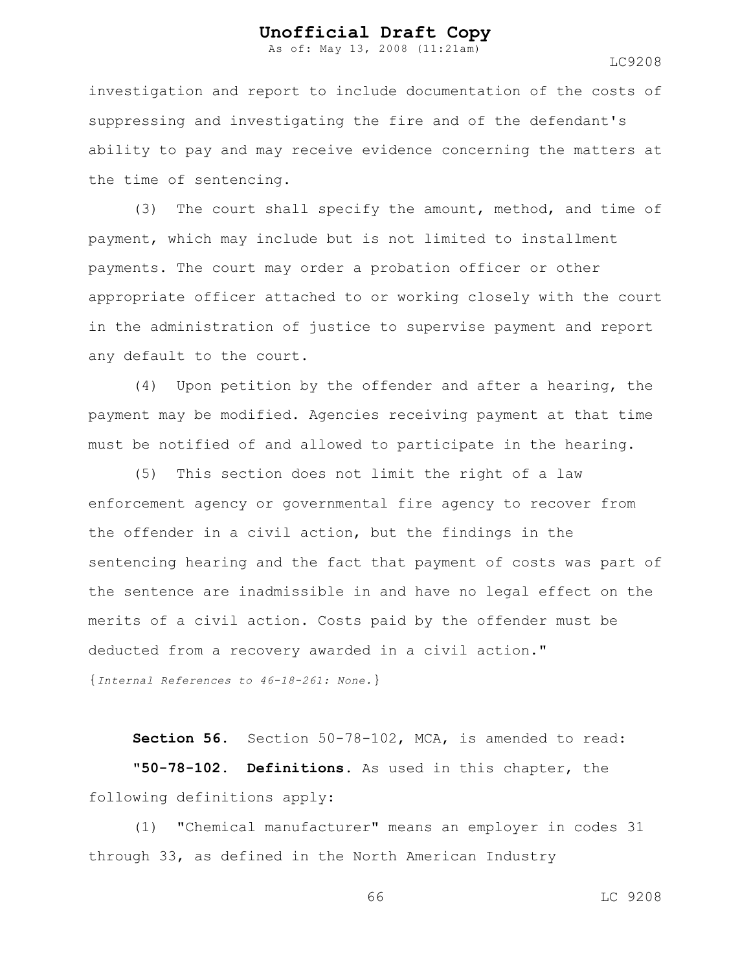As of: May 13, 2008 (11:21am)

LC9208

investigation and report to include documentation of the costs of suppressing and investigating the fire and of the defendant's ability to pay and may receive evidence concerning the matters at the time of sentencing.

(3) The court shall specify the amount, method, and time of payment, which may include but is not limited to installment payments. The court may order a probation officer or other appropriate officer attached to or working closely with the court in the administration of justice to supervise payment and report any default to the court.

(4) Upon petition by the offender and after a hearing, the payment may be modified. Agencies receiving payment at that time must be notified of and allowed to participate in the hearing.

(5) This section does not limit the right of a law enforcement agency or governmental fire agency to recover from the offender in a civil action, but the findings in the sentencing hearing and the fact that payment of costs was part of the sentence are inadmissible in and have no legal effect on the merits of a civil action. Costs paid by the offender must be deducted from a recovery awarded in a civil action." {*Internal References to 46-18-261: None.*}

**Section 56.** Section 50-78-102, MCA, is amended to read: **"50-78-102. Definitions.** As used in this chapter, the following definitions apply:

(1) "Chemical manufacturer" means an employer in codes 31 through 33, as defined in the North American Industry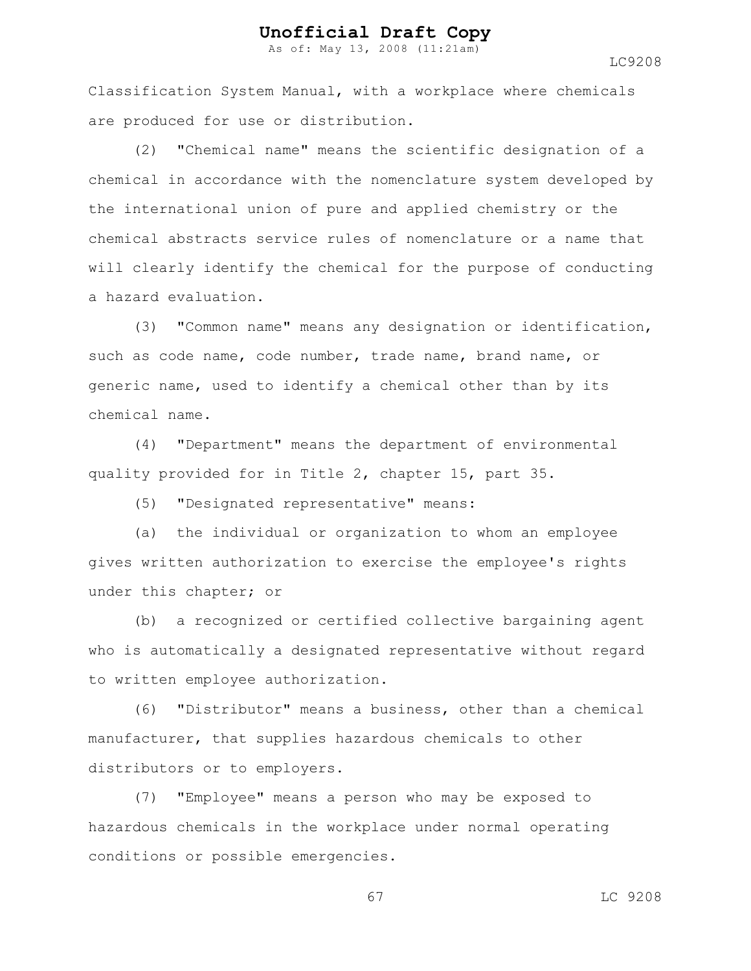As of: May 13, 2008 (11:21am)

LC9208

Classification System Manual, with a workplace where chemicals are produced for use or distribution.

(2) "Chemical name" means the scientific designation of a chemical in accordance with the nomenclature system developed by the international union of pure and applied chemistry or the chemical abstracts service rules of nomenclature or a name that will clearly identify the chemical for the purpose of conducting a hazard evaluation.

(3) "Common name" means any designation or identification, such as code name, code number, trade name, brand name, or generic name, used to identify a chemical other than by its chemical name.

(4) "Department" means the department of environmental quality provided for in Title 2, chapter 15, part 35.

(5) "Designated representative" means:

(a) the individual or organization to whom an employee gives written authorization to exercise the employee's rights under this chapter; or

(b) a recognized or certified collective bargaining agent who is automatically a designated representative without regard to written employee authorization.

(6) "Distributor" means a business, other than a chemical manufacturer, that supplies hazardous chemicals to other distributors or to employers.

(7) "Employee" means a person who may be exposed to hazardous chemicals in the workplace under normal operating conditions or possible emergencies.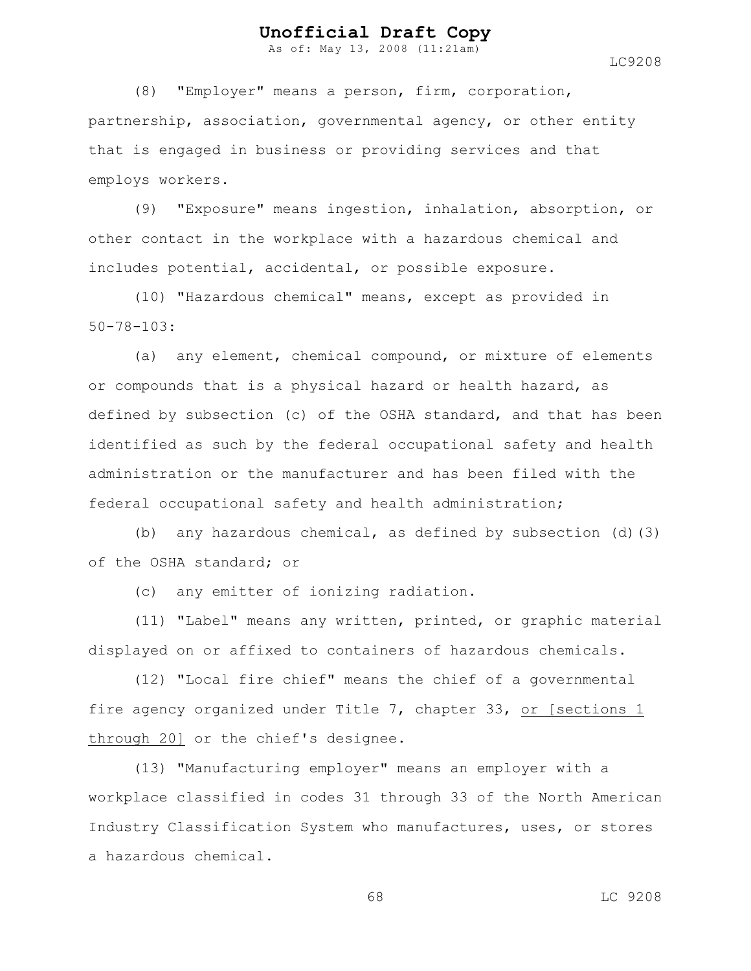As of: May 13, 2008 (11:21am)

LC9208

(8) "Employer" means a person, firm, corporation, partnership, association, governmental agency, or other entity that is engaged in business or providing services and that employs workers.

(9) "Exposure" means ingestion, inhalation, absorption, or other contact in the workplace with a hazardous chemical and includes potential, accidental, or possible exposure.

(10) "Hazardous chemical" means, except as provided in 50-78-103:

(a) any element, chemical compound, or mixture of elements or compounds that is a physical hazard or health hazard, as defined by subsection (c) of the OSHA standard, and that has been identified as such by the federal occupational safety and health administration or the manufacturer and has been filed with the federal occupational safety and health administration;

(b) any hazardous chemical, as defined by subsection  $(d)$  (3) of the OSHA standard; or

(c) any emitter of ionizing radiation.

(11) "Label" means any written, printed, or graphic material displayed on or affixed to containers of hazardous chemicals.

(12) "Local fire chief" means the chief of a governmental fire agency organized under Title 7, chapter 33, or [sections 1 through 20] or the chief's designee.

(13) "Manufacturing employer" means an employer with a workplace classified in codes 31 through 33 of the North American Industry Classification System who manufactures, uses, or stores a hazardous chemical.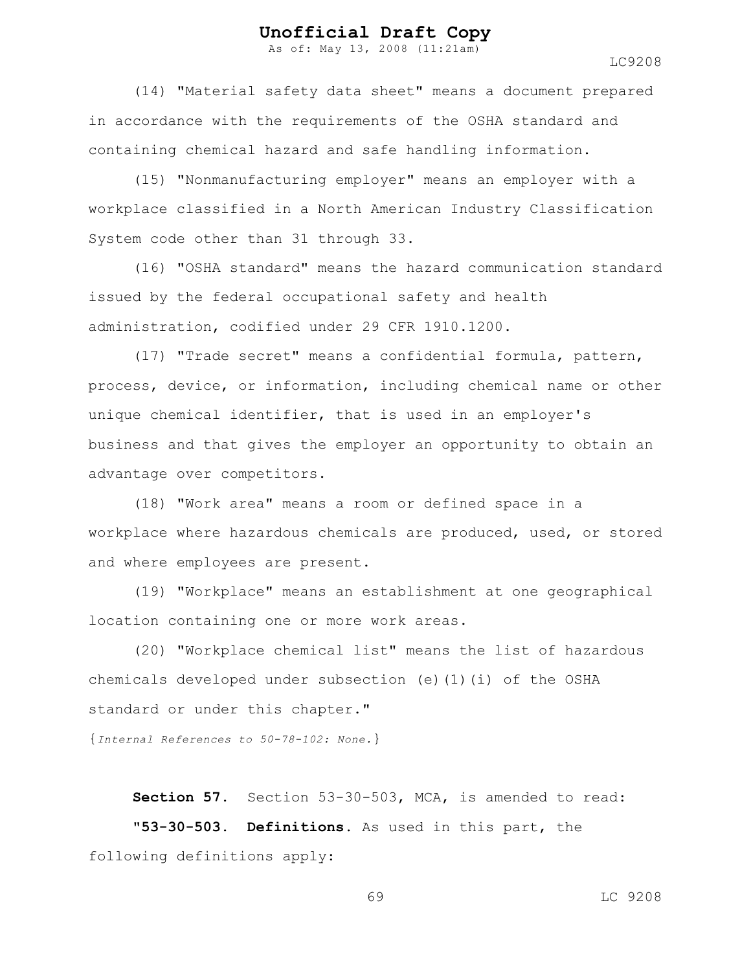As of: May 13, 2008 (11:21am)

(14) "Material safety data sheet" means a document prepared in accordance with the requirements of the OSHA standard and containing chemical hazard and safe handling information.

(15) "Nonmanufacturing employer" means an employer with a workplace classified in a North American Industry Classification System code other than 31 through 33.

(16) "OSHA standard" means the hazard communication standard issued by the federal occupational safety and health administration, codified under 29 CFR 1910.1200.

(17) "Trade secret" means a confidential formula, pattern, process, device, or information, including chemical name or other unique chemical identifier, that is used in an employer's business and that gives the employer an opportunity to obtain an advantage over competitors.

(18) "Work area" means a room or defined space in a workplace where hazardous chemicals are produced, used, or stored and where employees are present.

(19) "Workplace" means an establishment at one geographical location containing one or more work areas.

(20) "Workplace chemical list" means the list of hazardous chemicals developed under subsection (e)(1)(i) of the OSHA standard or under this chapter."

{*Internal References to 50-78-102: None.*}

**Section 57.** Section 53-30-503, MCA, is amended to read: **"53-30-503. Definitions.** As used in this part, the following definitions apply:

69 LC 9208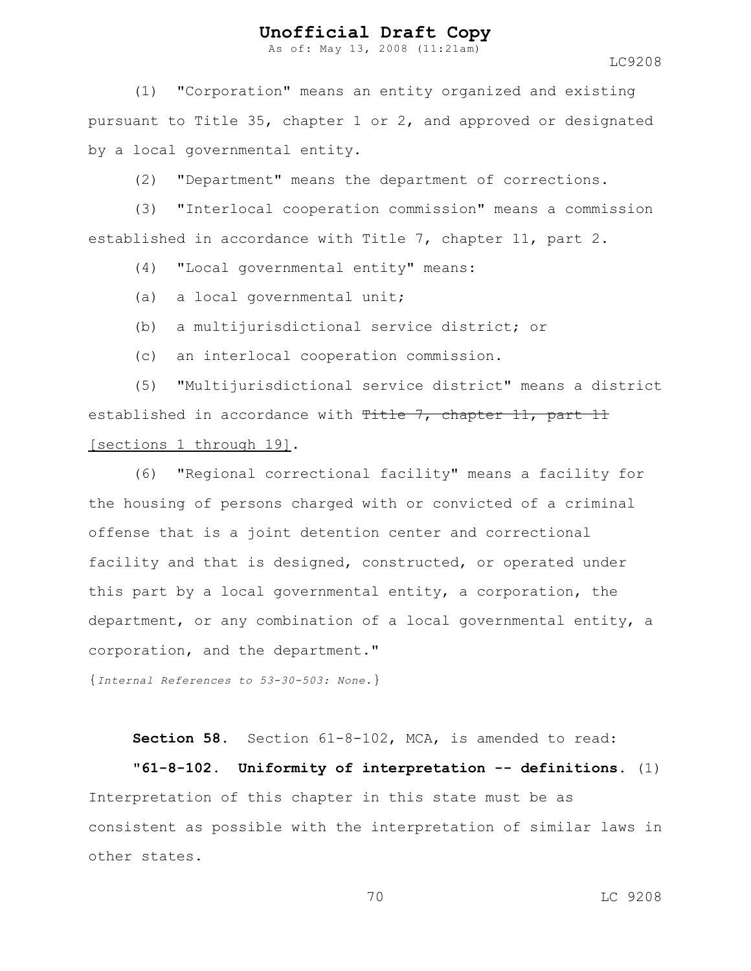As of: May 13, 2008 (11:21am)

LC9208

(1) "Corporation" means an entity organized and existing pursuant to Title 35, chapter 1 or 2, and approved or designated by a local governmental entity.

(2) "Department" means the department of corrections.

(3) "Interlocal cooperation commission" means a commission established in accordance with Title 7, chapter 11, part 2.

(4) "Local governmental entity" means:

- (a) a local governmental unit;
- (b) a multijurisdictional service district; or
- (c) an interlocal cooperation commission.

(5) "Multijurisdictional service district" means a district established in accordance with Title 7, chapter 11, part 11 [sections 1 through 19].

(6) "Regional correctional facility" means a facility for the housing of persons charged with or convicted of a criminal offense that is a joint detention center and correctional facility and that is designed, constructed, or operated under this part by a local governmental entity, a corporation, the department, or any combination of a local governmental entity, a corporation, and the department."

{*Internal References to 53-30-503: None.*}

**Section 58.** Section 61-8-102, MCA, is amended to read:

**"61-8-102. Uniformity of interpretation -- definitions.** (1) Interpretation of this chapter in this state must be as consistent as possible with the interpretation of similar laws in other states.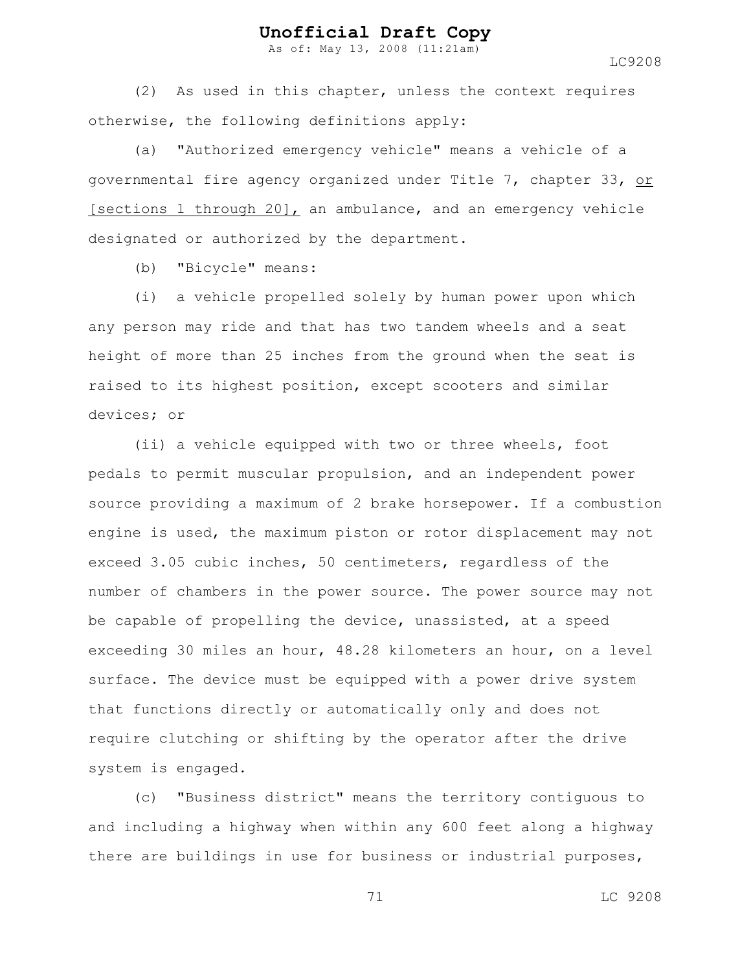As of: May 13, 2008 (11:21am)

LC9208

(2) As used in this chapter, unless the context requires otherwise, the following definitions apply:

(a) "Authorized emergency vehicle" means a vehicle of a governmental fire agency organized under Title 7, chapter 33, or [sections 1 through 20], an ambulance, and an emergency vehicle designated or authorized by the department.

(b) "Bicycle" means:

(i) a vehicle propelled solely by human power upon which any person may ride and that has two tandem wheels and a seat height of more than 25 inches from the ground when the seat is raised to its highest position, except scooters and similar devices; or

(ii) a vehicle equipped with two or three wheels, foot pedals to permit muscular propulsion, and an independent power source providing a maximum of 2 brake horsepower. If a combustion engine is used, the maximum piston or rotor displacement may not exceed 3.05 cubic inches, 50 centimeters, regardless of the number of chambers in the power source. The power source may not be capable of propelling the device, unassisted, at a speed exceeding 30 miles an hour, 48.28 kilometers an hour, on a level surface. The device must be equipped with a power drive system that functions directly or automatically only and does not require clutching or shifting by the operator after the drive system is engaged.

(c) "Business district" means the territory contiguous to and including a highway when within any 600 feet along a highway there are buildings in use for business or industrial purposes,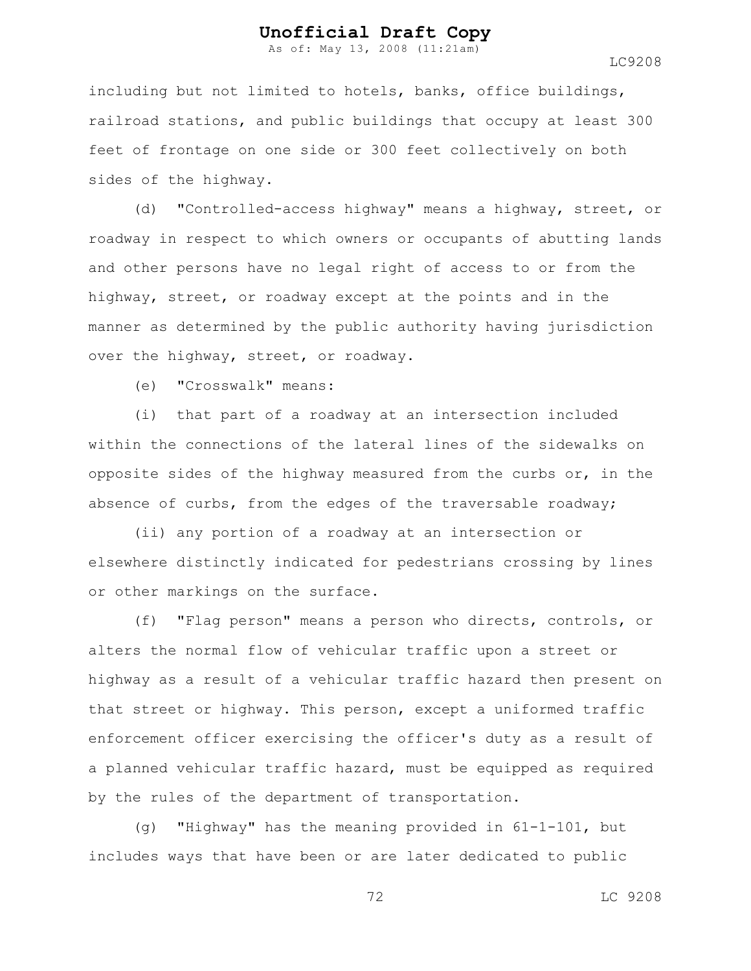As of: May 13, 2008 (11:21am)

including but not limited to hotels, banks, office buildings, railroad stations, and public buildings that occupy at least 300 feet of frontage on one side or 300 feet collectively on both sides of the highway.

(d) "Controlled-access highway" means a highway, street, or roadway in respect to which owners or occupants of abutting lands and other persons have no legal right of access to or from the highway, street, or roadway except at the points and in the manner as determined by the public authority having jurisdiction over the highway, street, or roadway.

(e) "Crosswalk" means:

(i) that part of a roadway at an intersection included within the connections of the lateral lines of the sidewalks on opposite sides of the highway measured from the curbs or, in the absence of curbs, from the edges of the traversable roadway;

(ii) any portion of a roadway at an intersection or elsewhere distinctly indicated for pedestrians crossing by lines or other markings on the surface.

(f) "Flag person" means a person who directs, controls, or alters the normal flow of vehicular traffic upon a street or highway as a result of a vehicular traffic hazard then present on that street or highway. This person, except a uniformed traffic enforcement officer exercising the officer's duty as a result of a planned vehicular traffic hazard, must be equipped as required by the rules of the department of transportation.

(g) "Highway" has the meaning provided in 61-1-101, but includes ways that have been or are later dedicated to public

72 LC 9208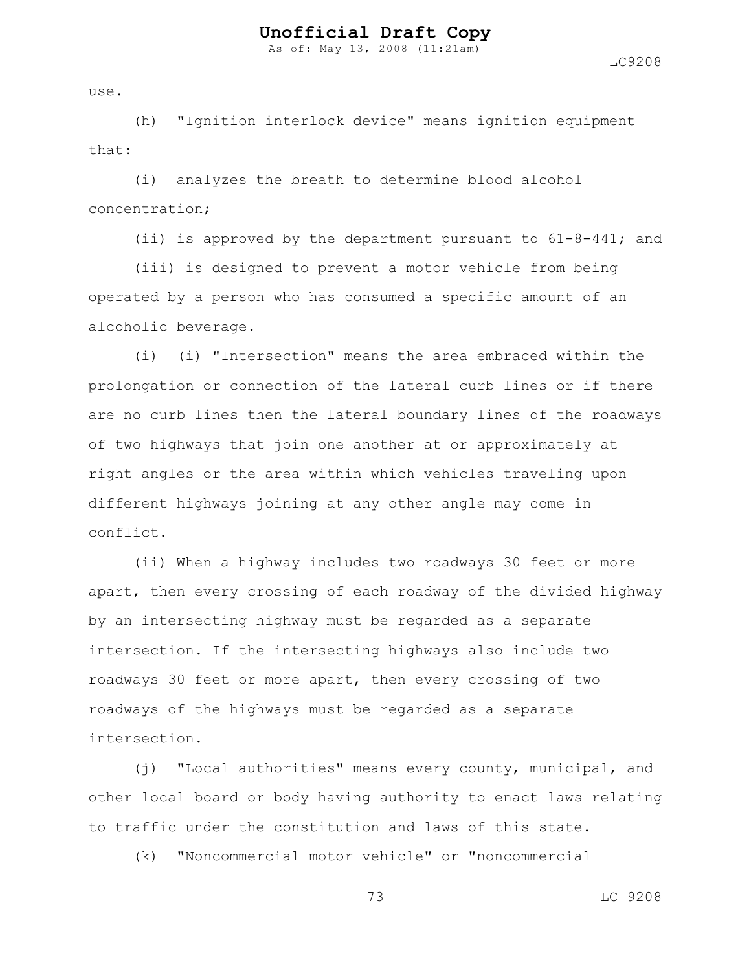As of: May 13, 2008 (11:21am)

use.

(h) "Ignition interlock device" means ignition equipment that:

(i) analyzes the breath to determine blood alcohol concentration;

(ii) is approved by the department pursuant to  $61-8-441$ ; and

(iii) is designed to prevent a motor vehicle from being operated by a person who has consumed a specific amount of an alcoholic beverage.

(i) (i) "Intersection" means the area embraced within the prolongation or connection of the lateral curb lines or if there are no curb lines then the lateral boundary lines of the roadways of two highways that join one another at or approximately at right angles or the area within which vehicles traveling upon different highways joining at any other angle may come in conflict.

(ii) When a highway includes two roadways 30 feet or more apart, then every crossing of each roadway of the divided highway by an intersecting highway must be regarded as a separate intersection. If the intersecting highways also include two roadways 30 feet or more apart, then every crossing of two roadways of the highways must be regarded as a separate intersection.

(j) "Local authorities" means every county, municipal, and other local board or body having authority to enact laws relating to traffic under the constitution and laws of this state.

(k) "Noncommercial motor vehicle" or "noncommercial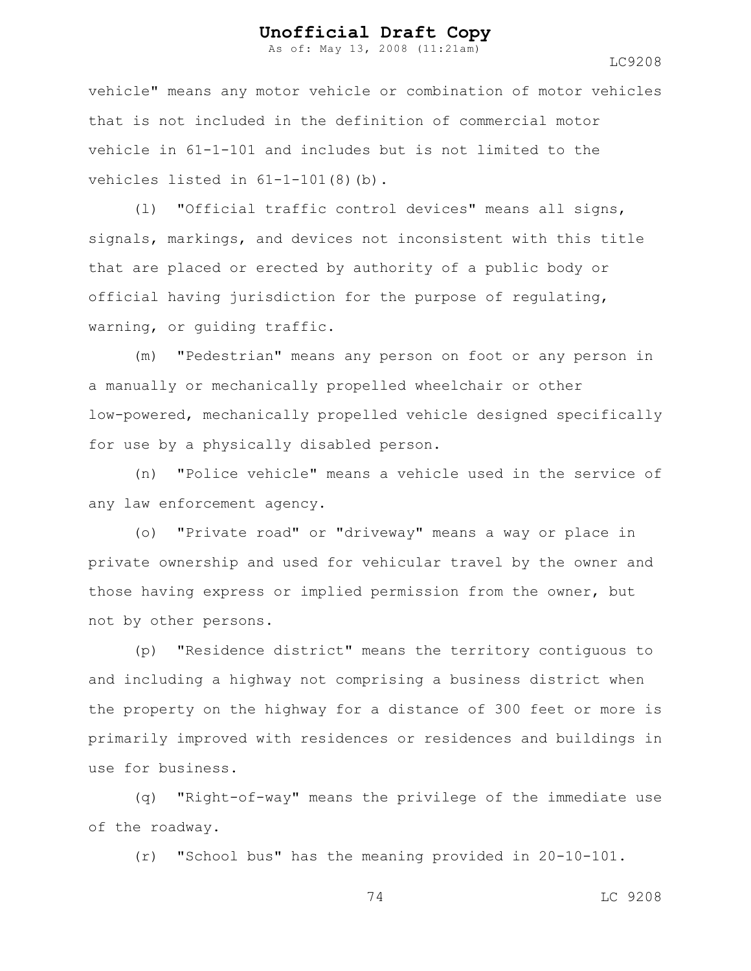As of: May 13, 2008 (11:21am)

LC9208

vehicle" means any motor vehicle or combination of motor vehicles that is not included in the definition of commercial motor vehicle in 61-1-101 and includes but is not limited to the vehicles listed in  $61-1-101(8)(b)$ .

(l) "Official traffic control devices" means all signs, signals, markings, and devices not inconsistent with this title that are placed or erected by authority of a public body or official having jurisdiction for the purpose of regulating, warning, or guiding traffic.

(m) "Pedestrian" means any person on foot or any person in a manually or mechanically propelled wheelchair or other low-powered, mechanically propelled vehicle designed specifically for use by a physically disabled person.

(n) "Police vehicle" means a vehicle used in the service of any law enforcement agency.

(o) "Private road" or "driveway" means a way or place in private ownership and used for vehicular travel by the owner and those having express or implied permission from the owner, but not by other persons.

(p) "Residence district" means the territory contiguous to and including a highway not comprising a business district when the property on the highway for a distance of 300 feet or more is primarily improved with residences or residences and buildings in use for business.

(q) "Right-of-way" means the privilege of the immediate use of the roadway.

(r) "School bus" has the meaning provided in 20-10-101.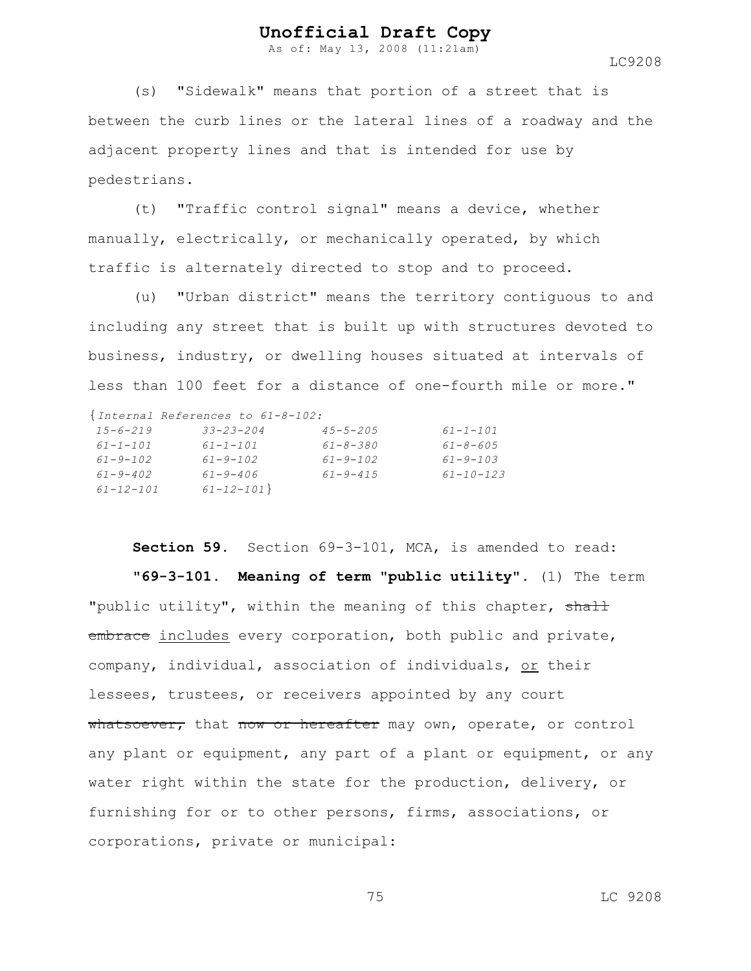As of: May 13, 2008 (11:21am)

LC9208

(s) "Sidewalk" means that portion of a street that is between the curb lines or the lateral lines of a roadway and the adjacent property lines and that is intended for use by pedestrians.

(t) "Traffic control signal" means a device, whether manually, electrically, or mechanically operated, by which traffic is alternately directed to stop and to proceed.

(u) "Urban district" means the territory contiguous to and including any street that is built up with structures devoted to business, industry, or dwelling houses situated at intervals of less than 100 feet for a distance of one-fourth mile or more."

{*Internal References to 61-8-102:*

| $15 - 6 - 219$  | $33 - 23 - 204$ | $45 - 5 - 205$ | $61 - 1 - 101$  |
|-----------------|-----------------|----------------|-----------------|
| $61 - 1 - 101$  | 61-1-101        | 61-8-380       | $61 - 8 - 605$  |
| $61 - 9 - 102$  | $61 - 9 - 102$  | $61 - 9 - 102$ | $61 - 9 - 103$  |
| $61 - 9 - 402$  | $61 - 9 - 406$  | $61 - 9 - 415$ | $61 - 10 - 123$ |
| $61 - 12 - 101$ | $61 - 12 - 101$ |                |                 |

**Section 59.** Section 69-3-101, MCA, is amended to read: **"69-3-101. Meaning of term "public utility".** (1) The term "public utility", within the meaning of this chapter, shall embrace includes every corporation, both public and private, company, individual, association of individuals, or their lessees, trustees, or receivers appointed by any court whatsoever, that now or hereafter may own, operate, or control any plant or equipment, any part of a plant or equipment, or any water right within the state for the production, delivery, or furnishing for or to other persons, firms, associations, or corporations, private or municipal: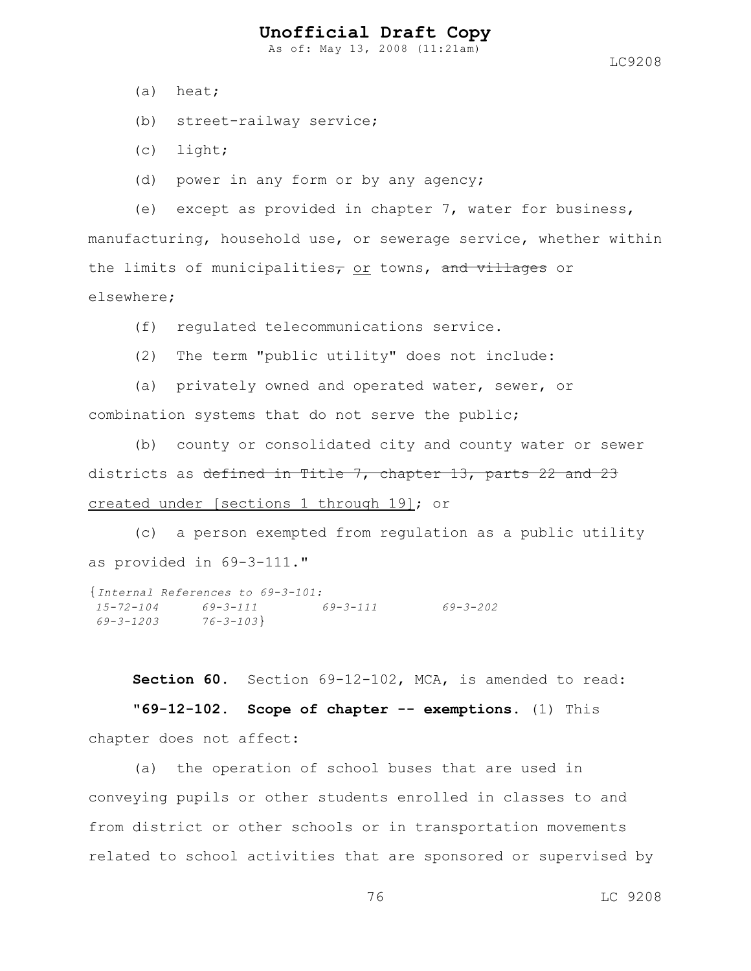As of: May 13, 2008 (11:21am)

- (a) heat;
- (b) street-railway service;
- (c) light;
- (d) power in any form or by any agency;

(e) except as provided in chapter 7, water for business, manufacturing, household use, or sewerage service, whether within the limits of municipalities<sub>7</sub> or towns, and villages or elsewhere;

- (f) regulated telecommunications service.
- (2) The term "public utility" does not include:
- (a) privately owned and operated water, sewer, or combination systems that do not serve the public;

(b) county or consolidated city and county water or sewer districts as defined in Title 7, chapter 13, parts 22 and 23 created under [sections 1 through 19]; or

(c) a person exempted from regulation as a public utility as provided in 69-3-111."

```
{Internal References to 69-3-101:
15-72-104 69-3-111 69-3-111 69-3-202
69-3-1203 76-3-103}
```
**Section 60.** Section 69-12-102, MCA, is amended to read: **"69-12-102. Scope of chapter -- exemptions.** (1) This chapter does not affect:

(a) the operation of school buses that are used in conveying pupils or other students enrolled in classes to and from district or other schools or in transportation movements related to school activities that are sponsored or supervised by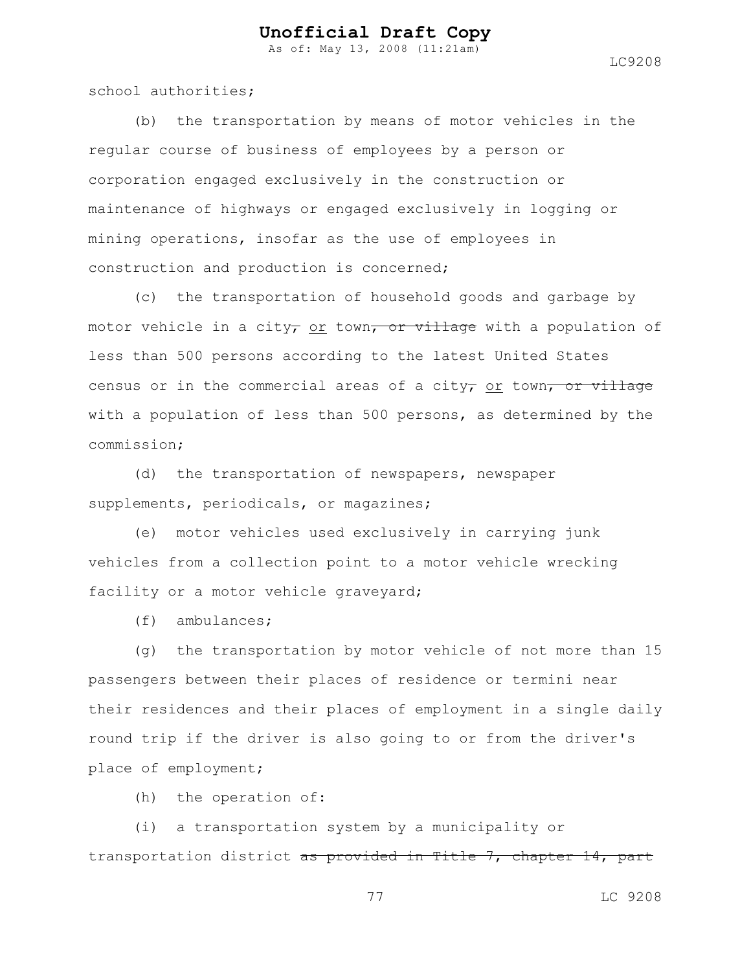As of: May 13, 2008 (11:21am)

LC9208

school authorities;

(b) the transportation by means of motor vehicles in the regular course of business of employees by a person or corporation engaged exclusively in the construction or maintenance of highways or engaged exclusively in logging or mining operations, insofar as the use of employees in construction and production is concerned;

(c) the transportation of household goods and garbage by motor vehicle in a city, or town, or village with a population of less than 500 persons according to the latest United States census or in the commercial areas of a city, or town, or village with a population of less than 500 persons, as determined by the commission;

(d) the transportation of newspapers, newspaper supplements, periodicals, or magazines;

(e) motor vehicles used exclusively in carrying junk vehicles from a collection point to a motor vehicle wrecking facility or a motor vehicle graveyard;

(f) ambulances;

(g) the transportation by motor vehicle of not more than 15 passengers between their places of residence or termini near their residences and their places of employment in a single daily round trip if the driver is also going to or from the driver's place of employment;

(h) the operation of:

(i) a transportation system by a municipality or transportation district as provided in Title 7, chapter 14, part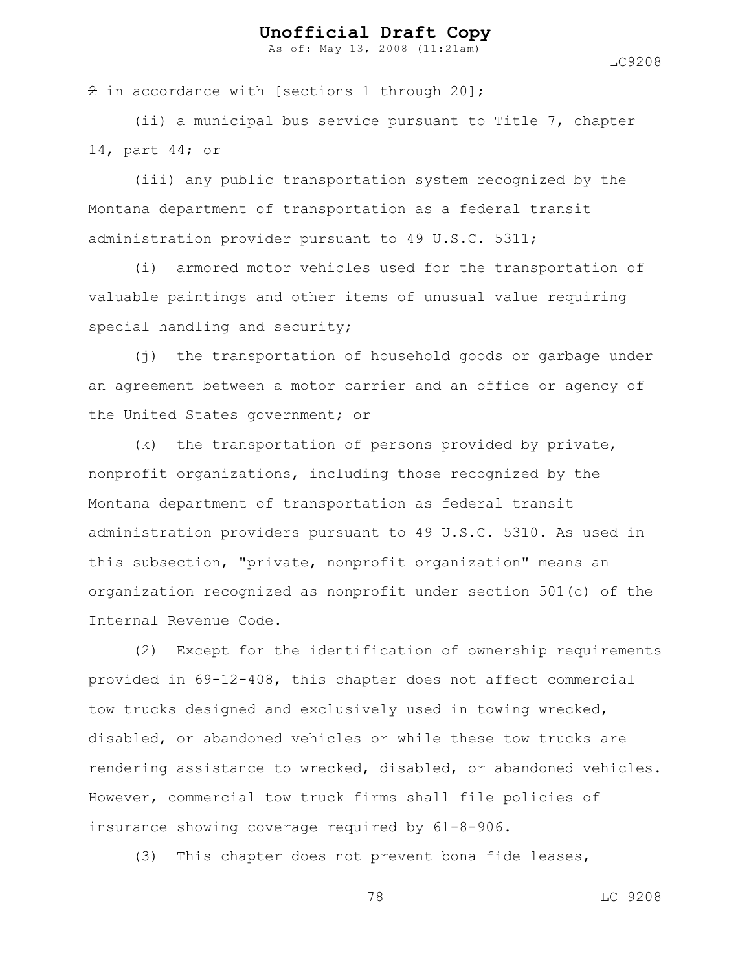As of: May 13, 2008 (11:21am)

LC9208

#### $\hat{z}$  in accordance with [sections 1 through 20];

(ii) a municipal bus service pursuant to Title 7, chapter 14, part 44; or

(iii) any public transportation system recognized by the Montana department of transportation as a federal transit administration provider pursuant to 49 U.S.C. 5311;

(i) armored motor vehicles used for the transportation of valuable paintings and other items of unusual value requiring special handling and security;

(j) the transportation of household goods or garbage under an agreement between a motor carrier and an office or agency of the United States government; or

(k) the transportation of persons provided by private, nonprofit organizations, including those recognized by the Montana department of transportation as federal transit administration providers pursuant to 49 U.S.C. 5310. As used in this subsection, "private, nonprofit organization" means an organization recognized as nonprofit under section 501(c) of the Internal Revenue Code.

(2) Except for the identification of ownership requirements provided in 69-12-408, this chapter does not affect commercial tow trucks designed and exclusively used in towing wrecked, disabled, or abandoned vehicles or while these tow trucks are rendering assistance to wrecked, disabled, or abandoned vehicles. However, commercial tow truck firms shall file policies of insurance showing coverage required by 61-8-906.

(3) This chapter does not prevent bona fide leases,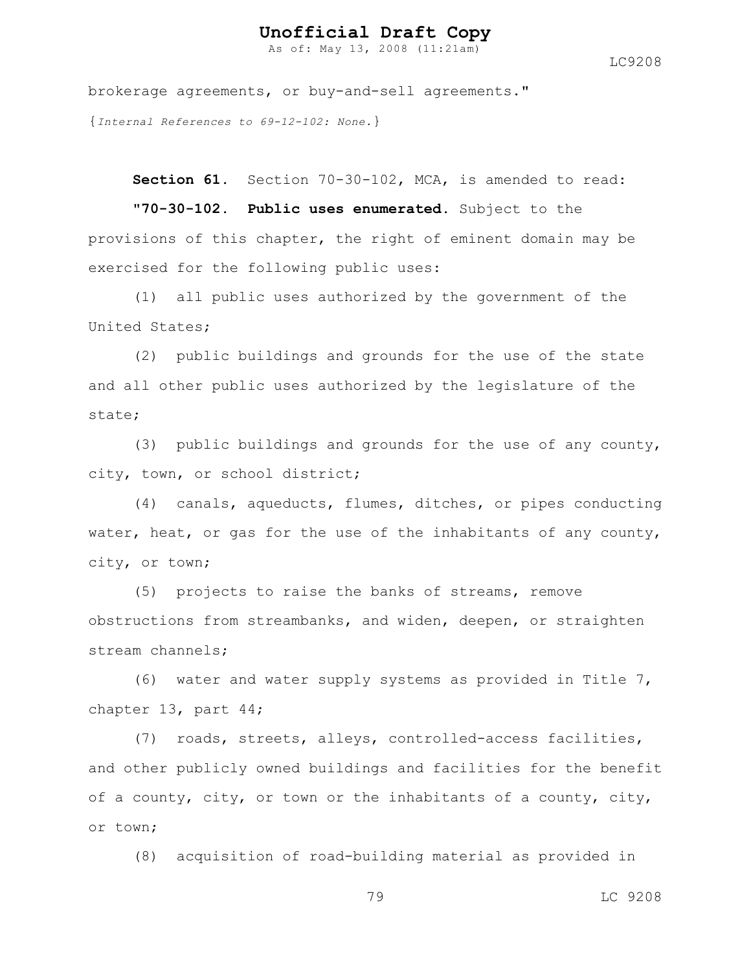As of: May 13, 2008 (11:21am)

LC9208

brokerage agreements, or buy-and-sell agreements." {*Internal References to 69-12-102: None.*}

**Section 61.** Section 70-30-102, MCA, is amended to read:

**"70-30-102. Public uses enumerated.** Subject to the provisions of this chapter, the right of eminent domain may be exercised for the following public uses:

(1) all public uses authorized by the government of the United States;

(2) public buildings and grounds for the use of the state and all other public uses authorized by the legislature of the state;

(3) public buildings and grounds for the use of any county, city, town, or school district;

(4) canals, aqueducts, flumes, ditches, or pipes conducting water, heat, or gas for the use of the inhabitants of any county, city, or town;

(5) projects to raise the banks of streams, remove obstructions from streambanks, and widen, deepen, or straighten stream channels;

(6) water and water supply systems as provided in Title 7, chapter 13, part 44;

(7) roads, streets, alleys, controlled-access facilities, and other publicly owned buildings and facilities for the benefit of a county, city, or town or the inhabitants of a county, city, or town;

(8) acquisition of road-building material as provided in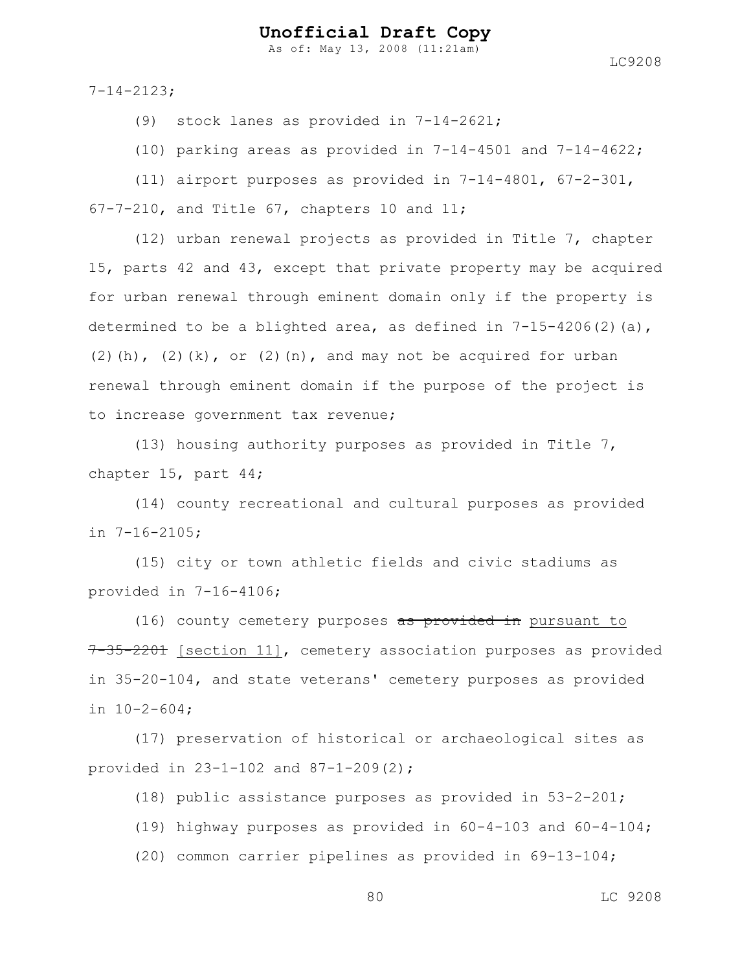As of: May 13, 2008 (11:21am)

LC9208

7-14-2123;

(9) stock lanes as provided in 7-14-2621;

(10) parking areas as provided in  $7-14-4501$  and  $7-14-4622$ ;

(11) airport purposes as provided in 7-14-4801, 67-2-301, 67-7-210, and Title 67, chapters 10 and 11;

(12) urban renewal projects as provided in Title 7, chapter 15, parts 42 and 43, except that private property may be acquired for urban renewal through eminent domain only if the property is determined to be a blighted area, as defined in  $7-15-4206(2)(a)$ ,  $(2)(h)$ ,  $(2)(k)$ , or  $(2)(n)$ , and may not be acquired for urban renewal through eminent domain if the purpose of the project is to increase government tax revenue;

(13) housing authority purposes as provided in Title 7, chapter 15, part 44;

(14) county recreational and cultural purposes as provided in 7-16-2105;

(15) city or town athletic fields and civic stadiums as provided in 7-16-4106;

(16) county cemetery purposes as provided in pursuant to 7-35-2201 [section 11], cemetery association purposes as provided in 35-20-104, and state veterans' cemetery purposes as provided in 10-2-604;

(17) preservation of historical or archaeological sites as provided in 23-1-102 and 87-1-209(2);

(18) public assistance purposes as provided in 53-2-201;

(19) highway purposes as provided in 60-4-103 and 60-4-104;

(20) common carrier pipelines as provided in 69-13-104;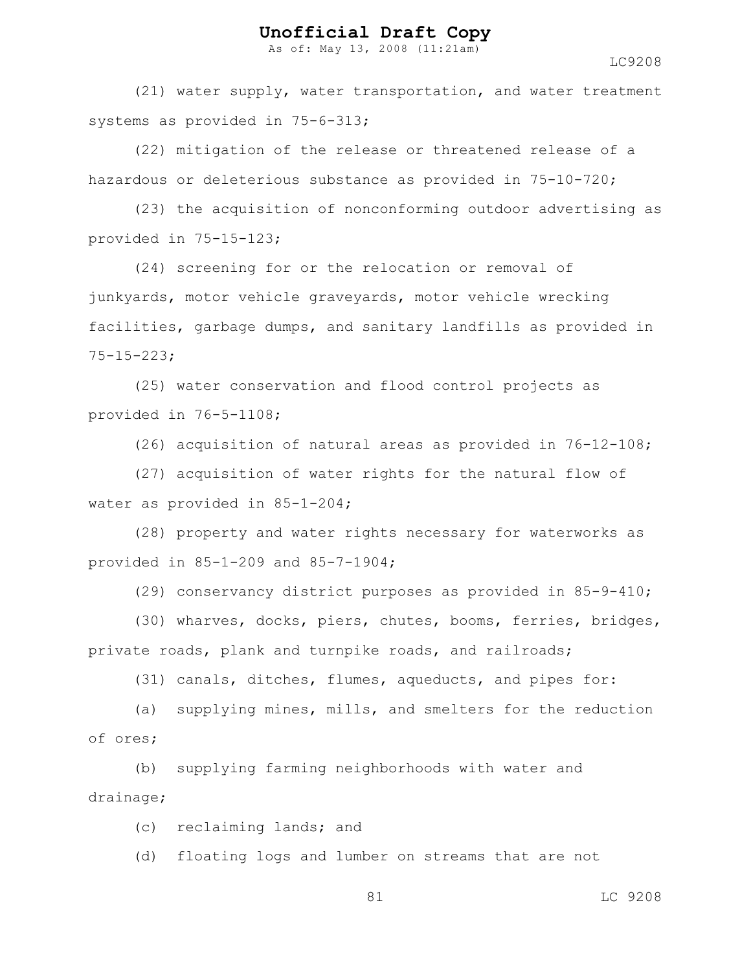As of: May 13, 2008 (11:21am)

LC9208

(21) water supply, water transportation, and water treatment systems as provided in 75-6-313;

(22) mitigation of the release or threatened release of a hazardous or deleterious substance as provided in 75-10-720;

(23) the acquisition of nonconforming outdoor advertising as provided in 75-15-123;

(24) screening for or the relocation or removal of junkyards, motor vehicle graveyards, motor vehicle wrecking facilities, garbage dumps, and sanitary landfills as provided in 75-15-223;

(25) water conservation and flood control projects as provided in 76-5-1108;

(26) acquisition of natural areas as provided in 76-12-108;

(27) acquisition of water rights for the natural flow of water as provided in 85-1-204;

(28) property and water rights necessary for waterworks as provided in 85-1-209 and 85-7-1904;

(29) conservancy district purposes as provided in 85-9-410;

(30) wharves, docks, piers, chutes, booms, ferries, bridges, private roads, plank and turnpike roads, and railroads;

(31) canals, ditches, flumes, aqueducts, and pipes for:

(a) supplying mines, mills, and smelters for the reduction of ores;

(b) supplying farming neighborhoods with water and drainage;

(c) reclaiming lands; and

(d) floating logs and lumber on streams that are not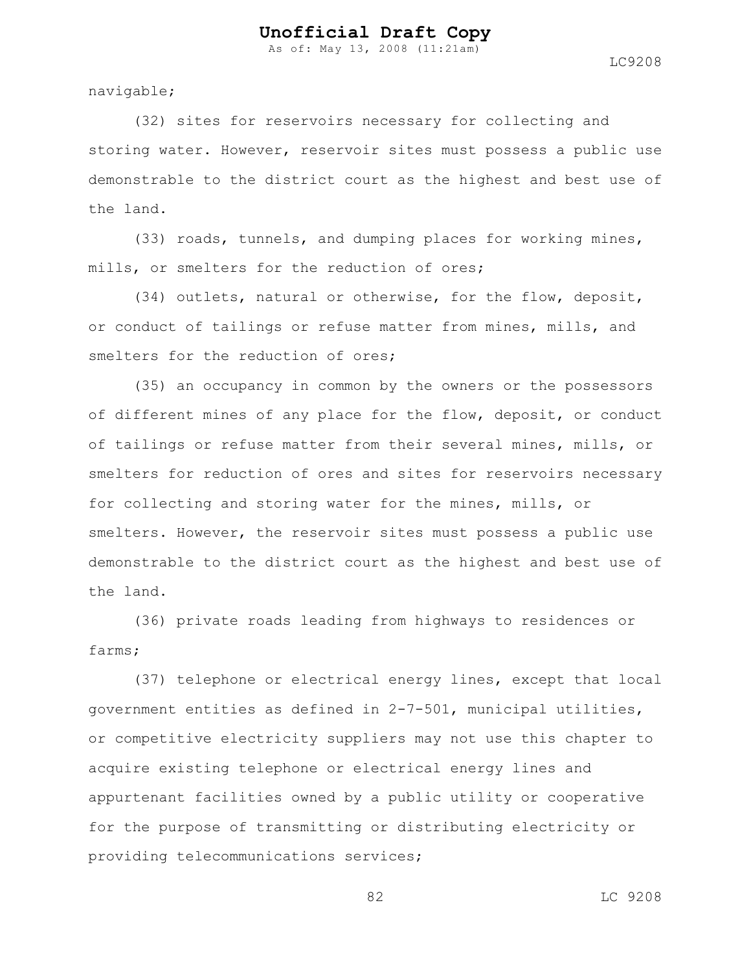As of: May 13, 2008 (11:21am)

navigable;

(32) sites for reservoirs necessary for collecting and storing water. However, reservoir sites must possess a public use demonstrable to the district court as the highest and best use of the land.

(33) roads, tunnels, and dumping places for working mines, mills, or smelters for the reduction of ores;

(34) outlets, natural or otherwise, for the flow, deposit, or conduct of tailings or refuse matter from mines, mills, and smelters for the reduction of ores;

(35) an occupancy in common by the owners or the possessors of different mines of any place for the flow, deposit, or conduct of tailings or refuse matter from their several mines, mills, or smelters for reduction of ores and sites for reservoirs necessary for collecting and storing water for the mines, mills, or smelters. However, the reservoir sites must possess a public use demonstrable to the district court as the highest and best use of the land.

(36) private roads leading from highways to residences or farms;

(37) telephone or electrical energy lines, except that local government entities as defined in 2-7-501, municipal utilities, or competitive electricity suppliers may not use this chapter to acquire existing telephone or electrical energy lines and appurtenant facilities owned by a public utility or cooperative for the purpose of transmitting or distributing electricity or providing telecommunications services;

82 LC 9208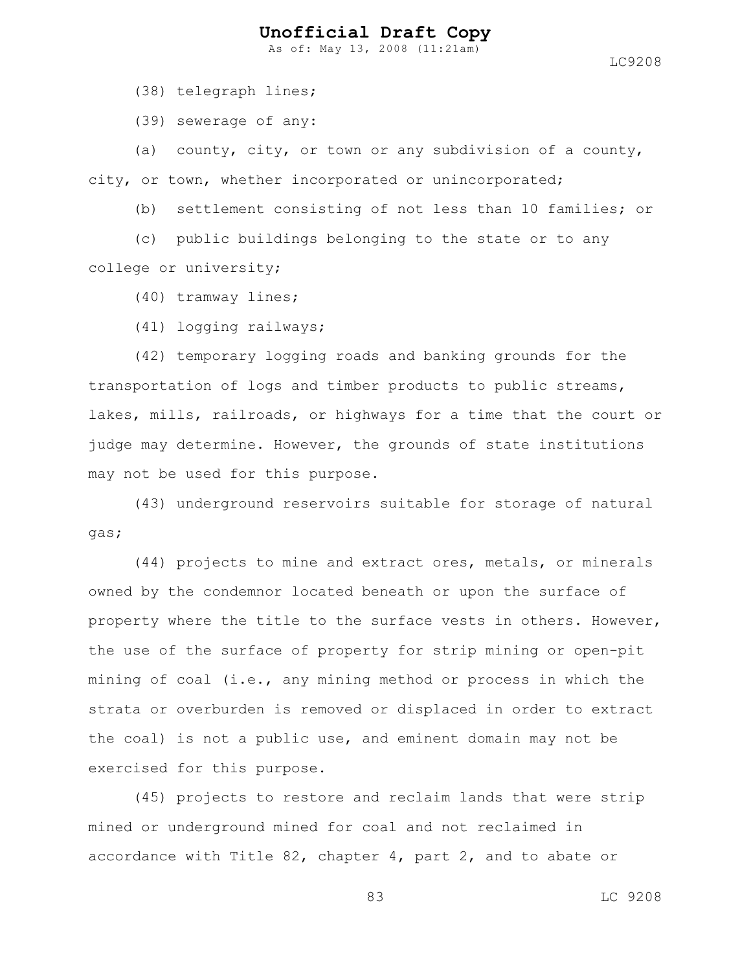As of: May 13, 2008 (11:21am)

LC9208

(38) telegraph lines;

(39) sewerage of any:

(a) county, city, or town or any subdivision of a county, city, or town, whether incorporated or unincorporated;

(b) settlement consisting of not less than 10 families; or

(c) public buildings belonging to the state or to any college or university;

(40) tramway lines;

(41) logging railways;

(42) temporary logging roads and banking grounds for the transportation of logs and timber products to public streams, lakes, mills, railroads, or highways for a time that the court or judge may determine. However, the grounds of state institutions may not be used for this purpose.

(43) underground reservoirs suitable for storage of natural gas;

(44) projects to mine and extract ores, metals, or minerals owned by the condemnor located beneath or upon the surface of property where the title to the surface vests in others. However, the use of the surface of property for strip mining or open-pit mining of coal (i.e., any mining method or process in which the strata or overburden is removed or displaced in order to extract the coal) is not a public use, and eminent domain may not be exercised for this purpose.

(45) projects to restore and reclaim lands that were strip mined or underground mined for coal and not reclaimed in accordance with Title 82, chapter 4, part 2, and to abate or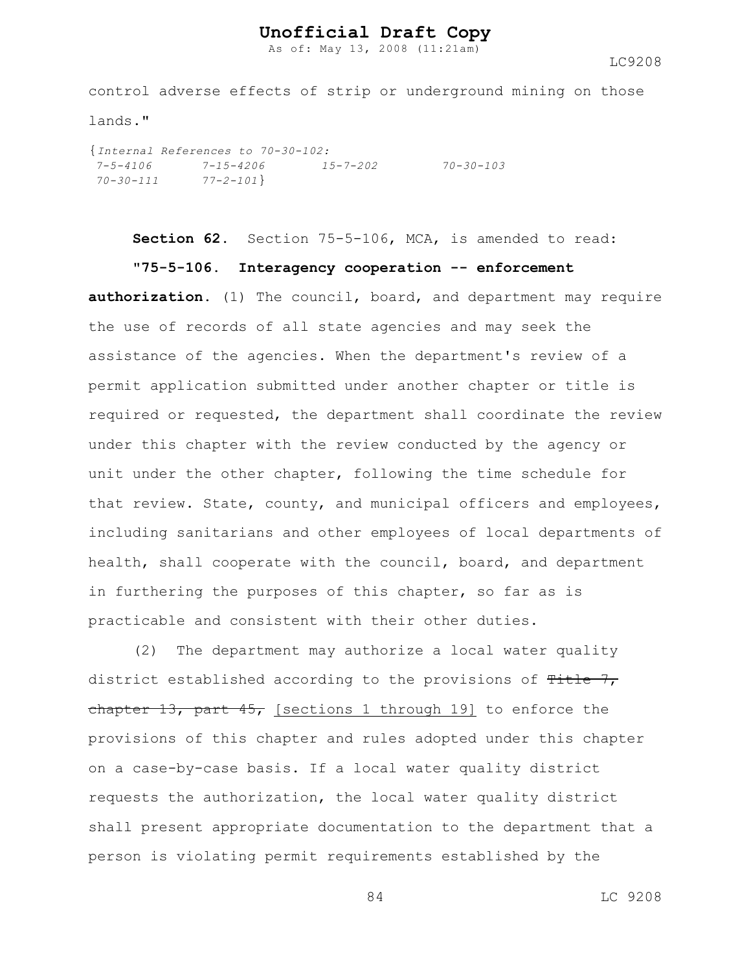As of: May 13, 2008 (11:21am)

LC9208

control adverse effects of strip or underground mining on those lands."

{*Internal References to 70-30-102: 7-5-4106 7-15-4206 15-7-202 70-30-103 70-30-111 77-2-101*}

**Section 62.** Section 75-5-106, MCA, is amended to read:

#### **"75-5-106. Interagency cooperation -- enforcement**

**authorization.** (1) The council, board, and department may require the use of records of all state agencies and may seek the assistance of the agencies. When the department's review of a permit application submitted under another chapter or title is required or requested, the department shall coordinate the review under this chapter with the review conducted by the agency or unit under the other chapter, following the time schedule for that review. State, county, and municipal officers and employees, including sanitarians and other employees of local departments of health, shall cooperate with the council, board, and department in furthering the purposes of this chapter, so far as is practicable and consistent with their other duties.

(2) The department may authorize a local water quality district established according to the provisions of  $T$ itle  $7$ , chapter 13, part  $45$ , [sections 1 through 19] to enforce the provisions of this chapter and rules adopted under this chapter on a case-by-case basis. If a local water quality district requests the authorization, the local water quality district shall present appropriate documentation to the department that a person is violating permit requirements established by the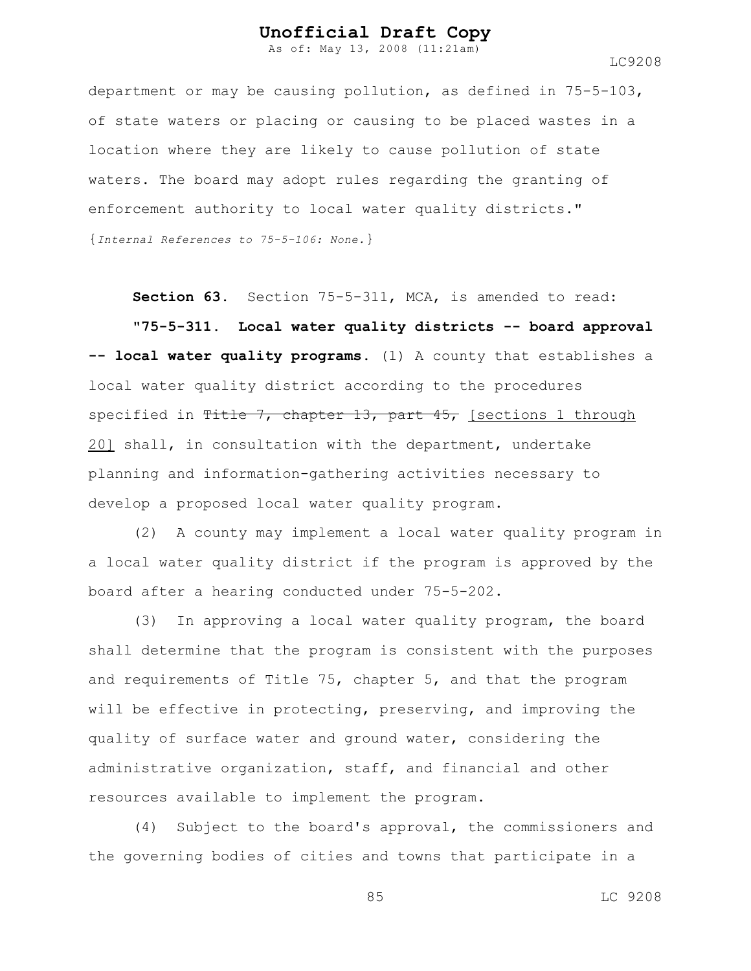As of: May 13, 2008 (11:21am)

LC9208

department or may be causing pollution, as defined in 75-5-103, of state waters or placing or causing to be placed wastes in a location where they are likely to cause pollution of state waters. The board may adopt rules regarding the granting of enforcement authority to local water quality districts." {*Internal References to 75-5-106: None.*}

**Section 63.** Section 75-5-311, MCA, is amended to read:

**"75-5-311. Local water quality districts -- board approval -- local water quality programs.** (1) A county that establishes a local water quality district according to the procedures specified in Title 7, chapter 13, part  $45$ , [sections 1 through 20] shall, in consultation with the department, undertake planning and information-gathering activities necessary to develop a proposed local water quality program.

(2) A county may implement a local water quality program in a local water quality district if the program is approved by the board after a hearing conducted under 75-5-202.

(3) In approving a local water quality program, the board shall determine that the program is consistent with the purposes and requirements of Title 75, chapter 5, and that the program will be effective in protecting, preserving, and improving the quality of surface water and ground water, considering the administrative organization, staff, and financial and other resources available to implement the program.

(4) Subject to the board's approval, the commissioners and the governing bodies of cities and towns that participate in a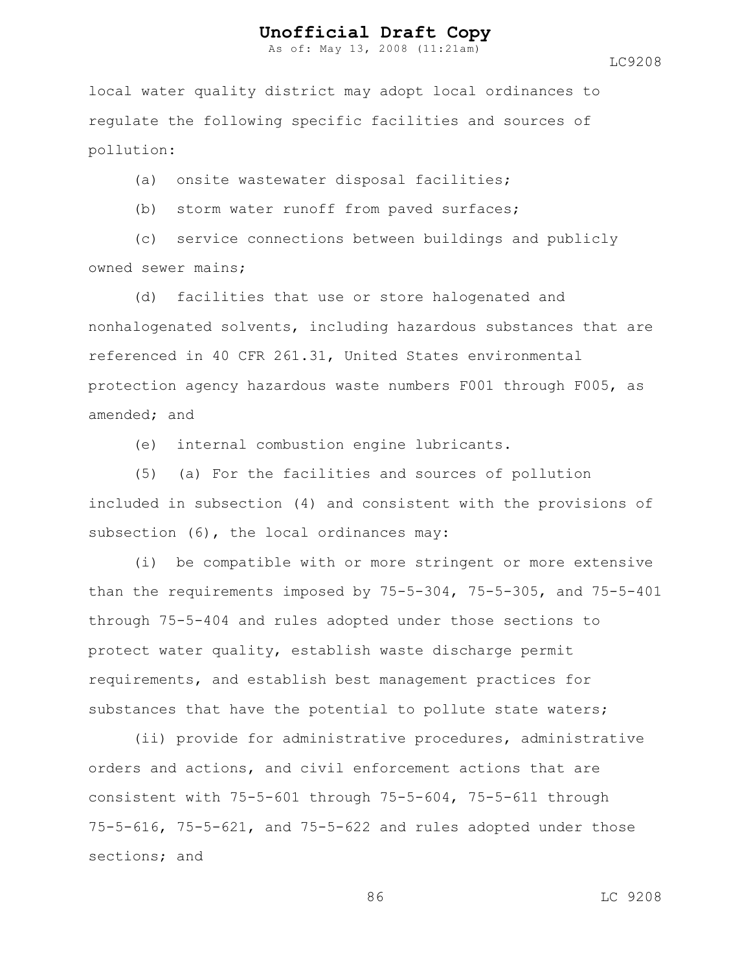As of: May 13, 2008 (11:21am)

LC9208

local water quality district may adopt local ordinances to regulate the following specific facilities and sources of pollution:

(a) onsite wastewater disposal facilities;

(b) storm water runoff from paved surfaces;

(c) service connections between buildings and publicly owned sewer mains;

(d) facilities that use or store halogenated and nonhalogenated solvents, including hazardous substances that are referenced in 40 CFR 261.31, United States environmental protection agency hazardous waste numbers F001 through F005, as amended; and

(e) internal combustion engine lubricants.

(5) (a) For the facilities and sources of pollution included in subsection (4) and consistent with the provisions of subsection (6), the local ordinances may:

(i) be compatible with or more stringent or more extensive than the requirements imposed by 75-5-304, 75-5-305, and 75-5-401 through 75-5-404 and rules adopted under those sections to protect water quality, establish waste discharge permit requirements, and establish best management practices for substances that have the potential to pollute state waters;

(ii) provide for administrative procedures, administrative orders and actions, and civil enforcement actions that are consistent with 75-5-601 through 75-5-604, 75-5-611 through 75-5-616, 75-5-621, and 75-5-622 and rules adopted under those sections; and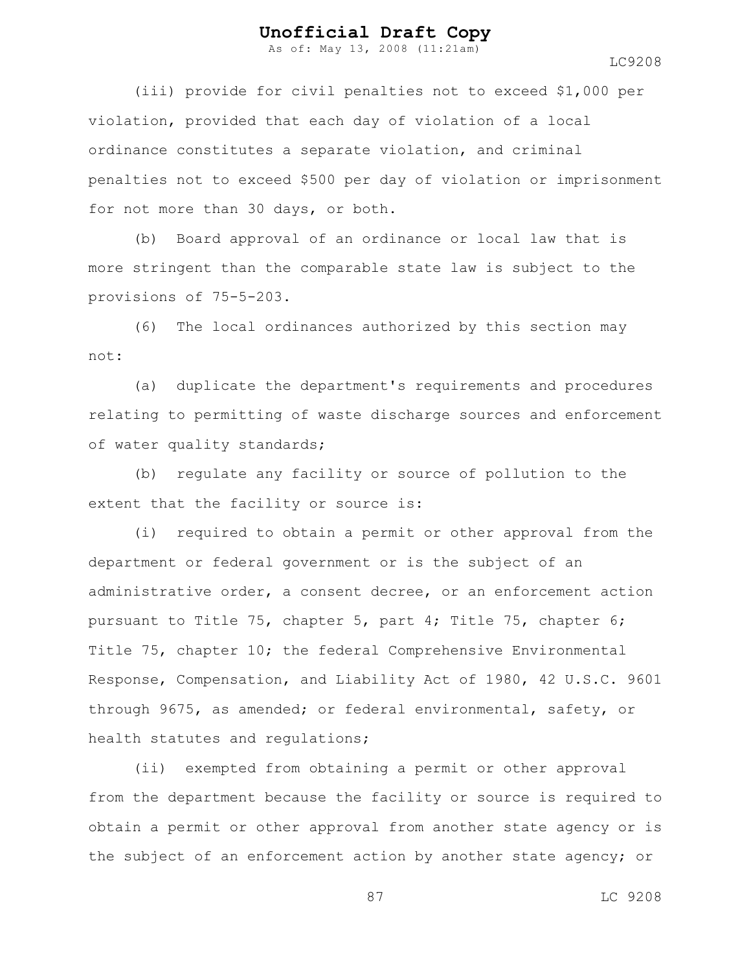As of: May 13, 2008 (11:21am)

(iii) provide for civil penalties not to exceed \$1,000 per violation, provided that each day of violation of a local ordinance constitutes a separate violation, and criminal penalties not to exceed \$500 per day of violation or imprisonment for not more than 30 days, or both.

(b) Board approval of an ordinance or local law that is more stringent than the comparable state law is subject to the provisions of 75-5-203.

(6) The local ordinances authorized by this section may not:

(a) duplicate the department's requirements and procedures relating to permitting of waste discharge sources and enforcement of water quality standards;

(b) regulate any facility or source of pollution to the extent that the facility or source is:

(i) required to obtain a permit or other approval from the department or federal government or is the subject of an administrative order, a consent decree, or an enforcement action pursuant to Title 75, chapter 5, part 4; Title 75, chapter 6; Title 75, chapter 10; the federal Comprehensive Environmental Response, Compensation, and Liability Act of 1980, 42 U.S.C. 9601 through 9675, as amended; or federal environmental, safety, or health statutes and regulations;

(ii) exempted from obtaining a permit or other approval from the department because the facility or source is required to obtain a permit or other approval from another state agency or is the subject of an enforcement action by another state agency; or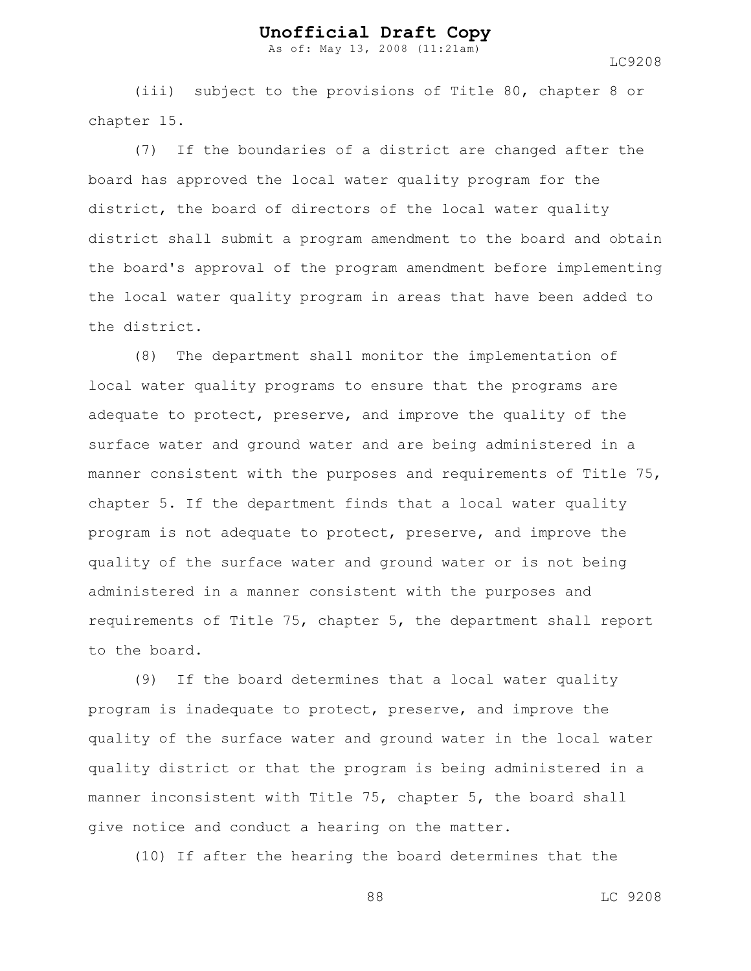As of: May 13, 2008 (11:21am)

LC9208

(iii) subject to the provisions of Title 80, chapter 8 or chapter 15.

(7) If the boundaries of a district are changed after the board has approved the local water quality program for the district, the board of directors of the local water quality district shall submit a program amendment to the board and obtain the board's approval of the program amendment before implementing the local water quality program in areas that have been added to the district.

(8) The department shall monitor the implementation of local water quality programs to ensure that the programs are adequate to protect, preserve, and improve the quality of the surface water and ground water and are being administered in a manner consistent with the purposes and requirements of Title 75, chapter 5. If the department finds that a local water quality program is not adequate to protect, preserve, and improve the quality of the surface water and ground water or is not being administered in a manner consistent with the purposes and requirements of Title 75, chapter 5, the department shall report to the board.

(9) If the board determines that a local water quality program is inadequate to protect, preserve, and improve the quality of the surface water and ground water in the local water quality district or that the program is being administered in a manner inconsistent with Title 75, chapter 5, the board shall give notice and conduct a hearing on the matter.

(10) If after the hearing the board determines that the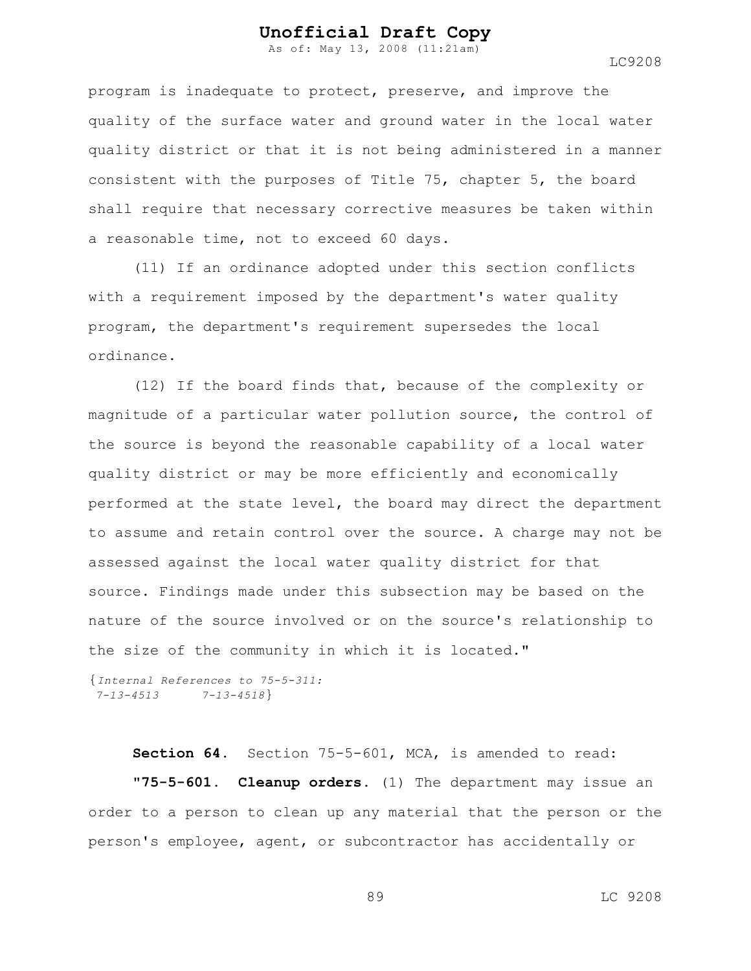As of: May 13, 2008 (11:21am)

LC9208

program is inadequate to protect, preserve, and improve the quality of the surface water and ground water in the local water quality district or that it is not being administered in a manner consistent with the purposes of Title 75, chapter 5, the board shall require that necessary corrective measures be taken within a reasonable time, not to exceed 60 days.

(11) If an ordinance adopted under this section conflicts with a requirement imposed by the department's water quality program, the department's requirement supersedes the local ordinance.

(12) If the board finds that, because of the complexity or magnitude of a particular water pollution source, the control of the source is beyond the reasonable capability of a local water quality district or may be more efficiently and economically performed at the state level, the board may direct the department to assume and retain control over the source. A charge may not be assessed against the local water quality district for that source. Findings made under this subsection may be based on the nature of the source involved or on the source's relationship to the size of the community in which it is located."

```
{Internal References to 75-5-311:
7-13-4513 7-13-4518}
```
**Section 64.** Section 75-5-601, MCA, is amended to read: **"75-5-601. Cleanup orders.** (1) The department may issue an order to a person to clean up any material that the person or the person's employee, agent, or subcontractor has accidentally or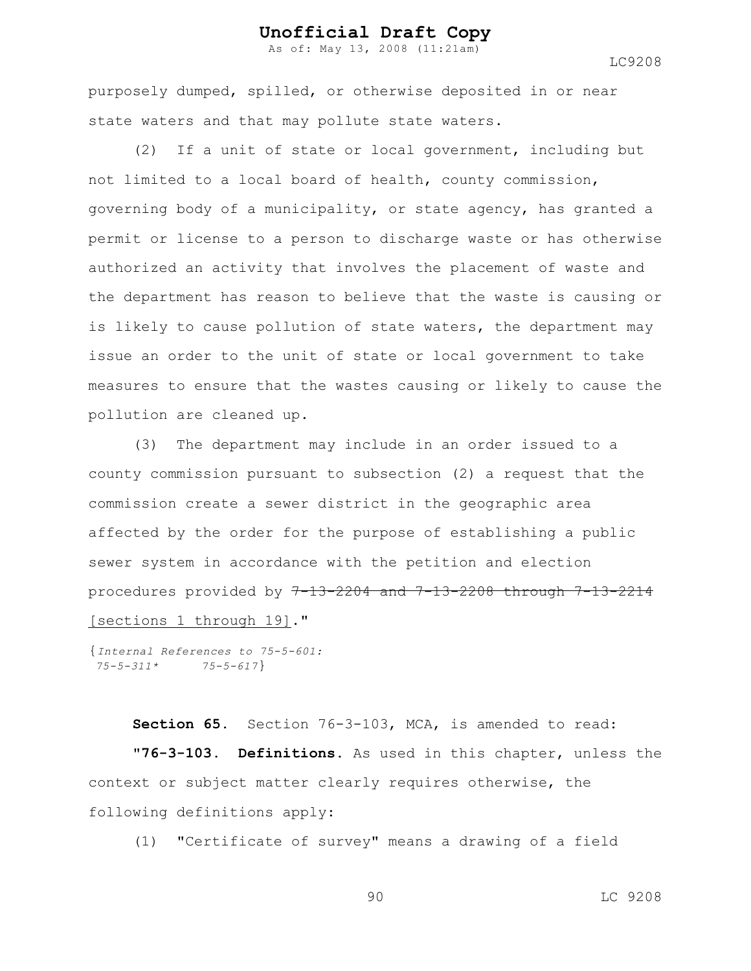As of: May 13, 2008 (11:21am)

LC9208

purposely dumped, spilled, or otherwise deposited in or near state waters and that may pollute state waters.

(2) If a unit of state or local government, including but not limited to a local board of health, county commission, governing body of a municipality, or state agency, has granted a permit or license to a person to discharge waste or has otherwise authorized an activity that involves the placement of waste and the department has reason to believe that the waste is causing or is likely to cause pollution of state waters, the department may issue an order to the unit of state or local government to take measures to ensure that the wastes causing or likely to cause the pollution are cleaned up.

(3) The department may include in an order issued to a county commission pursuant to subsection (2) a request that the commission create a sewer district in the geographic area affected by the order for the purpose of establishing a public sewer system in accordance with the petition and election procedures provided by  $7-13-2204$  and  $7-13-2208$  through  $7-13-2214$ [sections 1 through 19]."

```
{Internal References to 75-5-601:
75-5-311* 75-5-617}
```
**Section 65.** Section 76-3-103, MCA, is amended to read: **"76-3-103. Definitions.** As used in this chapter, unless the context or subject matter clearly requires otherwise, the following definitions apply:

(1) "Certificate of survey" means a drawing of a field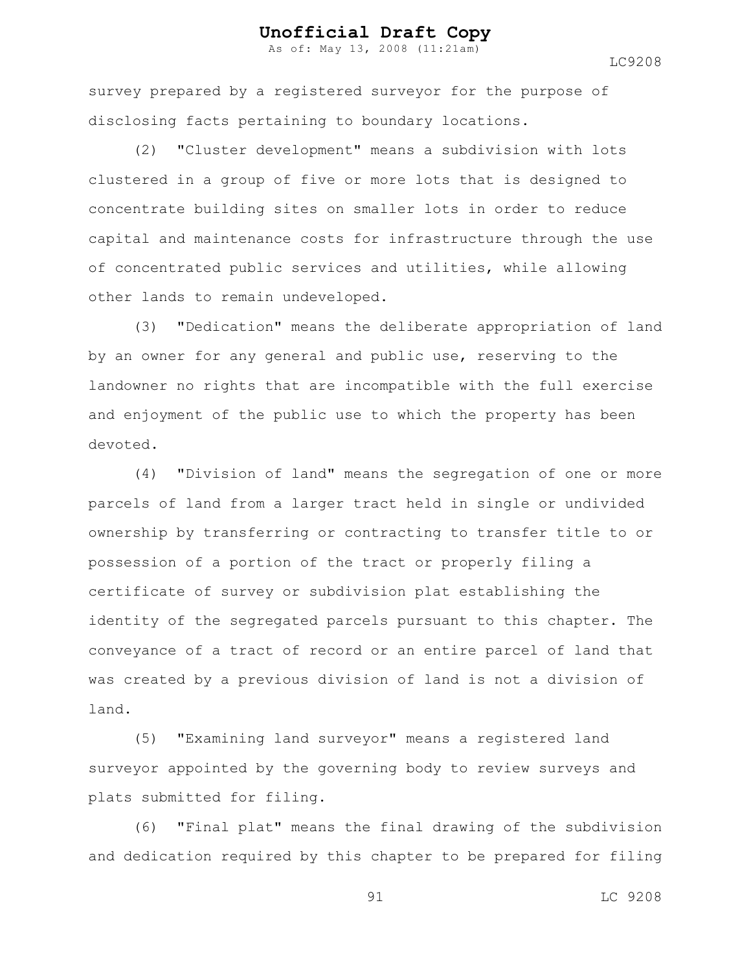As of: May 13, 2008 (11:21am)

LC9208

survey prepared by a registered surveyor for the purpose of disclosing facts pertaining to boundary locations.

(2) "Cluster development" means a subdivision with lots clustered in a group of five or more lots that is designed to concentrate building sites on smaller lots in order to reduce capital and maintenance costs for infrastructure through the use of concentrated public services and utilities, while allowing other lands to remain undeveloped.

(3) "Dedication" means the deliberate appropriation of land by an owner for any general and public use, reserving to the landowner no rights that are incompatible with the full exercise and enjoyment of the public use to which the property has been devoted.

(4) "Division of land" means the segregation of one or more parcels of land from a larger tract held in single or undivided ownership by transferring or contracting to transfer title to or possession of a portion of the tract or properly filing a certificate of survey or subdivision plat establishing the identity of the segregated parcels pursuant to this chapter. The conveyance of a tract of record or an entire parcel of land that was created by a previous division of land is not a division of land.

(5) "Examining land surveyor" means a registered land surveyor appointed by the governing body to review surveys and plats submitted for filing.

(6) "Final plat" means the final drawing of the subdivision and dedication required by this chapter to be prepared for filing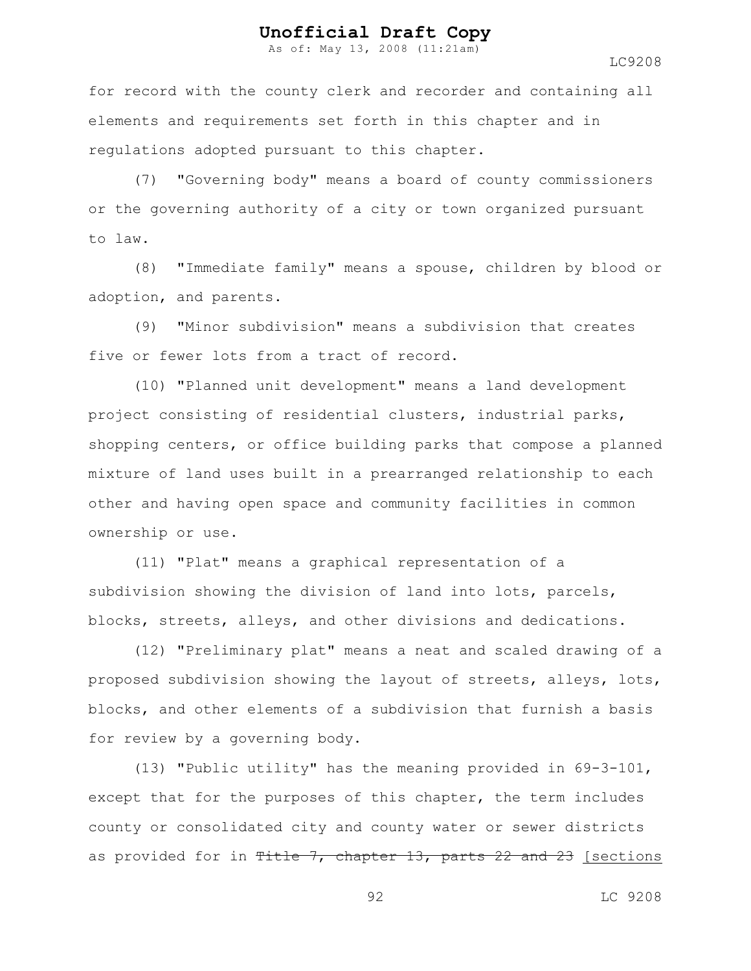As of: May 13, 2008 (11:21am)

LC9208

for record with the county clerk and recorder and containing all elements and requirements set forth in this chapter and in regulations adopted pursuant to this chapter.

(7) "Governing body" means a board of county commissioners or the governing authority of a city or town organized pursuant to law.

(8) "Immediate family" means a spouse, children by blood or adoption, and parents.

(9) "Minor subdivision" means a subdivision that creates five or fewer lots from a tract of record.

(10) "Planned unit development" means a land development project consisting of residential clusters, industrial parks, shopping centers, or office building parks that compose a planned mixture of land uses built in a prearranged relationship to each other and having open space and community facilities in common ownership or use.

(11) "Plat" means a graphical representation of a subdivision showing the division of land into lots, parcels, blocks, streets, alleys, and other divisions and dedications.

(12) "Preliminary plat" means a neat and scaled drawing of a proposed subdivision showing the layout of streets, alleys, lots, blocks, and other elements of a subdivision that furnish a basis for review by a governing body.

(13) "Public utility" has the meaning provided in 69-3-101, except that for the purposes of this chapter, the term includes county or consolidated city and county water or sewer districts as provided for in Title 7, chapter 13, parts  $22$  and  $23$  [sections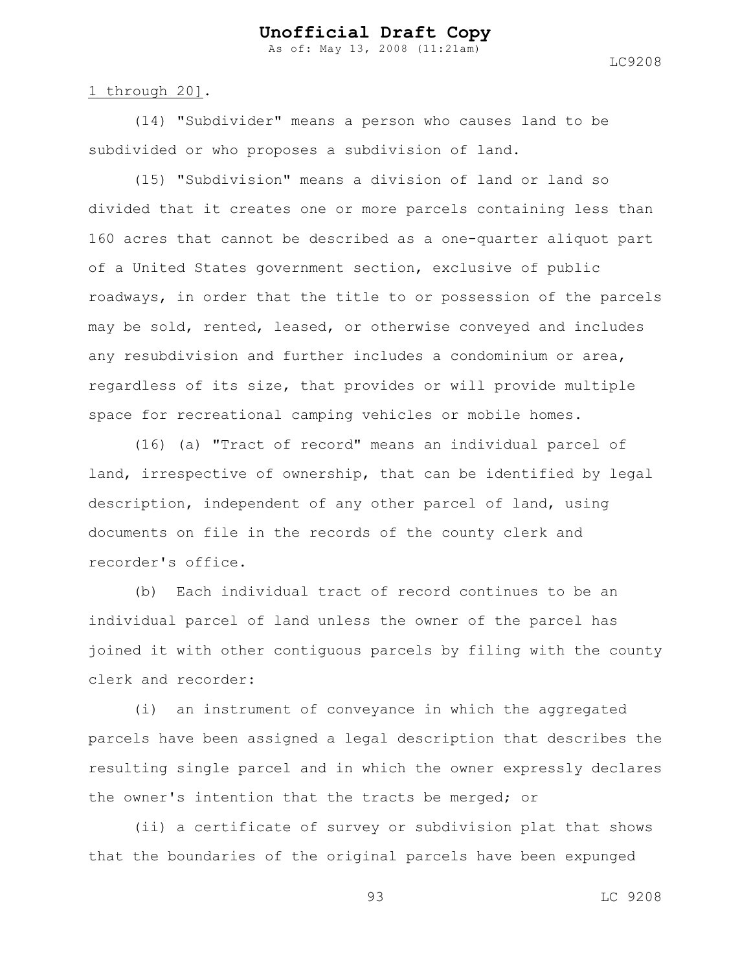As of: May 13, 2008 (11:21am)

LC9208

#### 1 through 20].

(14) "Subdivider" means a person who causes land to be subdivided or who proposes a subdivision of land.

(15) "Subdivision" means a division of land or land so divided that it creates one or more parcels containing less than 160 acres that cannot be described as a one-quarter aliquot part of a United States government section, exclusive of public roadways, in order that the title to or possession of the parcels may be sold, rented, leased, or otherwise conveyed and includes any resubdivision and further includes a condominium or area, regardless of its size, that provides or will provide multiple space for recreational camping vehicles or mobile homes.

(16) (a) "Tract of record" means an individual parcel of land, irrespective of ownership, that can be identified by legal description, independent of any other parcel of land, using documents on file in the records of the county clerk and recorder's office.

(b) Each individual tract of record continues to be an individual parcel of land unless the owner of the parcel has joined it with other contiguous parcels by filing with the county clerk and recorder:

(i) an instrument of conveyance in which the aggregated parcels have been assigned a legal description that describes the resulting single parcel and in which the owner expressly declares the owner's intention that the tracts be merged; or

(ii) a certificate of survey or subdivision plat that shows that the boundaries of the original parcels have been expunged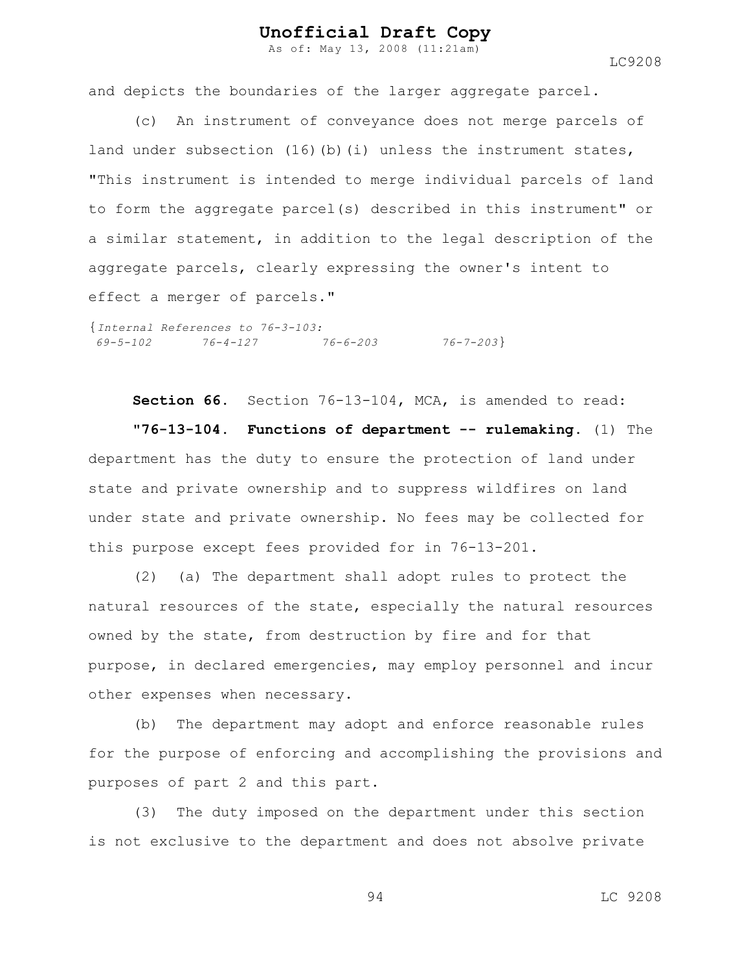As of: May 13, 2008 (11:21am)

LC9208

and depicts the boundaries of the larger aggregate parcel.

(c) An instrument of conveyance does not merge parcels of land under subsection (16)(b)(i) unless the instrument states, "This instrument is intended to merge individual parcels of land to form the aggregate parcel(s) described in this instrument" or a similar statement, in addition to the legal description of the aggregate parcels, clearly expressing the owner's intent to effect a merger of parcels."

{*Internal References to 76-3-103: 69-5-102 76-4-127 76-6-203 76-7-203*}

**Section 66.** Section 76-13-104, MCA, is amended to read:

**"76-13-104. Functions of department -- rulemaking.** (1) The department has the duty to ensure the protection of land under state and private ownership and to suppress wildfires on land under state and private ownership. No fees may be collected for this purpose except fees provided for in 76-13-201.

(2) (a) The department shall adopt rules to protect the natural resources of the state, especially the natural resources owned by the state, from destruction by fire and for that purpose, in declared emergencies, may employ personnel and incur other expenses when necessary.

(b) The department may adopt and enforce reasonable rules for the purpose of enforcing and accomplishing the provisions and purposes of part 2 and this part.

(3) The duty imposed on the department under this section is not exclusive to the department and does not absolve private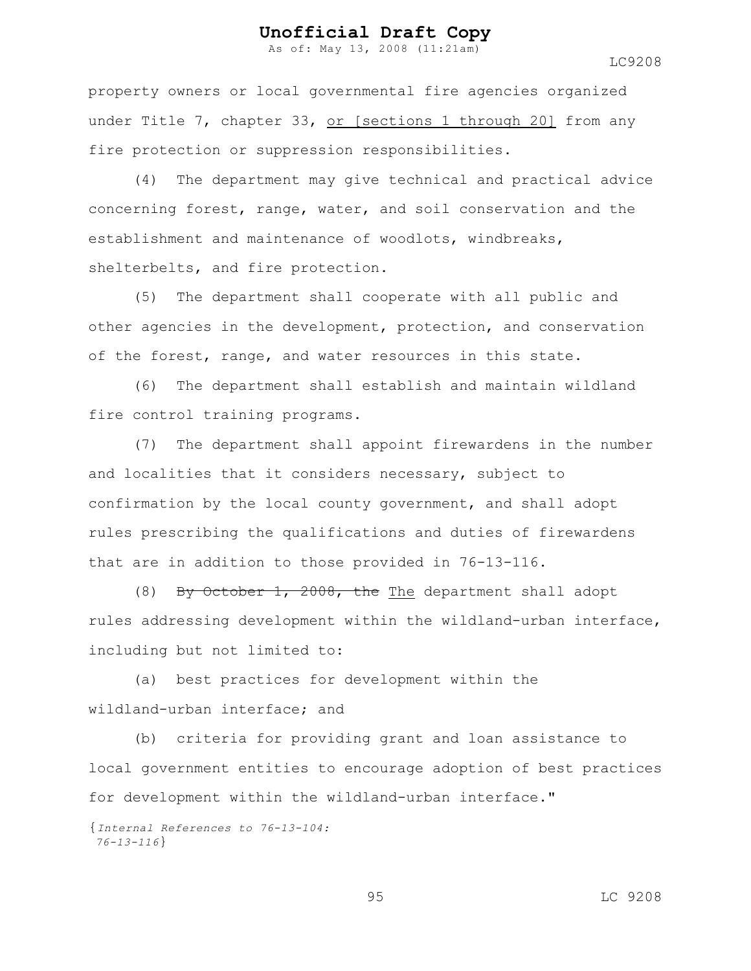As of: May 13, 2008 (11:21am)

LC9208

property owners or local governmental fire agencies organized under Title 7, chapter 33, or [sections 1 through 20] from any fire protection or suppression responsibilities.

(4) The department may give technical and practical advice concerning forest, range, water, and soil conservation and the establishment and maintenance of woodlots, windbreaks, shelterbelts, and fire protection.

(5) The department shall cooperate with all public and other agencies in the development, protection, and conservation of the forest, range, and water resources in this state.

(6) The department shall establish and maintain wildland fire control training programs.

(7) The department shall appoint firewardens in the number and localities that it considers necessary, subject to confirmation by the local county government, and shall adopt rules prescribing the qualifications and duties of firewardens that are in addition to those provided in 76-13-116.

(8) By October 1, 2008, the The department shall adopt rules addressing development within the wildland-urban interface, including but not limited to:

(a) best practices for development within the wildland-urban interface; and

(b) criteria for providing grant and loan assistance to local government entities to encourage adoption of best practices for development within the wildland-urban interface."

{*Internal References to 76-13-104: 76-13-116*}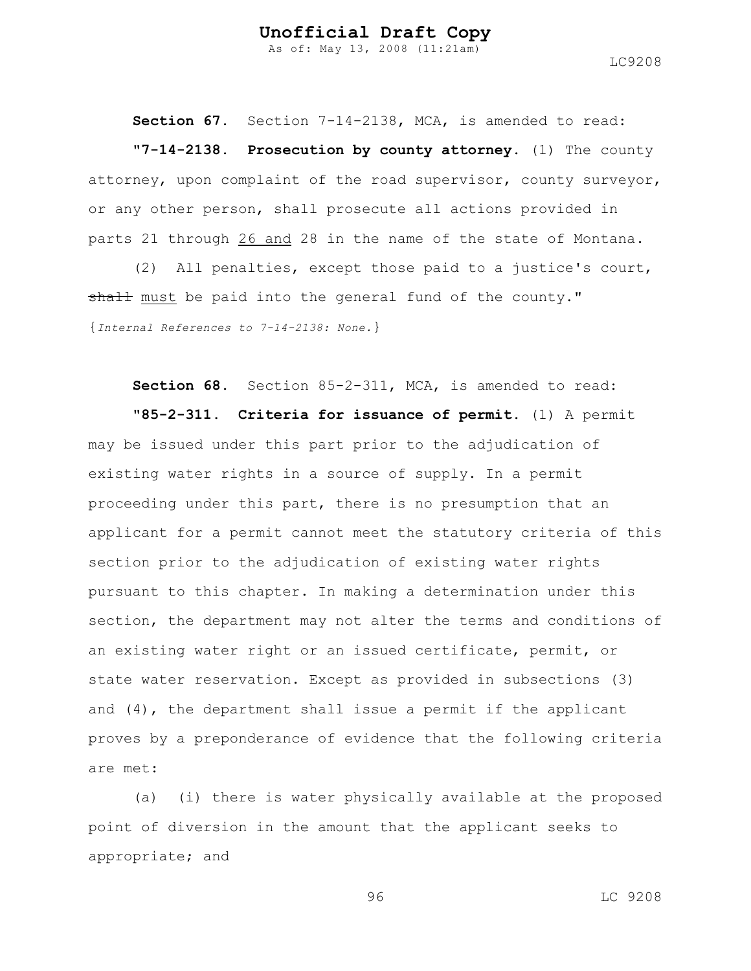As of: May 13, 2008 (11:21am)

LC9208

**Section 67.** Section 7-14-2138, MCA, is amended to read: **"7-14-2138. Prosecution by county attorney.** (1) The county attorney, upon complaint of the road supervisor, county surveyor, or any other person, shall prosecute all actions provided in parts 21 through 26 and 28 in the name of the state of Montana.

(2) All penalties, except those paid to a justice's court, shall must be paid into the general fund of the county." {*Internal References to 7-14-2138: None.*}

**Section 68.** Section 85-2-311, MCA, is amended to read:

**"85-2-311. Criteria for issuance of permit.** (1) A permit may be issued under this part prior to the adjudication of existing water rights in a source of supply. In a permit proceeding under this part, there is no presumption that an applicant for a permit cannot meet the statutory criteria of this section prior to the adjudication of existing water rights pursuant to this chapter. In making a determination under this section, the department may not alter the terms and conditions of an existing water right or an issued certificate, permit, or state water reservation. Except as provided in subsections (3) and (4), the department shall issue a permit if the applicant proves by a preponderance of evidence that the following criteria are met:

(a) (i) there is water physically available at the proposed point of diversion in the amount that the applicant seeks to appropriate; and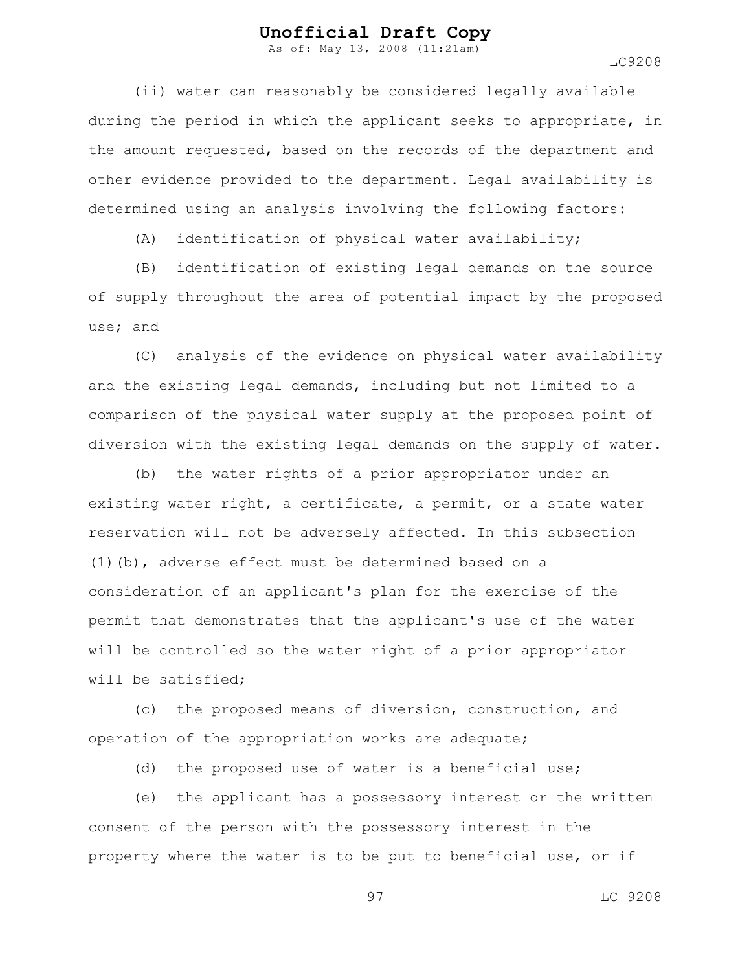As of: May 13, 2008 (11:21am)

LC9208

(ii) water can reasonably be considered legally available during the period in which the applicant seeks to appropriate, in the amount requested, based on the records of the department and other evidence provided to the department. Legal availability is determined using an analysis involving the following factors:

(A) identification of physical water availability;

(B) identification of existing legal demands on the source of supply throughout the area of potential impact by the proposed use; and

(C) analysis of the evidence on physical water availability and the existing legal demands, including but not limited to a comparison of the physical water supply at the proposed point of diversion with the existing legal demands on the supply of water.

(b) the water rights of a prior appropriator under an existing water right, a certificate, a permit, or a state water reservation will not be adversely affected. In this subsection (1)(b), adverse effect must be determined based on a consideration of an applicant's plan for the exercise of the permit that demonstrates that the applicant's use of the water will be controlled so the water right of a prior appropriator will be satisfied;

(c) the proposed means of diversion, construction, and operation of the appropriation works are adequate;

(d) the proposed use of water is a beneficial use;

(e) the applicant has a possessory interest or the written consent of the person with the possessory interest in the property where the water is to be put to beneficial use, or if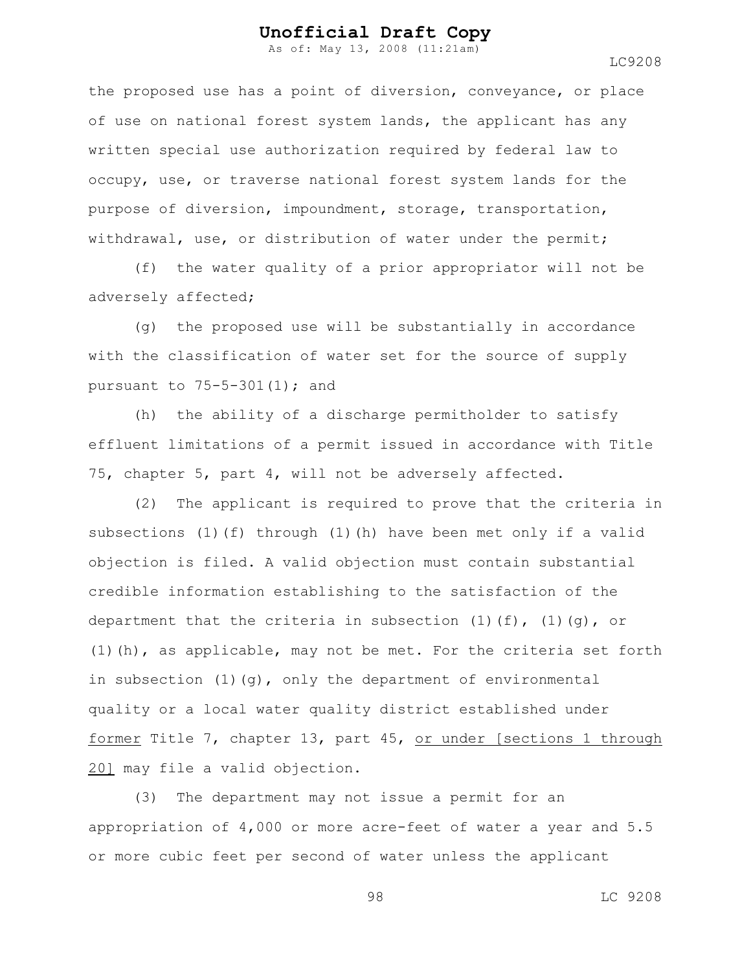As of: May 13, 2008 (11:21am)

the proposed use has a point of diversion, conveyance, or place of use on national forest system lands, the applicant has any written special use authorization required by federal law to occupy, use, or traverse national forest system lands for the purpose of diversion, impoundment, storage, transportation, withdrawal, use, or distribution of water under the permit;

(f) the water quality of a prior appropriator will not be adversely affected;

(g) the proposed use will be substantially in accordance with the classification of water set for the source of supply pursuant to  $75-5-301(1)$ ; and

(h) the ability of a discharge permitholder to satisfy effluent limitations of a permit issued in accordance with Title 75, chapter 5, part 4, will not be adversely affected.

(2) The applicant is required to prove that the criteria in subsections (1)(f) through (1)(h) have been met only if a valid objection is filed. A valid objection must contain substantial credible information establishing to the satisfaction of the department that the criteria in subsection  $(1)$   $(f)$ ,  $(1)$   $(q)$ , or (1)(h), as applicable, may not be met. For the criteria set forth in subsection (1)(g), only the department of environmental quality or a local water quality district established under former Title 7, chapter 13, part 45, or under [sections 1 through 20] may file a valid objection.

(3) The department may not issue a permit for an appropriation of 4,000 or more acre-feet of water a year and 5.5 or more cubic feet per second of water unless the applicant

98 LC 9208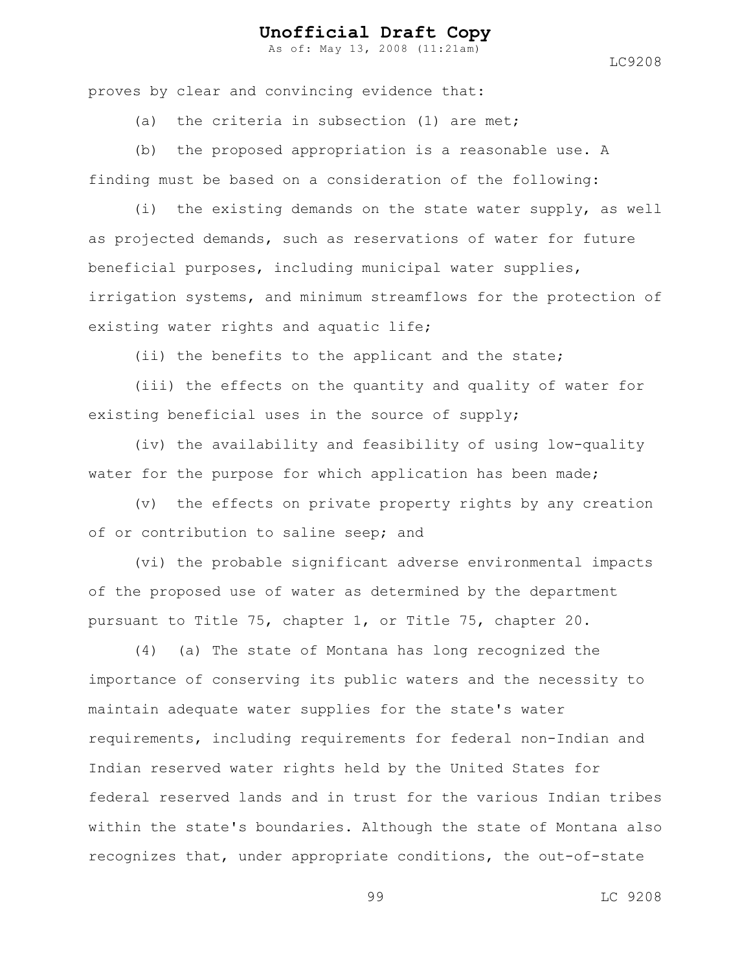As of: May 13, 2008 (11:21am)

LC9208

proves by clear and convincing evidence that:

(a) the criteria in subsection (1) are met;

(b) the proposed appropriation is a reasonable use. A finding must be based on a consideration of the following:

(i) the existing demands on the state water supply, as well as projected demands, such as reservations of water for future beneficial purposes, including municipal water supplies, irrigation systems, and minimum streamflows for the protection of existing water rights and aquatic life;

(ii) the benefits to the applicant and the state;

(iii) the effects on the quantity and quality of water for existing beneficial uses in the source of supply;

(iv) the availability and feasibility of using low-quality water for the purpose for which application has been made;

(v) the effects on private property rights by any creation of or contribution to saline seep; and

(vi) the probable significant adverse environmental impacts of the proposed use of water as determined by the department pursuant to Title 75, chapter 1, or Title 75, chapter 20.

(4) (a) The state of Montana has long recognized the importance of conserving its public waters and the necessity to maintain adequate water supplies for the state's water requirements, including requirements for federal non-Indian and Indian reserved water rights held by the United States for federal reserved lands and in trust for the various Indian tribes within the state's boundaries. Although the state of Montana also recognizes that, under appropriate conditions, the out-of-state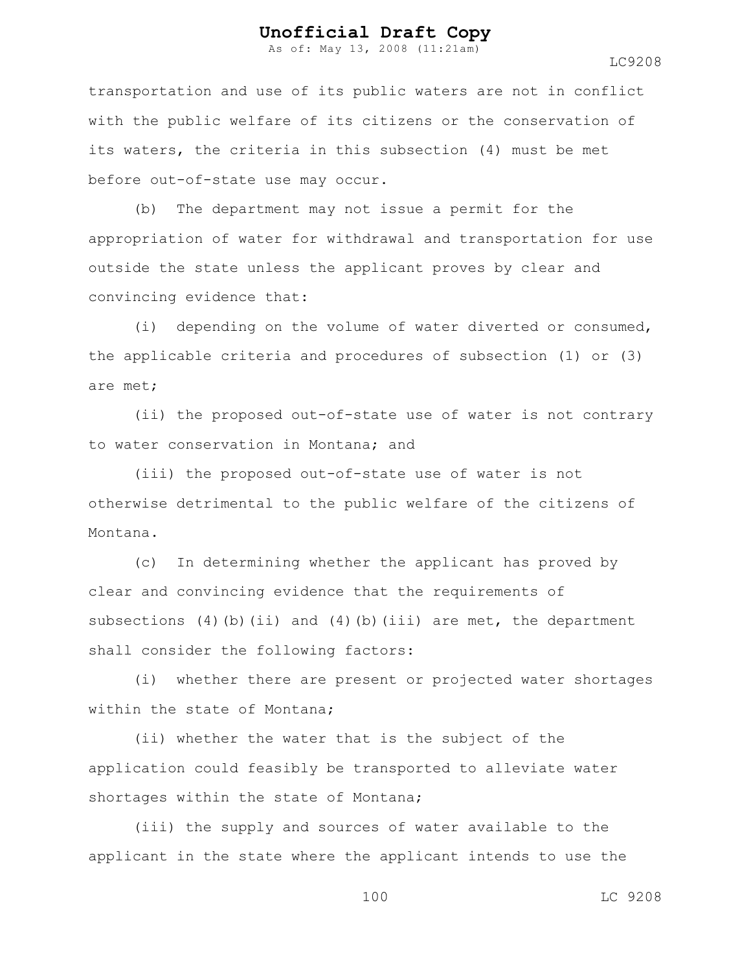As of: May 13, 2008 (11:21am)

LC9208

transportation and use of its public waters are not in conflict with the public welfare of its citizens or the conservation of its waters, the criteria in this subsection (4) must be met before out-of-state use may occur.

(b) The department may not issue a permit for the appropriation of water for withdrawal and transportation for use outside the state unless the applicant proves by clear and convincing evidence that:

(i) depending on the volume of water diverted or consumed, the applicable criteria and procedures of subsection (1) or (3) are met;

(ii) the proposed out-of-state use of water is not contrary to water conservation in Montana; and

(iii) the proposed out-of-state use of water is not otherwise detrimental to the public welfare of the citizens of Montana.

(c) In determining whether the applicant has proved by clear and convincing evidence that the requirements of subsections  $(4)$  (b) (ii) and  $(4)$  (b) (iii) are met, the department shall consider the following factors:

(i) whether there are present or projected water shortages within the state of Montana;

(ii) whether the water that is the subject of the application could feasibly be transported to alleviate water shortages within the state of Montana;

(iii) the supply and sources of water available to the applicant in the state where the applicant intends to use the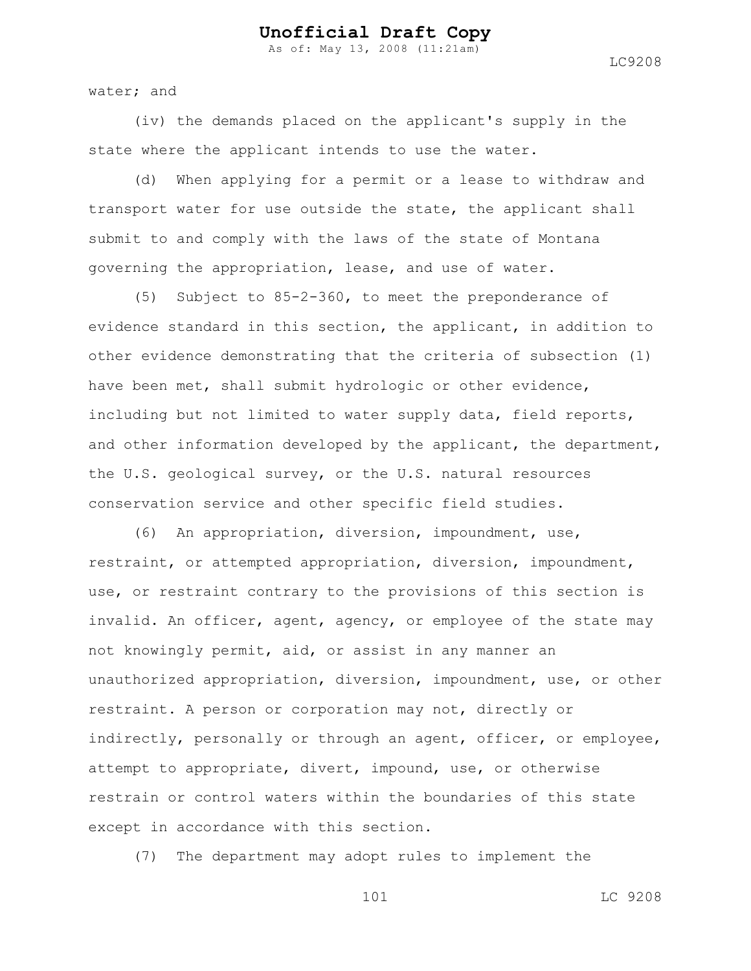As of: May 13, 2008 (11:21am)

water; and

(iv) the demands placed on the applicant's supply in the state where the applicant intends to use the water.

(d) When applying for a permit or a lease to withdraw and transport water for use outside the state, the applicant shall submit to and comply with the laws of the state of Montana governing the appropriation, lease, and use of water.

(5) Subject to 85-2-360, to meet the preponderance of evidence standard in this section, the applicant, in addition to other evidence demonstrating that the criteria of subsection (1) have been met, shall submit hydrologic or other evidence, including but not limited to water supply data, field reports, and other information developed by the applicant, the department, the U.S. geological survey, or the U.S. natural resources conservation service and other specific field studies.

(6) An appropriation, diversion, impoundment, use, restraint, or attempted appropriation, diversion, impoundment, use, or restraint contrary to the provisions of this section is invalid. An officer, agent, agency, or employee of the state may not knowingly permit, aid, or assist in any manner an unauthorized appropriation, diversion, impoundment, use, or other restraint. A person or corporation may not, directly or indirectly, personally or through an agent, officer, or employee, attempt to appropriate, divert, impound, use, or otherwise restrain or control waters within the boundaries of this state except in accordance with this section.

(7) The department may adopt rules to implement the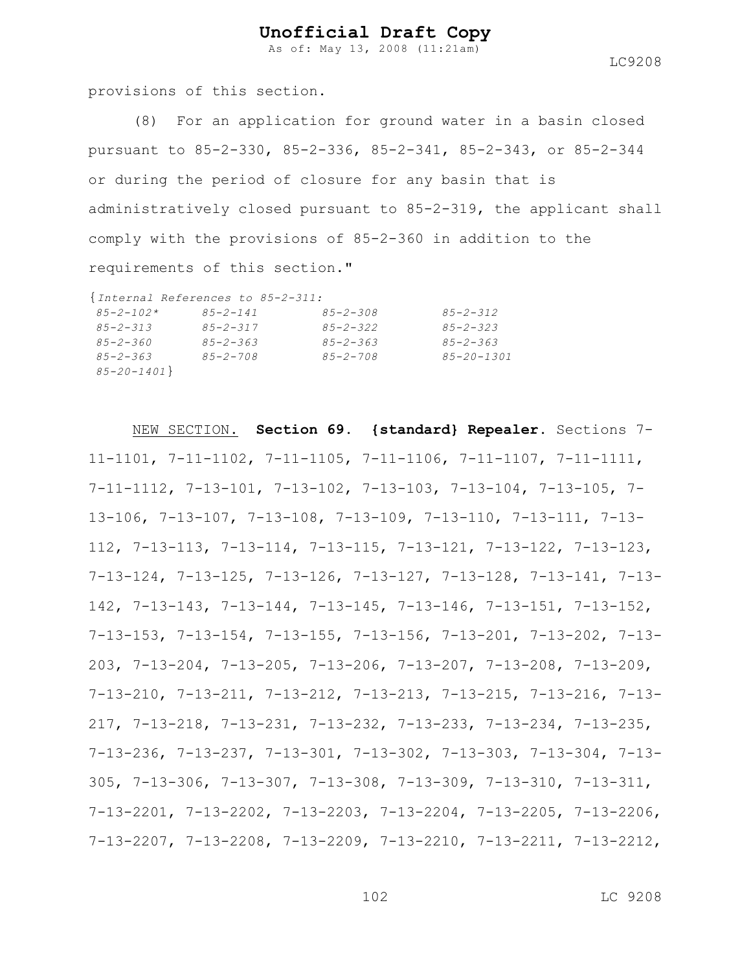As of: May 13, 2008 (11:21am)

LC9208

provisions of this section.

(8) For an application for ground water in a basin closed pursuant to 85-2-330, 85-2-336, 85-2-341, 85-2-343, or 85-2-344 or during the period of closure for any basin that is administratively closed pursuant to 85-2-319, the applicant shall comply with the provisions of 85-2-360 in addition to the requirements of this section."

|                  | {Internal References to 85-2-311: |                |                  |
|------------------|-----------------------------------|----------------|------------------|
| $85 - 2 - 102*$  | $85 - 2 - 141$                    | $85 - 2 - 308$ | $85 - 2 - 312$   |
| $85 - 2 - 313$   | $85 - 2 - 317$                    | $85 - 2 - 322$ | $85 - 2 - 323$   |
| $85 - 2 - 360$   | $85 - 2 - 363$                    | $85 - 2 - 363$ | $85 - 2 - 363$   |
| $85 - 2 - 363$   | $85 - 2 - 708$                    | $85 - 2 - 708$ | $85 - 20 - 1301$ |
| $85 - 20 - 1401$ |                                   |                |                  |

NEW SECTION. **Section 69. {standard} Repealer.** Sections 7- 11-1101, 7-11-1102, 7-11-1105, 7-11-1106, 7-11-1107, 7-11-1111, 7-11-1112, 7-13-101, 7-13-102, 7-13-103, 7-13-104, 7-13-105, 7- 13-106, 7-13-107, 7-13-108, 7-13-109, 7-13-110, 7-13-111, 7-13- 112, 7-13-113, 7-13-114, 7-13-115, 7-13-121, 7-13-122, 7-13-123, 7-13-124, 7-13-125, 7-13-126, 7-13-127, 7-13-128, 7-13-141, 7-13- 142, 7-13-143, 7-13-144, 7-13-145, 7-13-146, 7-13-151, 7-13-152, 7-13-153, 7-13-154, 7-13-155, 7-13-156, 7-13-201, 7-13-202, 7-13- 203, 7-13-204, 7-13-205, 7-13-206, 7-13-207, 7-13-208, 7-13-209, 7-13-210, 7-13-211, 7-13-212, 7-13-213, 7-13-215, 7-13-216, 7-13- 217, 7-13-218, 7-13-231, 7-13-232, 7-13-233, 7-13-234, 7-13-235, 7-13-236, 7-13-237, 7-13-301, 7-13-302, 7-13-303, 7-13-304, 7-13- 305, 7-13-306, 7-13-307, 7-13-308, 7-13-309, 7-13-310, 7-13-311, 7-13-2201, 7-13-2202, 7-13-2203, 7-13-2204, 7-13-2205, 7-13-2206, 7-13-2207, 7-13-2208, 7-13-2209, 7-13-2210, 7-13-2211, 7-13-2212,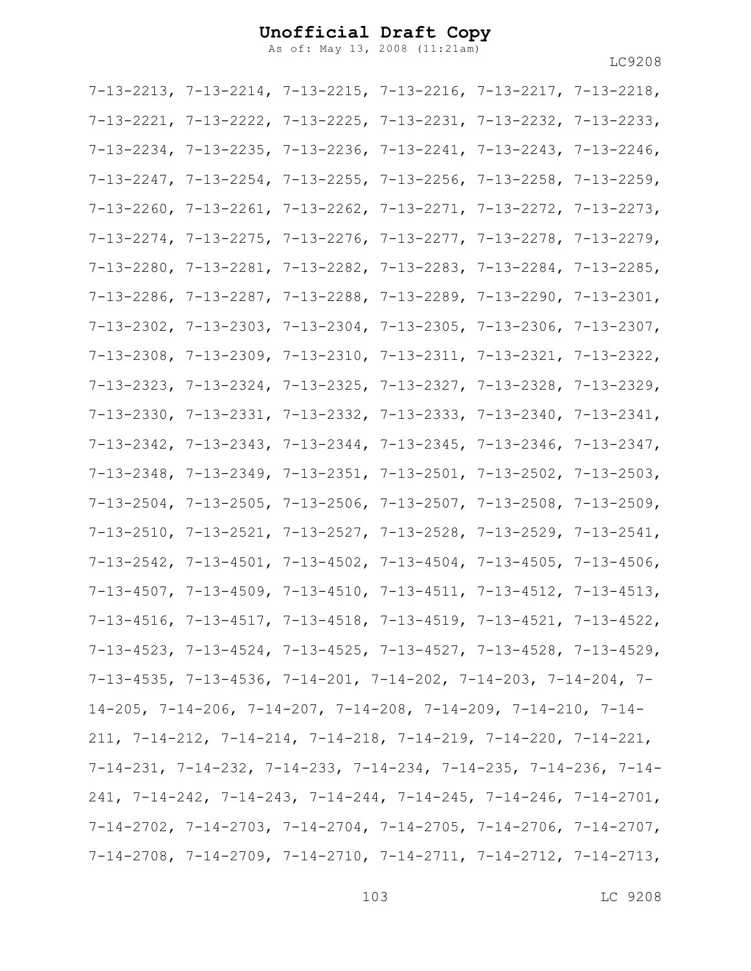As of: May 13, 2008 (11:21am)

|  | $7-13-2213$ , $7-13-2214$ , $7-13-2215$ , $7-13-2216$ , $7-13-2217$ , $7-13-2218$ ,   |  |
|--|---------------------------------------------------------------------------------------|--|
|  | $7-13-2221$ , $7-13-2222$ , $7-13-2225$ , $7-13-2231$ , $7-13-2232$ , $7-13-2233$ ,   |  |
|  | $7-13-2234$ , $7-13-2235$ , $7-13-2236$ , $7-13-2241$ , $7-13-2243$ , $7-13-2246$ ,   |  |
|  | $7-13-2247$ , $7-13-2254$ , $7-13-2255$ , $7-13-2256$ , $7-13-2258$ , $7-13-2259$ ,   |  |
|  | $7-13-2260$ , $7-13-2261$ , $7-13-2262$ , $7-13-2271$ , $7-13-2272$ , $7-13-2273$ ,   |  |
|  | $7-13-2274$ , $7-13-2275$ , $7-13-2276$ , $7-13-2277$ , $7-13-2278$ , $7-13-2279$ ,   |  |
|  | $7-13-2280$ , $7-13-2281$ , $7-13-2282$ , $7-13-2283$ , $7-13-2284$ , $7-13-2285$ ,   |  |
|  | $7-13-2286$ , $7-13-2287$ , $7-13-2288$ , $7-13-2289$ , $7-13-2290$ , $7-13-2301$ ,   |  |
|  | $7-13-2302$ , $7-13-2303$ , $7-13-2304$ , $7-13-2305$ , $7-13-2306$ , $7-13-2307$ ,   |  |
|  | $7-13-2308$ , $7-13-2309$ , $7-13-2310$ , $7-13-2311$ , $7-13-2321$ , $7-13-2322$ ,   |  |
|  | $7-13-2323$ , $7-13-2324$ , $7-13-2325$ , $7-13-2327$ , $7-13-2328$ , $7-13-2329$ ,   |  |
|  | $7-13-2330$ , $7-13-2331$ , $7-13-2332$ , $7-13-2333$ , $7-13-2340$ , $7-13-2341$ ,   |  |
|  | $7-13-2342$ , $7-13-2343$ , $7-13-2344$ , $7-13-2345$ , $7-13-2346$ , $7-13-2347$ ,   |  |
|  | $7-13-2348$ , $7-13-2349$ , $7-13-2351$ , $7-13-2501$ , $7-13-2502$ , $7-13-2503$ ,   |  |
|  | $7-13-2504$ , $7-13-2505$ , $7-13-2506$ , $7-13-2507$ , $7-13-2508$ , $7-13-2509$ ,   |  |
|  | $7-13-2510$ , $7-13-2521$ , $7-13-2527$ , $7-13-2528$ , $7-13-2529$ , $7-13-2541$ ,   |  |
|  | $7-13-2542$ , $7-13-4501$ , $7-13-4502$ , $7-13-4504$ , $7-13-4505$ , $7-13-4506$ ,   |  |
|  | $7-13-4507$ , $7-13-4509$ , $7-13-4510$ , $7-13-4511$ , $7-13-4512$ , $7-13-4513$ ,   |  |
|  | $7-13-4516$ , $7-13-4517$ , $7-13-4518$ , $7-13-4519$ , $7-13-4521$ , $7-13-4522$ ,   |  |
|  | $7-13-4523$ , $7-13-4524$ , $7-13-4525$ , $7-13-4527$ , $7-13-4528$ , $7-13-4529$ ,   |  |
|  | $7-13-4535$ , $7-13-4536$ , $7-14-201$ , $7-14-202$ , $7-14-203$ , $7-14-204$ , $7-$  |  |
|  | $14-205$ , $7-14-206$ , $7-14-207$ , $7-14-208$ , $7-14-209$ , $7-14-210$ , $7-14-$   |  |
|  | $211, 7-14-212, 7-14-214, 7-14-218, 7-14-219, 7-14-220, 7-14-221,$                    |  |
|  | $7-14-231$ , $7-14-232$ , $7-14-233$ , $7-14-234$ , $7-14-235$ , $7-14-236$ , $7-14-$ |  |
|  | $241, 7-14-242, 7-14-243, 7-14-244, 7-14-245, 7-14-246, 7-14-2701,$                   |  |
|  | $7-14-2702$ , $7-14-2703$ , $7-14-2704$ , $7-14-2705$ , $7-14-2706$ , $7-14-2707$ ,   |  |
|  | $7-14-2708$ , $7-14-2709$ , $7-14-2710$ , $7-14-2711$ , $7-14-2712$ , $7-14-2713$ ,   |  |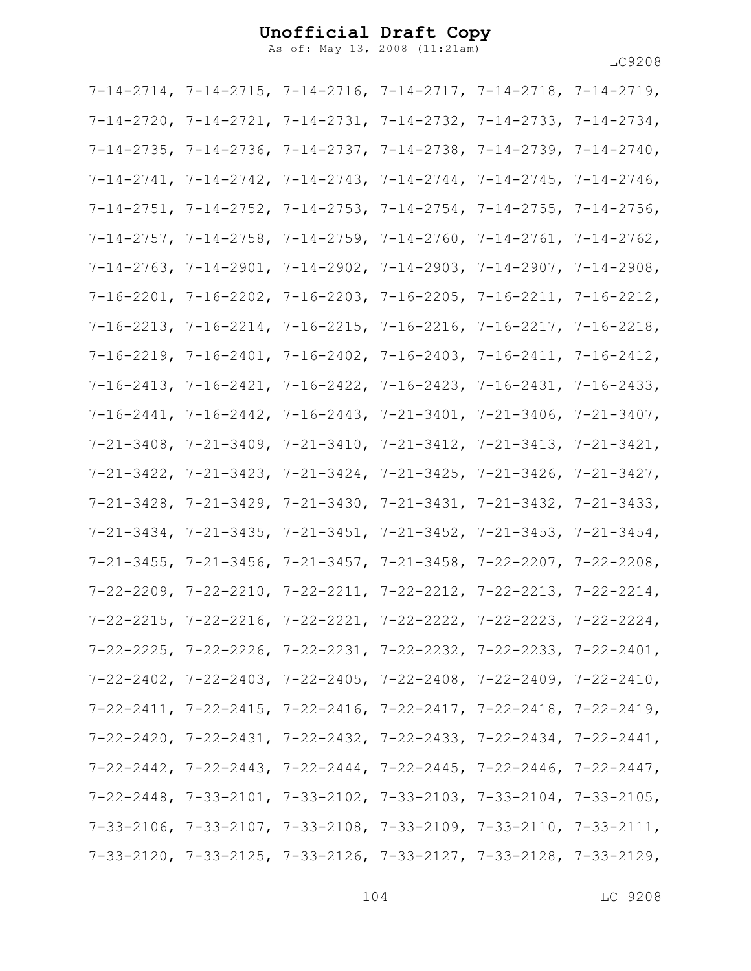As of: May 13, 2008 (11:21am)

|  | $7-14-2714$ , $7-14-2715$ , $7-14-2716$ , $7-14-2717$ , $7-14-2718$ , $7-14-2719$ , |  |
|--|-------------------------------------------------------------------------------------|--|
|  | $7-14-2720$ , $7-14-2721$ , $7-14-2731$ , $7-14-2732$ , $7-14-2733$ , $7-14-2734$ , |  |
|  | $7-14-2735$ , $7-14-2736$ , $7-14-2737$ , $7-14-2738$ , $7-14-2739$ , $7-14-2740$ , |  |
|  | $7-14-2741$ , $7-14-2742$ , $7-14-2743$ , $7-14-2744$ , $7-14-2745$ , $7-14-2746$ , |  |
|  | $7-14-2751$ , $7-14-2752$ , $7-14-2753$ , $7-14-2754$ , $7-14-2755$ , $7-14-2756$ , |  |
|  | $7-14-2757$ , $7-14-2758$ , $7-14-2759$ , $7-14-2760$ , $7-14-2761$ , $7-14-2762$ , |  |
|  | $7-14-2763$ , $7-14-2901$ , $7-14-2902$ , $7-14-2903$ , $7-14-2907$ , $7-14-2908$ , |  |
|  | $7-16-2201$ , $7-16-2202$ , $7-16-2203$ , $7-16-2205$ , $7-16-2211$ , $7-16-2212$ , |  |
|  | 7-16-2213, 7-16-2214, 7-16-2215, 7-16-2216, 7-16-2217, 7-16-2218,                   |  |
|  | $7-16-2219$ , $7-16-2401$ , $7-16-2402$ , $7-16-2403$ , $7-16-2411$ , $7-16-2412$ , |  |
|  | $7-16-2413$ , $7-16-2421$ , $7-16-2422$ , $7-16-2423$ , $7-16-2431$ , $7-16-2433$ , |  |
|  | $7-16-2441$ , $7-16-2442$ , $7-16-2443$ , $7-21-3401$ , $7-21-3406$ , $7-21-3407$ , |  |
|  | $7-21-3408$ , $7-21-3409$ , $7-21-3410$ , $7-21-3412$ , $7-21-3413$ , $7-21-3421$ , |  |
|  | $7-21-3422$ , $7-21-3423$ , $7-21-3424$ , $7-21-3425$ , $7-21-3426$ , $7-21-3427$ , |  |
|  | $7-21-3428$ , $7-21-3429$ , $7-21-3430$ , $7-21-3431$ , $7-21-3432$ , $7-21-3433$ , |  |
|  | $7-21-3434$ , $7-21-3435$ , $7-21-3451$ , $7-21-3452$ , $7-21-3453$ , $7-21-3454$ , |  |
|  | $7-21-3455$ , $7-21-3456$ , $7-21-3457$ , $7-21-3458$ , $7-22-2207$ , $7-22-2208$ , |  |
|  | $7-22-2209$ , $7-22-2210$ , $7-22-2211$ , $7-22-2212$ , $7-22-2213$ , $7-22-2214$ , |  |
|  | $7-22-2215$ , $7-22-2216$ , $7-22-2221$ , $7-22-2222$ , $7-22-2223$ , $7-22-2224$ , |  |
|  | $7-22-2225$ , $7-22-2226$ , $7-22-2231$ , $7-22-2232$ , $7-22-2233$ , $7-22-2401$ , |  |
|  | $7-22-2402$ , $7-22-2403$ , $7-22-2405$ , $7-22-2408$ , $7-22-2409$ , $7-22-2410$ , |  |
|  | $7-22-2411$ , $7-22-2415$ , $7-22-2416$ , $7-22-2417$ , $7-22-2418$ , $7-22-2419$ , |  |
|  | $7-22-2420$ , $7-22-2431$ , $7-22-2432$ , $7-22-2433$ , $7-22-2434$ , $7-22-2441$ , |  |
|  | $7-22-2442$ , $7-22-2443$ , $7-22-2444$ , $7-22-2445$ , $7-22-2446$ , $7-22-2447$ , |  |
|  | $7-22-2448$ , $7-33-2101$ , $7-33-2102$ , $7-33-2103$ , $7-33-2104$ , $7-33-2105$ , |  |
|  | $7-33-2106$ , $7-33-2107$ , $7-33-2108$ , $7-33-2109$ , $7-33-2110$ , $7-33-2111$ , |  |
|  | $7-33-2120$ , $7-33-2125$ , $7-33-2126$ , $7-33-2127$ , $7-33-2128$ , $7-33-2129$ , |  |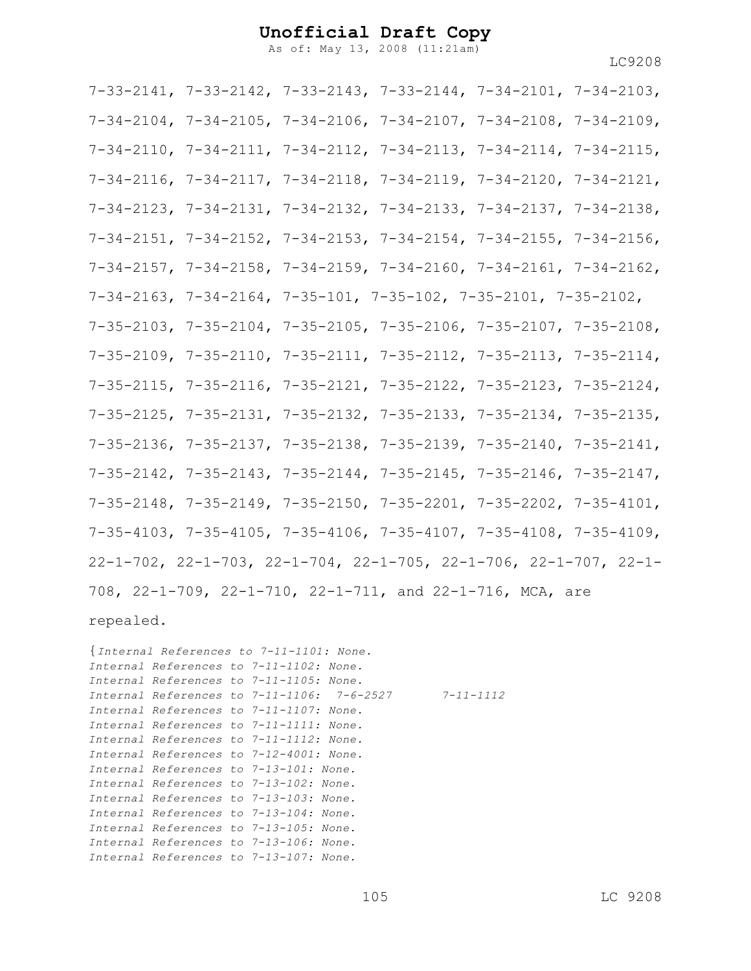As of: May 13, 2008 (11:21am)

7-33-2141, 7-33-2142, 7-33-2143, 7-33-2144, 7-34-2101, 7-34-2103, 7-34-2104, 7-34-2105, 7-34-2106, 7-34-2107, 7-34-2108, 7-34-2109, 7-34-2110, 7-34-2111, 7-34-2112, 7-34-2113, 7-34-2114, 7-34-2115, 7-34-2116, 7-34-2117, 7-34-2118, 7-34-2119, 7-34-2120, 7-34-2121, 7-34-2123, 7-34-2131, 7-34-2132, 7-34-2133, 7-34-2137, 7-34-2138, 7-34-2151, 7-34-2152, 7-34-2153, 7-34-2154, 7-34-2155, 7-34-2156, 7-34-2157, 7-34-2158, 7-34-2159, 7-34-2160, 7-34-2161, 7-34-2162, 7-34-2163, 7-34-2164, 7-35-101, 7-35-102, 7-35-2101, 7-35-2102, 7-35-2103, 7-35-2104, 7-35-2105, 7-35-2106, 7-35-2107, 7-35-2108, 7-35-2109, 7-35-2110, 7-35-2111, 7-35-2112, 7-35-2113, 7-35-2114, 7-35-2115, 7-35-2116, 7-35-2121, 7-35-2122, 7-35-2123, 7-35-2124, 7-35-2125, 7-35-2131, 7-35-2132, 7-35-2133, 7-35-2134, 7-35-2135, 7-35-2136, 7-35-2137, 7-35-2138, 7-35-2139, 7-35-2140, 7-35-2141, 7-35-2142, 7-35-2143, 7-35-2144, 7-35-2145, 7-35-2146, 7-35-2147, 7-35-2148, 7-35-2149, 7-35-2150, 7-35-2201, 7-35-2202, 7-35-4101, 7-35-4103, 7-35-4105, 7-35-4106, 7-35-4107, 7-35-4108, 7-35-4109, 22-1-702, 22-1-703, 22-1-704, 22-1-705, 22-1-706, 22-1-707, 22-1- 708, 22-1-709, 22-1-710, 22-1-711, and 22-1-716, MCA, are

repealed.

{*Internal References to 7-11-1101: None. Internal References to 7-11-1102: None. Internal References to 7-11-1105: None. Internal References to 7-11-1106: 7-6-2527 7-11-1112 Internal References to 7-11-1107: None. Internal References to 7-11-1111: None. Internal References to 7-11-1112: None. Internal References to 7-12-4001: None. Internal References to 7-13-101: None. Internal References to 7-13-102: None. Internal References to 7-13-103: None. Internal References to 7-13-104: None. Internal References to 7-13-105: None. Internal References to 7-13-106: None. Internal References to 7-13-107: None.*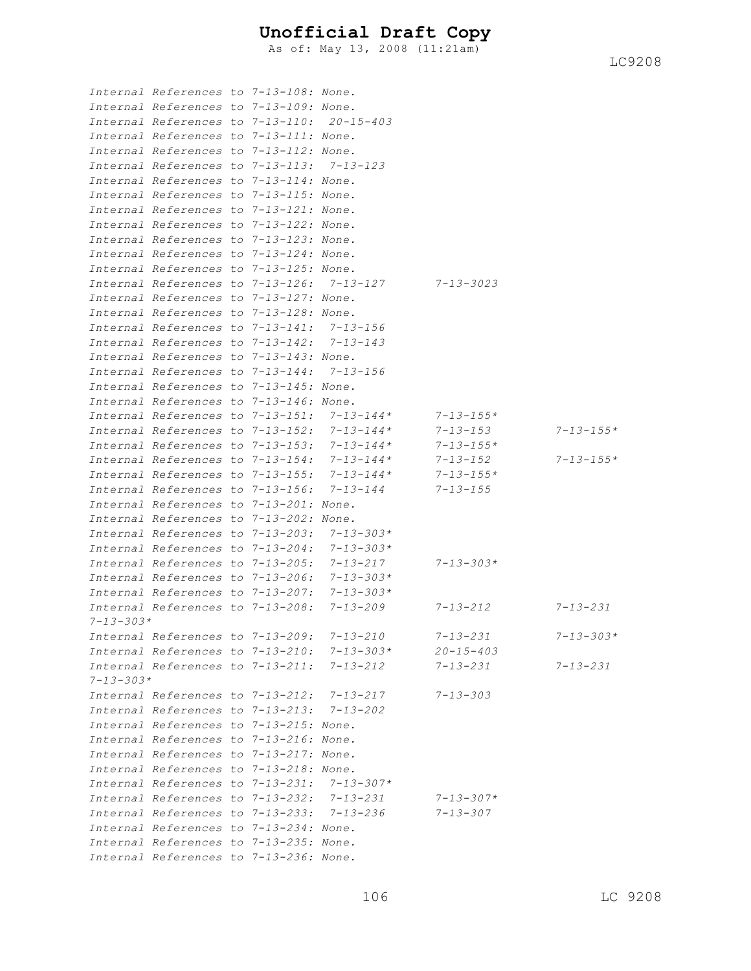As of: May 13, 2008 (11:21am)

|                 | Internal References to 7-13-108: None.     |  |                                                 |                 |                 |
|-----------------|--------------------------------------------|--|-------------------------------------------------|-----------------|-----------------|
|                 | Internal References to 7-13-109: None.     |  |                                                 |                 |                 |
|                 | Internal References to 7-13-110: 20-15-403 |  |                                                 |                 |                 |
|                 | Internal References to 7-13-111: None.     |  |                                                 |                 |                 |
|                 | Internal References to 7-13-112: None.     |  |                                                 |                 |                 |
|                 | Internal References to 7-13-113:           |  | $7 - 13 - 123$                                  |                 |                 |
|                 | Internal References to 7-13-114: None.     |  |                                                 |                 |                 |
|                 | Internal References to 7-13-115: None.     |  |                                                 |                 |                 |
|                 | Internal References to 7-13-121: None.     |  |                                                 |                 |                 |
|                 | Internal References to 7-13-122: None.     |  |                                                 |                 |                 |
|                 | Internal References to 7-13-123: None.     |  |                                                 |                 |                 |
|                 | Internal References to 7-13-124: None.     |  |                                                 |                 |                 |
|                 | Internal References to 7-13-125: None.     |  |                                                 |                 |                 |
|                 | Internal References to 7-13-126:           |  | $7 - 13 - 127$                                  | 7-13-3023       |                 |
|                 | Internal References to 7-13-127: None.     |  |                                                 |                 |                 |
|                 | Internal References to 7-13-128: None.     |  |                                                 |                 |                 |
|                 | Internal References to 7-13-141:           |  | $7 - 13 - 156$                                  |                 |                 |
|                 | Internal References to 7-13-142:           |  | 7-13-143                                        |                 |                 |
|                 | Internal References to 7-13-143: None.     |  |                                                 |                 |                 |
|                 | Internal References to 7-13-144:           |  | $7 - 13 - 156$                                  |                 |                 |
|                 | Internal References to 7-13-145: None.     |  |                                                 |                 |                 |
|                 | Internal References to 7-13-146: None.     |  |                                                 |                 |                 |
|                 | Internal References to 7-13-151:           |  | $7 - 13 - 144*$                                 | $7 - 13 - 155*$ |                 |
|                 | Internal References to 7-13-152:           |  | $7 - 13 - 144*$                                 | $7 - 13 - 153$  | $7 - 13 - 155*$ |
|                 | Internal References to 7-13-153:           |  | $7 - 13 - 144*$                                 | $7 - 13 - 155*$ |                 |
|                 | Internal References to 7-13-154:           |  | $7 - 13 - 144*$                                 | $7 - 13 - 152$  | $7 - 13 - 155*$ |
|                 | Internal References to 7-13-155:           |  | $7 - 13 - 144*$                                 | $7 - 13 - 155*$ |                 |
|                 | Internal References to 7-13-156:           |  | 7-13-144                                        | $7 - 13 - 155$  |                 |
|                 | Internal References to 7-13-201: None.     |  |                                                 |                 |                 |
|                 | Internal References to 7-13-202: None.     |  |                                                 |                 |                 |
|                 | Internal References to 7-13-203:           |  | $7 - 13 - 303*$                                 |                 |                 |
|                 | Internal References to 7-13-204:           |  | $7 - 13 - 303*$                                 |                 |                 |
|                 | Internal References to 7-13-205:           |  | 7-13-217                                        | $7 - 13 - 303*$ |                 |
|                 | Internal References to 7-13-206:           |  | $7 - 13 - 303*$                                 |                 |                 |
|                 | Internal References to 7-13-207:           |  | $7 - 13 - 303*$                                 |                 |                 |
|                 | Internal References to 7-13-208:           |  | $7 - 13 - 209$                                  | 7-13-212        | $7 - 13 - 231$  |
| $7 - 13 - 303*$ |                                            |  |                                                 |                 |                 |
|                 | Internal References to 7-13-209: 7-13-210  |  |                                                 | $7 - 13 - 231$  | $7 - 13 - 303*$ |
|                 |                                            |  | Internal References to $7-13-210$ : $7-13-303*$ | $20 - 15 - 403$ |                 |
|                 | Internal References to 7-13-211:           |  | 7-13-212                                        | 7-13-231        | $7 - 13 - 231$  |
| $7 - 13 - 303*$ |                                            |  |                                                 |                 |                 |
|                 | Internal References to 7-13-212:           |  | 7-13-217                                        | $7 - 13 - 303$  |                 |
|                 | Internal References to 7-13-213: 7-13-202  |  |                                                 |                 |                 |
|                 | Internal References to 7-13-215: None.     |  |                                                 |                 |                 |
|                 | Internal References to 7-13-216: None.     |  |                                                 |                 |                 |
|                 | Internal References to 7-13-217: None.     |  |                                                 |                 |                 |
|                 | Internal References to 7-13-218: None.     |  |                                                 |                 |                 |
|                 | Internal References to 7-13-231:           |  | $7 - 13 - 307*$                                 |                 |                 |
|                 |                                            |  | Internal References to 7-13-232: 7-13-231       | 7-13-307*       |                 |
|                 |                                            |  | Internal References to 7-13-233: 7-13-236       | 7-13-307        |                 |
|                 | Internal References to 7-13-234: None.     |  |                                                 |                 |                 |
|                 | Internal References to 7-13-235: None.     |  |                                                 |                 |                 |
|                 | Internal References to 7-13-236: None.     |  |                                                 |                 |                 |
|                 |                                            |  |                                                 |                 |                 |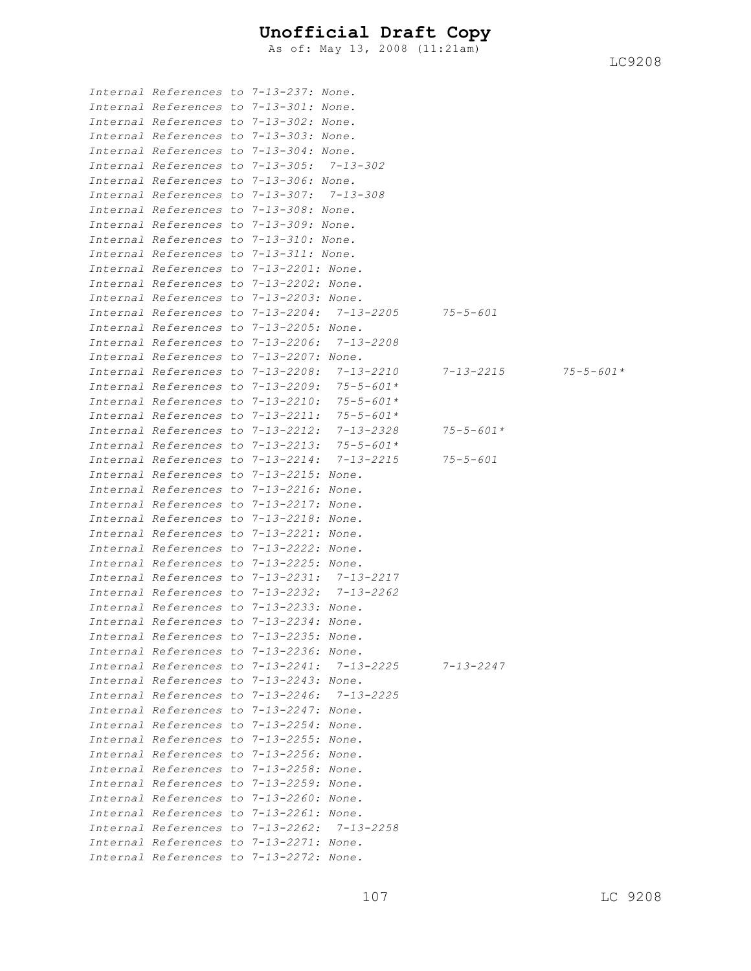As of: May 13, 2008 (11:21am)

*Internal References to 7-13-237: None. Internal References to 7-13-301: None. Internal References to 7-13-302: None. Internal References to 7-13-303: None. Internal References to 7-13-304: None. Internal References to 7-13-305: 7-13-302 Internal References to 7-13-306: None. Internal References to 7-13-307: 7-13-308 Internal References to 7-13-308: None. Internal References to 7-13-309: None. Internal References to 7-13-310: None. Internal References to 7-13-311: None. Internal References to 7-13-2201: None. Internal References to 7-13-2202: None. Internal References to 7-13-2203: None. Internal References to 7-13-2204: 7-13-2205 75-5-601 Internal References to 7-13-2205: None. Internal References to 7-13-2206: 7-13-2208 Internal References to 7-13-2207: None. Internal References to 7-13-2208: 7-13-2210 7-13-2215 75-5-601\* Internal References to 7-13-2209: 75-5-601\* Internal References to 7-13-2210: 75-5-601\* Internal References to 7-13-2211: 75-5-601\* Internal References to 7-13-2212: 7-13-2328 75-5-601\* Internal References to 7-13-2213: 75-5-601\* Internal References to 7-13-2214: 7-13-2215 75-5-601 Internal References to 7-13-2215: None. Internal References to 7-13-2216: None. Internal References to 7-13-2217: None. Internal References to 7-13-2218: None. Internal References to 7-13-2221: None. Internal References to 7-13-2222: None. Internal References to 7-13-2225: None. Internal References to 7-13-2231: 7-13-2217 Internal References to 7-13-2232: 7-13-2262 Internal References to 7-13-2233: None. Internal References to 7-13-2234: None. Internal References to 7-13-2235: None. Internal References to 7-13-2236: None. Internal References to 7-13-2241: 7-13-2225 7-13-2247 Internal References to 7-13-2243: None. Internal References to 7-13-2246: 7-13-2225 Internal References to 7-13-2247: None. Internal References to 7-13-2254: None. Internal References to 7-13-2255: None. Internal References to 7-13-2256: None. Internal References to 7-13-2258: None. Internal References to 7-13-2259: None. Internal References to 7-13-2260: None. Internal References to 7-13-2261: None. Internal References to 7-13-2262: 7-13-2258 Internal References to 7-13-2271: None. Internal References to 7-13-2272: None.*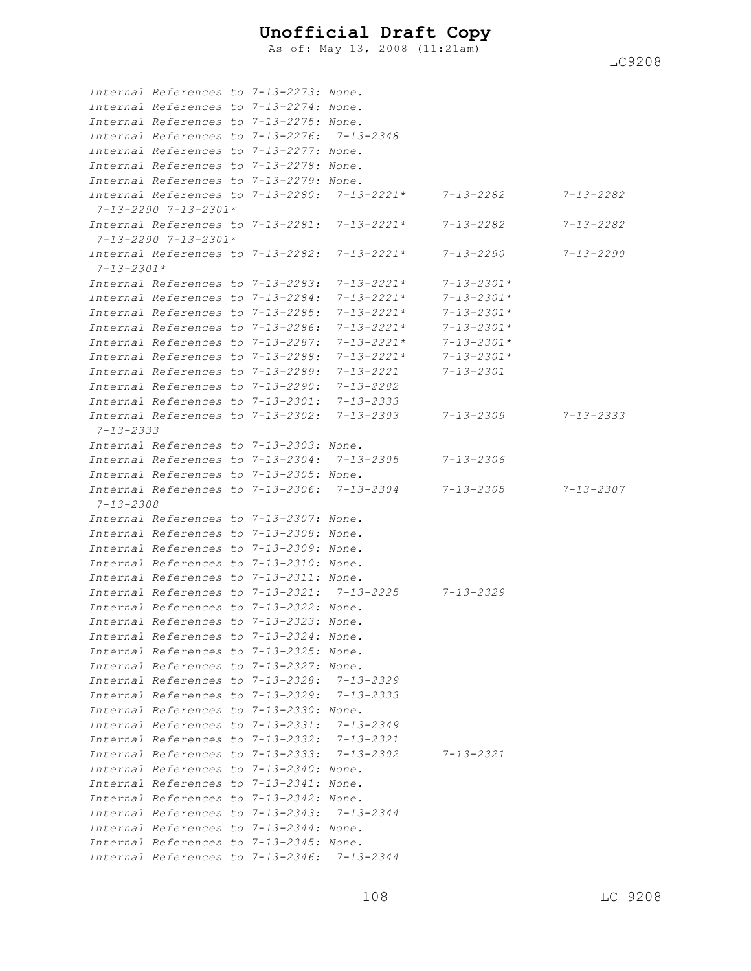As of: May 13, 2008 (11:21am)

|                  | Internal References to 7-13-2273: None.     |  |                                                        |                  |                 |
|------------------|---------------------------------------------|--|--------------------------------------------------------|------------------|-----------------|
|                  | Internal References to 7-13-2274: None.     |  |                                                        |                  |                 |
|                  | Internal References to 7-13-2275: None.     |  |                                                        |                  |                 |
|                  | Internal References to 7-13-2276: 7-13-2348 |  |                                                        |                  |                 |
|                  | Internal References to 7-13-2277: None.     |  |                                                        |                  |                 |
|                  | Internal References to 7-13-2278: None.     |  |                                                        |                  |                 |
|                  | Internal References to 7-13-2279: None.     |  |                                                        |                  |                 |
|                  |                                             |  | Internal References to 7-13-2280: 7-13-2221* 7-13-2282 |                  | 7-13-2282       |
|                  | 7-13-2290 7-13-2301*                        |  |                                                        |                  |                 |
|                  | Internal References to 7-13-2281:           |  | 7-13-2221*                                             | $7 - 13 - 2282$  | 7-13-2282       |
|                  | $7 - 13 - 2290$ $7 - 13 - 2301*$            |  |                                                        |                  |                 |
|                  | Internal References to 7-13-2282:           |  | 7-13-2221*                                             | $7 - 13 - 2290$  | 7-13-2290       |
| $7 - 13 - 2301*$ |                                             |  |                                                        |                  |                 |
|                  | Internal References to 7-13-2283:           |  | $7 - 13 - 2221*$                                       | $7 - 13 - 2301*$ |                 |
|                  | Internal References to 7-13-2284:           |  | 7-13-2221*                                             | $7 - 13 - 2301*$ |                 |
|                  | Internal References to 7-13-2285:           |  | 7-13-2221*                                             | $7 - 13 - 2301*$ |                 |
|                  | Internal References to 7-13-2286:           |  | $7 - 1.3 - 2.2.21 *$                                   | $7 - 13 - 2301*$ |                 |
|                  | Internal References to 7-13-2287:           |  | $7 - 1.3 - 2.2.21 *$                                   | $7 - 13 - 2301*$ |                 |
|                  | Internal References to 7-13-2288:           |  | 7-13-2221*                                             | $7 - 13 - 2301*$ |                 |
|                  | Internal References to 7-13-2289:           |  | 7-13-2221                                              | 7-13-2301        |                 |
|                  | Internal References to 7-13-2290:           |  | $7 - 13 - 2282$                                        |                  |                 |
|                  | Internal References to 7-13-2301:           |  | 7-13-2333                                              |                  |                 |
|                  | Internal References to 7-13-2302:           |  | 7-13-2303                                              | 7-13-2309        | $7 - 13 - 2333$ |
| $7 - 13 - 2333$  |                                             |  |                                                        |                  |                 |
|                  | Internal References to 7-13-2303: None.     |  |                                                        |                  |                 |
|                  |                                             |  | Internal References to 7-13-2304: 7-13-2305            | $7 - 13 - 2306$  |                 |
|                  | Internal References to 7-13-2305: None.     |  |                                                        |                  |                 |
|                  |                                             |  | Internal References to 7-13-2306: 7-13-2304            | $7 - 13 - 2305$  | $7 - 13 - 2307$ |
| $7 - 13 - 2308$  |                                             |  |                                                        |                  |                 |
|                  | Internal References to 7-13-2307: None.     |  |                                                        |                  |                 |
|                  | Internal References to 7-13-2308: None.     |  |                                                        |                  |                 |
|                  | Internal References to 7-13-2309: None.     |  |                                                        |                  |                 |
|                  | Internal References to 7-13-2310: None.     |  |                                                        |                  |                 |
|                  | Internal References to 7-13-2311: None.     |  |                                                        |                  |                 |
|                  |                                             |  | Internal References to 7-13-2321: 7-13-2225 7-13-2329  |                  |                 |
|                  | Internal References to 7-13-2322: None.     |  |                                                        |                  |                 |
|                  | Internal References to 7-13-2323: None.     |  |                                                        |                  |                 |
|                  | Internal References to 7-13-2324: None.     |  |                                                        |                  |                 |
|                  | Internal References to 7-13-2325: None.     |  |                                                        |                  |                 |
|                  | Internal References to 7-13-2327: None.     |  |                                                        |                  |                 |
|                  | Internal References to 7-13-2328: 7-13-2329 |  |                                                        |                  |                 |
|                  | Internal References to 7-13-2329: 7-13-2333 |  |                                                        |                  |                 |
|                  | Internal References to 7-13-2330: None.     |  |                                                        |                  |                 |
|                  | Internal References to 7-13-2331: 7-13-2349 |  |                                                        |                  |                 |
|                  | Internal References to 7-13-2332: 7-13-2321 |  |                                                        |                  |                 |
|                  |                                             |  | Internal References to 7-13-2333: 7-13-2302            | $7 - 13 - 2321$  |                 |
|                  | Internal References to 7-13-2340: None.     |  |                                                        |                  |                 |
|                  | Internal References to 7-13-2341: None.     |  |                                                        |                  |                 |
|                  | Internal References to 7-13-2342: None.     |  |                                                        |                  |                 |
|                  | Internal References to 7-13-2343: 7-13-2344 |  |                                                        |                  |                 |
|                  | Internal References to 7-13-2344: None.     |  |                                                        |                  |                 |
|                  | Internal References to 7-13-2345: None.     |  |                                                        |                  |                 |
|                  | Internal References to 7-13-2346: 7-13-2344 |  |                                                        |                  |                 |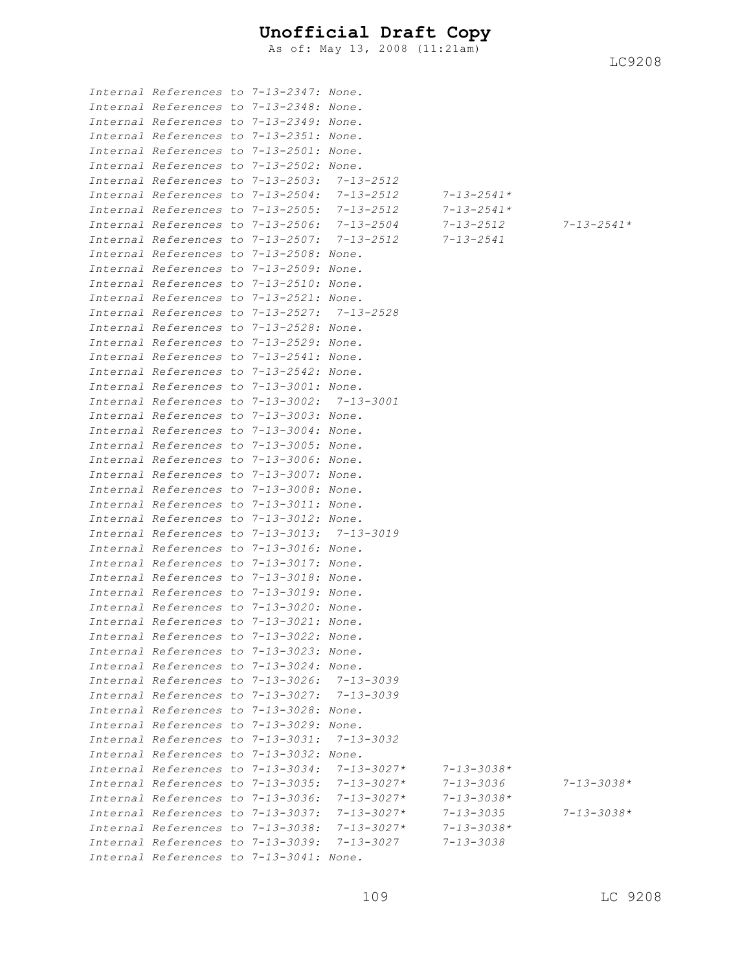As of: May 13, 2008 (11:21am)

| Internal References to 7-13-2347: None.     |  |                                             |                  |                  |
|---------------------------------------------|--|---------------------------------------------|------------------|------------------|
| Internal References to 7-13-2348: None.     |  |                                             |                  |                  |
| Internal References to 7-13-2349: None.     |  |                                             |                  |                  |
| Internal References to 7-13-2351: None.     |  |                                             |                  |                  |
| Internal References to 7-13-2501: None.     |  |                                             |                  |                  |
| Internal References to 7-13-2502: None.     |  |                                             |                  |                  |
| Internal References to 7-13-2503: 7-13-2512 |  |                                             |                  |                  |
|                                             |  | Internal References to 7-13-2504: 7-13-2512 | $7 - 13 - 2541*$ |                  |
| Internal References to 7-13-2505:           |  | 7-13-2512                                   | $7 - 13 - 2541*$ |                  |
|                                             |  | Internal References to 7-13-2506: 7-13-2504 | 7-13-2512        | $7 - 13 - 2541*$ |
|                                             |  | Internal References to 7-13-2507: 7-13-2512 | $7 - 13 - 2541$  |                  |
| Internal References to 7-13-2508: None.     |  |                                             |                  |                  |
| Internal References to 7-13-2509: None.     |  |                                             |                  |                  |
| Internal References to 7-13-2510: None.     |  |                                             |                  |                  |
| Internal References to 7-13-2521: None.     |  |                                             |                  |                  |
| Internal References to 7-13-2527: 7-13-2528 |  |                                             |                  |                  |
| Internal References to 7-13-2528: None.     |  |                                             |                  |                  |
| Internal References to 7-13-2529: None.     |  |                                             |                  |                  |
| Internal References to 7-13-2541: None.     |  |                                             |                  |                  |
| Internal References to 7-13-2542: None.     |  |                                             |                  |                  |
| Internal References to 7-13-3001: None.     |  |                                             |                  |                  |
| Internal References to 7-13-3002: 7-13-3001 |  |                                             |                  |                  |
| Internal References to 7-13-3003: None.     |  |                                             |                  |                  |
| Internal References to 7-13-3004: None.     |  |                                             |                  |                  |
| Internal References to 7-13-3005: None.     |  |                                             |                  |                  |
| Internal References to 7-13-3006: None.     |  |                                             |                  |                  |
| Internal References to 7-13-3007: None.     |  |                                             |                  |                  |
| Internal References to 7-13-3008: None.     |  |                                             |                  |                  |
| Internal References to 7-13-3011: None.     |  |                                             |                  |                  |
| Internal References to 7-13-3012: None.     |  |                                             |                  |                  |
| Internal References to 7-13-3013: 7-13-3019 |  |                                             |                  |                  |
| Internal References to 7-13-3016: None.     |  |                                             |                  |                  |
| Internal References to 7-13-3017: None.     |  |                                             |                  |                  |
| Internal References to 7-13-3018: None.     |  |                                             |                  |                  |
| Internal References to 7-13-3019: None.     |  |                                             |                  |                  |
| Internal References to 7-13-3020: None.     |  |                                             |                  |                  |
| Internal References to 7-13-3021: None.     |  |                                             |                  |                  |
| Internal References to 7-13-3022: None.     |  |                                             |                  |                  |
| Internal References to 7-13-3023: None.     |  |                                             |                  |                  |
| Internal References to 7-13-3024: None.     |  |                                             |                  |                  |
| Internal References to 7-13-3026: 7-13-3039 |  |                                             |                  |                  |
| Internal References to 7-13-3027: 7-13-3039 |  |                                             |                  |                  |
| Internal References to 7-13-3028: None.     |  |                                             |                  |                  |
| Internal References to 7-13-3029: None.     |  |                                             |                  |                  |
| Internal References to 7-13-3031:           |  | $7 - 13 - 3032$                             |                  |                  |
| Internal References to 7-13-3032: None.     |  |                                             |                  |                  |
| Internal References to 7-13-3034:           |  | $7 - 13 - 3027*$                            | $7 - 13 - 3038*$ |                  |
| Internal References to 7-13-3035:           |  | $7 - 13 - 3027*$                            | 7-13-3036        | $7 - 13 - 3038*$ |
| Internal References to 7-13-3036:           |  | $7 - 13 - 3027*$                            | $7 - 13 - 3038*$ |                  |
| Internal References to 7-13-3037:           |  | $7 - 13 - 3027*$                            | $7 - 13 - 3035$  | $7 - 13 - 3038*$ |
| Internal References to 7-13-3038:           |  | $7 - 13 - 3027*$                            | $7 - 13 - 3038*$ |                  |
| Internal References to 7-13-3039:           |  | 7-13-3027                                   | 7-13-3038        |                  |
| Internal References to 7-13-3041: None.     |  |                                             |                  |                  |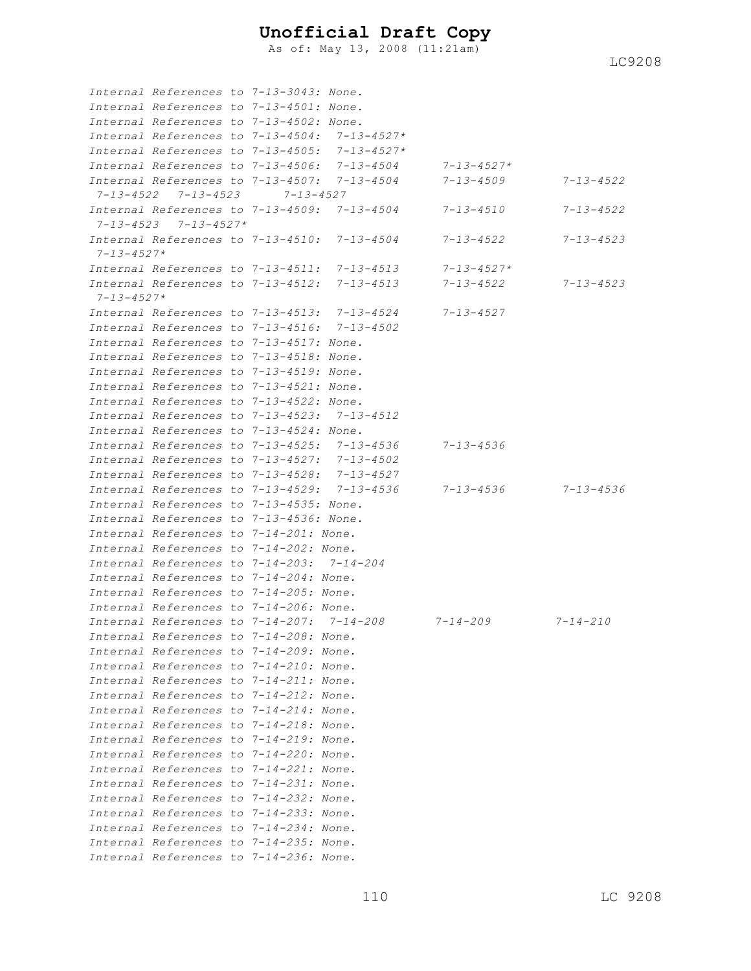As of: May 13, 2008 (11:21am)

|                     | Internal References to 7-13-3043: None.          |                 |                   |                  |                 |
|---------------------|--------------------------------------------------|-----------------|-------------------|------------------|-----------------|
|                     | Internal References to 7-13-4501: None.          |                 |                   |                  |                 |
|                     | Internal References to 7-13-4502: None.          |                 |                   |                  |                 |
|                     | Internal References to 7-13-4504:                |                 | $7 - 13 - 4527*$  |                  |                 |
|                     | Internal References to 7-13-4505:                |                 | $7 - 13 - 4527*$  |                  |                 |
|                     | Internal References to 7-13-4506:                |                 | $7 - 1.3 - 4.504$ | $7 - 13 - 4527*$ |                 |
|                     | Internal References to 7-13-4507:                |                 | $7 - 13 - 4504$   | 7-13-4509        | $7 - 13 - 4522$ |
| 7-13-4522           | $7 - 13 - 4523$                                  | $7 - 13 - 4527$ |                   |                  |                 |
|                     | Internal References to $7-13-4509$ : $7-13-4504$ |                 |                   | $7 - 13 - 4510$  | 7-13-4522       |
| $7 - 1.3 - 4.5.2.3$ | $7 - 13 - 4527*$                                 |                 |                   |                  |                 |
|                     | Internal References to 7-13-4510:                |                 | $7 - 13 - 4504$   | $7 - 13 - 4522$  | 7-13-4523       |
| $7 - 13 - 4527*$    |                                                  |                 |                   |                  |                 |
|                     | Internal References to 7-13-4511:                |                 | $7 - 13 - 4513$   | $7 - 13 - 4527*$ |                 |
| $7 - 13 - 4527*$    | Internal References to 7-13-4512:                |                 | $7 - 13 - 4513$   | 7-13-4522        | $7 - 13 - 4523$ |
|                     | Internal References to 7-13-4513:                |                 | $7 - 13 - 4524$   | $7 - 13 - 4527$  |                 |
|                     | Internal References to 7-13-4516:                |                 | $7 - 13 - 4502$   |                  |                 |
|                     | Internal References to 7-13-4517: None.          |                 |                   |                  |                 |
|                     | Internal References to 7-13-4518: None.          |                 |                   |                  |                 |
|                     | Internal References to 7-13-4519: None.          |                 |                   |                  |                 |
|                     | Internal References to 7-13-4521: None.          |                 |                   |                  |                 |
|                     | Internal References to 7-13-4522: None.          |                 |                   |                  |                 |
|                     | Internal References to 7-13-4523:                |                 | $7 - 13 - 4512$   |                  |                 |
|                     | Internal References to 7-13-4524: None.          |                 |                   |                  |                 |
|                     | Internal References to 7-13-4525:                |                 | $7 - 13 - 4536$   | $7 - 13 - 4536$  |                 |
|                     | Internal References to 7-13-4527:                |                 | $7 - 13 - 4502$   |                  |                 |
|                     | Internal References to 7-13-4528:                |                 | $7 - 13 - 4527$   |                  |                 |
|                     | Internal References to 7-13-4529:                |                 | $7 - 13 - 4536$   | 7-13-4536        | $7 - 13 - 4536$ |
|                     | Internal References to 7-13-4535: None.          |                 |                   |                  |                 |
|                     | Internal References to 7-13-4536: None.          |                 |                   |                  |                 |
|                     | Internal References to 7-14-201: None.           |                 |                   |                  |                 |
|                     | Internal References to 7-14-202: None.           |                 |                   |                  |                 |
|                     | Internal References to 7-14-203:                 |                 | 7-14-204          |                  |                 |
|                     | Internal References to 7-14-204: None.           |                 |                   |                  |                 |
|                     | Internal References to 7-14-205: None.           |                 |                   |                  |                 |
|                     | Internal References to 7-14-206: None.           |                 |                   |                  |                 |
|                     | Internal References to 7-14-207:                 |                 | $7 - 14 - 208$    | $7 - 14 - 209$   | $7 - 14 - 210$  |
|                     | Internal References to 7-14-208: None.           |                 |                   |                  |                 |
|                     | Internal References to 7-14-209: None.           |                 |                   |                  |                 |
|                     | Internal References to 7-14-210: None.           |                 |                   |                  |                 |
|                     | Internal References to 7-14-211: None.           |                 |                   |                  |                 |
|                     | Internal References to 7-14-212: None.           |                 |                   |                  |                 |
|                     | Internal References to 7-14-214: None.           |                 |                   |                  |                 |
|                     | Internal References to 7-14-218: None.           |                 |                   |                  |                 |
|                     | Internal References to 7-14-219: None.           |                 |                   |                  |                 |
|                     | Internal References to 7-14-220: None.           |                 |                   |                  |                 |
|                     | Internal References to 7-14-221: None.           |                 |                   |                  |                 |
|                     | Internal References to 7-14-231: None.           |                 |                   |                  |                 |
|                     | Internal References to 7-14-232: None.           |                 |                   |                  |                 |
|                     | Internal References to 7-14-233: None.           |                 |                   |                  |                 |
|                     | Internal References to 7-14-234: None.           |                 |                   |                  |                 |
|                     | Internal References to 7-14-235: None.           |                 |                   |                  |                 |
|                     | Internal References to 7-14-236: None.           |                 |                   |                  |                 |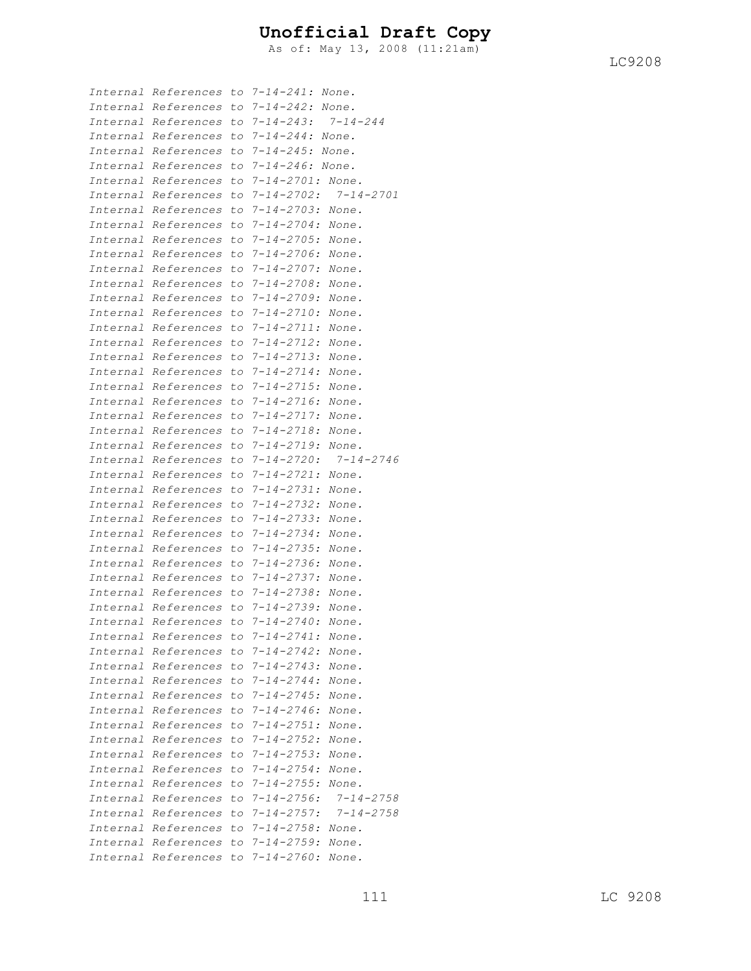As of: May 13, 2008 (11:21am)

| Internal             | References                              |     | to 7-14-241: None.                     |                |
|----------------------|-----------------------------------------|-----|----------------------------------------|----------------|
| Internal             | References                              | to  | $7 - 14 - 242:$                        | None.          |
| Internal             | References                              | to  | $7 - 14 - 243:$                        | $7 - 14 - 244$ |
| Internal             | References                              | to  | $7 - 14 - 244$ :                       | None.          |
| Internal             | References                              | to  | $7 - 14 - 245:$                        | None.          |
| Internal             | References                              | to  | $7 - 14 - 246:$                        | None.          |
| Internal             | References                              | to  | $7 - 14 - 2701:$                       | None.          |
| Internal             | References                              | to  | $7 - 14 - 2702$ :                      | 7-14-2701      |
| Internal             | References                              | to  | $7 - 14 - 2703:$                       | None.          |
| Internal             | References                              | to  | $7 - 14 - 2704:$                       | None.          |
| Internal             | References                              | to  | $7 - 14 - 2705$ :                      | None.          |
| Internal             | References                              | to  | $7 - 14 - 2706$ :                      | None.          |
| Internal             | References                              | to  | $7 - 14 - 2707$ :                      | None.          |
| Internal             |                                         |     | $7 - 14 - 2708:$                       |                |
|                      | References                              | to  | $7 - 14 - 2709:$                       | None.          |
| Internal             | References                              | to  |                                        | None.          |
| Internal<br>Internal | References                              | to  | $7 - 14 - 2710$ :                      | None.          |
| Internal             | References                              | to  | $7 - 14 - 2711$ :<br>$7 - 14 - 2712$ : | None.          |
| Internal             | References                              | to  | $7 - 14 - 2713$ :                      | None.          |
| Internal             | References                              | to  | $7 - 14 - 2714$ :                      | None.          |
| Internal             | References                              | to  |                                        | None.          |
| Internal             | References                              | to  | $7 - 14 - 2715$ :<br>$7 - 14 - 2716$ : | None.          |
| Internal             | References                              | to  |                                        | None.          |
|                      | References                              | to  | $7 - 14 - 2717$ :<br>$7 - 14 - 2718:$  | None.          |
| Internal             | References                              | to  |                                        | None.          |
| Internal             | References                              | to  | $7 - 14 - 2719$ :                      | None.          |
| Internal             | References                              | to  | $7 - 14 - 2720$ :                      | 7-14-2746      |
| Internal             | References                              | to  | $7 - 14 - 2721:$                       | None.          |
| Internal             | References                              | to  | $7 - 14 - 2731:$                       | None.          |
| Internal             | References                              | to  | $7 - 14 - 2732:$                       | None.          |
| Internal             | References                              | to  | $7 - 14 - 2733:$                       | None.          |
| Internal             | References                              | to  | $7 - 14 - 2734:$                       | None.          |
| Internal             | References                              | to  | $7 - 14 - 2735$ :                      | None.          |
| Internal             | References                              | tо  | $7 - 14 - 2736$ :                      | None.          |
| Internal             | References                              | tо  | $7 - 14 - 2737$ :                      | None.          |
| Internal             | References                              | to. | $7 - 14 - 2738:$                       | None.          |
| Internal             | References                              |     | to $7 - 14 - 2739$ :                   | None.          |
|                      | Internal References                     |     | to $7 - 14 - 2740$ :                   | None.          |
|                      | Internal References to 7-14-2741: None. |     |                                        |                |
|                      | Internal References to 7-14-2742:       |     |                                        | None.          |
|                      | Internal References to 7-14-2743:       |     |                                        | None.          |
|                      | Internal References to 7-14-2744:       |     |                                        | None.          |
|                      | Internal References to                  |     | $7 - 14 - 2745$ :                      | None.          |
|                      | Internal References to                  |     | $7 - 14 - 2746$ :                      | None.          |
|                      | Internal References to                  |     | $7 - 14 - 2751:$                       | None.          |
|                      | Internal References to                  |     | $7 - 14 - 2752$ :                      | None.          |
|                      | Internal References to                  |     | $7 - 14 - 2753$ :                      | None.          |
|                      | Internal References to                  |     | $7 - 14 - 2754:$                       | None.          |
|                      | Internal References to                  |     | $7 - 14 - 2755$ :                      | None.          |
|                      | Internal References to                  |     | $7 - 14 - 2756$ :                      | 7-14-2758      |
|                      | Internal References to                  |     | $7 - 14 - 2757$ :                      | 7-14-2758      |
|                      | Internal References to                  |     | $7 - 14 - 2758:$                       | None.          |
|                      | Internal References to 7-14-2759:       |     |                                        | None.          |
|                      | Internal References                     | to  | $7 - 14 - 2760$ :                      | None.          |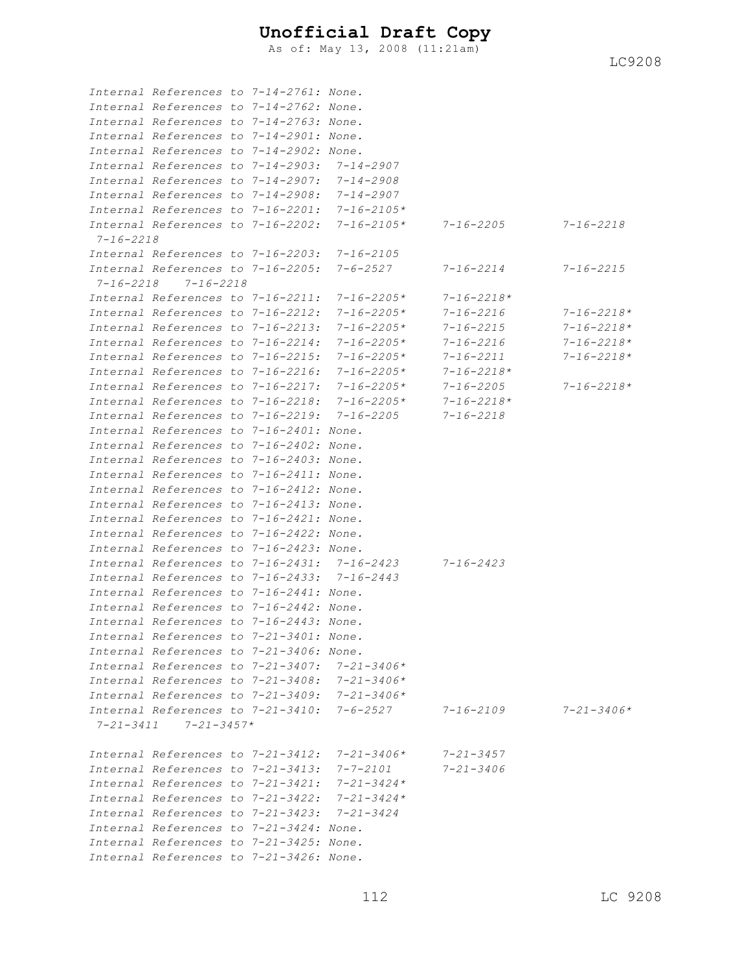As of: May 13, 2008 (11:21am)

*Internal References to 7-14-2761: None. Internal References to 7-14-2762: None. Internal References to 7-14-2763: None. Internal References to 7-14-2901: None. Internal References to 7-14-2902: None. Internal References to 7-14-2903: 7-14-2907 Internal References to 7-14-2907: 7-14-2908 Internal References to 7-14-2908: 7-14-2907 Internal References to 7-16-2201: 7-16-2105\* Internal References to 7-16-2202: 7-16-2105\* 7-16-2205 7-16-2218 7-16-2218 Internal References to 7-16-2203: 7-16-2105 Internal References to 7-16-2205: 7-6-2527 7-16-2214 7-16-2215 7-16-2218 7-16-2218 Internal References to 7-16-2211: 7-16-2205\* 7-16-2218\* Internal References to 7-16-2212: 7-16-2205\* 7-16-2216 7-16-2218\* Internal References to 7-16-2213: 7-16-2205\* 7-16-2215 7-16-2218\* Internal References to 7-16-2214: 7-16-2205\* 7-16-2216 7-16-2218\* Internal References to 7-16-2215: 7-16-2205\* 7-16-2211 7-16-2218\* Internal References to 7-16-2216: 7-16-2205\* 7-16-2218\* Internal References to 7-16-2217: 7-16-2205\* 7-16-2205 7-16-2218\* Internal References to 7-16-2218: 7-16-2205\* 7-16-2218\* Internal References to 7-16-2219: 7-16-2205 7-16-2218 Internal References to 7-16-2401: None. Internal References to 7-16-2402: None. Internal References to 7-16-2403: None. Internal References to 7-16-2411: None. Internal References to 7-16-2412: None. Internal References to 7-16-2413: None. Internal References to 7-16-2421: None. Internal References to 7-16-2422: None. Internal References to 7-16-2423: None. Internal References to 7-16-2431: 7-16-2423 7-16-2423 Internal References to 7-16-2433: 7-16-2443 Internal References to 7-16-2441: None. Internal References to 7-16-2442: None. Internal References to 7-16-2443: None. Internal References to 7-21-3401: None. Internal References to 7-21-3406: None. Internal References to 7-21-3407: 7-21-3406\* Internal References to 7-21-3408: 7-21-3406\* Internal References to 7-21-3409: 7-21-3406\* Internal References to 7-21-3410: 7-6-2527 7-16-2109 7-21-3406\* 7-21-3411 7-21-3457\* Internal References to 7-21-3412: 7-21-3406\* 7-21-3457 Internal References to 7-21-3413: 7-7-2101 7-21-3406 Internal References to 7-21-3421: 7-21-3424\* Internal References to 7-21-3422: 7-21-3424\* Internal References to 7-21-3423: 7-21-3424 Internal References to 7-21-3424: None. Internal References to 7-21-3425: None. Internal References to 7-21-3426: None.*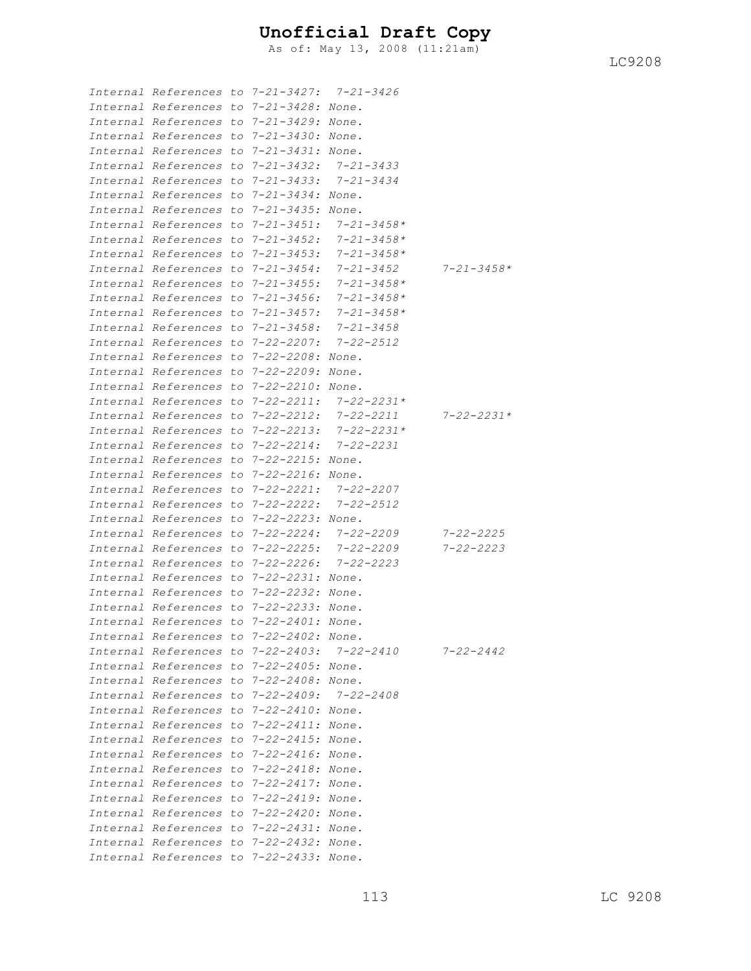As of: May 13, 2008 (11:21am)

| Internal References to 7-21-3427: 7-21-3426 |                    |                  |                  |
|---------------------------------------------|--------------------|------------------|------------------|
| Internal References to 7-21-3428: None.     |                    |                  |                  |
| Internal References to 7-21-3429: None.     |                    |                  |                  |
| Internal References to 7-21-3430: None.     |                    |                  |                  |
| Internal References to 7-21-3431: None.     |                    |                  |                  |
| Internal References to 7-21-3432:           |                    | 7–21–3433        |                  |
| Internal References to 7-21-3433:           |                    | 7-21-3434        |                  |
| Internal References to 7-21-3434: None.     |                    |                  |                  |
| Internal References to 7-21-3435: None.     |                    |                  |                  |
| Internal References to 7-21-3451:           |                    | $7 - 21 - 3458*$ |                  |
| Internal References to 7-21-3452:           |                    | 7-21-3458*       |                  |
| Internal References to 7-21-3453:           |                    | 7-21-3458*       |                  |
| Internal References to 7-21-3454:           |                    | 7-21-3452        | $7 - 21 - 3458*$ |
| Internal References to 7-21-3455:           |                    | 7-21-3458*       |                  |
| Internal References to 7-21-3456:           |                    | 7-21-3458*       |                  |
| Internal References to 7-21-3457:           |                    | 7-21-3458*       |                  |
| Internal References to 7-21-3458:           |                    | 7–21–3458        |                  |
| Internal References to 7-22-2207:           |                    | 7-22-2512        |                  |
| Internal References to                      | 7-22-2208: None.   |                  |                  |
| Internal References to 7-22-2209: None.     |                    |                  |                  |
| Internal References to 7-22-2210: None.     |                    |                  |                  |
| Internal References to 7-22-2211:           |                    | 7-22-2231*       |                  |
| Internal References to 7-22-2212:           |                    | 7-22-2211        | 7-22-2231*       |
| Internal References to 7-22-2213:           |                    | 7-22-2231*       |                  |
| Internal References to 7-22-2214:           |                    | 7-22-2231        |                  |
| Internal References to                      | 7-22-2215: None.   |                  |                  |
| Internal References to                      | 7-22-2216: None.   |                  |                  |
| Internal References to                      | 7-22-2221 <b>:</b> | 7-22-2207        |                  |
| Internal References to                      | 7-22-2222 <b>:</b> | 7-22-2512        |                  |
| Internal References to                      | 7-22-2223: None.   |                  |                  |
| Internal References to                      | 7-22-2224 <b>:</b> | 7-22-2209        | 7-22-2225        |
| Internal References to 7-22-2225:           |                    | 7-22-2209        | 7-22-2223        |
| Internal References to 7-22-2226:           |                    | 7-22-2223        |                  |
| Internal References to 7-22-2231: None.     |                    |                  |                  |
| Internal References to 7-22-2232: None.     |                    |                  |                  |
| Internal References to 7-22-2233: None.     |                    |                  |                  |
| Internal References to 7-22-2401: None.     |                    |                  |                  |
| Internal References to 7-22-2402: None.     |                    |                  |                  |
| Internal References to 7-22-2403: 7-22-2410 |                    |                  | 7-22-2442        |
| Internal References to 7-22-2405: None.     |                    |                  |                  |
| Internal References to 7-22-2408: None.     |                    |                  |                  |
| Internal References to 7-22-2409: 7-22-2408 |                    |                  |                  |
| Internal References to 7-22-2410: None.     |                    |                  |                  |
| Internal References to 7-22-2411: None.     |                    |                  |                  |
| Internal References to 7-22-2415: None.     |                    |                  |                  |
| Internal References to 7-22-2416: None.     |                    |                  |                  |
| Internal References to 7-22-2418: None.     |                    |                  |                  |
| Internal References to 7-22-2417: None.     |                    |                  |                  |
| Internal References to 7-22-2419: None.     |                    |                  |                  |
| Internal References to 7-22-2420: None.     |                    |                  |                  |
| Internal References to 7-22-2431: None.     |                    |                  |                  |
| Internal References to 7-22-2432: None.     |                    |                  |                  |
| Internal References to 7-22-2433: None.     |                    |                  |                  |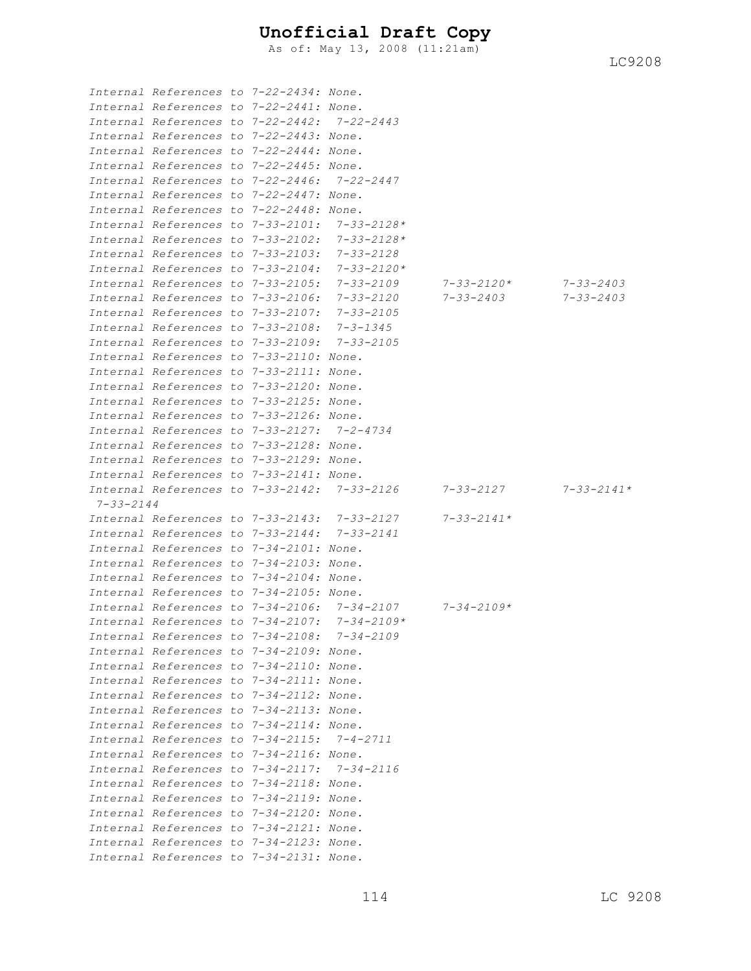As of: May 13, 2008 (11:21am)

|                 | Internal References to 7-22-2434: None.     |  |                                                   |                  |                  |
|-----------------|---------------------------------------------|--|---------------------------------------------------|------------------|------------------|
|                 | Internal References to 7-22-2441: None.     |  |                                                   |                  |                  |
|                 | Internal References to 7-22-2442:           |  | $7 - 22 - 2443$                                   |                  |                  |
|                 | Internal References to 7-22-2443: None.     |  |                                                   |                  |                  |
|                 | Internal References to 7-22-2444: None.     |  |                                                   |                  |                  |
|                 | Internal References to 7-22-2445: None.     |  |                                                   |                  |                  |
|                 | Internal References to 7-22-2446:           |  | $7 - 22 - 2447$                                   |                  |                  |
|                 | Internal References to 7-22-2447: None.     |  |                                                   |                  |                  |
|                 | Internal References to 7-22-2448: None.     |  |                                                   |                  |                  |
|                 | Internal References to 7-33-2101:           |  | $7 - 33 - 2128*$                                  |                  |                  |
|                 | Internal References to 7-33-2102:           |  | $7 - 33 - 2128*$                                  |                  |                  |
|                 | Internal References to 7-33-2103:           |  | $7 - 33 - 2128$                                   |                  |                  |
|                 | Internal References to 7-33-2104:           |  | $7 - 33 - 2120*$                                  |                  |                  |
|                 | Internal References to 7-33-2105:           |  | 7-33-2109                                         | 7-33-2120*       | 7-33-2403        |
|                 | Internal References to 7-33-2106:           |  | 7-33-2120                                         | $7 - 33 - 2403$  | $7 - 33 - 2403$  |
|                 | Internal References to 7-33-2107:           |  | $7 - 33 - 2105$                                   |                  |                  |
|                 | Internal References to 7-33-2108:           |  | $7 - 3 - 1345$                                    |                  |                  |
|                 | Internal References to 7-33-2109:           |  | $7 - 33 - 2105$                                   |                  |                  |
|                 | Internal References to 7-33-2110: None.     |  |                                                   |                  |                  |
|                 | Internal References to 7-33-2111: None.     |  |                                                   |                  |                  |
|                 | Internal References to 7-33-2120: None.     |  |                                                   |                  |                  |
|                 | Internal References to 7-33-2125: None.     |  |                                                   |                  |                  |
|                 | Internal References to 7-33-2126: None.     |  |                                                   |                  |                  |
|                 | Internal References to 7-33-2127:           |  | $7 - 2 - 4734$                                    |                  |                  |
|                 | Internal References to 7-33-2128: None.     |  |                                                   |                  |                  |
|                 | Internal References to 7-33-2129: None.     |  |                                                   |                  |                  |
|                 | Internal References to 7-33-2141: None.     |  |                                                   |                  |                  |
|                 | Internal References to 7-33-2142:           |  | 7-33-2126                                         | 7-33-2127        | $7 - 33 - 2141*$ |
| $7 - 33 - 2144$ |                                             |  |                                                   |                  |                  |
|                 | Internal References to 7-33-2143:           |  | 7-33-2127                                         | $7 - 33 - 2141*$ |                  |
|                 | Internal References to 7-33-2144:           |  | $7 - 33 - 2141$                                   |                  |                  |
|                 | Internal References to 7-34-2101: None.     |  |                                                   |                  |                  |
|                 | Internal References to 7-34-2103: None.     |  |                                                   |                  |                  |
|                 | Internal References to 7-34-2104: None.     |  |                                                   |                  |                  |
|                 | Internal References to 7-34-2105: None.     |  |                                                   |                  |                  |
|                 |                                             |  | Internal References to $7-34-2106$ : $7-34-2107$  | $7 - 34 - 2109*$ |                  |
|                 |                                             |  | Internal References to $7-34-2107$ : $7-34-2109*$ |                  |                  |
|                 | Internal References to 7-34-2108: 7-34-2109 |  |                                                   |                  |                  |
|                 | Internal References to 7-34-2109: None.     |  |                                                   |                  |                  |
|                 | Internal References to 7-34-2110: None.     |  |                                                   |                  |                  |
|                 | Internal References to 7-34-2111: None.     |  |                                                   |                  |                  |
|                 | Internal References to 7-34-2112: None.     |  |                                                   |                  |                  |
|                 | Internal References to 7-34-2113: None.     |  |                                                   |                  |                  |
|                 | Internal References to 7-34-2114: None.     |  |                                                   |                  |                  |
|                 | Internal References to 7-34-2115: 7-4-2711  |  |                                                   |                  |                  |
|                 | Internal References to 7-34-2116: None.     |  |                                                   |                  |                  |
|                 | Internal References to 7-34-2117: 7-34-2116 |  |                                                   |                  |                  |
|                 | Internal References to 7-34-2118: None.     |  |                                                   |                  |                  |
|                 | Internal References to 7-34-2119: None.     |  |                                                   |                  |                  |
|                 | Internal References to 7-34-2120: None.     |  |                                                   |                  |                  |
|                 | Internal References to 7-34-2121: None.     |  |                                                   |                  |                  |
|                 | Internal References to 7-34-2123: None.     |  |                                                   |                  |                  |
|                 |                                             |  |                                                   |                  |                  |
|                 | Internal References to 7-34-2131: None.     |  |                                                   |                  |                  |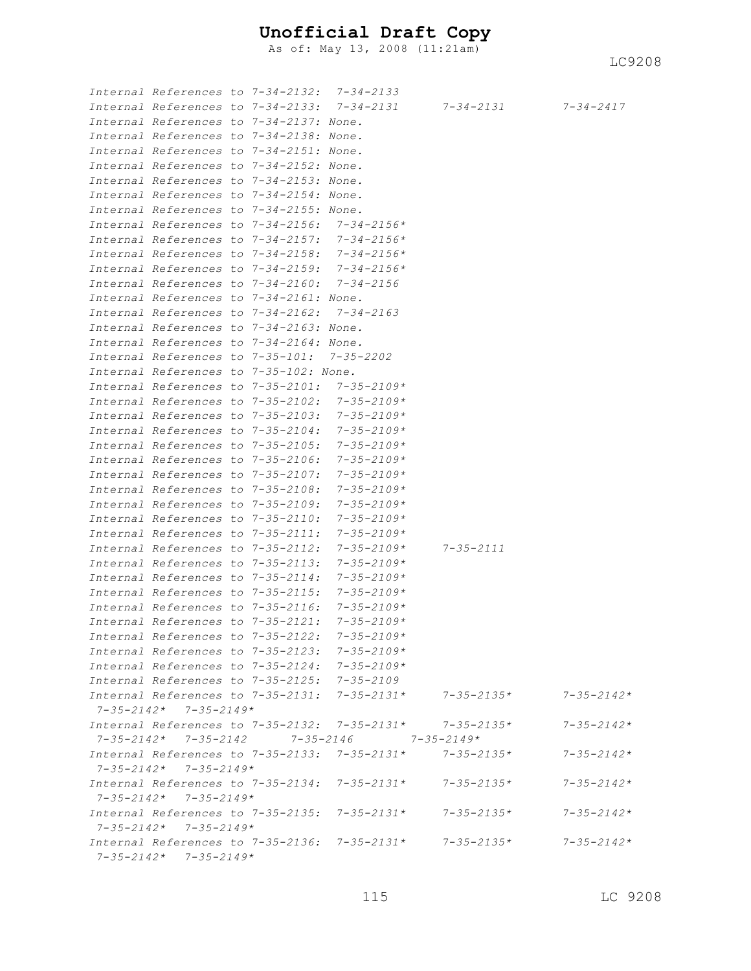As of: May 13, 2008 (11:21am)

| Internal References to 7-34-2132: 7-34-2133 |  |                                                   |                                                               |                  |
|---------------------------------------------|--|---------------------------------------------------|---------------------------------------------------------------|------------------|
|                                             |  |                                                   | Internal References to 7-34-2133: 7-34-2131 7-34-2131         | $7 - 34 - 2417$  |
| Internal References to 7-34-2137: None.     |  |                                                   |                                                               |                  |
| Internal References to 7-34-2138: None.     |  |                                                   |                                                               |                  |
| Internal References to 7-34-2151: None.     |  |                                                   |                                                               |                  |
| Internal References to 7-34-2152: None.     |  |                                                   |                                                               |                  |
| Internal References to 7-34-2153: None.     |  |                                                   |                                                               |                  |
| Internal References to 7-34-2154: None.     |  |                                                   |                                                               |                  |
| Internal References to 7-34-2155: None.     |  |                                                   |                                                               |                  |
|                                             |  | Internal References to 7-34-2156: 7-34-2156*      |                                                               |                  |
|                                             |  | Internal References to 7-34-2157: 7-34-2156*      |                                                               |                  |
|                                             |  | Internal References to 7-34-2158: 7-34-2156*      |                                                               |                  |
|                                             |  | Internal References to 7-34-2159: 7-34-2156*      |                                                               |                  |
| Internal References to 7-34-2160:           |  | 7-34-2156                                         |                                                               |                  |
| Internal References to 7-34-2161: None.     |  |                                                   |                                                               |                  |
| Internal References to 7-34-2162:           |  | $7 - 34 - 2163$                                   |                                                               |                  |
| Internal References to 7-34-2163: None.     |  |                                                   |                                                               |                  |
| Internal References to 7-34-2164: None.     |  |                                                   |                                                               |                  |
| Internal References to 7-35-101: 7-35-2202  |  |                                                   |                                                               |                  |
| Internal References to 7-35-102: None.      |  |                                                   |                                                               |                  |
|                                             |  | Internal References to 7-35-2101: 7-35-2109*      |                                                               |                  |
|                                             |  | Internal References to 7-35-2102: 7-35-2109*      |                                                               |                  |
| Internal References to 7-35-2103:           |  | $7 - 35 - 2109*$                                  |                                                               |                  |
| Internal References to 7-35-2104:           |  | 7-35-2109*                                        |                                                               |                  |
| Internal References to 7-35-2105:           |  | 7-35-2109*                                        |                                                               |                  |
| Internal References to 7-35-2106:           |  | 7-35-2109*                                        |                                                               |                  |
| Internal References to 7-35-2107:           |  | $7 - 35 - 2109*$                                  |                                                               |                  |
| Internal References to 7-35-2108:           |  | 7-35-2109*                                        |                                                               |                  |
| Internal References to 7-35-2109:           |  | $7 - 35 - 2109*$                                  |                                                               |                  |
| Internal References to 7-35-2110:           |  | $7 - 35 - 2109*$                                  |                                                               |                  |
| Internal References to 7-35-2111:           |  | $7 - 35 - 2109*$                                  |                                                               |                  |
| Internal References to 7-35-2112:           |  | $7 - 35 - 2109*$                                  | $7 - 35 - 2111$                                               |                  |
| Internal References to 7-35-2113:           |  | $7 - 35 - 2109*$                                  |                                                               |                  |
| Internal References to 7-35-2114:           |  | 7-35-2109*                                        |                                                               |                  |
| Internal References to 7-35-2115:           |  | 7-35-2109*                                        |                                                               |                  |
| Internal References to 7-35-2116:           |  | 7-35-2109*                                        |                                                               |                  |
| Internal References to 7-35-2121:           |  | $7 - 35 - 2109*$                                  |                                                               |                  |
|                                             |  | Internal References to 7-35-2122: 7-35-2109*      |                                                               |                  |
| Internal References to 7-35-2123:           |  | $7 - 35 - 2109*$                                  |                                                               |                  |
|                                             |  | Internal References to 7-35-2124: 7-35-2109*      |                                                               |                  |
|                                             |  | Internal References to 7-35-2125: 7-35-2109       |                                                               |                  |
|                                             |  |                                                   | Internal References to $7-35-2131$ : $7-35-2131$ * 7-35-2135* | $7 - 35 - 2142*$ |
| $7 - 35 - 2142*$ $7 - 35 - 2149*$           |  |                                                   |                                                               |                  |
|                                             |  |                                                   | Internal References to 7-35-2132: 7-35-2131* 7-35-2135*       | $7 - 35 - 2142*$ |
|                                             |  | $7 - 35 - 2142*$ $7 - 35 - 2142$ $7 - 35 - 2146$  | 7-35-2149*                                                    |                  |
|                                             |  |                                                   | Internal References to 7-35-2133: 7-35-2131* 7-35-2135*       | $7 - 35 - 2142*$ |
| $7 - 35 - 2142*$ $7 - 35 - 2149*$           |  |                                                   |                                                               |                  |
| Internal References to 7-35-2134:           |  | $7 - 35 - 2131*$                                  | $7 - 35 - 2135*$                                              | $7 - 35 - 2142*$ |
| $7 - 35 - 2142*$ $7 - 35 - 2149*$           |  |                                                   |                                                               |                  |
| Internal References to 7-35-2135:           |  | $7 - 35 - 2131*$                                  | $7 - 35 - 2135*$                                              | $7 - 35 - 2142*$ |
| $7 - 35 - 2142*$ $7 - 35 - 2149*$           |  |                                                   |                                                               |                  |
|                                             |  | Internal References to $7-35-2136$ : $7-35-2131*$ | $7 - 35 - 2135*$                                              | $7 - 35 - 2142*$ |
| $7 - 35 - 2142*$ $7 - 35 - 2149*$           |  |                                                   |                                                               |                  |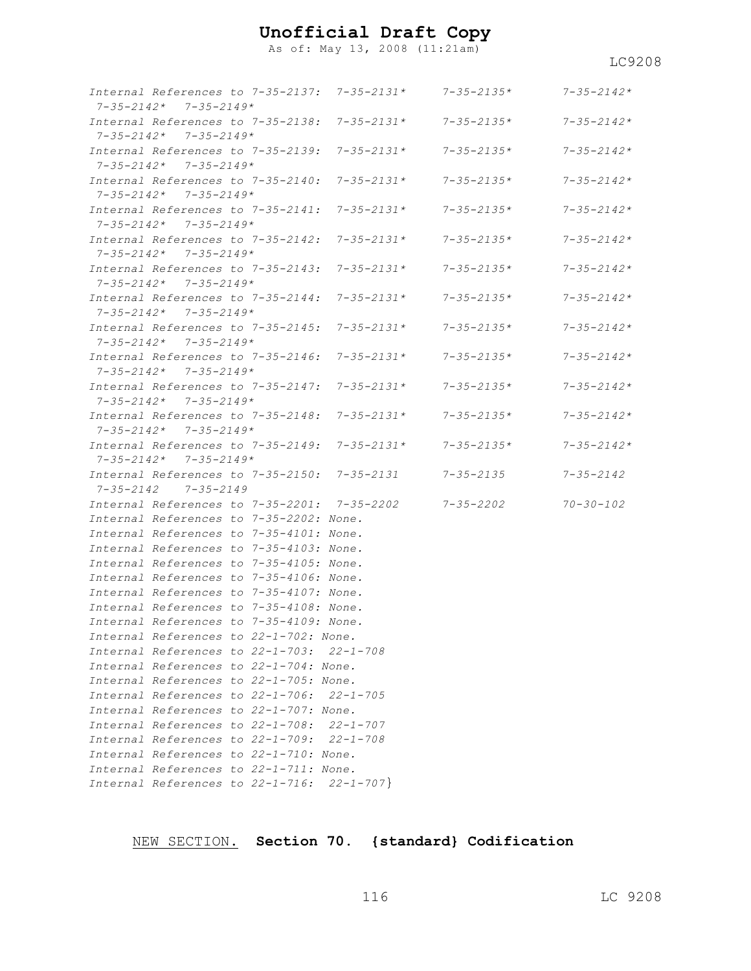As of: May 13, 2008 (11:21am)

*Internal References to 7-35-2137: 7-35-2131\* 7-35-2135\* 7-35-2142\* 7-35-2142\* 7-35-2149\* Internal References to 7-35-2138: 7-35-2131\* 7-35-2135\* 7-35-2142\* 7-35-2142\* 7-35-2149\* Internal References to 7-35-2139: 7-35-2131\* 7-35-2135\* 7-35-2142\* 7-35-2142\* 7-35-2149\* Internal References to 7-35-2140: 7-35-2131\* 7-35-2135\* 7-35-2142\* 7-35-2142\* 7-35-2149\* Internal References to 7-35-2141: 7-35-2131\* 7-35-2135\* 7-35-2142\* 7-35-2142\* 7-35-2149\* Internal References to 7-35-2142: 7-35-2131\* 7-35-2135\* 7-35-2142\* 7-35-2142\* 7-35-2149\* Internal References to 7-35-2143: 7-35-2131\* 7-35-2135\* 7-35-2142\* 7-35-2142\* 7-35-2149\* Internal References to 7-35-2144: 7-35-2131\* 7-35-2135\* 7-35-2142\* 7-35-2142\* 7-35-2149\* Internal References to 7-35-2145: 7-35-2131\* 7-35-2135\* 7-35-2142\* 7-35-2142\* 7-35-2149\* Internal References to 7-35-2146: 7-35-2131\* 7-35-2135\* 7-35-2142\* 7-35-2142\* 7-35-2149\* Internal References to 7-35-2147: 7-35-2131\* 7-35-2135\* 7-35-2142\* 7-35-2142\* 7-35-2149\* Internal References to 7-35-2148: 7-35-2131\* 7-35-2135\* 7-35-2142\* 7-35-2142\* 7-35-2149\* Internal References to 7-35-2149: 7-35-2131\* 7-35-2135\* 7-35-2142\* 7-35-2142\* 7-35-2149\* Internal References to 7-35-2150: 7-35-2131 7-35-2135 7-35-2142 7-35-2142 7-35-2149 Internal References to 7-35-2201: 7-35-2202 7-35-2202 70-30-102 Internal References to 7-35-2202: None. Internal References to 7-35-4101: None. Internal References to 7-35-4103: None. Internal References to 7-35-4105: None. Internal References to 7-35-4106: None. Internal References to 7-35-4107: None. Internal References to 7-35-4108: None. Internal References to 7-35-4109: None. Internal References to 22-1-702: None. Internal References to 22-1-703: 22-1-708 Internal References to 22-1-704: None. Internal References to 22-1-705: None. Internal References to 22-1-706: 22-1-705 Internal References to 22-1-707: None. Internal References to 22-1-708: 22-1-707 Internal References to 22-1-709: 22-1-708 Internal References to 22-1-710: None. Internal References to 22-1-711: None. Internal References to 22-1-716: 22-1-707*}

NEW SECTION. **Section 70. {standard} Codification**